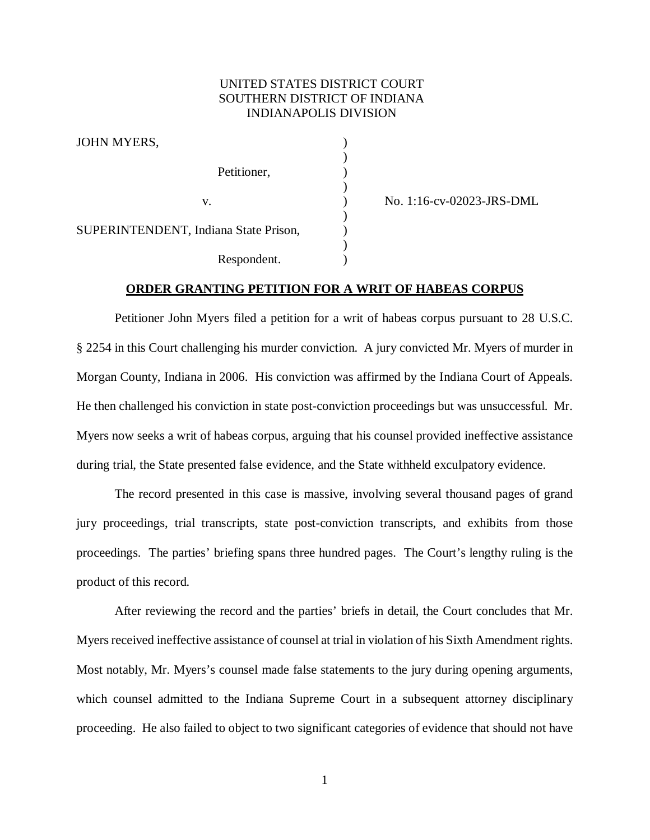# UNITED STATES DISTRICT COURT SOUTHERN DISTRICT OF INDIANA INDIANAPOLIS DIVISION

)

)

)

)

| JOHN MYERS,                           |  |
|---------------------------------------|--|
| Petitioner,                           |  |
| V.                                    |  |
| SUPERINTENDENT, Indiana State Prison, |  |
| Respondent.                           |  |

) No. 1:16-cv-02023-JRS-DML

### **ORDER GRANTING PETITION FOR A WRIT OF HABEAS CORPUS**

Petitioner John Myers filed a petition for a writ of habeas corpus pursuant to 28 U.S.C. § 2254 in this Court challenging his murder conviction. A jury convicted Mr. Myers of murder in Morgan County, Indiana in 2006. His conviction was affirmed by the Indiana Court of Appeals. He then challenged his conviction in state post-conviction proceedings but was unsuccessful. Mr. Myers now seeks a writ of habeas corpus, arguing that his counsel provided ineffective assistance during trial, the State presented false evidence, and the State withheld exculpatory evidence.

The record presented in this case is massive, involving several thousand pages of grand jury proceedings, trial transcripts, state post-conviction transcripts, and exhibits from those proceedings. The parties' briefing spans three hundred pages. The Court's lengthy ruling is the product of this record.

After reviewing the record and the parties' briefs in detail, the Court concludes that Mr. Myers received ineffective assistance of counsel at trial in violation of his Sixth Amendment rights. Most notably, Mr. Myers's counsel made false statements to the jury during opening arguments, which counsel admitted to the Indiana Supreme Court in a subsequent attorney disciplinary proceeding. He also failed to object to two significant categories of evidence that should not have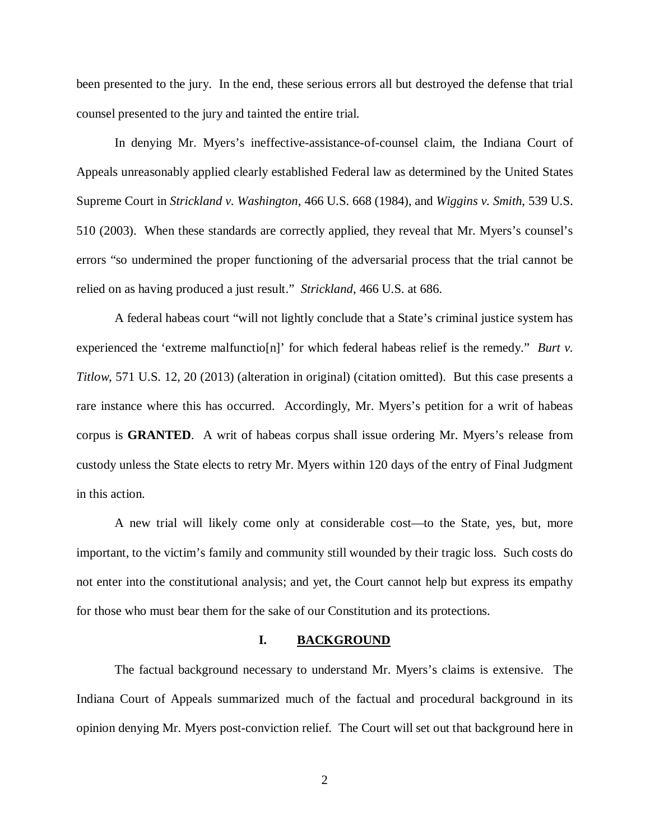been presented to the jury. In the end, these serious errors all but destroyed the defense that trial counsel presented to the jury and tainted the entire trial.

In denying Mr. Myers's ineffective-assistance-of-counsel claim, the Indiana Court of Appeals unreasonably applied clearly established Federal law as determined by the United States Supreme Court in *Strickland v. Washington*, 466 U.S. 668 (1984), and *Wiggins v. Smith*, 539 U.S. 510 (2003). When these standards are correctly applied, they reveal that Mr. Myers's counsel's errors "so undermined the proper functioning of the adversarial process that the trial cannot be relied on as having produced a just result." *Strickland*, 466 U.S. at 686.

A federal habeas court "will not lightly conclude that a State's criminal justice system has experienced the 'extreme malfunctio[n]' for which federal habeas relief is the remedy." *Burt v. Titlow*, 571 U.S. 12, 20 (2013) (alteration in original) (citation omitted). But this case presents a rare instance where this has occurred. Accordingly, Mr. Myers's petition for a writ of habeas corpus is **GRANTED**. A writ of habeas corpus shall issue ordering Mr. Myers's release from custody unless the State elects to retry Mr. Myers within 120 days of the entry of Final Judgment in this action.

A new trial will likely come only at considerable cost—to the State, yes, but, more important, to the victim's family and community still wounded by their tragic loss. Such costs do not enter into the constitutional analysis; and yet, the Court cannot help but express its empathy for those who must bear them for the sake of our Constitution and its protections.

#### **I. BACKGROUND**

The factual background necessary to understand Mr. Myers's claims is extensive. The Indiana Court of Appeals summarized much of the factual and procedural background in its opinion denying Mr. Myers post-conviction relief. The Court will set out that background here in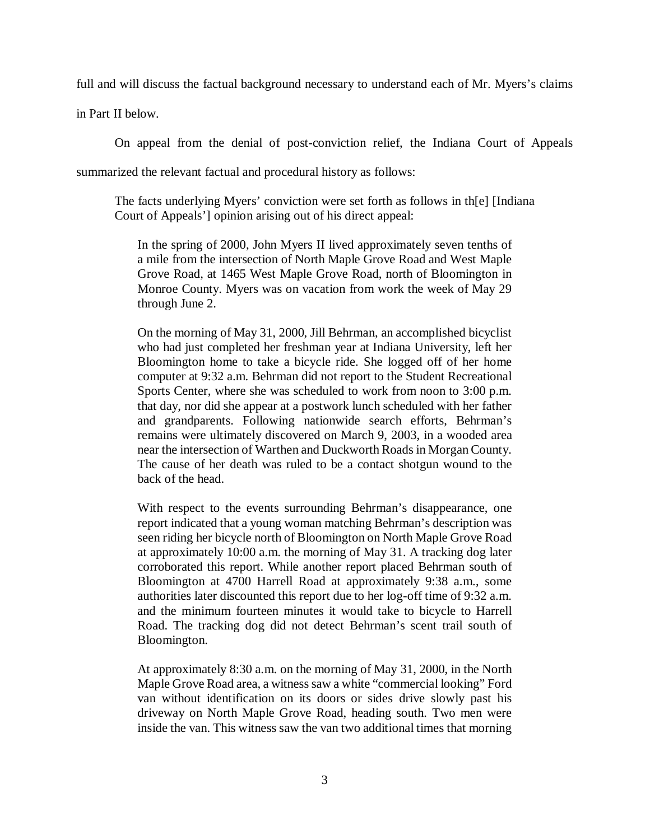full and will discuss the factual background necessary to understand each of Mr. Myers's claims

in Part II below.

On appeal from the denial of post-conviction relief, the Indiana Court of Appeals summarized the relevant factual and procedural history as follows:

The facts underlying Myers' conviction were set forth as follows in th[e] [Indiana Court of Appeals'] opinion arising out of his direct appeal:

In the spring of 2000, John Myers II lived approximately seven tenths of a mile from the intersection of North Maple Grove Road and West Maple Grove Road, at 1465 West Maple Grove Road, north of Bloomington in Monroe County. Myers was on vacation from work the week of May 29 through June 2.

On the morning of May 31, 2000, Jill Behrman, an accomplished bicyclist who had just completed her freshman year at Indiana University, left her Bloomington home to take a bicycle ride. She logged off of her home computer at 9:32 a.m. Behrman did not report to the Student Recreational Sports Center, where she was scheduled to work from noon to 3:00 p.m. that day, nor did she appear at a postwork lunch scheduled with her father and grandparents. Following nationwide search efforts, Behrman's remains were ultimately discovered on March 9, 2003, in a wooded area near the intersection of Warthen and Duckworth Roads in Morgan County. The cause of her death was ruled to be a contact shotgun wound to the back of the head.

With respect to the events surrounding Behrman's disappearance, one report indicated that a young woman matching Behrman's description was seen riding her bicycle north of Bloomington on North Maple Grove Road at approximately 10:00 a.m. the morning of May 31. A tracking dog later corroborated this report. While another report placed Behrman south of Bloomington at 4700 Harrell Road at approximately 9:38 a.m., some authorities later discounted this report due to her log-off time of 9:32 a.m. and the minimum fourteen minutes it would take to bicycle to Harrell Road. The tracking dog did not detect Behrman's scent trail south of Bloomington.

At approximately 8:30 a.m. on the morning of May 31, 2000, in the North Maple Grove Road area, a witness saw a white "commercial looking" Ford van without identification on its doors or sides drive slowly past his driveway on North Maple Grove Road, heading south. Two men were inside the van. This witness saw the van two additional times that morning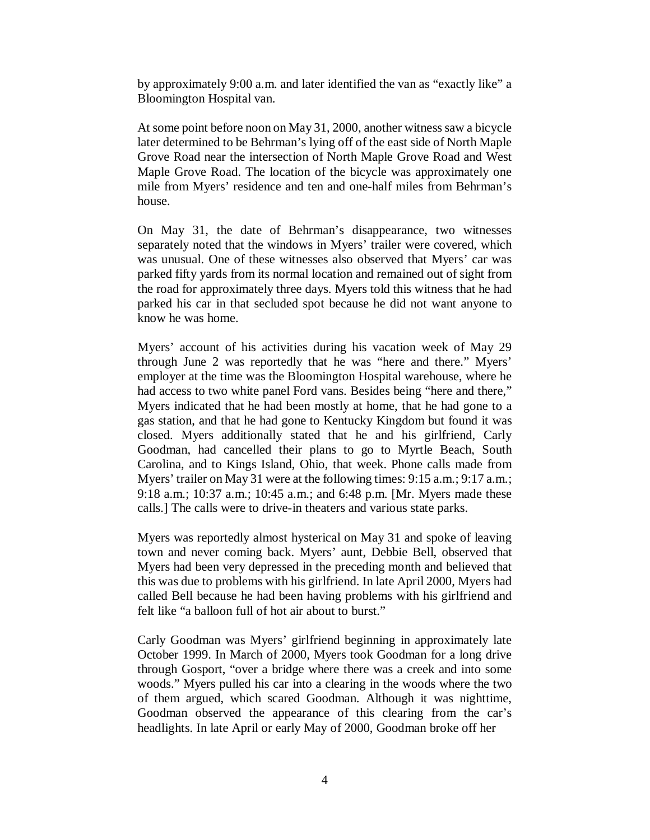by approximately 9:00 a.m. and later identified the van as "exactly like" a Bloomington Hospital van.

At some point before noon on May 31, 2000, another witness saw a bicycle later determined to be Behrman's lying off of the east side of North Maple Grove Road near the intersection of North Maple Grove Road and West Maple Grove Road. The location of the bicycle was approximately one mile from Myers' residence and ten and one-half miles from Behrman's house.

On May 31, the date of Behrman's disappearance, two witnesses separately noted that the windows in Myers' trailer were covered, which was unusual. One of these witnesses also observed that Myers' car was parked fifty yards from its normal location and remained out of sight from the road for approximately three days. Myers told this witness that he had parked his car in that secluded spot because he did not want anyone to know he was home.

Myers' account of his activities during his vacation week of May 29 through June 2 was reportedly that he was "here and there." Myers' employer at the time was the Bloomington Hospital warehouse, where he had access to two white panel Ford vans. Besides being "here and there," Myers indicated that he had been mostly at home, that he had gone to a gas station, and that he had gone to Kentucky Kingdom but found it was closed. Myers additionally stated that he and his girlfriend, Carly Goodman, had cancelled their plans to go to Myrtle Beach, South Carolina, and to Kings Island, Ohio, that week. Phone calls made from Myers' trailer on May 31 were at the following times: 9:15 a.m.; 9:17 a.m.; 9:18 a.m.; 10:37 a.m.; 10:45 a.m.; and 6:48 p.m. [Mr. Myers made these calls.] The calls were to drive-in theaters and various state parks.

Myers was reportedly almost hysterical on May 31 and spoke of leaving town and never coming back. Myers' aunt, Debbie Bell, observed that Myers had been very depressed in the preceding month and believed that this was due to problems with his girlfriend. In late April 2000, Myers had called Bell because he had been having problems with his girlfriend and felt like "a balloon full of hot air about to burst."

Carly Goodman was Myers' girlfriend beginning in approximately late October 1999. In March of 2000, Myers took Goodman for a long drive through Gosport, "over a bridge where there was a creek and into some woods." Myers pulled his car into a clearing in the woods where the two of them argued, which scared Goodman. Although it was nighttime, Goodman observed the appearance of this clearing from the car's headlights. In late April or early May of 2000, Goodman broke off her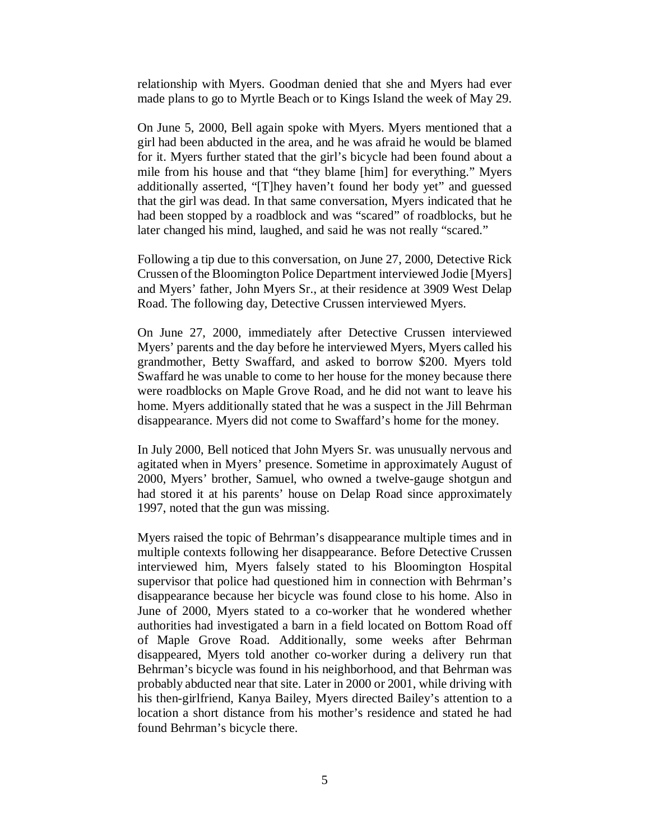relationship with Myers. Goodman denied that she and Myers had ever made plans to go to Myrtle Beach or to Kings Island the week of May 29.

On June 5, 2000, Bell again spoke with Myers. Myers mentioned that a girl had been abducted in the area, and he was afraid he would be blamed for it. Myers further stated that the girl's bicycle had been found about a mile from his house and that "they blame [him] for everything." Myers additionally asserted, "[T]hey haven't found her body yet" and guessed that the girl was dead. In that same conversation, Myers indicated that he had been stopped by a roadblock and was "scared" of roadblocks, but he later changed his mind, laughed, and said he was not really "scared."

Following a tip due to this conversation, on June 27, 2000, Detective Rick Crussen of the Bloomington Police Department interviewed Jodie [Myers] and Myers' father, John Myers Sr., at their residence at 3909 West Delap Road. The following day, Detective Crussen interviewed Myers.

On June 27, 2000, immediately after Detective Crussen interviewed Myers' parents and the day before he interviewed Myers, Myers called his grandmother, Betty Swaffard, and asked to borrow \$200. Myers told Swaffard he was unable to come to her house for the money because there were roadblocks on Maple Grove Road, and he did not want to leave his home. Myers additionally stated that he was a suspect in the Jill Behrman disappearance. Myers did not come to Swaffard's home for the money.

In July 2000, Bell noticed that John Myers Sr. was unusually nervous and agitated when in Myers' presence. Sometime in approximately August of 2000, Myers' brother, Samuel, who owned a twelve-gauge shotgun and had stored it at his parents' house on Delap Road since approximately 1997, noted that the gun was missing.

Myers raised the topic of Behrman's disappearance multiple times and in multiple contexts following her disappearance. Before Detective Crussen interviewed him, Myers falsely stated to his Bloomington Hospital supervisor that police had questioned him in connection with Behrman's disappearance because her bicycle was found close to his home. Also in June of 2000, Myers stated to a co-worker that he wondered whether authorities had investigated a barn in a field located on Bottom Road off of Maple Grove Road. Additionally, some weeks after Behrman disappeared, Myers told another co-worker during a delivery run that Behrman's bicycle was found in his neighborhood, and that Behrman was probably abducted near that site. Later in 2000 or 2001, while driving with his then-girlfriend, Kanya Bailey, Myers directed Bailey's attention to a location a short distance from his mother's residence and stated he had found Behrman's bicycle there.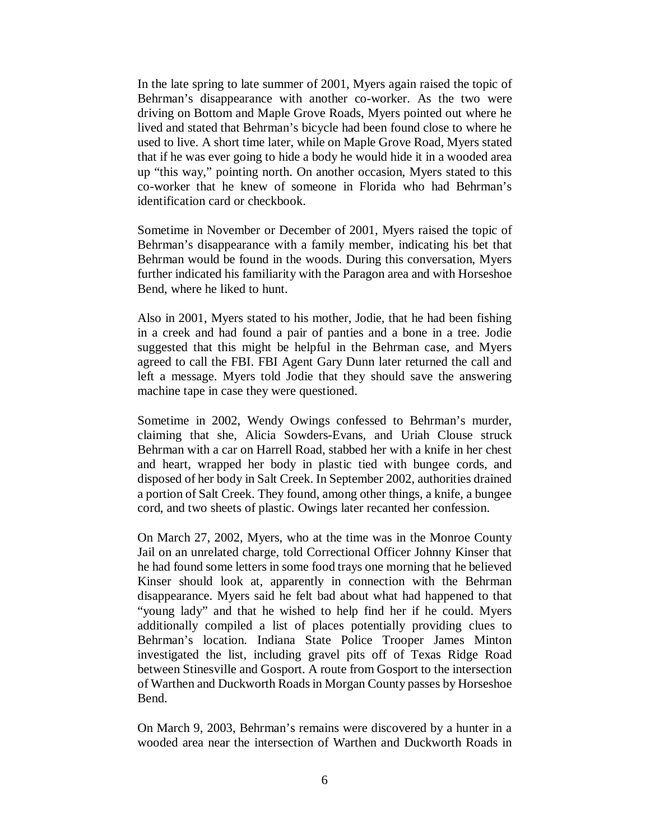In the late spring to late summer of 2001, Myers again raised the topic of Behrman's disappearance with another co-worker. As the two were driving on Bottom and Maple Grove Roads, Myers pointed out where he lived and stated that Behrman's bicycle had been found close to where he used to live. A short time later, while on Maple Grove Road, Myers stated that if he was ever going to hide a body he would hide it in a wooded area up "this way," pointing north. On another occasion, Myers stated to this co-worker that he knew of someone in Florida who had Behrman's identification card or checkbook.

Sometime in November or December of 2001, Myers raised the topic of Behrman's disappearance with a family member, indicating his bet that Behrman would be found in the woods. During this conversation, Myers further indicated his familiarity with the Paragon area and with Horseshoe Bend, where he liked to hunt.

Also in 2001, Myers stated to his mother, Jodie, that he had been fishing in a creek and had found a pair of panties and a bone in a tree. Jodie suggested that this might be helpful in the Behrman case, and Myers agreed to call the FBI. FBI Agent Gary Dunn later returned the call and left a message. Myers told Jodie that they should save the answering machine tape in case they were questioned.

Sometime in 2002, Wendy Owings confessed to Behrman's murder, claiming that she, Alicia Sowders-Evans, and Uriah Clouse struck Behrman with a car on Harrell Road, stabbed her with a knife in her chest and heart, wrapped her body in plastic tied with bungee cords, and disposed of her body in Salt Creek. In September 2002, authorities drained a portion of Salt Creek. They found, among other things, a knife, a bungee cord, and two sheets of plastic. Owings later recanted her confession.

On March 27, 2002, Myers, who at the time was in the Monroe County Jail on an unrelated charge, told Correctional Officer Johnny Kinser that he had found some letters in some food trays one morning that he believed Kinser should look at, apparently in connection with the Behrman disappearance. Myers said he felt bad about what had happened to that "young lady" and that he wished to help find her if he could. Myers additionally compiled a list of places potentially providing clues to Behrman's location. Indiana State Police Trooper James Minton investigated the list, including gravel pits off of Texas Ridge Road between Stinesville and Gosport. A route from Gosport to the intersection of Warthen and Duckworth Roads in Morgan County passes by Horseshoe Bend.

On March 9, 2003, Behrman's remains were discovered by a hunter in a wooded area near the intersection of Warthen and Duckworth Roads in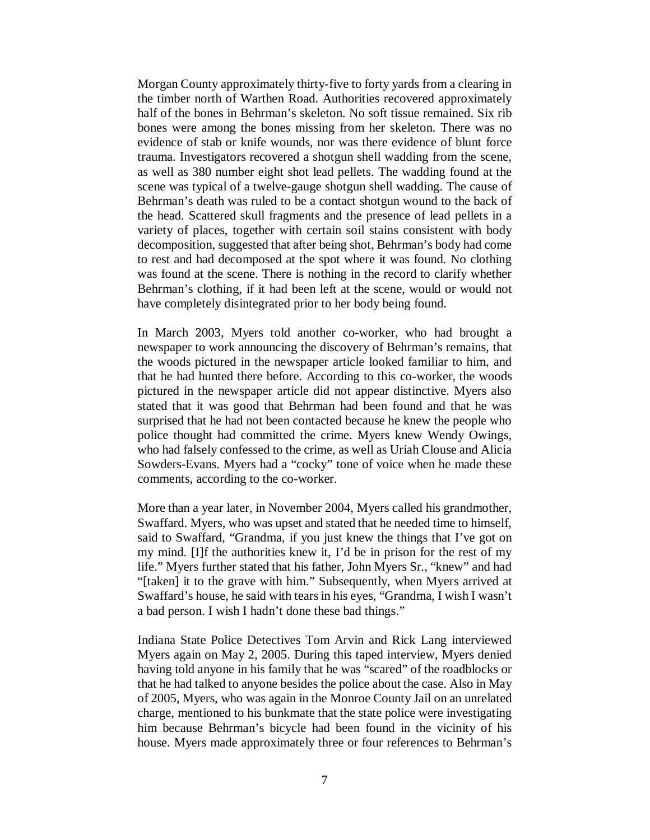Morgan County approximately thirty-five to forty yards from a clearing in the timber north of Warthen Road. Authorities recovered approximately half of the bones in Behrman's skeleton. No soft tissue remained. Six rib bones were among the bones missing from her skeleton. There was no evidence of stab or knife wounds, nor was there evidence of blunt force trauma. Investigators recovered a shotgun shell wadding from the scene, as well as 380 number eight shot lead pellets. The wadding found at the scene was typical of a twelve-gauge shotgun shell wadding. The cause of Behrman's death was ruled to be a contact shotgun wound to the back of the head. Scattered skull fragments and the presence of lead pellets in a variety of places, together with certain soil stains consistent with body decomposition, suggested that after being shot, Behrman's body had come to rest and had decomposed at the spot where it was found. No clothing was found at the scene. There is nothing in the record to clarify whether Behrman's clothing, if it had been left at the scene, would or would not have completely disintegrated prior to her body being found.

In March 2003, Myers told another co-worker, who had brought a newspaper to work announcing the discovery of Behrman's remains, that the woods pictured in the newspaper article looked familiar to him, and that he had hunted there before. According to this co-worker, the woods pictured in the newspaper article did not appear distinctive. Myers also stated that it was good that Behrman had been found and that he was surprised that he had not been contacted because he knew the people who police thought had committed the crime. Myers knew Wendy Owings, who had falsely confessed to the crime, as well as Uriah Clouse and Alicia Sowders-Evans. Myers had a "cocky" tone of voice when he made these comments, according to the co-worker.

More than a year later, in November 2004, Myers called his grandmother, Swaffard. Myers, who was upset and stated that he needed time to himself, said to Swaffard, "Grandma, if you just knew the things that I've got on my mind. [I]f the authorities knew it, I'd be in prison for the rest of my life." Myers further stated that his father, John Myers Sr., "knew" and had "[taken] it to the grave with him." Subsequently, when Myers arrived at Swaffard's house, he said with tears in his eyes, "Grandma, I wish I wasn't a bad person. I wish I hadn't done these bad things."

Indiana State Police Detectives Tom Arvin and Rick Lang interviewed Myers again on May 2, 2005. During this taped interview, Myers denied having told anyone in his family that he was "scared" of the roadblocks or that he had talked to anyone besides the police about the case. Also in May of 2005, Myers, who was again in the Monroe County Jail on an unrelated charge, mentioned to his bunkmate that the state police were investigating him because Behrman's bicycle had been found in the vicinity of his house. Myers made approximately three or four references to Behrman's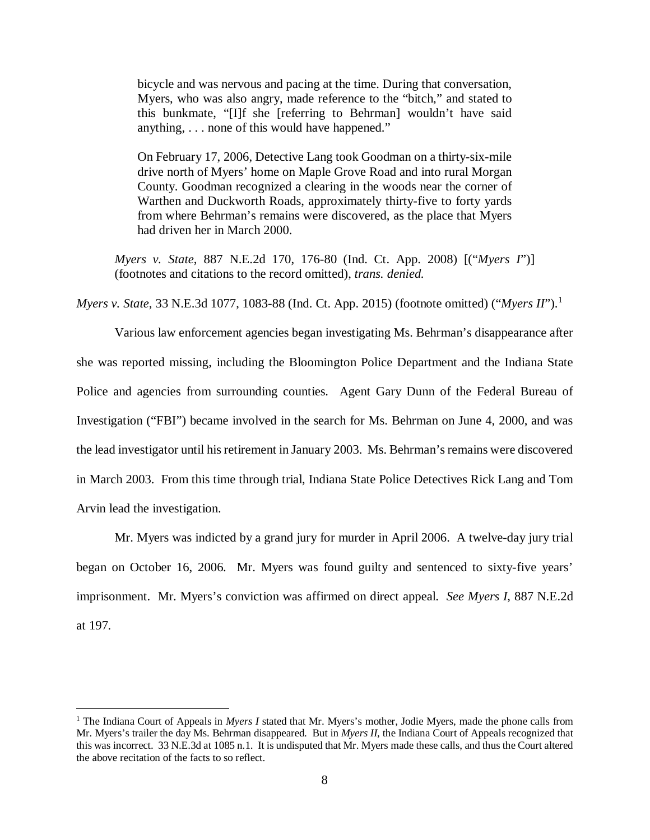bicycle and was nervous and pacing at the time. During that conversation, Myers, who was also angry, made reference to the "bitch," and stated to this bunkmate, "[I]f she [referring to Behrman] wouldn't have said anything, . . . none of this would have happened."

On February 17, 2006, Detective Lang took Goodman on a thirty-six-mile drive north of Myers' home on Maple Grove Road and into rural Morgan County. Goodman recognized a clearing in the woods near the corner of Warthen and Duckworth Roads, approximately thirty-five to forty yards from where Behrman's remains were discovered, as the place that Myers had driven her in March 2000.

*Myers v. State*, 887 N.E.2d 170, 176-80 (Ind. Ct. App. 2008) [("*Myers I*")] (footnotes and citations to the record omitted), *trans. denied.*

*Myers v. State*, 33 N.E.3d 1077, 1083-88 (Ind. Ct. App. 2015) (footnote omitted) ("*Myers II*").[1](#page-7-0)

Various law enforcement agencies began investigating Ms. Behrman's disappearance after she was reported missing, including the Bloomington Police Department and the Indiana State Police and agencies from surrounding counties. Agent Gary Dunn of the Federal Bureau of Investigation ("FBI") became involved in the search for Ms. Behrman on June 4, 2000, and was the lead investigator until his retirement in January 2003. Ms. Behrman's remains were discovered in March 2003. From this time through trial, Indiana State Police Detectives Rick Lang and Tom Arvin lead the investigation.

Mr. Myers was indicted by a grand jury for murder in April 2006. A twelve-day jury trial began on October 16, 2006. Mr. Myers was found guilty and sentenced to sixty-five years' imprisonment. Mr. Myers's conviction was affirmed on direct appeal. *See Myers I*, 887 N.E.2d at 197.

<span id="page-7-0"></span><sup>&</sup>lt;sup>1</sup> The Indiana Court of Appeals in *Myers I* stated that Mr. Myers's mother, Jodie Myers, made the phone calls from Mr. Myers's trailer the day Ms. Behrman disappeared. But in *Myers II*, the Indiana Court of Appeals recognized that this was incorrect. 33 N.E.3d at 1085 n.1. It is undisputed that Mr. Myers made these calls, and thus the Court altered the above recitation of the facts to so reflect.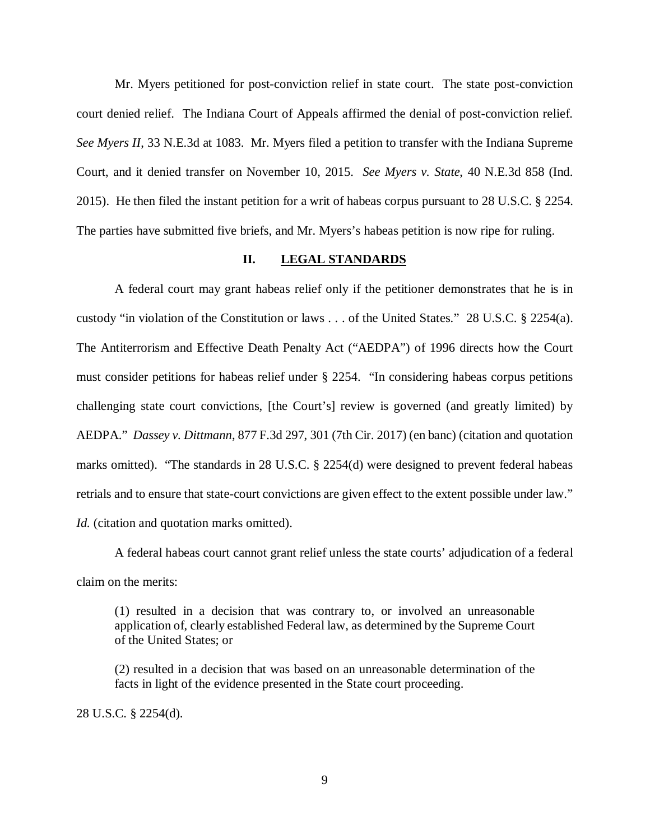Mr. Myers petitioned for post-conviction relief in state court. The state post-conviction court denied relief. The Indiana Court of Appeals affirmed the denial of post-conviction relief. *See Myers II*, 33 N.E.3d at 1083. Mr. Myers filed a petition to transfer with the Indiana Supreme Court, and it denied transfer on November 10, 2015. *See Myers v. State*, 40 N.E.3d 858 (Ind. 2015). He then filed the instant petition for a writ of habeas corpus pursuant to 28 U.S.C. § 2254. The parties have submitted five briefs, and Mr. Myers's habeas petition is now ripe for ruling.

#### **II. LEGAL STANDARDS**

A federal court may grant habeas relief only if the petitioner demonstrates that he is in custody "in violation of the Constitution or laws . . . of the United States." 28 U.S.C. § 2254(a). The Antiterrorism and Effective Death Penalty Act ("AEDPA") of 1996 directs how the Court must consider petitions for habeas relief under § 2254. "In considering habeas corpus petitions challenging state court convictions, [the Court's] review is governed (and greatly limited) by AEDPA." *Dassey v. Dittmann*, 877 F.3d 297, 301 (7th Cir. 2017) (en banc) (citation and quotation marks omitted). "The standards in 28 U.S.C. § 2254(d) were designed to prevent federal habeas retrials and to ensure that state-court convictions are given effect to the extent possible under law." *Id.* (citation and quotation marks omitted).

A federal habeas court cannot grant relief unless the state courts' adjudication of a federal claim on the merits:

(1) resulted in a decision that was contrary to, or involved an unreasonable application of, clearly established Federal law, as determined by the Supreme Court of the United States; or

(2) resulted in a decision that was based on an unreasonable determination of the facts in light of the evidence presented in the State court proceeding.

28 U.S.C. § 2254(d).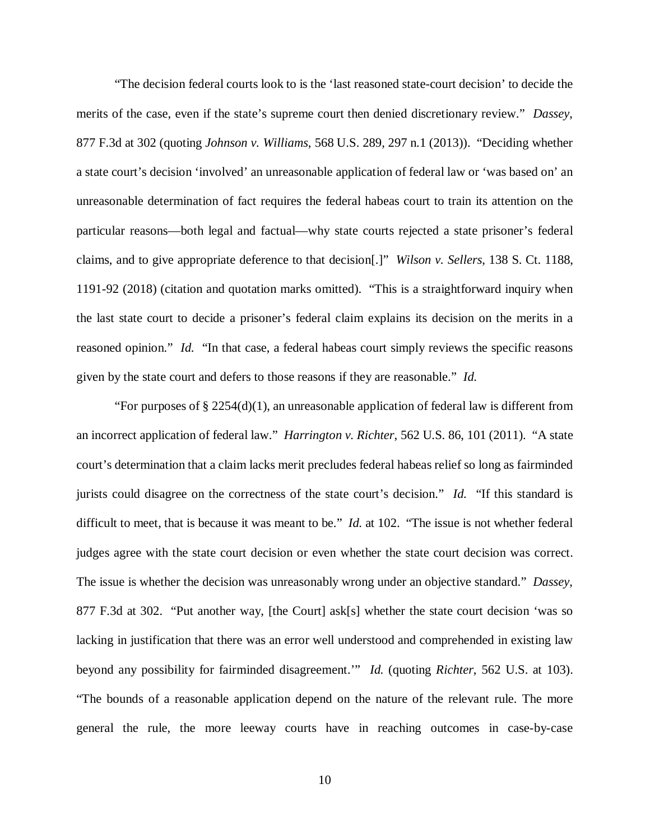"The decision federal courts look to is the 'last reasoned state-court decision' to decide the merits of the case, even if the state's supreme court then denied discretionary review." *Dassey*, 877 F.3d at 302 (quoting *Johnson v. Williams*, 568 U.S. 289, 297 n.1 (2013)). "Deciding whether a state court's decision 'involved' an unreasonable application of federal law or 'was based on' an unreasonable determination of fact requires the federal habeas court to train its attention on the particular reasons—both legal and factual—why state courts rejected a state prisoner's federal claims, and to give appropriate deference to that decision[.]" *Wilson v. Sellers*, 138 S. Ct. 1188, 1191-92 (2018) (citation and quotation marks omitted). "This is a straightforward inquiry when the last state court to decide a prisoner's federal claim explains its decision on the merits in a reasoned opinion." *Id.* "In that case, a federal habeas court simply reviews the specific reasons given by the state court and defers to those reasons if they are reasonable." *Id.* 

"For purposes of  $\S 2254(d)(1)$ , an unreasonable application of federal law is different from an incorrect application of federal law." *Harrington v. Richter*, 562 U.S. 86, 101 (2011)."A state court's determination that a claim lacks merit precludes federal habeas relief so long as fairminded jurists could disagree on the correctness of the state court's decision." *Id.* "If this standard is difficult to meet, that is because it was meant to be." *Id.* at 102. "The issue is not whether federal judges agree with the state court decision or even whether the state court decision was correct. The issue is whether the decision was unreasonably wrong under an objective standard." *Dassey*, 877 F.3d at 302. "Put another way, [the Court] ask[s] whether the state court decision 'was so lacking in justification that there was an error well understood and comprehended in existing law beyond any possibility for fairminded disagreement.'" *Id.* (quoting *Richter*, 562 U.S. at 103). "The bounds of a reasonable application depend on the nature of the relevant rule. The more general the rule, the more leeway courts have in reaching outcomes in case-by-case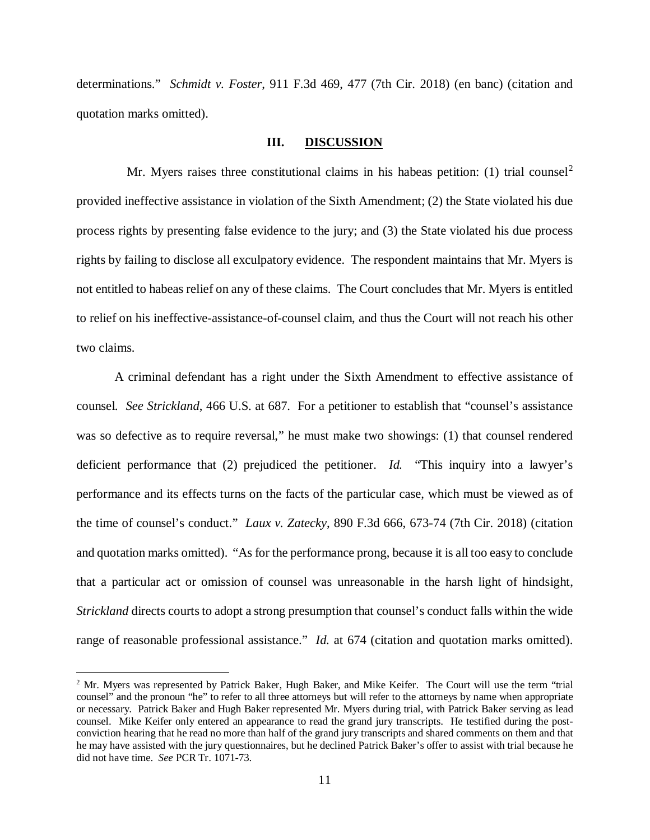determinations." *Schmidt v. Foster*, 911 F.3d 469, 477 (7th Cir. 2018) (en banc) (citation and quotation marks omitted).

# **III. DISCUSSION**

Mr. Myers raises three constitutional claims in his habeas petition: (1) trial counsel<sup>[2](#page-10-0)</sup> provided ineffective assistance in violation of the Sixth Amendment; (2) the State violated his due process rights by presenting false evidence to the jury; and (3) the State violated his due process rights by failing to disclose all exculpatory evidence. The respondent maintains that Mr. Myers is not entitled to habeas relief on any of these claims. The Court concludes that Mr. Myers is entitled to relief on his ineffective-assistance-of-counsel claim, and thus the Court will not reach his other two claims.

A criminal defendant has a right under the Sixth Amendment to effective assistance of counsel. *See Strickland*, 466 U.S. at 687. For a petitioner to establish that "counsel's assistance was so defective as to require reversal," he must make two showings: (1) that counsel rendered deficient performance that (2) prejudiced the petitioner. *Id.* "This inquiry into a lawyer's performance and its effects turns on the facts of the particular case, which must be viewed as of the time of counsel's conduct." *Laux v. Zatecky*, 890 F.3d 666, 673-74 (7th Cir. 2018) (citation and quotation marks omitted). "As for the performance prong, because it is all too easy to conclude that a particular act or omission of counsel was unreasonable in the harsh light of hindsight, *Strickland* directs courts to adopt a strong presumption that counsel's conduct falls within the wide range of reasonable professional assistance." *Id.* at 674 (citation and quotation marks omitted).

<span id="page-10-0"></span><sup>&</sup>lt;sup>2</sup> Mr. Myers was represented by Patrick Baker, Hugh Baker, and Mike Keifer. The Court will use the term "trial counsel" and the pronoun "he" to refer to all three attorneys but will refer to the attorneys by name when appropriate or necessary. Patrick Baker and Hugh Baker represented Mr. Myers during trial, with Patrick Baker serving as lead counsel. Mike Keifer only entered an appearance to read the grand jury transcripts. He testified during the postconviction hearing that he read no more than half of the grand jury transcripts and shared comments on them and that he may have assisted with the jury questionnaires, but he declined Patrick Baker's offer to assist with trial because he did not have time. *See* PCR Tr. 1071-73.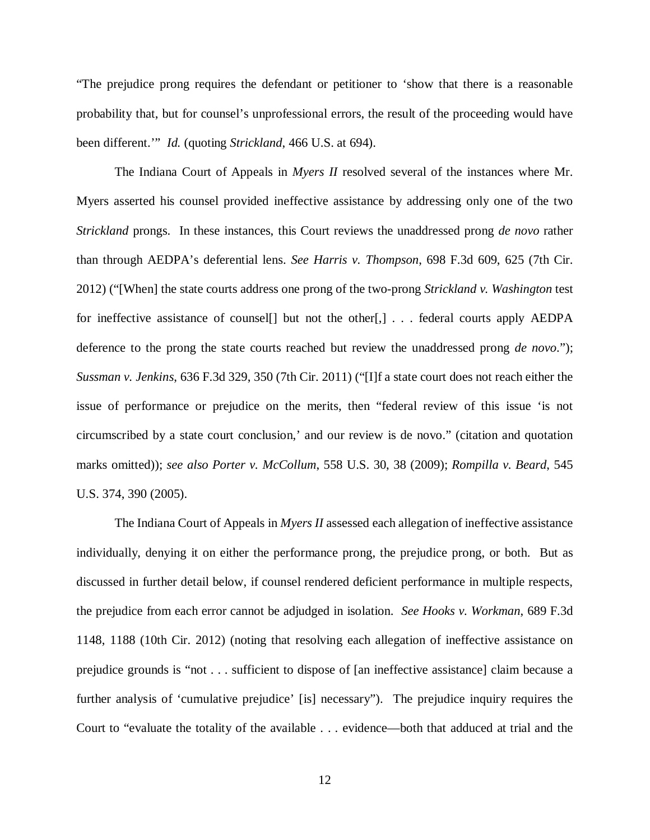"The prejudice prong requires the defendant or petitioner to 'show that there is a reasonable probability that, but for counsel's unprofessional errors, the result of the proceeding would have been different.'" *Id.* (quoting *Strickland*, 466 U.S. at 694).

The Indiana Court of Appeals in *Myers II* resolved several of the instances where Mr. Myers asserted his counsel provided ineffective assistance by addressing only one of the two *Strickland* prongs. In these instances, this Court reviews the unaddressed prong *de novo* rather than through AEDPA's deferential lens. *See Harris v. Thompson*, 698 F.3d 609, 625 (7th Cir. 2012) ("[When] the state courts address one prong of the two-prong *Strickland v. Washington* test for ineffective assistance of counsel<sup>[]</sup> but not the other<sup>[1]</sup>, ... federal courts apply AEDPA deference to the prong the state courts reached but review the unaddressed prong *de novo*."); *Sussman v. Jenkins*, 636 F.3d 329, 350 (7th Cir. 2011) ("[I]f a state court does not reach either the issue of performance or prejudice on the merits, then "federal review of this issue 'is not circumscribed by a state court conclusion,' and our review is de novo." (citation and quotation marks omitted)); *see also Porter v. McCollum*, 558 U.S. 30, 38 (2009); *Rompilla v. Beard*, 545 U.S. 374, 390 (2005).

The Indiana Court of Appeals in *Myers II* assessed each allegation of ineffective assistance individually, denying it on either the performance prong, the prejudice prong, or both. But as discussed in further detail below, if counsel rendered deficient performance in multiple respects, the prejudice from each error cannot be adjudged in isolation. *See Hooks v. Workman*, 689 F.3d 1148, 1188 (10th Cir. 2012) (noting that resolving each allegation of ineffective assistance on prejudice grounds is "not . . . sufficient to dispose of [an ineffective assistance] claim because a further analysis of 'cumulative prejudice' [is] necessary"). The prejudice inquiry requires the Court to "evaluate the totality of the available . . . evidence—both that adduced at trial and the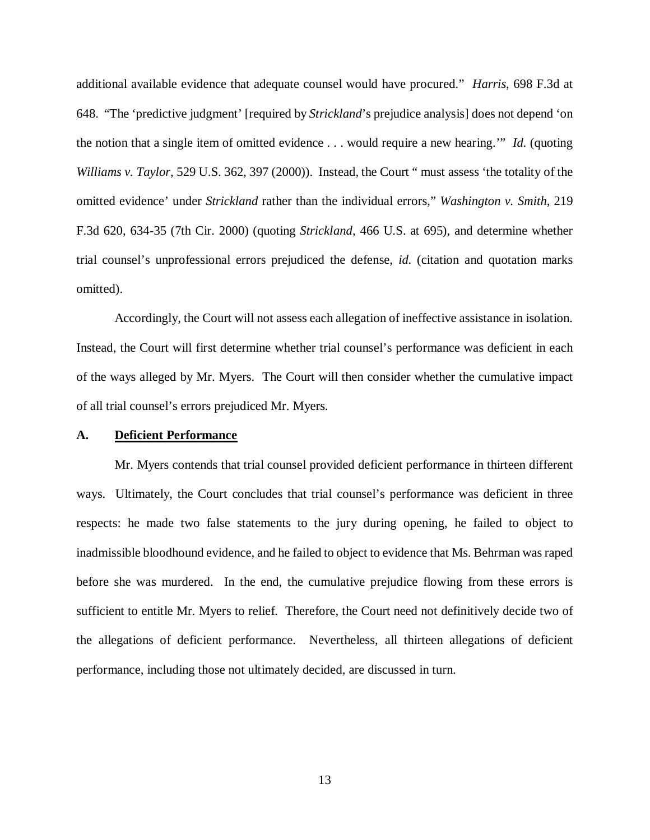additional available evidence that adequate counsel would have procured." *Harris*, 698 F.3d at 648. "The 'predictive judgment' [required by *Strickland*'s prejudice analysis] does not depend 'on the notion that a single item of omitted evidence . . . would require a new hearing.'" *Id.* (quoting *Williams v. Taylor*, 529 U.S. 362, 397 (2000)). Instead, the Court " must assess 'the totality of the omitted evidence' under *Strickland* rather than the individual errors," *Washington v. Smith*, 219 F.3d 620, 634-35 (7th Cir. 2000) (quoting *Strickland*, 466 U.S. at 695), and determine whether trial counsel's unprofessional errors prejudiced the defense, *id.* (citation and quotation marks omitted).

Accordingly, the Court will not assess each allegation of ineffective assistance in isolation. Instead, the Court will first determine whether trial counsel's performance was deficient in each of the ways alleged by Mr. Myers. The Court will then consider whether the cumulative impact of all trial counsel's errors prejudiced Mr. Myers.

#### **A. Deficient Performance**

Mr. Myers contends that trial counsel provided deficient performance in thirteen different ways. Ultimately, the Court concludes that trial counsel's performance was deficient in three respects: he made two false statements to the jury during opening, he failed to object to inadmissible bloodhound evidence, and he failed to object to evidence that Ms. Behrman was raped before she was murdered. In the end, the cumulative prejudice flowing from these errors is sufficient to entitle Mr. Myers to relief. Therefore, the Court need not definitively decide two of the allegations of deficient performance. Nevertheless, all thirteen allegations of deficient performance, including those not ultimately decided, are discussed in turn.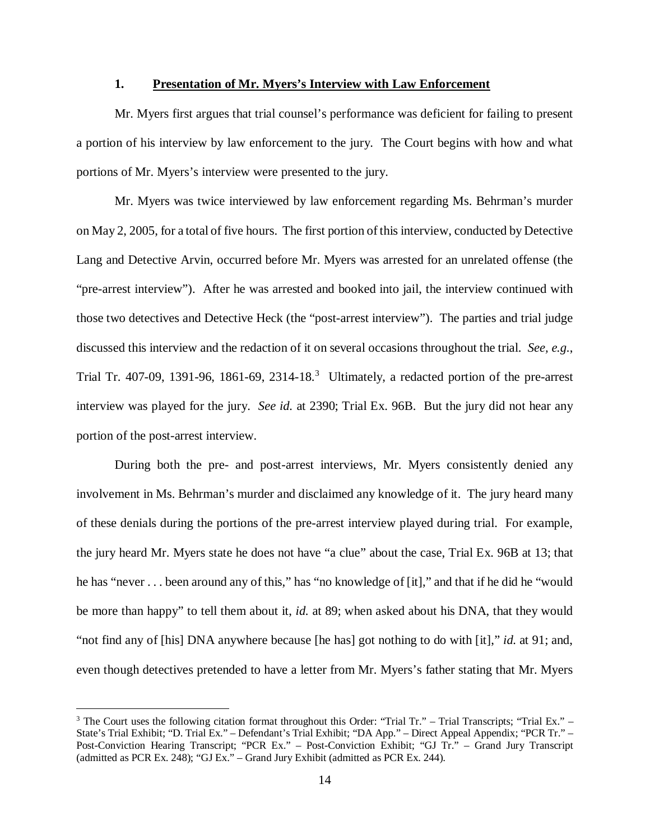### **1. Presentation of Mr. Myers's Interview with Law Enforcement**

Mr. Myers first argues that trial counsel's performance was deficient for failing to present a portion of his interview by law enforcement to the jury. The Court begins with how and what portions of Mr. Myers's interview were presented to the jury.

Mr. Myers was twice interviewed by law enforcement regarding Ms. Behrman's murder on May 2, 2005, for a total of five hours. The first portion of this interview, conducted by Detective Lang and Detective Arvin, occurred before Mr. Myers was arrested for an unrelated offense (the "pre-arrest interview"). After he was arrested and booked into jail, the interview continued with those two detectives and Detective Heck (the "post-arrest interview"). The parties and trial judge discussed this interview and the redaction of it on several occasions throughout the trial. *See, e.g.*, Trial Tr. 407-09, 1[3](#page-13-0)91-96, 1861-69, 2314-18.<sup>3</sup> Ultimately, a redacted portion of the pre-arrest interview was played for the jury. *See id.* at 2390; Trial Ex. 96B. But the jury did not hear any portion of the post-arrest interview.

During both the pre- and post-arrest interviews, Mr. Myers consistently denied any involvement in Ms. Behrman's murder and disclaimed any knowledge of it. The jury heard many of these denials during the portions of the pre-arrest interview played during trial. For example, the jury heard Mr. Myers state he does not have "a clue" about the case, Trial Ex. 96B at 13; that he has "never . . . been around any of this," has "no knowledge of [it]," and that if he did he "would be more than happy" to tell them about it, *id.* at 89; when asked about his DNA, that they would "not find any of [his] DNA anywhere because [he has] got nothing to do with [it]," *id.* at 91; and, even though detectives pretended to have a letter from Mr. Myers's father stating that Mr. Myers

<span id="page-13-0"></span><sup>&</sup>lt;sup>3</sup> The Court uses the following citation format throughout this Order: "Trial Tr." – Trial Transcripts; "Trial Ex." – State's Trial Exhibit; "D. Trial Ex." – Defendant's Trial Exhibit; "DA App." – Direct Appeal Appendix; "PCR Tr." – Post-Conviction Hearing Transcript; "PCR Ex." – Post-Conviction Exhibit; "GJ Tr." – Grand Jury Transcript (admitted as PCR Ex. 248); "GJ Ex." – Grand Jury Exhibit (admitted as PCR Ex. 244).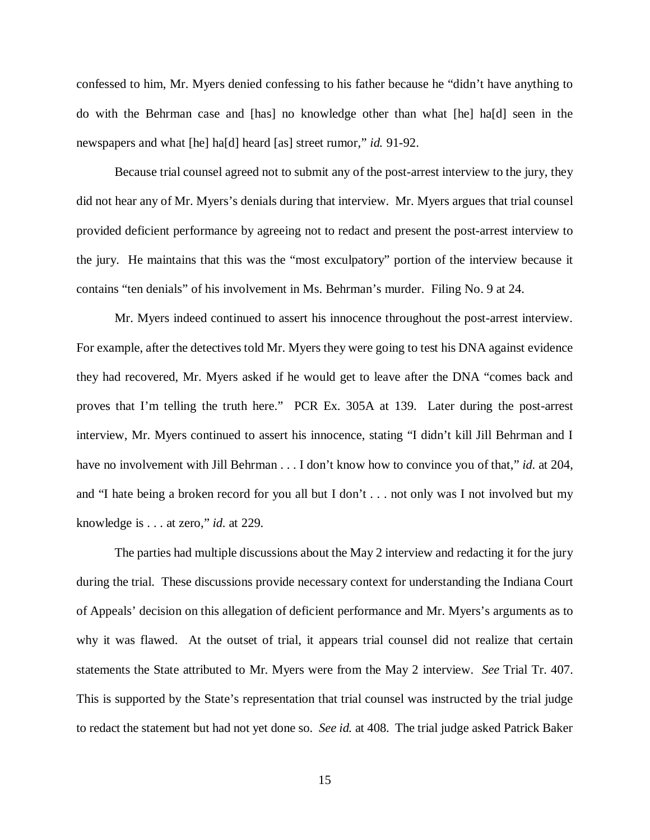confessed to him, Mr. Myers denied confessing to his father because he "didn't have anything to do with the Behrman case and [has] no knowledge other than what [he] ha[d] seen in the newspapers and what [he] ha[d] heard [as] street rumor," *id.* 91-92.

Because trial counsel agreed not to submit any of the post-arrest interview to the jury, they did not hear any of Mr. Myers's denials during that interview. Mr. Myers argues that trial counsel provided deficient performance by agreeing not to redact and present the post-arrest interview to the jury. He maintains that this was the "most exculpatory" portion of the interview because it contains "ten denials" of his involvement in Ms. Behrman's murder. Filing No. 9 at 24.

Mr. Myers indeed continued to assert his innocence throughout the post-arrest interview. For example, after the detectives told Mr. Myers they were going to test his DNA against evidence they had recovered, Mr. Myers asked if he would get to leave after the DNA "comes back and proves that I'm telling the truth here." PCR Ex. 305A at 139. Later during the post-arrest interview, Mr. Myers continued to assert his innocence, stating "I didn't kill Jill Behrman and I have no involvement with Jill Behrman . . . I don't know how to convince you of that," *id.* at 204, and "I hate being a broken record for you all but I don't . . . not only was I not involved but my knowledge is . . . at zero," *id.* at 229.

The parties had multiple discussions about the May 2 interview and redacting it for the jury during the trial. These discussions provide necessary context for understanding the Indiana Court of Appeals' decision on this allegation of deficient performance and Mr. Myers's arguments as to why it was flawed. At the outset of trial, it appears trial counsel did not realize that certain statements the State attributed to Mr. Myers were from the May 2 interview. *See* Trial Tr. 407. This is supported by the State's representation that trial counsel was instructed by the trial judge to redact the statement but had not yet done so. *See id.* at 408. The trial judge asked Patrick Baker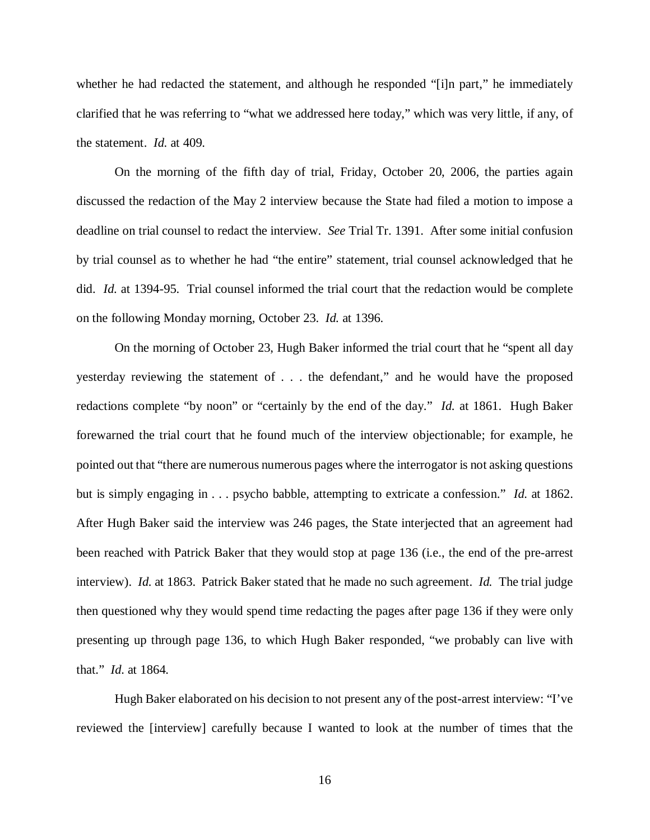whether he had redacted the statement, and although he responded "[i]n part," he immediately clarified that he was referring to "what we addressed here today," which was very little, if any, of the statement. *Id.* at 409.

On the morning of the fifth day of trial, Friday, October 20, 2006, the parties again discussed the redaction of the May 2 interview because the State had filed a motion to impose a deadline on trial counsel to redact the interview. *See* Trial Tr. 1391. After some initial confusion by trial counsel as to whether he had "the entire" statement, trial counsel acknowledged that he did. *Id.* at 1394-95. Trial counsel informed the trial court that the redaction would be complete on the following Monday morning, October 23. *Id.* at 1396.

On the morning of October 23, Hugh Baker informed the trial court that he "spent all day yesterday reviewing the statement of . . . the defendant," and he would have the proposed redactions complete "by noon" or "certainly by the end of the day." *Id.* at 1861. Hugh Baker forewarned the trial court that he found much of the interview objectionable; for example, he pointed out that "there are numerous numerous pages where the interrogator is not asking questions but is simply engaging in . . . psycho babble, attempting to extricate a confession." *Id.* at 1862. After Hugh Baker said the interview was 246 pages, the State interjected that an agreement had been reached with Patrick Baker that they would stop at page 136 (i.e., the end of the pre-arrest interview). *Id.* at 1863. Patrick Baker stated that he made no such agreement. *Id.* The trial judge then questioned why they would spend time redacting the pages after page 136 if they were only presenting up through page 136, to which Hugh Baker responded, "we probably can live with that." *Id.* at 1864.

Hugh Baker elaborated on his decision to not present any of the post-arrest interview: "I've reviewed the [interview] carefully because I wanted to look at the number of times that the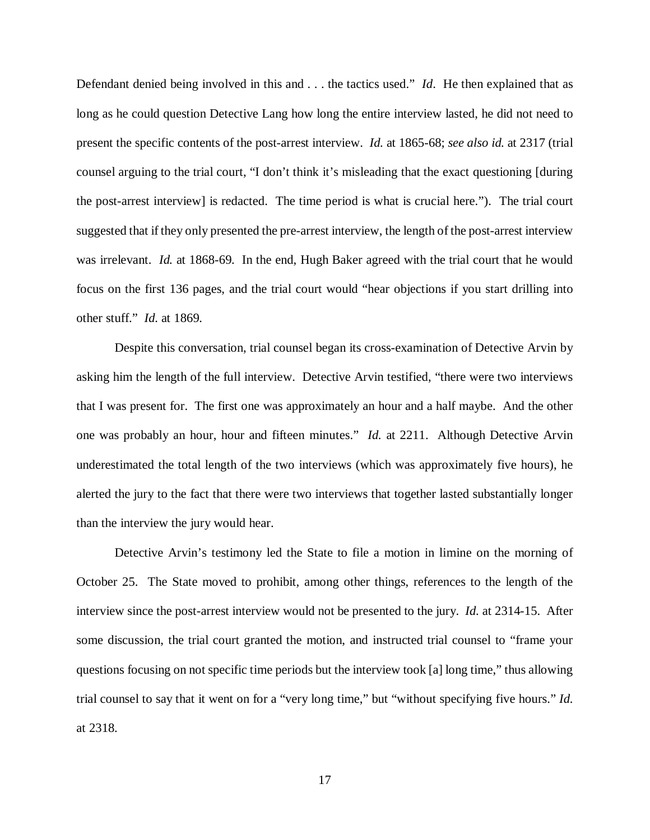Defendant denied being involved in this and . . . the tactics used." *Id*. He then explained that as long as he could question Detective Lang how long the entire interview lasted, he did not need to present the specific contents of the post-arrest interview. *Id.* at 1865-68; *see also id.* at 2317 (trial counsel arguing to the trial court, "I don't think it's misleading that the exact questioning [during the post-arrest interview] is redacted. The time period is what is crucial here."). The trial court suggested that if they only presented the pre-arrest interview, the length of the post-arrest interview was irrelevant. *Id.* at 1868-69. In the end, Hugh Baker agreed with the trial court that he would focus on the first 136 pages, and the trial court would "hear objections if you start drilling into other stuff." *Id.* at 1869.

Despite this conversation, trial counsel began its cross-examination of Detective Arvin by asking him the length of the full interview. Detective Arvin testified, "there were two interviews that I was present for. The first one was approximately an hour and a half maybe. And the other one was probably an hour, hour and fifteen minutes." *Id.* at 2211. Although Detective Arvin underestimated the total length of the two interviews (which was approximately five hours), he alerted the jury to the fact that there were two interviews that together lasted substantially longer than the interview the jury would hear.

Detective Arvin's testimony led the State to file a motion in limine on the morning of October 25. The State moved to prohibit, among other things, references to the length of the interview since the post-arrest interview would not be presented to the jury. *Id.* at 2314-15. After some discussion, the trial court granted the motion, and instructed trial counsel to "frame your questions focusing on not specific time periods but the interview took [a] long time," thus allowing trial counsel to say that it went on for a "very long time," but "without specifying five hours." *Id.* at 2318.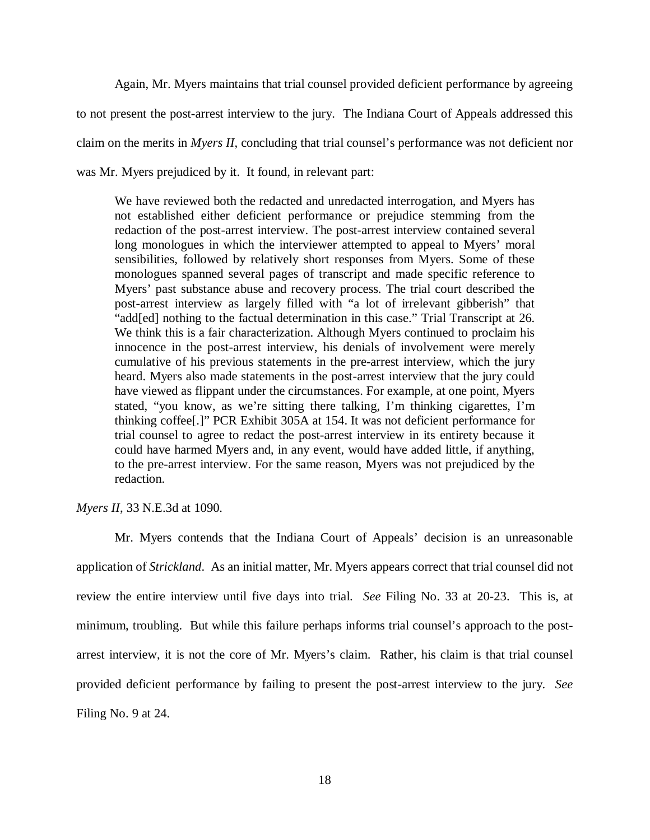Again, Mr. Myers maintains that trial counsel provided deficient performance by agreeing to not present the post-arrest interview to the jury. The Indiana Court of Appeals addressed this claim on the merits in *Myers II*, concluding that trial counsel's performance was not deficient nor was Mr. Myers prejudiced by it. It found, in relevant part:

We have reviewed both the redacted and unredacted interrogation, and Myers has not established either deficient performance or prejudice stemming from the redaction of the post-arrest interview. The post-arrest interview contained several long monologues in which the interviewer attempted to appeal to Myers' moral sensibilities, followed by relatively short responses from Myers. Some of these monologues spanned several pages of transcript and made specific reference to Myers' past substance abuse and recovery process. The trial court described the post-arrest interview as largely filled with "a lot of irrelevant gibberish" that "add[ed] nothing to the factual determination in this case." Trial Transcript at 26. We think this is a fair characterization. Although Myers continued to proclaim his innocence in the post-arrest interview, his denials of involvement were merely cumulative of his previous statements in the pre-arrest interview, which the jury heard. Myers also made statements in the post-arrest interview that the jury could have viewed as flippant under the circumstances. For example, at one point, Myers stated, "you know, as we're sitting there talking, I'm thinking cigarettes, I'm thinking coffee[.]" PCR Exhibit 305A at 154. It was not deficient performance for trial counsel to agree to redact the post-arrest interview in its entirety because it could have harmed Myers and, in any event, would have added little, if anything, to the pre-arrest interview. For the same reason, Myers was not prejudiced by the redaction.

*Myers II*, 33 N.E.3d at 1090.

Mr. Myers contends that the Indiana Court of Appeals' decision is an unreasonable application of *Strickland*. As an initial matter, Mr. Myers appears correct that trial counsel did not review the entire interview until five days into trial. *See* Filing No. 33 at 20-23. This is, at minimum, troubling. But while this failure perhaps informs trial counsel's approach to the postarrest interview, it is not the core of Mr. Myers's claim. Rather, his claim is that trial counsel provided deficient performance by failing to present the post-arrest interview to the jury. *See*  Filing No. 9 at 24.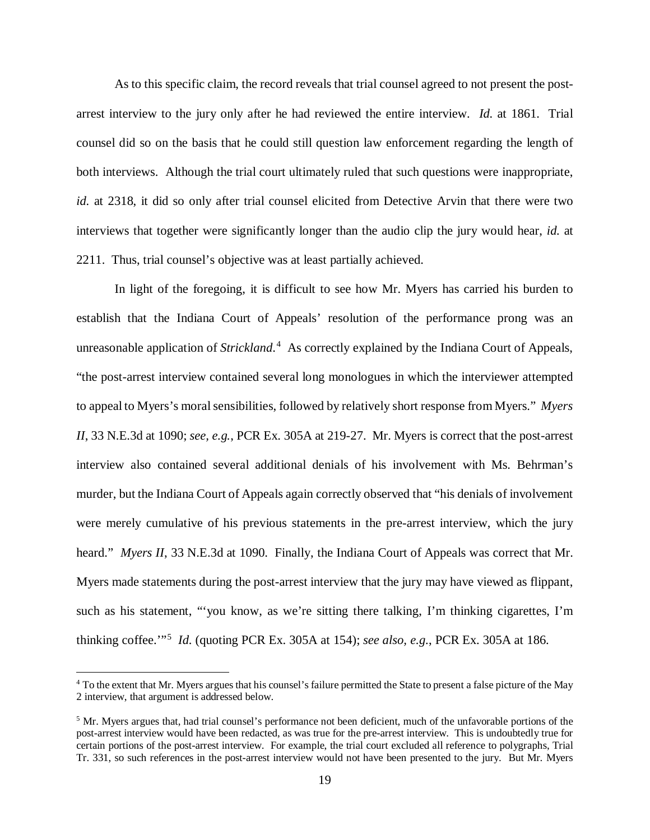As to this specific claim, the record reveals that trial counsel agreed to not present the postarrest interview to the jury only after he had reviewed the entire interview. *Id.* at 1861. Trial counsel did so on the basis that he could still question law enforcement regarding the length of both interviews. Although the trial court ultimately ruled that such questions were inappropriate, *id.* at 2318, it did so only after trial counsel elicited from Detective Arvin that there were two interviews that together were significantly longer than the audio clip the jury would hear, *id.* at 2211. Thus, trial counsel's objective was at least partially achieved.

In light of the foregoing, it is difficult to see how Mr. Myers has carried his burden to establish that the Indiana Court of Appeals' resolution of the performance prong was an unreasonable application of *Strickland*. [4](#page-18-0) As correctly explained by the Indiana Court of Appeals, "the post-arrest interview contained several long monologues in which the interviewer attempted to appeal to Myers's moral sensibilities, followed by relatively short response from Myers." *Myers II*, 33 N.E.3d at 1090; *see, e.g.*, PCR Ex. 305A at 219-27. Mr. Myers is correct that the post-arrest interview also contained several additional denials of his involvement with Ms. Behrman's murder, but the Indiana Court of Appeals again correctly observed that "his denials of involvement were merely cumulative of his previous statements in the pre-arrest interview, which the jury heard." *Myers II*, 33 N.E.3d at 1090. Finally, the Indiana Court of Appeals was correct that Mr. Myers made statements during the post-arrest interview that the jury may have viewed as flippant, such as his statement, "'you know, as we're sitting there talking, I'm thinking cigarettes, I'm thinking coffee.'"[5](#page-18-1) *Id.* (quoting PCR Ex. 305A at 154); *see also, e.g.*, PCR Ex. 305A at 186.

<span id="page-18-0"></span> <sup>4</sup> To the extent that Mr. Myers argues that his counsel's failure permitted the State to present a false picture of the May 2 interview, that argument is addressed below.

<span id="page-18-1"></span><sup>&</sup>lt;sup>5</sup> Mr. Myers argues that, had trial counsel's performance not been deficient, much of the unfavorable portions of the post-arrest interview would have been redacted, as was true for the pre-arrest interview. This is undoubtedly true for certain portions of the post-arrest interview. For example, the trial court excluded all reference to polygraphs, Trial Tr. 331, so such references in the post-arrest interview would not have been presented to the jury. But Mr. Myers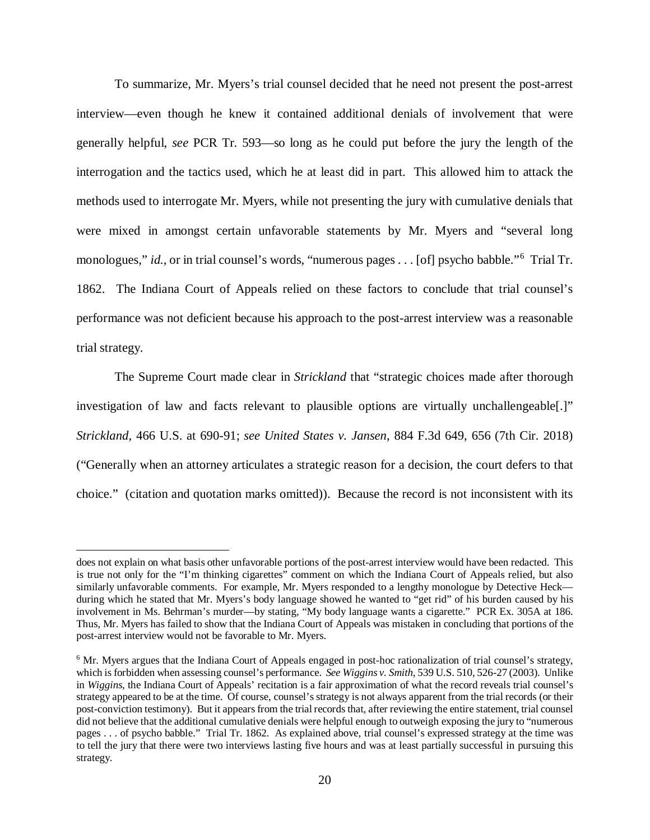To summarize, Mr. Myers's trial counsel decided that he need not present the post-arrest interview—even though he knew it contained additional denials of involvement that were generally helpful, *see* PCR Tr. 593—so long as he could put before the jury the length of the interrogation and the tactics used, which he at least did in part. This allowed him to attack the methods used to interrogate Mr. Myers, while not presenting the jury with cumulative denials that were mixed in amongst certain unfavorable statements by Mr. Myers and "several long monologues," id., or in trial counsel's words, "numerous pages . . . [of] psycho babble."<sup>[6](#page-19-0)</sup> Trial Tr. 1862. The Indiana Court of Appeals relied on these factors to conclude that trial counsel's performance was not deficient because his approach to the post-arrest interview was a reasonable trial strategy.

The Supreme Court made clear in *Strickland* that "strategic choices made after thorough investigation of law and facts relevant to plausible options are virtually unchallengeable[.]" *Strickland*, 466 U.S. at 690-91; *see United States v. Jansen*, 884 F.3d 649, 656 (7th Cir. 2018) ("Generally when an attorney articulates a strategic reason for a decision, the court defers to that choice."(citation and quotation marks omitted)). Because the record is not inconsistent with its

 $\overline{a}$ 

does not explain on what basis other unfavorable portions of the post-arrest interview would have been redacted. This is true not only for the "I'm thinking cigarettes" comment on which the Indiana Court of Appeals relied, but also similarly unfavorable comments. For example, Mr. Myers responded to a lengthy monologue by Detective Heck during which he stated that Mr. Myers's body language showed he wanted to "get rid" of his burden caused by his involvement in Ms. Behrman's murder—by stating, "My body language wants a cigarette." PCR Ex. 305A at 186. Thus, Mr. Myers has failed to show that the Indiana Court of Appeals was mistaken in concluding that portions of the post-arrest interview would not be favorable to Mr. Myers.

<span id="page-19-0"></span><sup>6</sup> Mr. Myers argues that the Indiana Court of Appeals engaged in post-hoc rationalization of trial counsel's strategy, which is forbidden when assessing counsel's performance. *See Wiggins v. Smith*, 539 U.S. 510, 526-27 (2003). Unlike in *Wiggins*, the Indiana Court of Appeals' recitation is a fair approximation of what the record reveals trial counsel's strategy appeared to be at the time. Of course, counsel's strategy is not always apparent from the trial records (or their post-conviction testimony). But it appears from the trial records that, after reviewing the entire statement, trial counsel did not believe that the additional cumulative denials were helpful enough to outweigh exposing the jury to "numerous pages . . . of psycho babble." Trial Tr. 1862. As explained above, trial counsel's expressed strategy at the time was to tell the jury that there were two interviews lasting five hours and was at least partially successful in pursuing this strategy.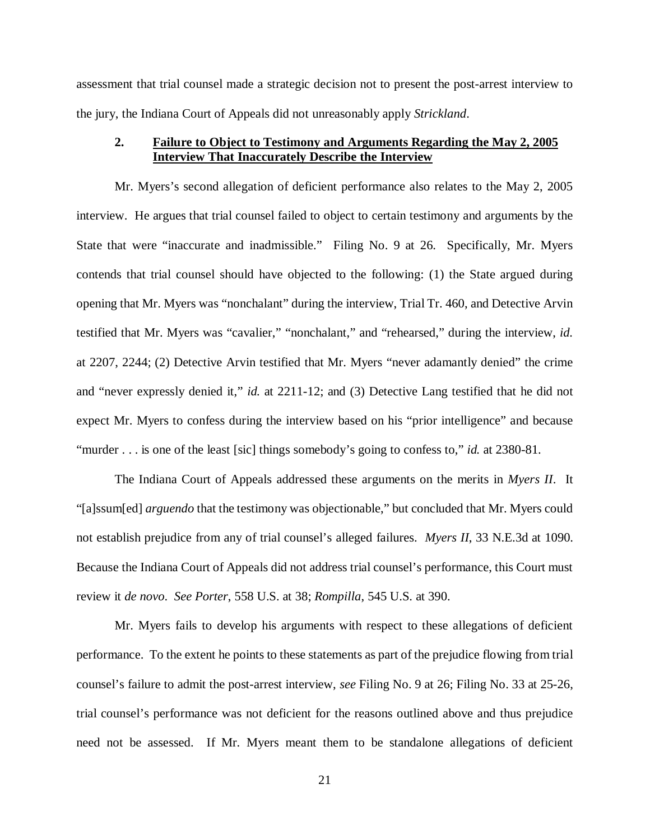assessment that trial counsel made a strategic decision not to present the post-arrest interview to the jury, the Indiana Court of Appeals did not unreasonably apply *Strickland*.

# **2. Failure to Object to Testimony and Arguments Regarding the May 2, 2005 Interview That Inaccurately Describe the Interview**

Mr. Myers's second allegation of deficient performance also relates to the May 2, 2005 interview. He argues that trial counsel failed to object to certain testimony and arguments by the State that were "inaccurate and inadmissible." Filing No. 9 at 26. Specifically, Mr. Myers contends that trial counsel should have objected to the following: (1) the State argued during opening that Mr. Myers was "nonchalant" during the interview, Trial Tr. 460, and Detective Arvin testified that Mr. Myers was "cavalier," "nonchalant," and "rehearsed," during the interview, *id.* at 2207, 2244; (2) Detective Arvin testified that Mr. Myers "never adamantly denied" the crime and "never expressly denied it," *id.* at 2211-12; and (3) Detective Lang testified that he did not expect Mr. Myers to confess during the interview based on his "prior intelligence" and because "murder . . . is one of the least [sic] things somebody's going to confess to," *id.* at 2380-81.

The Indiana Court of Appeals addressed these arguments on the merits in *Myers II*. It "[a]ssum[ed] *arguendo* that the testimony was objectionable," but concluded that Mr. Myers could not establish prejudice from any of trial counsel's alleged failures. *Myers II*, 33 N.E.3d at 1090. Because the Indiana Court of Appeals did not address trial counsel's performance, this Court must review it *de novo*. *See Porter*, 558 U.S. at 38; *Rompilla*, 545 U.S. at 390.

Mr. Myers fails to develop his arguments with respect to these allegations of deficient performance. To the extent he points to these statements as part of the prejudice flowing from trial counsel's failure to admit the post-arrest interview, *see* Filing No. 9 at 26; Filing No. 33 at 25-26, trial counsel's performance was not deficient for the reasons outlined above and thus prejudice need not be assessed. If Mr. Myers meant them to be standalone allegations of deficient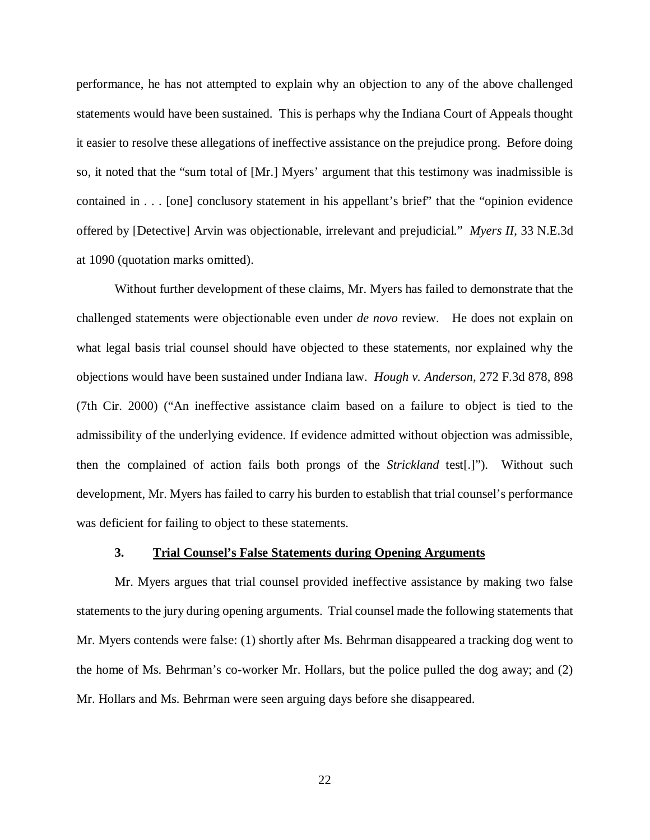performance, he has not attempted to explain why an objection to any of the above challenged statements would have been sustained. This is perhaps why the Indiana Court of Appeals thought it easier to resolve these allegations of ineffective assistance on the prejudice prong. Before doing so, it noted that the "sum total of [Mr.] Myers' argument that this testimony was inadmissible is contained in . . . [one] conclusory statement in his appellant's brief" that the "opinion evidence offered by [Detective] Arvin was objectionable, irrelevant and prejudicial." *Myers II*, 33 N.E.3d at 1090 (quotation marks omitted).

Without further development of these claims, Mr. Myers has failed to demonstrate that the challenged statements were objectionable even under *de novo* review. He does not explain on what legal basis trial counsel should have objected to these statements, nor explained why the objections would have been sustained under Indiana law. *Hough v. Anderson*, 272 F.3d 878, 898 (7th Cir. 2000) ("An ineffective assistance claim based on a failure to object is tied to the admissibility of the underlying evidence. If evidence admitted without objection was admissible, then the complained of action fails both prongs of the *Strickland* test[.]"). Without such development, Mr. Myers has failed to carry his burden to establish that trial counsel's performance was deficient for failing to object to these statements.

#### **3. Trial Counsel's False Statements during Opening Arguments**

Mr. Myers argues that trial counsel provided ineffective assistance by making two false statements to the jury during opening arguments. Trial counsel made the following statements that Mr. Myers contends were false: (1) shortly after Ms. Behrman disappeared a tracking dog went to the home of Ms. Behrman's co-worker Mr. Hollars, but the police pulled the dog away; and (2) Mr. Hollars and Ms. Behrman were seen arguing days before she disappeared.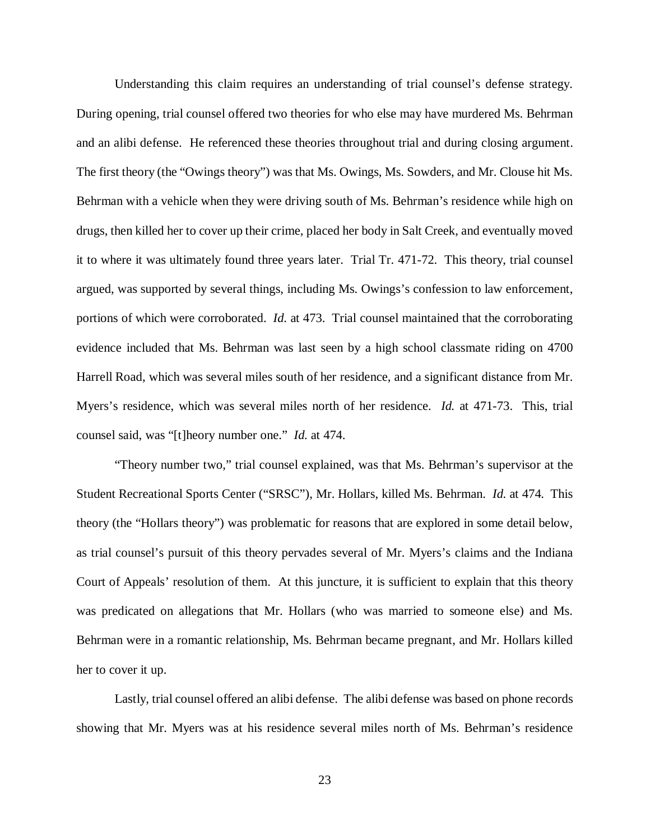Understanding this claim requires an understanding of trial counsel's defense strategy. During opening, trial counsel offered two theories for who else may have murdered Ms. Behrman and an alibi defense. He referenced these theories throughout trial and during closing argument. The first theory (the "Owings theory") was that Ms. Owings, Ms. Sowders, and Mr. Clouse hit Ms. Behrman with a vehicle when they were driving south of Ms. Behrman's residence while high on drugs, then killed her to cover up their crime, placed her body in Salt Creek, and eventually moved it to where it was ultimately found three years later. Trial Tr. 471-72. This theory, trial counsel argued, was supported by several things, including Ms. Owings's confession to law enforcement, portions of which were corroborated. *Id.* at 473. Trial counsel maintained that the corroborating evidence included that Ms. Behrman was last seen by a high school classmate riding on 4700 Harrell Road, which was several miles south of her residence, and a significant distance from Mr. Myers's residence, which was several miles north of her residence. *Id.* at 471-73. This, trial counsel said, was "[t]heory number one." *Id.* at 474.

"Theory number two," trial counsel explained, was that Ms. Behrman's supervisor at the Student Recreational Sports Center ("SRSC"), Mr. Hollars, killed Ms. Behrman. *Id.* at 474. This theory (the "Hollars theory") was problematic for reasons that are explored in some detail below, as trial counsel's pursuit of this theory pervades several of Mr. Myers's claims and the Indiana Court of Appeals' resolution of them. At this juncture, it is sufficient to explain that this theory was predicated on allegations that Mr. Hollars (who was married to someone else) and Ms. Behrman were in a romantic relationship, Ms. Behrman became pregnant, and Mr. Hollars killed her to cover it up.

Lastly, trial counsel offered an alibi defense. The alibi defense was based on phone records showing that Mr. Myers was at his residence several miles north of Ms. Behrman's residence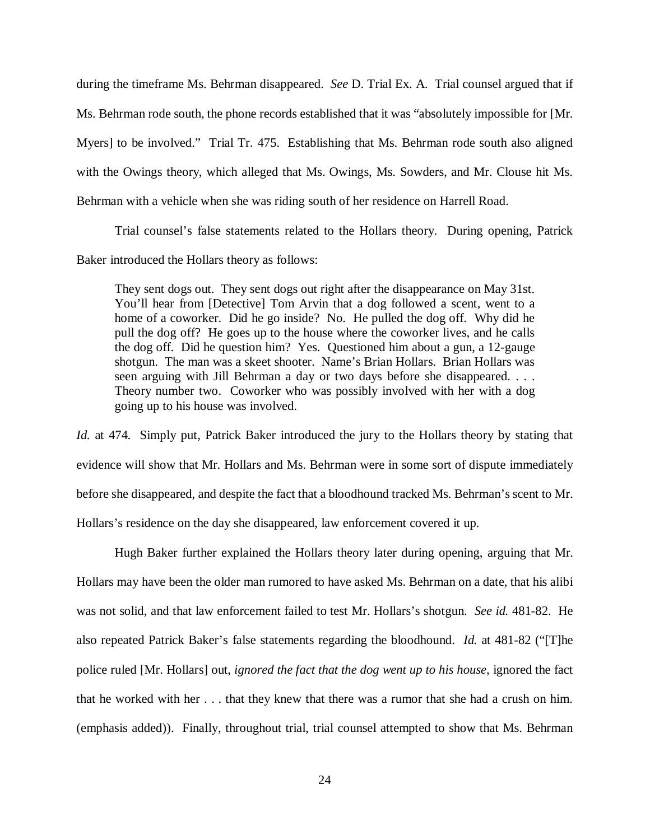during the timeframe Ms. Behrman disappeared. *See* D. Trial Ex. A. Trial counsel argued that if Ms. Behrman rode south, the phone records established that it was "absolutely impossible for [Mr. Myers] to be involved." Trial Tr. 475. Establishing that Ms. Behrman rode south also aligned with the Owings theory, which alleged that Ms. Owings, Ms. Sowders, and Mr. Clouse hit Ms. Behrman with a vehicle when she was riding south of her residence on Harrell Road.

Trial counsel's false statements related to the Hollars theory. During opening, Patrick Baker introduced the Hollars theory as follows:

They sent dogs out. They sent dogs out right after the disappearance on May 31st. You'll hear from [Detective] Tom Arvin that a dog followed a scent, went to a home of a coworker. Did he go inside? No. He pulled the dog off. Why did he pull the dog off? He goes up to the house where the coworker lives, and he calls the dog off. Did he question him? Yes. Questioned him about a gun, a 12-gauge shotgun. The man was a skeet shooter. Name's Brian Hollars. Brian Hollars was seen arguing with Jill Behrman a day or two days before she disappeared. . . . Theory number two. Coworker who was possibly involved with her with a dog going up to his house was involved.

*Id.* at 474. Simply put, Patrick Baker introduced the jury to the Hollars theory by stating that evidence will show that Mr. Hollars and Ms. Behrman were in some sort of dispute immediately before she disappeared, and despite the fact that a bloodhound tracked Ms. Behrman's scent to Mr. Hollars's residence on the day she disappeared, law enforcement covered it up.

Hugh Baker further explained the Hollars theory later during opening, arguing that Mr. Hollars may have been the older man rumored to have asked Ms. Behrman on a date, that his alibi was not solid, and that law enforcement failed to test Mr. Hollars's shotgun. *See id.* 481-82. He also repeated Patrick Baker's false statements regarding the bloodhound. *Id.* at 481-82 ("[T]he police ruled [Mr. Hollars] out, *ignored the fact that the dog went up to his house*, ignored the fact that he worked with her . . . that they knew that there was a rumor that she had a crush on him. (emphasis added)). Finally, throughout trial, trial counsel attempted to show that Ms. Behrman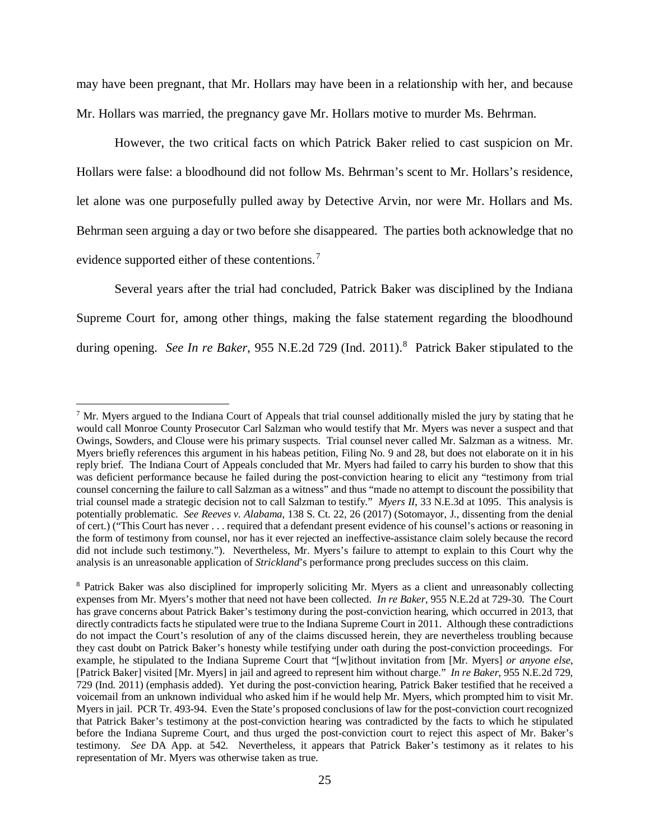may have been pregnant, that Mr. Hollars may have been in a relationship with her, and because Mr. Hollars was married, the pregnancy gave Mr. Hollars motive to murder Ms. Behrman.

However, the two critical facts on which Patrick Baker relied to cast suspicion on Mr. Hollars were false: a bloodhound did not follow Ms. Behrman's scent to Mr. Hollars's residence, let alone was one purposefully pulled away by Detective Arvin, nor were Mr. Hollars and Ms. Behrman seen arguing a day or two before she disappeared. The parties both acknowledge that no evidence supported either of these contentions.<sup>[7](#page-24-0)</sup>

Several years after the trial had concluded, Patrick Baker was disciplined by the Indiana Supreme Court for, among other things, making the false statement regarding the bloodhound during opening. See In re Baker, 955 N.E.2d 729 (Ind. 2011).<sup>[8](#page-24-1)</sup> Patrick Baker stipulated to the

<span id="page-24-0"></span> $<sup>7</sup>$  Mr. Myers argued to the Indiana Court of Appeals that trial counsel additionally misled the jury by stating that he</sup> would call Monroe County Prosecutor Carl Salzman who would testify that Mr. Myers was never a suspect and that Owings, Sowders, and Clouse were his primary suspects. Trial counsel never called Mr. Salzman as a witness. Mr. Myers briefly references this argument in his habeas petition, Filing No. 9 and 28, but does not elaborate on it in his reply brief. The Indiana Court of Appeals concluded that Mr. Myers had failed to carry his burden to show that this was deficient performance because he failed during the post-conviction hearing to elicit any "testimony from trial counsel concerning the failure to call Salzman as a witness" and thus "made no attempt to discount the possibility that trial counsel made a strategic decision not to call Salzman to testify." *Myers II*, 33 N.E.3d at 1095. This analysis is potentially problematic. *See Reeves v. Alabama*, 138 S. Ct. 22, 26 (2017) (Sotomayor, J., dissenting from the denial of cert.) ("This Court has never . . . required that a defendant present evidence of his counsel's actions or reasoning in the form of testimony from counsel, nor has it ever rejected an ineffective-assistance claim solely because the record did not include such testimony."). Nevertheless, Mr. Myers's failure to attempt to explain to this Court why the analysis is an unreasonable application of *Strickland*'s performance prong precludes success on this claim.

<span id="page-24-1"></span><sup>8</sup> Patrick Baker was also disciplined for improperly soliciting Mr. Myers as a client and unreasonably collecting expenses from Mr. Myers's mother that need not have been collected. *In re Baker*, 955 N.E.2d at 729-30. The Court has grave concerns about Patrick Baker's testimony during the post-conviction hearing, which occurred in 2013, that directly contradicts facts he stipulated were true to the Indiana Supreme Court in 2011. Although these contradictions do not impact the Court's resolution of any of the claims discussed herein, they are nevertheless troubling because they cast doubt on Patrick Baker's honesty while testifying under oath during the post-conviction proceedings. For example, he stipulated to the Indiana Supreme Court that "[w]ithout invitation from [Mr. Myers] *or anyone else*, [Patrick Baker] visited [Mr. Myers] in jail and agreed to represent him without charge." *In re Baker*, 955 N.E.2d 729, 729 (Ind. 2011) (emphasis added). Yet during the post-conviction hearing, Patrick Baker testified that he received a voicemail from an unknown individual who asked him if he would help Mr. Myers, which prompted him to visit Mr. Myers in jail. PCR Tr. 493-94. Even the State's proposed conclusions of law for the post-conviction court recognized that Patrick Baker's testimony at the post-conviction hearing was contradicted by the facts to which he stipulated before the Indiana Supreme Court, and thus urged the post-conviction court to reject this aspect of Mr. Baker's testimony. *See* DA App. at 542. Nevertheless, it appears that Patrick Baker's testimony as it relates to his representation of Mr. Myers was otherwise taken as true.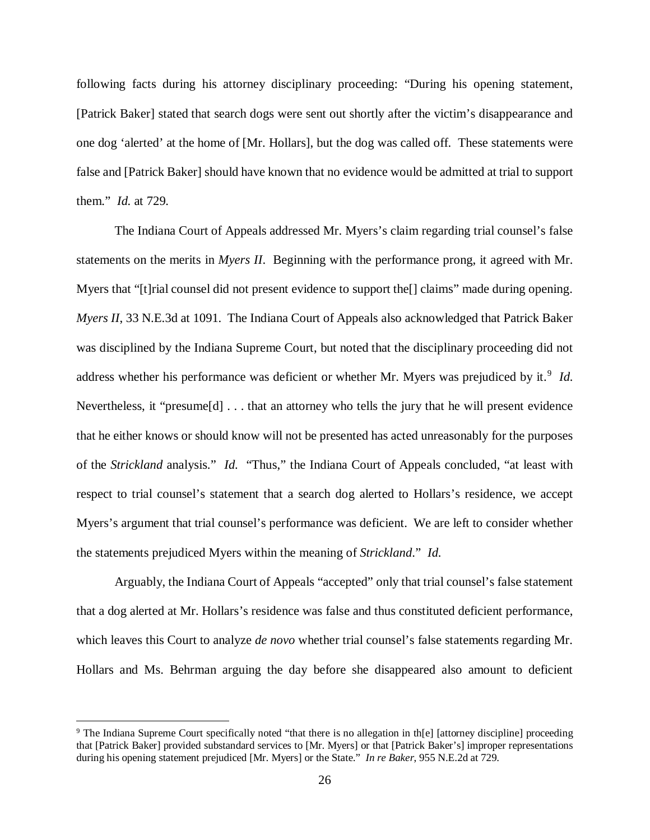following facts during his attorney disciplinary proceeding: "During his opening statement, [Patrick Baker] stated that search dogs were sent out shortly after the victim's disappearance and one dog 'alerted' at the home of [Mr. Hollars], but the dog was called off. These statements were false and [Patrick Baker] should have known that no evidence would be admitted at trial to support them." *Id.* at 729.

The Indiana Court of Appeals addressed Mr. Myers's claim regarding trial counsel's false statements on the merits in *Myers II*. Beginning with the performance prong, it agreed with Mr. Myers that "[t]rial counsel did not present evidence to support the [] claims" made during opening. *Myers II*, 33 N.E.3d at 1091. The Indiana Court of Appeals also acknowledged that Patrick Baker was disciplined by the Indiana Supreme Court, but noted that the disciplinary proceeding did not address whether his performance was deficient or whether Mr. Myers was prejudiced by it.<sup>[9](#page-25-0)</sup> Id. Nevertheless, it "presume[d] . . . that an attorney who tells the jury that he will present evidence that he either knows or should know will not be presented has acted unreasonably for the purposes of the *Strickland* analysis." *Id.* "Thus," the Indiana Court of Appeals concluded, "at least with respect to trial counsel's statement that a search dog alerted to Hollars's residence, we accept Myers's argument that trial counsel's performance was deficient. We are left to consider whether the statements prejudiced Myers within the meaning of *Strickland*." *Id.*

Arguably, the Indiana Court of Appeals "accepted" only that trial counsel's false statement that a dog alerted at Mr. Hollars's residence was false and thus constituted deficient performance, which leaves this Court to analyze *de novo* whether trial counsel's false statements regarding Mr. Hollars and Ms. Behrman arguing the day before she disappeared also amount to deficient

<span id="page-25-0"></span><sup>&</sup>lt;sup>9</sup> The Indiana Supreme Court specifically noted "that there is no allegation in th[e] [attorney discipline] proceeding that [Patrick Baker] provided substandard services to [Mr. Myers] or that [Patrick Baker's] improper representations during his opening statement prejudiced [Mr. Myers] or the State." *In re Baker*, 955 N.E.2d at 729.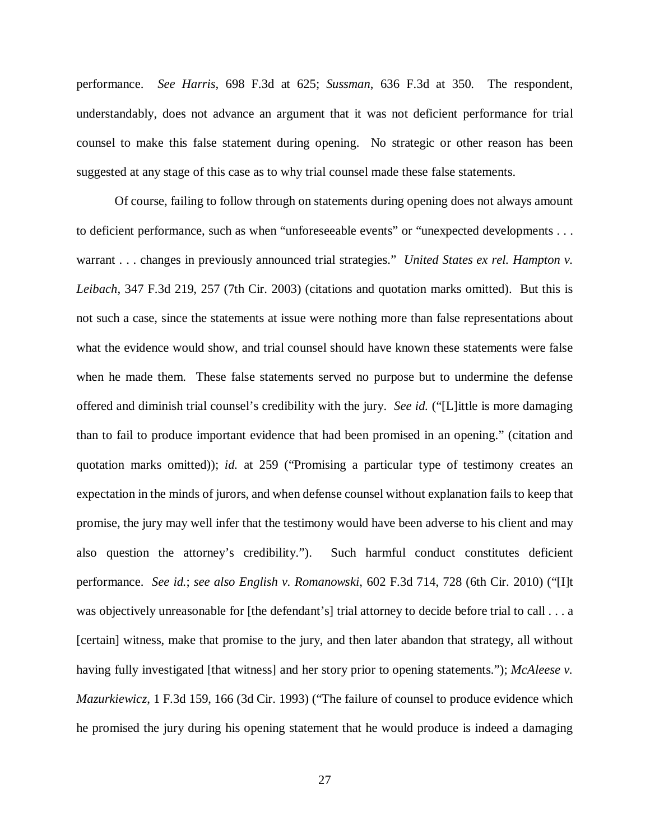performance. *See Harris*, 698 F.3d at 625; *Sussman*, 636 F.3d at 350. The respondent, understandably, does not advance an argument that it was not deficient performance for trial counsel to make this false statement during opening. No strategic or other reason has been suggested at any stage of this case as to why trial counsel made these false statements.

Of course, failing to follow through on statements during opening does not always amount to deficient performance, such as when "unforeseeable events" or "unexpected developments . . . warrant . . . changes in previously announced trial strategies." *United States ex rel. Hampton v. Leibach*, 347 F.3d 219, 257 (7th Cir. 2003) (citations and quotation marks omitted). But this is not such a case, since the statements at issue were nothing more than false representations about what the evidence would show, and trial counsel should have known these statements were false when he made them. These false statements served no purpose but to undermine the defense offered and diminish trial counsel's credibility with the jury. *See id.* ("[L]ittle is more damaging than to fail to produce important evidence that had been promised in an opening." (citation and quotation marks omitted)); *id.* at 259 ("Promising a particular type of testimony creates an expectation in the minds of jurors, and when defense counsel without explanation fails to keep that promise, the jury may well infer that the testimony would have been adverse to his client and may also question the attorney's credibility."). Such harmful conduct constitutes deficient performance. *See id.*; *see also English v. Romanowski*, 602 F.3d 714, 728 (6th Cir. 2010) ("[I]t was objectively unreasonable for [the defendant's] trial attorney to decide before trial to call . . . a [certain] witness, make that promise to the jury, and then later abandon that strategy, all without having fully investigated [that witness] and her story prior to opening statements."); *McAleese v. Mazurkiewicz*, 1 F.3d 159, 166 (3d Cir. 1993) ("The failure of counsel to produce evidence which he promised the jury during his opening statement that he would produce is indeed a damaging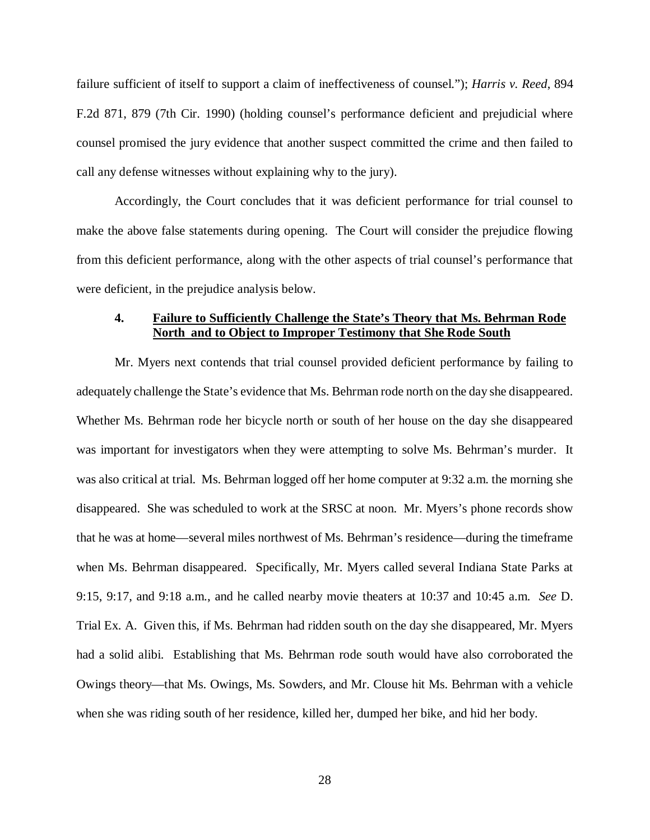failure sufficient of itself to support a claim of ineffectiveness of counsel."); *Harris v. Reed*, 894 F.2d 871, 879 (7th Cir. 1990) (holding counsel's performance deficient and prejudicial where counsel promised the jury evidence that another suspect committed the crime and then failed to call any defense witnesses without explaining why to the jury).

Accordingly, the Court concludes that it was deficient performance for trial counsel to make the above false statements during opening. The Court will consider the prejudice flowing from this deficient performance, along with the other aspects of trial counsel's performance that were deficient, in the prejudice analysis below.

### **4. Failure to Sufficiently Challenge the State's Theory that Ms. Behrman Rode North and to Object to Improper Testimony that She Rode South**

Mr. Myers next contends that trial counsel provided deficient performance by failing to adequately challenge the State's evidence that Ms. Behrman rode north on the day she disappeared. Whether Ms. Behrman rode her bicycle north or south of her house on the day she disappeared was important for investigators when they were attempting to solve Ms. Behrman's murder. It was also critical at trial. Ms. Behrman logged off her home computer at 9:32 a.m. the morning she disappeared. She was scheduled to work at the SRSC at noon. Mr. Myers's phone records show that he was at home—several miles northwest of Ms. Behrman's residence—during the timeframe when Ms. Behrman disappeared. Specifically, Mr. Myers called several Indiana State Parks at 9:15, 9:17, and 9:18 a.m., and he called nearby movie theaters at 10:37 and 10:45 a.m. *See* D. Trial Ex. A. Given this, if Ms. Behrman had ridden south on the day she disappeared, Mr. Myers had a solid alibi. Establishing that Ms. Behrman rode south would have also corroborated the Owings theory—that Ms. Owings, Ms. Sowders, and Mr. Clouse hit Ms. Behrman with a vehicle when she was riding south of her residence, killed her, dumped her bike, and hid her body.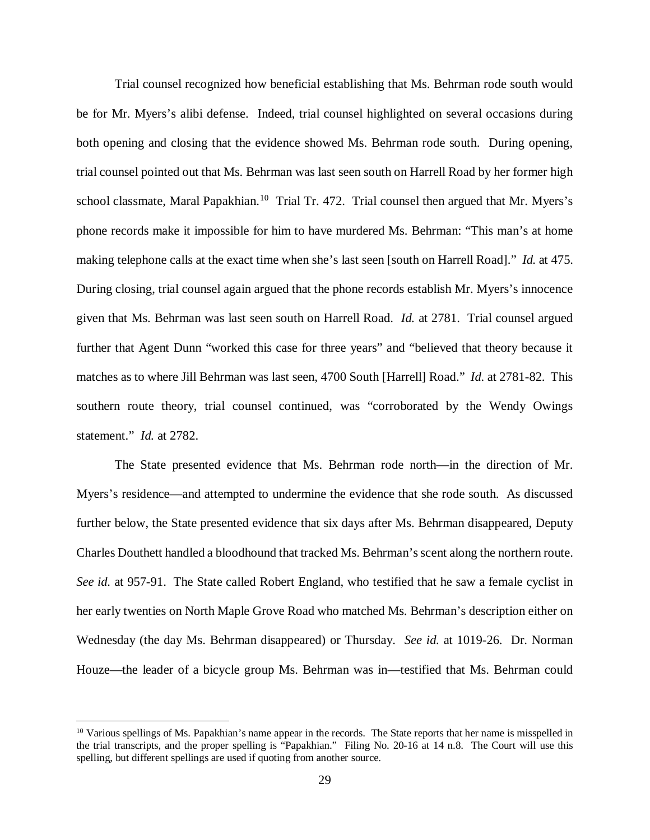Trial counsel recognized how beneficial establishing that Ms. Behrman rode south would be for Mr. Myers's alibi defense. Indeed, trial counsel highlighted on several occasions during both opening and closing that the evidence showed Ms. Behrman rode south. During opening, trial counsel pointed out that Ms. Behrman was last seen south on Harrell Road by her former high school classmate, Maral Papakhian.<sup>[10](#page-28-0)</sup> Trial Tr. 472. Trial counsel then argued that Mr. Myers's phone records make it impossible for him to have murdered Ms. Behrman: "This man's at home making telephone calls at the exact time when she's last seen [south on Harrell Road]." *Id.* at 475. During closing, trial counsel again argued that the phone records establish Mr. Myers's innocence given that Ms. Behrman was last seen south on Harrell Road. *Id.* at 2781. Trial counsel argued further that Agent Dunn "worked this case for three years" and "believed that theory because it matches as to where Jill Behrman was last seen, 4700 South [Harrell] Road." *Id.* at 2781-82. This southern route theory, trial counsel continued, was "corroborated by the Wendy Owings statement." *Id.* at 2782.

The State presented evidence that Ms. Behrman rode north—in the direction of Mr. Myers's residence—and attempted to undermine the evidence that she rode south. As discussed further below, the State presented evidence that six days after Ms. Behrman disappeared, Deputy Charles Douthett handled a bloodhound that tracked Ms. Behrman's scent along the northern route. *See id.* at 957-91. The State called Robert England, who testified that he saw a female cyclist in her early twenties on North Maple Grove Road who matched Ms. Behrman's description either on Wednesday (the day Ms. Behrman disappeared) or Thursday. *See id.* at 1019-26. Dr. Norman Houze—the leader of a bicycle group Ms. Behrman was in—testified that Ms. Behrman could

<span id="page-28-0"></span> $10$  Various spellings of Ms. Papakhian's name appear in the records. The State reports that her name is misspelled in the trial transcripts, and the proper spelling is "Papakhian." Filing No. 20-16 at 14 n.8. The Court will use this spelling, but different spellings are used if quoting from another source.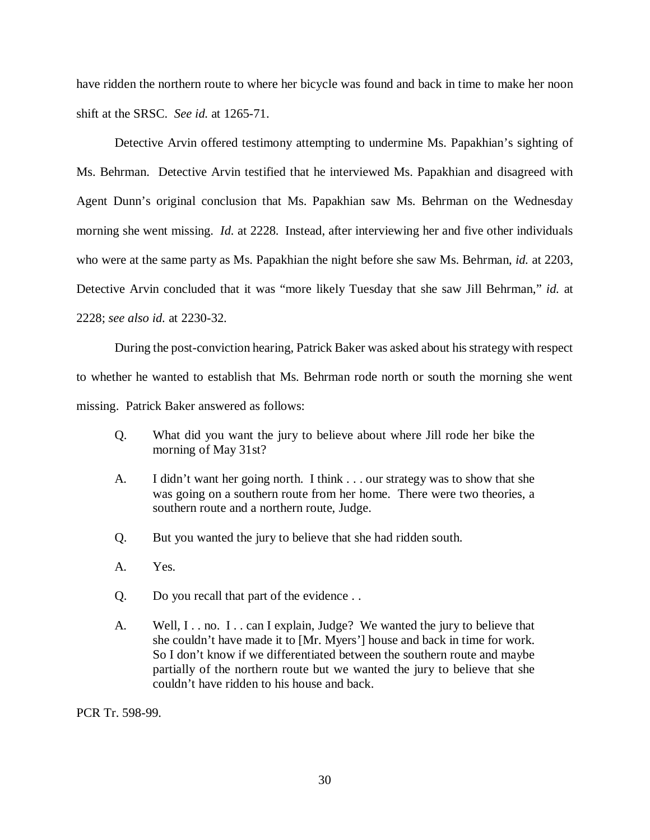have ridden the northern route to where her bicycle was found and back in time to make her noon shift at the SRSC. *See id.* at 1265-71.

Detective Arvin offered testimony attempting to undermine Ms. Papakhian's sighting of Ms. Behrman. Detective Arvin testified that he interviewed Ms. Papakhian and disagreed with Agent Dunn's original conclusion that Ms. Papakhian saw Ms. Behrman on the Wednesday morning she went missing. *Id.* at 2228. Instead, after interviewing her and five other individuals who were at the same party as Ms. Papakhian the night before she saw Ms. Behrman, *id.* at 2203, Detective Arvin concluded that it was "more likely Tuesday that she saw Jill Behrman," *id.* at 2228; *see also id.* at 2230-32.

During the post-conviction hearing, Patrick Baker was asked about his strategy with respect to whether he wanted to establish that Ms. Behrman rode north or south the morning she went missing. Patrick Baker answered as follows:

- Q. What did you want the jury to believe about where Jill rode her bike the morning of May 31st?
- A. I didn't want her going north. I think . . . our strategy was to show that she was going on a southern route from her home. There were two theories, a southern route and a northern route, Judge.
- Q. But you wanted the jury to believe that she had ridden south.
- A. Yes.
- Q. Do you recall that part of the evidence . .
- A. Well, I. . no. I. . can I explain, Judge? We wanted the jury to believe that she couldn't have made it to [Mr. Myers'] house and back in time for work. So I don't know if we differentiated between the southern route and maybe partially of the northern route but we wanted the jury to believe that she couldn't have ridden to his house and back.

PCR Tr. 598-99.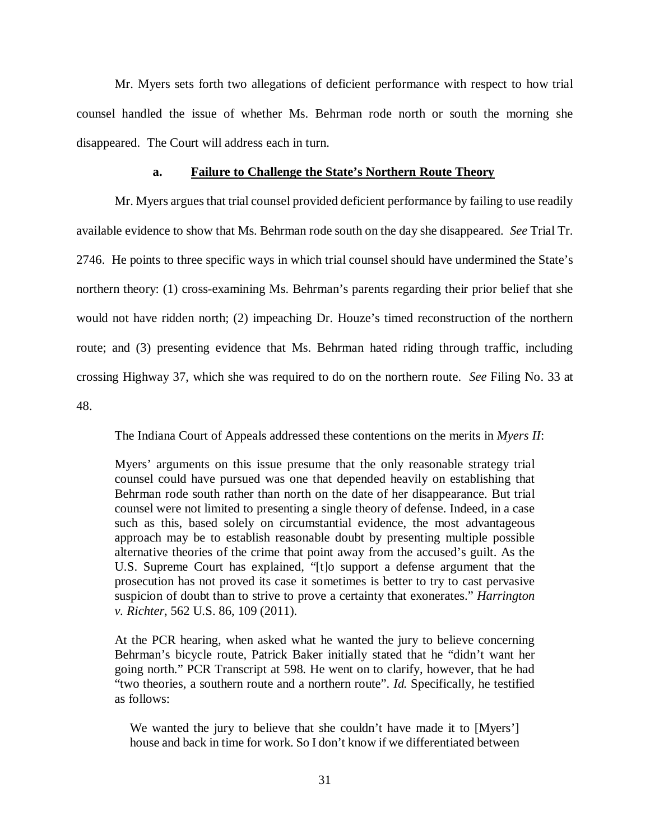Mr. Myers sets forth two allegations of deficient performance with respect to how trial counsel handled the issue of whether Ms. Behrman rode north or south the morning she disappeared. The Court will address each in turn.

#### **a. Failure to Challenge the State's Northern Route Theory**

Mr. Myers argues that trial counsel provided deficient performance by failing to use readily available evidence to show that Ms. Behrman rode south on the day she disappeared. *See* Trial Tr. 2746. He points to three specific ways in which trial counsel should have undermined the State's northern theory: (1) cross-examining Ms. Behrman's parents regarding their prior belief that she would not have ridden north; (2) impeaching Dr. Houze's timed reconstruction of the northern route; and (3) presenting evidence that Ms. Behrman hated riding through traffic, including crossing Highway 37, which she was required to do on the northern route. *See* Filing No. 33 at 48.

The Indiana Court of Appeals addressed these contentions on the merits in *Myers II*:

Myers' arguments on this issue presume that the only reasonable strategy trial counsel could have pursued was one that depended heavily on establishing that Behrman rode south rather than north on the date of her disappearance. But trial counsel were not limited to presenting a single theory of defense. Indeed, in a case such as this, based solely on circumstantial evidence, the most advantageous approach may be to establish reasonable doubt by presenting multiple possible alternative theories of the crime that point away from the accused's guilt. As the U.S. Supreme Court has explained, "[t]o support a defense argument that the prosecution has not proved its case it sometimes is better to try to cast pervasive suspicion of doubt than to strive to prove a certainty that exonerates." *Harrington v. Richter*, 562 U.S. 86, 109 (2011).

At the PCR hearing, when asked what he wanted the jury to believe concerning Behrman's bicycle route, Patrick Baker initially stated that he "didn't want her going north." PCR Transcript at 598. He went on to clarify, however, that he had "two theories, a southern route and a northern route". *Id.* Specifically, he testified as follows:

We wanted the jury to believe that she couldn't have made it to [Myers'] house and back in time for work. So I don't know if we differentiated between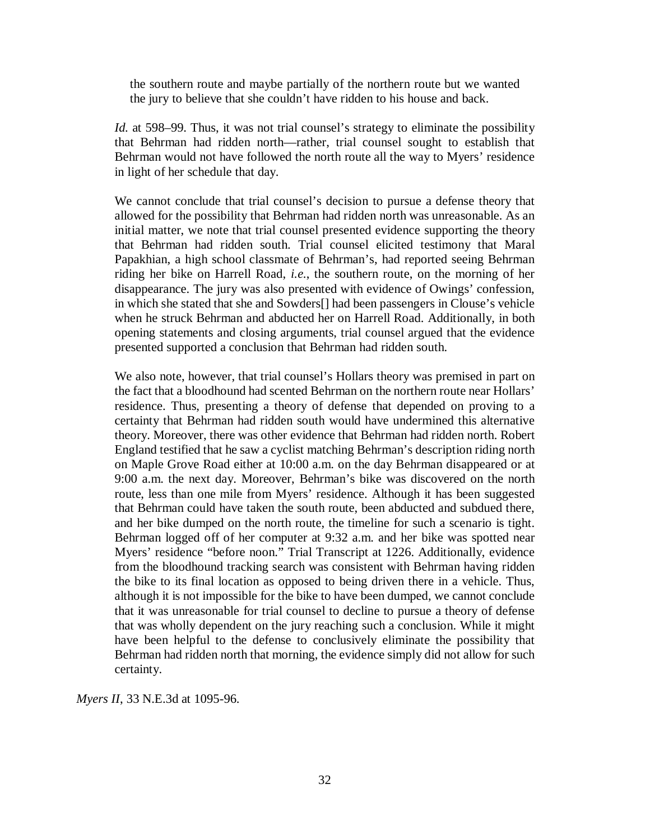the southern route and maybe partially of the northern route but we wanted the jury to believe that she couldn't have ridden to his house and back.

*Id.* at 598–99. Thus, it was not trial counsel's strategy to eliminate the possibility that Behrman had ridden north—rather, trial counsel sought to establish that Behrman would not have followed the north route all the way to Myers' residence in light of her schedule that day.

We cannot conclude that trial counsel's decision to pursue a defense theory that allowed for the possibility that Behrman had ridden north was unreasonable. As an initial matter, we note that trial counsel presented evidence supporting the theory that Behrman had ridden south. Trial counsel elicited testimony that Maral Papakhian, a high school classmate of Behrman's, had reported seeing Behrman riding her bike on Harrell Road, *i.e.*, the southern route, on the morning of her disappearance. The jury was also presented with evidence of Owings' confession, in which she stated that she and Sowders[] had been passengers in Clouse's vehicle when he struck Behrman and abducted her on Harrell Road. Additionally, in both opening statements and closing arguments, trial counsel argued that the evidence presented supported a conclusion that Behrman had ridden south.

We also note, however, that trial counsel's Hollars theory was premised in part on the fact that a bloodhound had scented Behrman on the northern route near Hollars' residence. Thus, presenting a theory of defense that depended on proving to a certainty that Behrman had ridden south would have undermined this alternative theory. Moreover, there was other evidence that Behrman had ridden north. Robert England testified that he saw a cyclist matching Behrman's description riding north on Maple Grove Road either at 10:00 a.m. on the day Behrman disappeared or at 9:00 a.m. the next day. Moreover, Behrman's bike was discovered on the north route, less than one mile from Myers' residence. Although it has been suggested that Behrman could have taken the south route, been abducted and subdued there, and her bike dumped on the north route, the timeline for such a scenario is tight. Behrman logged off of her computer at 9:32 a.m. and her bike was spotted near Myers' residence "before noon." Trial Transcript at 1226. Additionally, evidence from the bloodhound tracking search was consistent with Behrman having ridden the bike to its final location as opposed to being driven there in a vehicle. Thus, although it is not impossible for the bike to have been dumped, we cannot conclude that it was unreasonable for trial counsel to decline to pursue a theory of defense that was wholly dependent on the jury reaching such a conclusion. While it might have been helpful to the defense to conclusively eliminate the possibility that Behrman had ridden north that morning, the evidence simply did not allow for such certainty.

*Myers II*, 33 N.E.3d at 1095-96.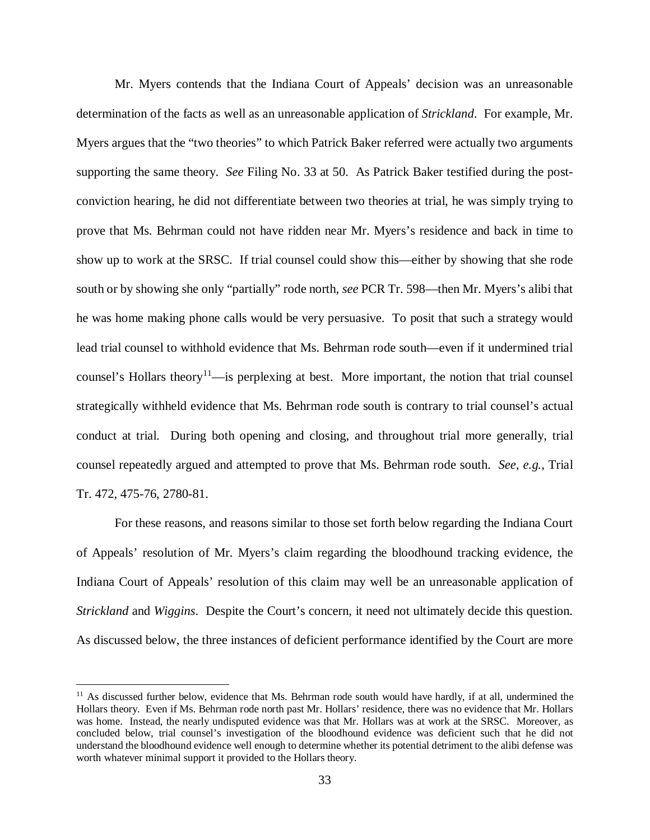Mr. Myers contends that the Indiana Court of Appeals' decision was an unreasonable determination of the facts as well as an unreasonable application of *Strickland*. For example, Mr. Myers argues that the "two theories" to which Patrick Baker referred were actually two arguments supporting the same theory. *See* Filing No. 33 at 50. As Patrick Baker testified during the postconviction hearing, he did not differentiate between two theories at trial, he was simply trying to prove that Ms. Behrman could not have ridden near Mr. Myers's residence and back in time to show up to work at the SRSC. If trial counsel could show this—either by showing that she rode south or by showing she only "partially" rode north, *see* PCR Tr. 598—then Mr. Myers's alibi that he was home making phone calls would be very persuasive. To posit that such a strategy would lead trial counsel to withhold evidence that Ms. Behrman rode south—even if it undermined trial counsel's Hollars theory<sup>11</sup>—is perplexing at best. More important, the notion that trial counsel strategically withheld evidence that Ms. Behrman rode south is contrary to trial counsel's actual conduct at trial. During both opening and closing, and throughout trial more generally, trial counsel repeatedly argued and attempted to prove that Ms. Behrman rode south. *See, e.g.*, Trial Tr. 472, 475-76, 2780-81.

For these reasons, and reasons similar to those set forth below regarding the Indiana Court of Appeals' resolution of Mr. Myers's claim regarding the bloodhound tracking evidence, the Indiana Court of Appeals' resolution of this claim may well be an unreasonable application of *Strickland* and *Wiggins*. Despite the Court's concern, it need not ultimately decide this question. As discussed below, the three instances of deficient performance identified by the Court are more

<span id="page-32-0"></span> $11$  As discussed further below, evidence that Ms. Behrman rode south would have hardly, if at all, undermined the Hollars theory. Even if Ms. Behrman rode north past Mr. Hollars' residence, there was no evidence that Mr. Hollars was home. Instead, the nearly undisputed evidence was that Mr. Hollars was at work at the SRSC. Moreover, as concluded below, trial counsel's investigation of the bloodhound evidence was deficient such that he did not understand the bloodhound evidence well enough to determine whether its potential detriment to the alibi defense was worth whatever minimal support it provided to the Hollars theory.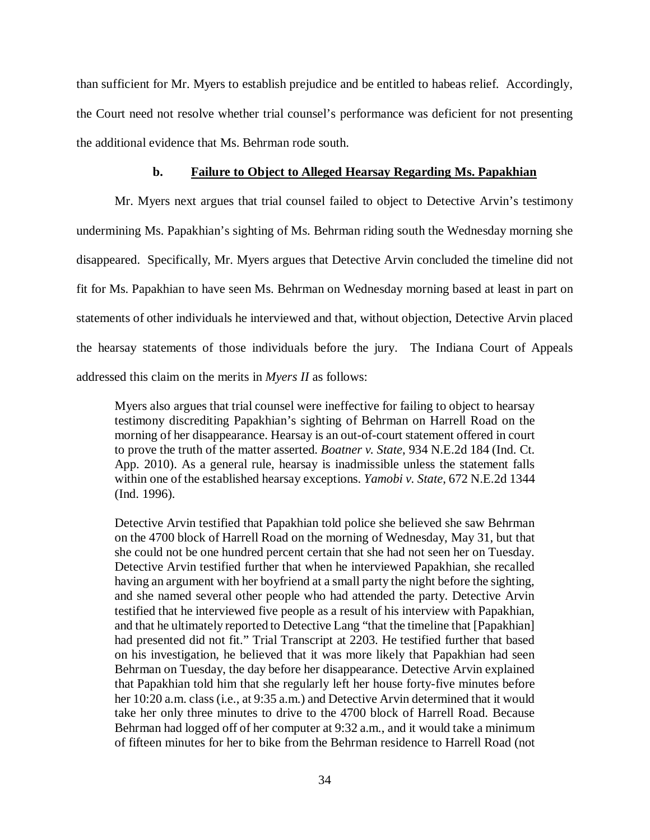than sufficient for Mr. Myers to establish prejudice and be entitled to habeas relief. Accordingly, the Court need not resolve whether trial counsel's performance was deficient for not presenting the additional evidence that Ms. Behrman rode south.

### **b. Failure to Object to Alleged Hearsay Regarding Ms. Papakhian**

Mr. Myers next argues that trial counsel failed to object to Detective Arvin's testimony undermining Ms. Papakhian's sighting of Ms. Behrman riding south the Wednesday morning she disappeared. Specifically, Mr. Myers argues that Detective Arvin concluded the timeline did not fit for Ms. Papakhian to have seen Ms. Behrman on Wednesday morning based at least in part on statements of other individuals he interviewed and that, without objection, Detective Arvin placed the hearsay statements of those individuals before the jury. The Indiana Court of Appeals addressed this claim on the merits in *Myers II* as follows:

Myers also argues that trial counsel were ineffective for failing to object to hearsay testimony discrediting Papakhian's sighting of Behrman on Harrell Road on the morning of her disappearance. Hearsay is an out-of-court statement offered in court to prove the truth of the matter asserted. *Boatner v. State*, 934 N.E.2d 184 (Ind. Ct. App. 2010). As a general rule, hearsay is inadmissible unless the statement falls within one of the established hearsay exceptions. *Yamobi v. State*, 672 N.E.2d 1344 (Ind. 1996).

Detective Arvin testified that Papakhian told police she believed she saw Behrman on the 4700 block of Harrell Road on the morning of Wednesday, May 31, but that she could not be one hundred percent certain that she had not seen her on Tuesday. Detective Arvin testified further that when he interviewed Papakhian, she recalled having an argument with her boyfriend at a small party the night before the sighting, and she named several other people who had attended the party. Detective Arvin testified that he interviewed five people as a result of his interview with Papakhian, and that he ultimately reported to Detective Lang "that the timeline that [Papakhian] had presented did not fit." Trial Transcript at 2203. He testified further that based on his investigation, he believed that it was more likely that Papakhian had seen Behrman on Tuesday, the day before her disappearance. Detective Arvin explained that Papakhian told him that she regularly left her house forty-five minutes before her 10:20 a.m. class (i.e., at 9:35 a.m.) and Detective Arvin determined that it would take her only three minutes to drive to the 4700 block of Harrell Road. Because Behrman had logged off of her computer at 9:32 a.m., and it would take a minimum of fifteen minutes for her to bike from the Behrman residence to Harrell Road (not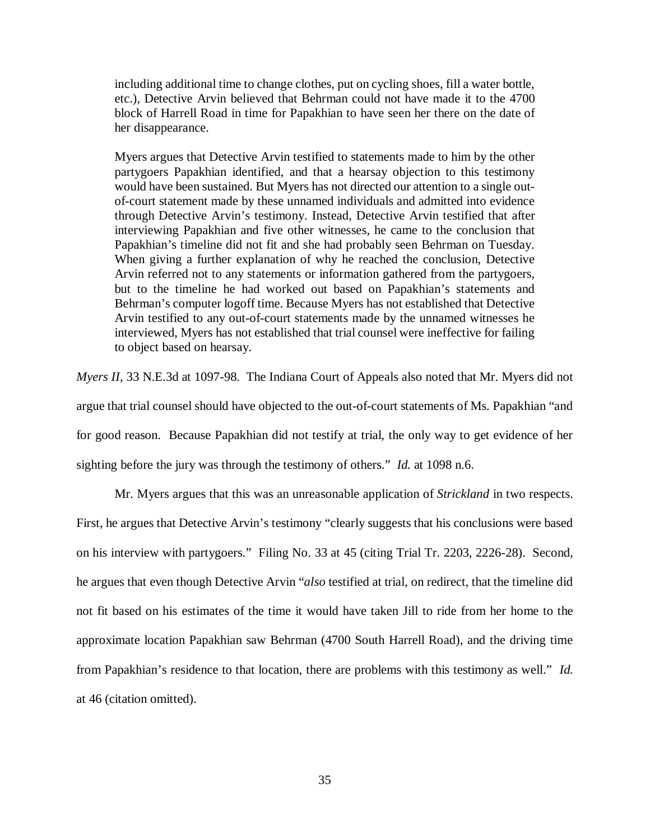including additional time to change clothes, put on cycling shoes, fill a water bottle, etc.), Detective Arvin believed that Behrman could not have made it to the 4700 block of Harrell Road in time for Papakhian to have seen her there on the date of her disappearance.

Myers argues that Detective Arvin testified to statements made to him by the other partygoers Papakhian identified, and that a hearsay objection to this testimony would have been sustained. But Myers has not directed our attention to a single outof-court statement made by these unnamed individuals and admitted into evidence through Detective Arvin's testimony. Instead, Detective Arvin testified that after interviewing Papakhian and five other witnesses, he came to the conclusion that Papakhian's timeline did not fit and she had probably seen Behrman on Tuesday. When giving a further explanation of why he reached the conclusion, Detective Arvin referred not to any statements or information gathered from the partygoers, but to the timeline he had worked out based on Papakhian's statements and Behrman's computer logoff time. Because Myers has not established that Detective Arvin testified to any out-of-court statements made by the unnamed witnesses he interviewed, Myers has not established that trial counsel were ineffective for failing to object based on hearsay.

*Myers II*, 33 N.E.3d at 1097-98. The Indiana Court of Appeals also noted that Mr. Myers did not argue that trial counsel should have objected to the out-of-court statements of Ms. Papakhian "and for good reason. Because Papakhian did not testify at trial, the only way to get evidence of her sighting before the jury was through the testimony of others." *Id.* at 1098 n.6.

Mr. Myers argues that this was an unreasonable application of *Strickland* in two respects. First, he argues that Detective Arvin's testimony "clearly suggests that his conclusions were based on his interview with partygoers." Filing No. 33 at 45 (citing Trial Tr. 2203, 2226-28). Second, he argues that even though Detective Arvin "*also* testified at trial, on redirect, that the timeline did not fit based on his estimates of the time it would have taken Jill to ride from her home to the approximate location Papakhian saw Behrman (4700 South Harrell Road), and the driving time from Papakhian's residence to that location, there are problems with this testimony as well." *Id.* at 46 (citation omitted).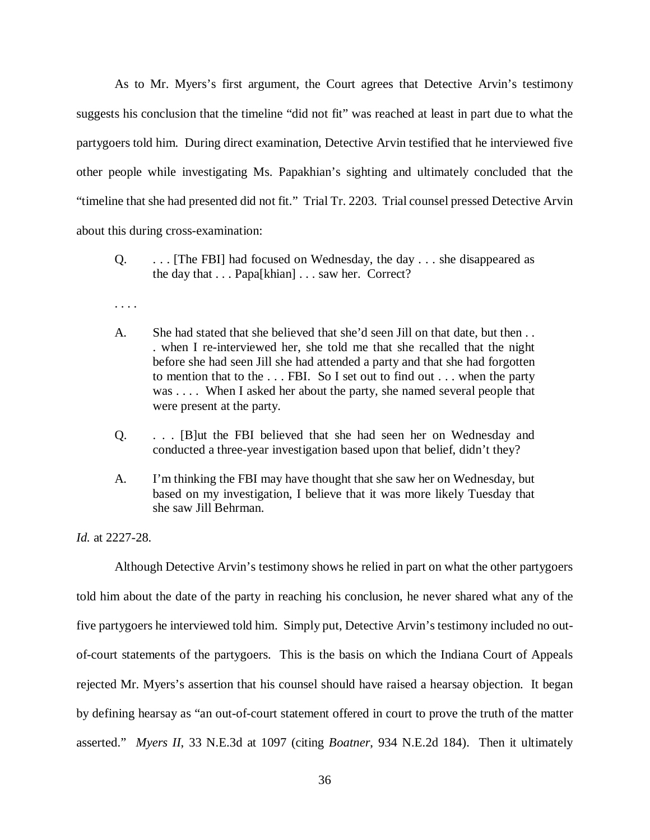As to Mr. Myers's first argument, the Court agrees that Detective Arvin's testimony suggests his conclusion that the timeline "did not fit" was reached at least in part due to what the partygoers told him. During direct examination, Detective Arvin testified that he interviewed five other people while investigating Ms. Papakhian's sighting and ultimately concluded that the "timeline that she had presented did not fit." Trial Tr. 2203. Trial counsel pressed Detective Arvin about this during cross-examination:

- Q. . . . [The FBI] had focused on Wednesday, the day . . . she disappeared as the day that . . . Papa[khian] . . . saw her. Correct?
- . . . .
- A. She had stated that she believed that she'd seen Jill on that date, but then . . . when I re-interviewed her, she told me that she recalled that the night before she had seen Jill she had attended a party and that she had forgotten to mention that to the . . . FBI. So I set out to find out . . . when the party was . . . . When I asked her about the party, she named several people that were present at the party.
- Q. . . . [B]ut the FBI believed that she had seen her on Wednesday and conducted a three-year investigation based upon that belief, didn't they?
- A. I'm thinking the FBI may have thought that she saw her on Wednesday, but based on my investigation, I believe that it was more likely Tuesday that she saw Jill Behrman.

*Id.* at 2227-28.

Although Detective Arvin's testimony shows he relied in part on what the other partygoers told him about the date of the party in reaching his conclusion, he never shared what any of the five partygoers he interviewed told him. Simply put, Detective Arvin's testimony included no outof-court statements of the partygoers. This is the basis on which the Indiana Court of Appeals rejected Mr. Myers's assertion that his counsel should have raised a hearsay objection. It began by defining hearsay as "an out-of-court statement offered in court to prove the truth of the matter asserted." *Myers II*, 33 N.E.3d at 1097 (citing *Boatner*, 934 N.E.2d 184). Then it ultimately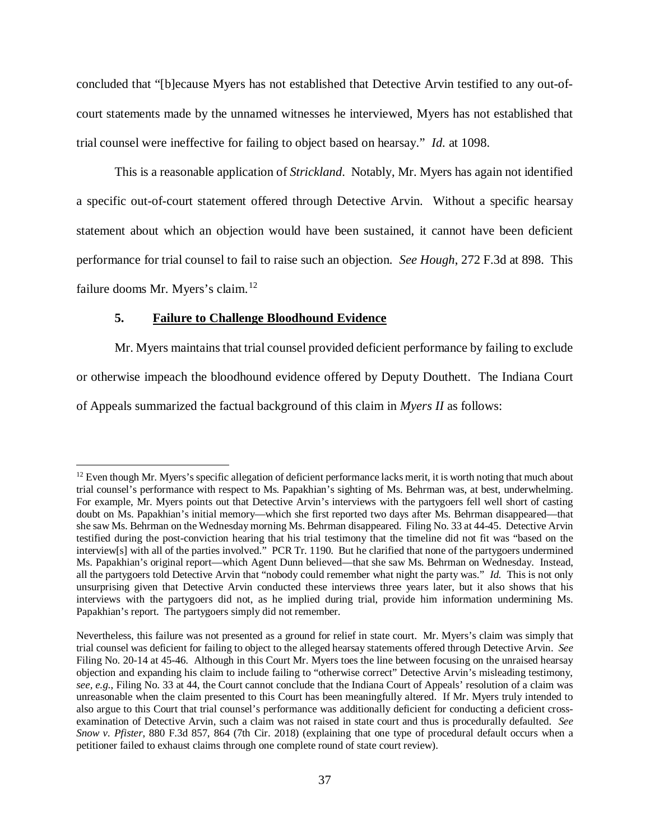concluded that "[b]ecause Myers has not established that Detective Arvin testified to any out-ofcourt statements made by the unnamed witnesses he interviewed, Myers has not established that trial counsel were ineffective for failing to object based on hearsay." *Id.* at 1098.

This is a reasonable application of *Strickland*. Notably, Mr. Myers has again not identified a specific out-of-court statement offered through Detective Arvin. Without a specific hearsay statement about which an objection would have been sustained, it cannot have been deficient performance for trial counsel to fail to raise such an objection. *See Hough*, 272 F.3d at 898. This failure dooms Mr. Myers's claim.<sup>[12](#page-36-0)</sup>

# **5. Failure to Challenge Bloodhound Evidence**

Mr. Myers maintains that trial counsel provided deficient performance by failing to exclude or otherwise impeach the bloodhound evidence offered by Deputy Douthett. The Indiana Court of Appeals summarized the factual background of this claim in *Myers II* as follows:

<span id="page-36-0"></span> $12$  Even though Mr. Myers's specific allegation of deficient performance lacks merit, it is worth noting that much about trial counsel's performance with respect to Ms. Papakhian's sighting of Ms. Behrman was, at best, underwhelming. For example, Mr. Myers points out that Detective Arvin's interviews with the partygoers fell well short of casting doubt on Ms. Papakhian's initial memory—which she first reported two days after Ms. Behrman disappeared—that she saw Ms. Behrman on the Wednesday morning Ms. Behrman disappeared. Filing No. 33 at 44-45. Detective Arvin testified during the post-conviction hearing that his trial testimony that the timeline did not fit was "based on the interview[s] with all of the parties involved." PCR Tr. 1190. But he clarified that none of the partygoers undermined Ms. Papakhian's original report—which Agent Dunn believed—that she saw Ms. Behrman on Wednesday. Instead, all the partygoers told Detective Arvin that "nobody could remember what night the party was." *Id.* This is not only unsurprising given that Detective Arvin conducted these interviews three years later, but it also shows that his interviews with the partygoers did not, as he implied during trial, provide him information undermining Ms. Papakhian's report. The partygoers simply did not remember.

Nevertheless, this failure was not presented as a ground for relief in state court. Mr. Myers's claim was simply that trial counsel was deficient for failing to object to the alleged hearsay statements offered through Detective Arvin. *See* Filing No. 20-14 at 45-46. Although in this Court Mr. Myers toes the line between focusing on the unraised hearsay objection and expanding his claim to include failing to "otherwise correct" Detective Arvin's misleading testimony, *see, e.g.*, Filing No. 33 at 44, the Court cannot conclude that the Indiana Court of Appeals' resolution of a claim was unreasonable when the claim presented to this Court has been meaningfully altered. If Mr. Myers truly intended to also argue to this Court that trial counsel's performance was additionally deficient for conducting a deficient crossexamination of Detective Arvin, such a claim was not raised in state court and thus is procedurally defaulted. *See Snow v. Pfister*, 880 F.3d 857, 864 (7th Cir. 2018) (explaining that one type of procedural default occurs when a petitioner failed to exhaust claims through one complete round of state court review).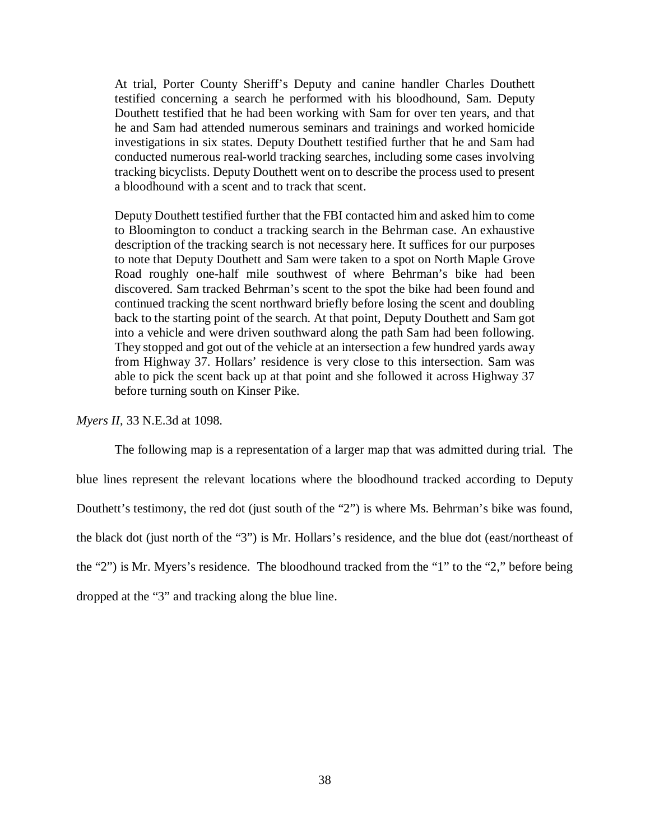At trial, Porter County Sheriff's Deputy and canine handler Charles Douthett testified concerning a search he performed with his bloodhound, Sam. Deputy Douthett testified that he had been working with Sam for over ten years, and that he and Sam had attended numerous seminars and trainings and worked homicide investigations in six states. Deputy Douthett testified further that he and Sam had conducted numerous real-world tracking searches, including some cases involving tracking bicyclists. Deputy Douthett went on to describe the process used to present a bloodhound with a scent and to track that scent.

Deputy Douthett testified further that the FBI contacted him and asked him to come to Bloomington to conduct a tracking search in the Behrman case. An exhaustive description of the tracking search is not necessary here. It suffices for our purposes to note that Deputy Douthett and Sam were taken to a spot on North Maple Grove Road roughly one-half mile southwest of where Behrman's bike had been discovered. Sam tracked Behrman's scent to the spot the bike had been found and continued tracking the scent northward briefly before losing the scent and doubling back to the starting point of the search. At that point, Deputy Douthett and Sam got into a vehicle and were driven southward along the path Sam had been following. They stopped and got out of the vehicle at an intersection a few hundred yards away from Highway 37. Hollars' residence is very close to this intersection. Sam was able to pick the scent back up at that point and she followed it across Highway 37 before turning south on Kinser Pike.

*Myers II*, 33 N.E.3d at 1098.

The following map is a representation of a larger map that was admitted during trial. The blue lines represent the relevant locations where the bloodhound tracked according to Deputy Douthett's testimony, the red dot (just south of the "2") is where Ms. Behrman's bike was found, the black dot (just north of the "3") is Mr. Hollars's residence, and the blue dot (east/northeast of the "2") is Mr. Myers's residence. The bloodhound tracked from the "1" to the "2," before being dropped at the "3" and tracking along the blue line.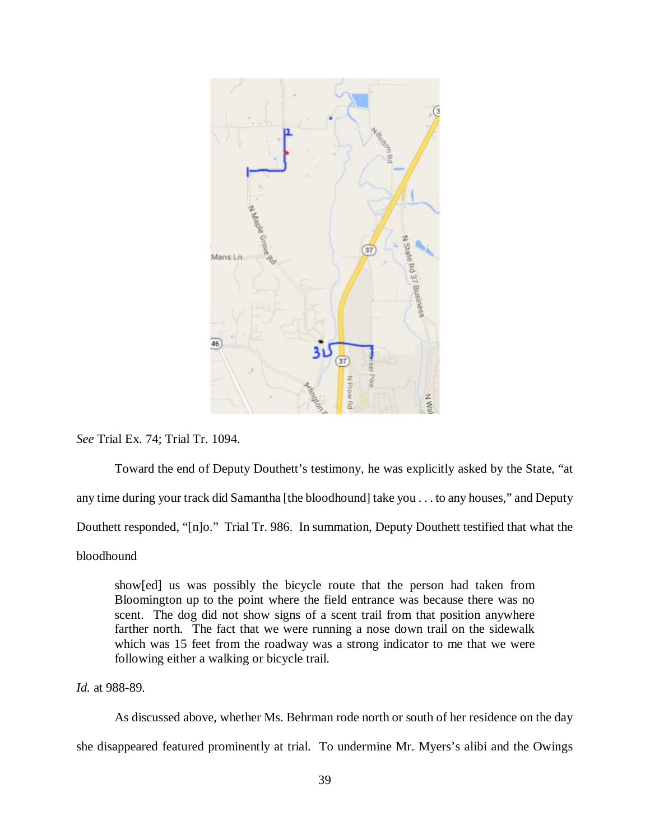

*See* Trial Ex. 74; Trial Tr. 1094.

Toward the end of Deputy Douthett's testimony, he was explicitly asked by the State, "at any time during your track did Samantha [the bloodhound] take you . . . to any houses," and Deputy Douthett responded, "[n]o." Trial Tr. 986. In summation, Deputy Douthett testified that what the bloodhound

show[ed] us was possibly the bicycle route that the person had taken from Bloomington up to the point where the field entrance was because there was no scent. The dog did not show signs of a scent trail from that position anywhere farther north. The fact that we were running a nose down trail on the sidewalk which was 15 feet from the roadway was a strong indicator to me that we were following either a walking or bicycle trail.

*Id.* at 988-89.

As discussed above, whether Ms. Behrman rode north or south of her residence on the day she disappeared featured prominently at trial. To undermine Mr. Myers's alibi and the Owings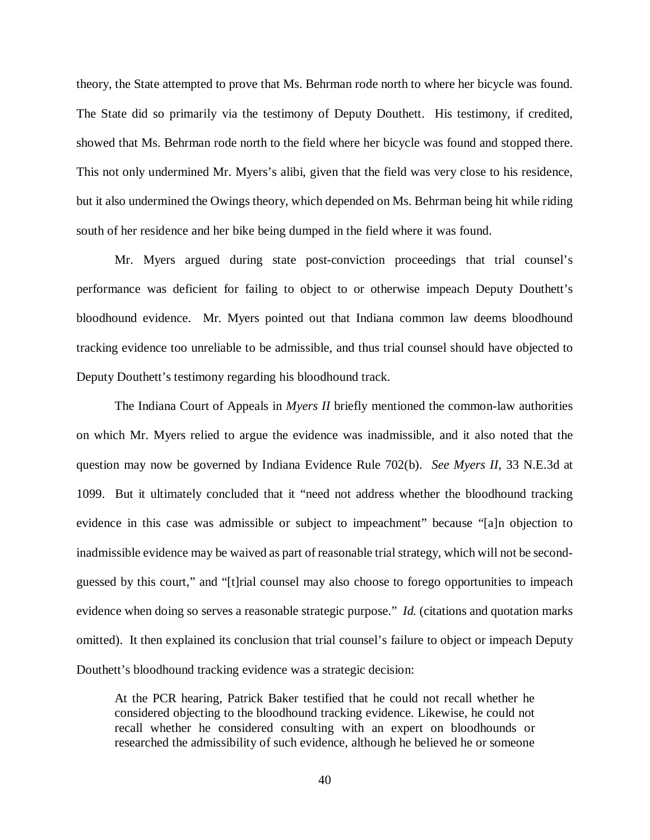theory, the State attempted to prove that Ms. Behrman rode north to where her bicycle was found. The State did so primarily via the testimony of Deputy Douthett. His testimony, if credited, showed that Ms. Behrman rode north to the field where her bicycle was found and stopped there. This not only undermined Mr. Myers's alibi, given that the field was very close to his residence, but it also undermined the Owings theory, which depended on Ms. Behrman being hit while riding south of her residence and her bike being dumped in the field where it was found.

Mr. Myers argued during state post-conviction proceedings that trial counsel's performance was deficient for failing to object to or otherwise impeach Deputy Douthett's bloodhound evidence. Mr. Myers pointed out that Indiana common law deems bloodhound tracking evidence too unreliable to be admissible, and thus trial counsel should have objected to Deputy Douthett's testimony regarding his bloodhound track.

The Indiana Court of Appeals in *Myers II* briefly mentioned the common-law authorities on which Mr. Myers relied to argue the evidence was inadmissible, and it also noted that the question may now be governed by Indiana Evidence Rule 702(b). *See Myers II*, 33 N.E.3d at 1099. But it ultimately concluded that it "need not address whether the bloodhound tracking evidence in this case was admissible or subject to impeachment" because "[a]n objection to inadmissible evidence may be waived as part of reasonable trial strategy, which will not be secondguessed by this court," and "[t]rial counsel may also choose to forego opportunities to impeach evidence when doing so serves a reasonable strategic purpose." *Id.* (citations and quotation marks omitted). It then explained its conclusion that trial counsel's failure to object or impeach Deputy Douthett's bloodhound tracking evidence was a strategic decision:

At the PCR hearing, Patrick Baker testified that he could not recall whether he considered objecting to the bloodhound tracking evidence. Likewise, he could not recall whether he considered consulting with an expert on bloodhounds or researched the admissibility of such evidence, although he believed he or someone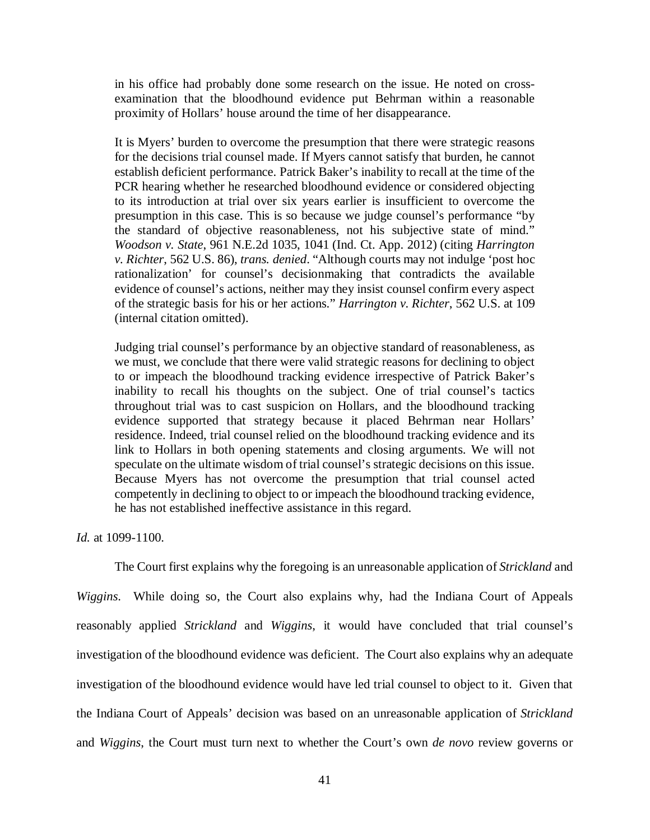in his office had probably done some research on the issue. He noted on crossexamination that the bloodhound evidence put Behrman within a reasonable proximity of Hollars' house around the time of her disappearance.

It is Myers' burden to overcome the presumption that there were strategic reasons for the decisions trial counsel made. If Myers cannot satisfy that burden, he cannot establish deficient performance. Patrick Baker's inability to recall at the time of the PCR hearing whether he researched bloodhound evidence or considered objecting to its introduction at trial over six years earlier is insufficient to overcome the presumption in this case. This is so because we judge counsel's performance "by the standard of objective reasonableness, not his subjective state of mind." *Woodson v. State*, 961 N.E.2d 1035, 1041 (Ind. Ct. App. 2012) (citing *Harrington v. Richter*, 562 U.S. 86), *trans. denied*. "Although courts may not indulge 'post hoc rationalization' for counsel's decisionmaking that contradicts the available evidence of counsel's actions, neither may they insist counsel confirm every aspect of the strategic basis for his or her actions." *Harrington v. Richter*, 562 U.S. at 109 (internal citation omitted).

Judging trial counsel's performance by an objective standard of reasonableness, as we must, we conclude that there were valid strategic reasons for declining to object to or impeach the bloodhound tracking evidence irrespective of Patrick Baker's inability to recall his thoughts on the subject. One of trial counsel's tactics throughout trial was to cast suspicion on Hollars, and the bloodhound tracking evidence supported that strategy because it placed Behrman near Hollars' residence. Indeed, trial counsel relied on the bloodhound tracking evidence and its link to Hollars in both opening statements and closing arguments. We will not speculate on the ultimate wisdom of trial counsel's strategic decisions on this issue. Because Myers has not overcome the presumption that trial counsel acted competently in declining to object to or impeach the bloodhound tracking evidence, he has not established ineffective assistance in this regard.

*Id.* at 1099-1100.

The Court first explains why the foregoing is an unreasonable application of *Strickland* and *Wiggins*. While doing so, the Court also explains why, had the Indiana Court of Appeals reasonably applied *Strickland* and *Wiggins*, it would have concluded that trial counsel's investigation of the bloodhound evidence was deficient. The Court also explains why an adequate investigation of the bloodhound evidence would have led trial counsel to object to it. Given that the Indiana Court of Appeals' decision was based on an unreasonable application of *Strickland*  and *Wiggins*, the Court must turn next to whether the Court's own *de novo* review governs or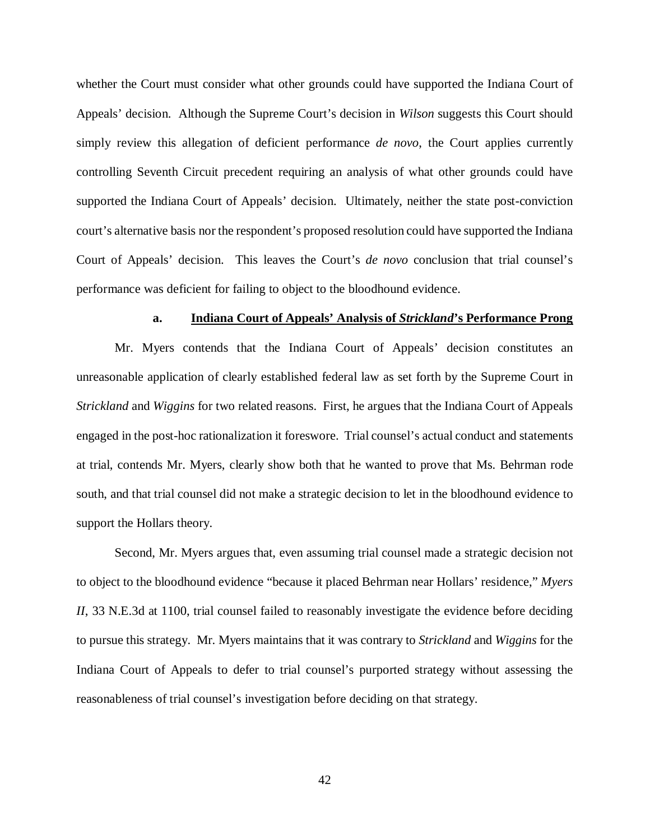whether the Court must consider what other grounds could have supported the Indiana Court of Appeals' decision. Although the Supreme Court's decision in *Wilson* suggests this Court should simply review this allegation of deficient performance *de novo*, the Court applies currently controlling Seventh Circuit precedent requiring an analysis of what other grounds could have supported the Indiana Court of Appeals' decision. Ultimately, neither the state post-conviction court's alternative basis nor the respondent's proposed resolution could have supported the Indiana Court of Appeals' decision. This leaves the Court's *de novo* conclusion that trial counsel's performance was deficient for failing to object to the bloodhound evidence.

#### **a. Indiana Court of Appeals' Analysis of** *Strickland***'s Performance Prong**

Mr. Myers contends that the Indiana Court of Appeals' decision constitutes an unreasonable application of clearly established federal law as set forth by the Supreme Court in *Strickland* and *Wiggins* for two related reasons. First, he argues that the Indiana Court of Appeals engaged in the post-hoc rationalization it foreswore. Trial counsel's actual conduct and statements at trial, contends Mr. Myers, clearly show both that he wanted to prove that Ms. Behrman rode south, and that trial counsel did not make a strategic decision to let in the bloodhound evidence to support the Hollars theory.

Second, Mr. Myers argues that, even assuming trial counsel made a strategic decision not to object to the bloodhound evidence "because it placed Behrman near Hollars' residence," *Myers II*, 33 N.E.3d at 1100, trial counsel failed to reasonably investigate the evidence before deciding to pursue this strategy. Mr. Myers maintains that it was contrary to *Strickland* and *Wiggins* for the Indiana Court of Appeals to defer to trial counsel's purported strategy without assessing the reasonableness of trial counsel's investigation before deciding on that strategy.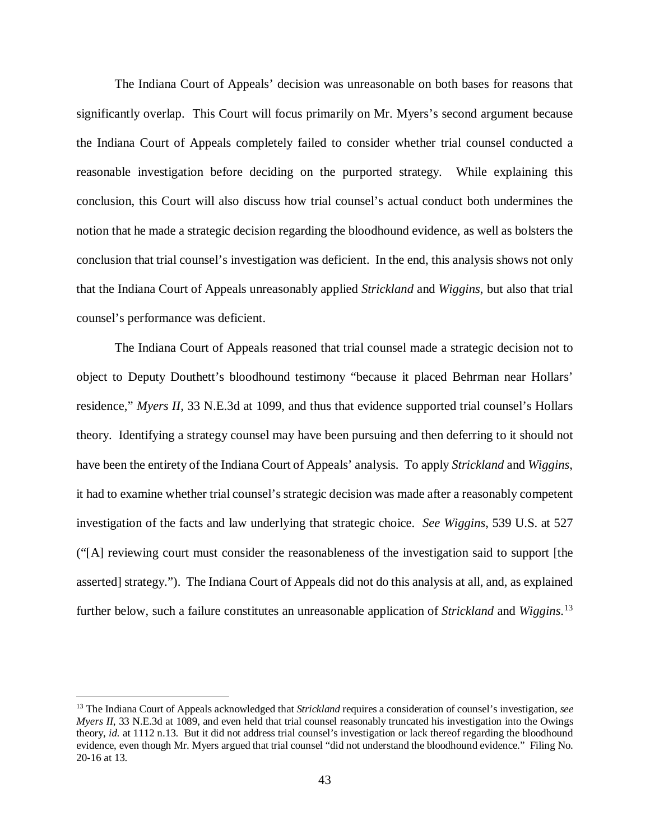The Indiana Court of Appeals' decision was unreasonable on both bases for reasons that significantly overlap. This Court will focus primarily on Mr. Myers's second argument because the Indiana Court of Appeals completely failed to consider whether trial counsel conducted a reasonable investigation before deciding on the purported strategy. While explaining this conclusion, this Court will also discuss how trial counsel's actual conduct both undermines the notion that he made a strategic decision regarding the bloodhound evidence, as well as bolsters the conclusion that trial counsel's investigation was deficient. In the end, this analysis shows not only that the Indiana Court of Appeals unreasonably applied *Strickland* and *Wiggins*, but also that trial counsel's performance was deficient.

The Indiana Court of Appeals reasoned that trial counsel made a strategic decision not to object to Deputy Douthett's bloodhound testimony "because it placed Behrman near Hollars' residence," *Myers II*, 33 N.E.3d at 1099, and thus that evidence supported trial counsel's Hollars theory. Identifying a strategy counsel may have been pursuing and then deferring to it should not have been the entirety of the Indiana Court of Appeals' analysis. To apply *Strickland* and *Wiggins*, it had to examine whether trial counsel's strategic decision was made after a reasonably competent investigation of the facts and law underlying that strategic choice. *See Wiggins*, 539 U.S. at 527 ("[A] reviewing court must consider the reasonableness of the investigation said to support [the asserted] strategy."). The Indiana Court of Appeals did not do this analysis at all, and, as explained further below, such a failure constitutes an unreasonable application of *Strickland* and *Wiggins*. [13](#page-42-0)

<span id="page-42-0"></span> <sup>13</sup> The Indiana Court of Appeals acknowledged that *Strickland* requires a consideration of counsel's investigation, *see Myers II*, 33 N.E.3d at 1089, and even held that trial counsel reasonably truncated his investigation into the Owings theory, *id.* at 1112 n.13. But it did not address trial counsel's investigation or lack thereof regarding the bloodhound evidence, even though Mr. Myers argued that trial counsel "did not understand the bloodhound evidence." Filing No. 20-16 at 13.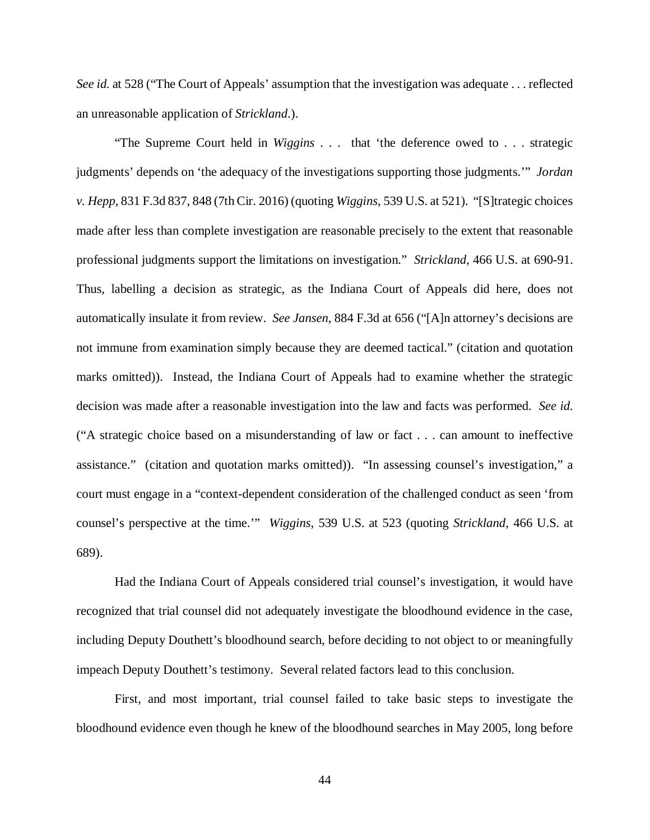*See id.* at 528 ("The Court of Appeals' assumption that the investigation was adequate . . . reflected an unreasonable application of *Strickland*.).

"The Supreme Court held in *Wiggins* . . . that 'the deference owed to . . . strategic judgments' depends on 'the adequacy of the investigations supporting those judgments.'" *Jordan v. Hepp*, 831 F.3d 837, 848 (7th Cir. 2016) (quoting *Wiggins*, 539 U.S. at 521). "[S]trategic choices made after less than complete investigation are reasonable precisely to the extent that reasonable professional judgments support the limitations on investigation." *Strickland*, 466 U.S. at 690-91. Thus, labelling a decision as strategic, as the Indiana Court of Appeals did here, does not automatically insulate it from review. *See Jansen*, 884 F.3d at 656 ("[A]n attorney's decisions are not immune from examination simply because they are deemed tactical." (citation and quotation marks omitted)). Instead, the Indiana Court of Appeals had to examine whether the strategic decision was made after a reasonable investigation into the law and facts was performed. *See id.*  ("A strategic choice based on a misunderstanding of law or fact . . . can amount to ineffective assistance." (citation and quotation marks omitted)). "In assessing counsel's investigation," a court must engage in a "context-dependent consideration of the challenged conduct as seen 'from counsel's perspective at the time.'" *Wiggins*, 539 U.S. at 523 (quoting *Strickland*, 466 U.S. at 689).

Had the Indiana Court of Appeals considered trial counsel's investigation, it would have recognized that trial counsel did not adequately investigate the bloodhound evidence in the case, including Deputy Douthett's bloodhound search, before deciding to not object to or meaningfully impeach Deputy Douthett's testimony. Several related factors lead to this conclusion.

First, and most important, trial counsel failed to take basic steps to investigate the bloodhound evidence even though he knew of the bloodhound searches in May 2005, long before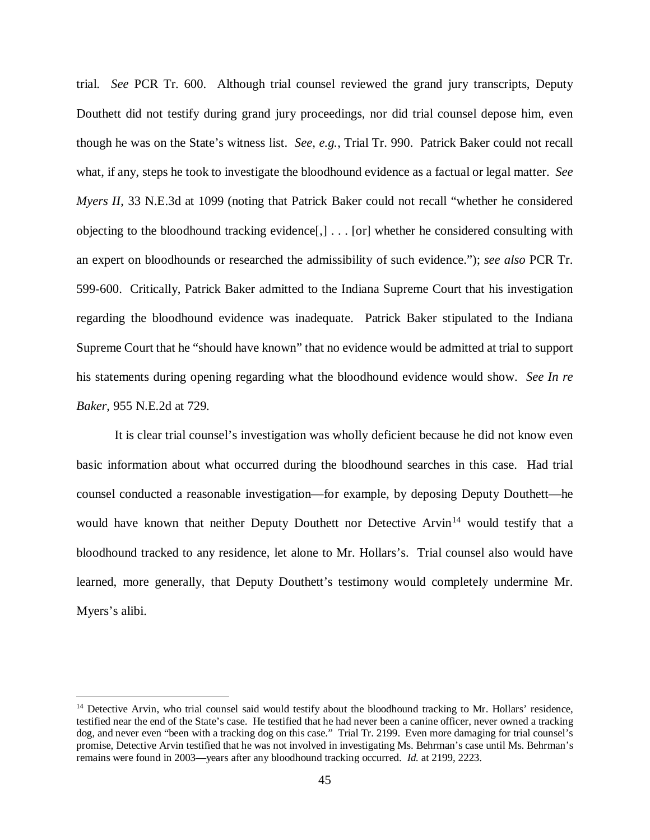trial. *See* PCR Tr. 600. Although trial counsel reviewed the grand jury transcripts, Deputy Douthett did not testify during grand jury proceedings, nor did trial counsel depose him, even though he was on the State's witness list. *See, e.g.*, Trial Tr. 990. Patrick Baker could not recall what, if any, steps he took to investigate the bloodhound evidence as a factual or legal matter. *See Myers II*, 33 N.E.3d at 1099 (noting that Patrick Baker could not recall "whether he considered objecting to the bloodhound tracking evidence[,] . . . [or] whether he considered consulting with an expert on bloodhounds or researched the admissibility of such evidence."); *see also* PCR Tr. 599-600.Critically, Patrick Baker admitted to the Indiana Supreme Court that his investigation regarding the bloodhound evidence was inadequate. Patrick Baker stipulated to the Indiana Supreme Court that he "should have known" that no evidence would be admitted at trial to support his statements during opening regarding what the bloodhound evidence would show. *See In re Baker*, 955 N.E.2d at 729.

It is clear trial counsel's investigation was wholly deficient because he did not know even basic information about what occurred during the bloodhound searches in this case. Had trial counsel conducted a reasonable investigation—for example, by deposing Deputy Douthett—he would have known that neither Deputy Douthett nor Detective Arvin<sup>[14](#page-44-0)</sup> would testify that a bloodhound tracked to any residence, let alone to Mr. Hollars's. Trial counsel also would have learned, more generally, that Deputy Douthett's testimony would completely undermine Mr. Myers's alibi.

<span id="page-44-0"></span><sup>&</sup>lt;sup>14</sup> Detective Arvin, who trial counsel said would testify about the bloodhound tracking to Mr. Hollars' residence, testified near the end of the State's case. He testified that he had never been a canine officer, never owned a tracking dog, and never even "been with a tracking dog on this case." Trial Tr. 2199. Even more damaging for trial counsel's promise, Detective Arvin testified that he was not involved in investigating Ms. Behrman's case until Ms. Behrman's remains were found in 2003—years after any bloodhound tracking occurred. *Id.* at 2199, 2223.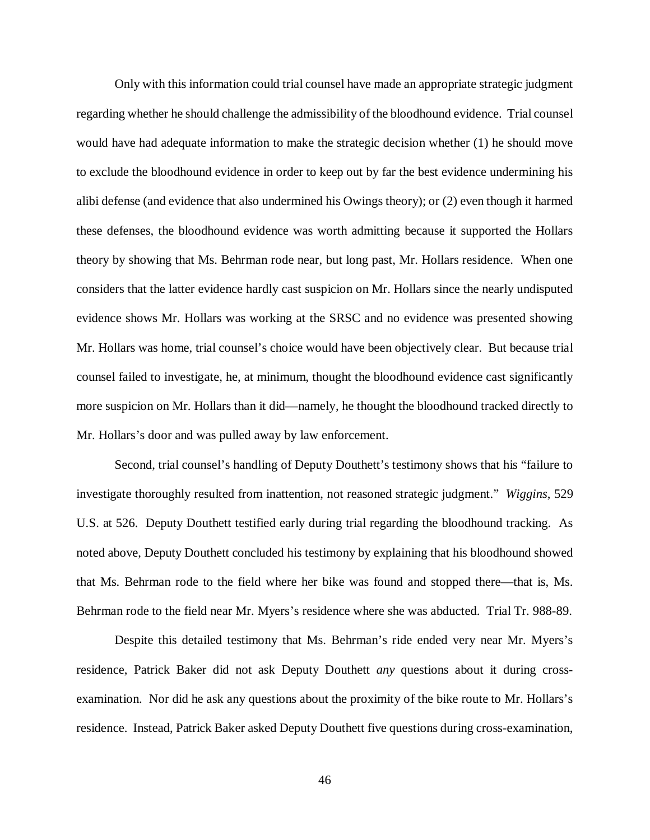Only with this information could trial counsel have made an appropriate strategic judgment regarding whether he should challenge the admissibility of the bloodhound evidence. Trial counsel would have had adequate information to make the strategic decision whether (1) he should move to exclude the bloodhound evidence in order to keep out by far the best evidence undermining his alibi defense (and evidence that also undermined his Owings theory); or (2) even though it harmed these defenses, the bloodhound evidence was worth admitting because it supported the Hollars theory by showing that Ms. Behrman rode near, but long past, Mr. Hollars residence. When one considers that the latter evidence hardly cast suspicion on Mr. Hollars since the nearly undisputed evidence shows Mr. Hollars was working at the SRSC and no evidence was presented showing Mr. Hollars was home, trial counsel's choice would have been objectively clear. But because trial counsel failed to investigate, he, at minimum, thought the bloodhound evidence cast significantly more suspicion on Mr. Hollars than it did—namely, he thought the bloodhound tracked directly to Mr. Hollars's door and was pulled away by law enforcement.

Second, trial counsel's handling of Deputy Douthett's testimony shows that his "failure to investigate thoroughly resulted from inattention, not reasoned strategic judgment." *Wiggins*, 529 U.S. at 526. Deputy Douthett testified early during trial regarding the bloodhound tracking. As noted above, Deputy Douthett concluded his testimony by explaining that his bloodhound showed that Ms. Behrman rode to the field where her bike was found and stopped there—that is, Ms. Behrman rode to the field near Mr. Myers's residence where she was abducted. Trial Tr. 988-89.

Despite this detailed testimony that Ms. Behrman's ride ended very near Mr. Myers's residence, Patrick Baker did not ask Deputy Douthett *any* questions about it during crossexamination. Nor did he ask any questions about the proximity of the bike route to Mr. Hollars's residence. Instead, Patrick Baker asked Deputy Douthett five questions during cross-examination,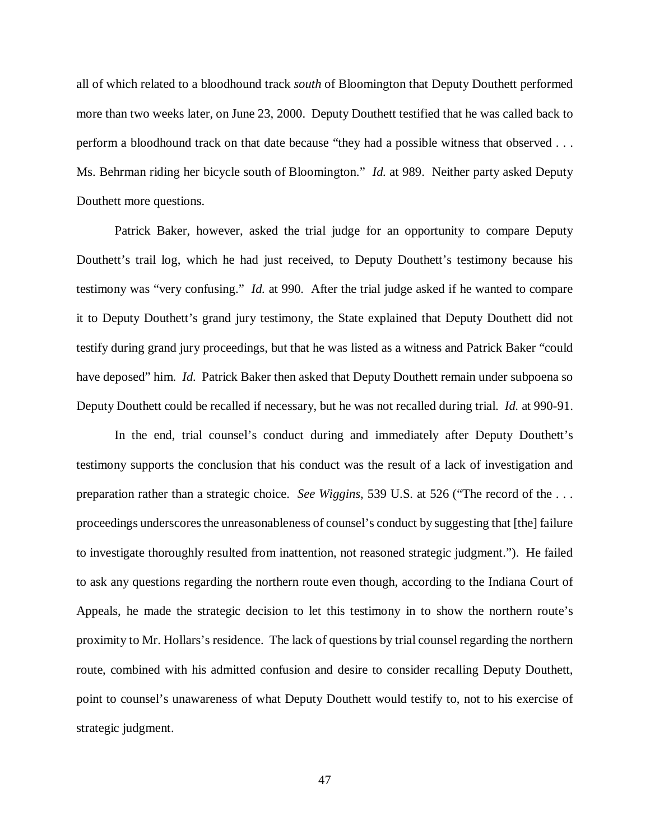all of which related to a bloodhound track *south* of Bloomington that Deputy Douthett performed more than two weeks later, on June 23, 2000. Deputy Douthett testified that he was called back to perform a bloodhound track on that date because "they had a possible witness that observed . . . Ms. Behrman riding her bicycle south of Bloomington." *Id.* at 989. Neither party asked Deputy Douthett more questions.

Patrick Baker, however, asked the trial judge for an opportunity to compare Deputy Douthett's trail log, which he had just received, to Deputy Douthett's testimony because his testimony was "very confusing." *Id.* at 990. After the trial judge asked if he wanted to compare it to Deputy Douthett's grand jury testimony, the State explained that Deputy Douthett did not testify during grand jury proceedings, but that he was listed as a witness and Patrick Baker "could have deposed" him. *Id.* Patrick Baker then asked that Deputy Douthett remain under subpoena so Deputy Douthett could be recalled if necessary, but he was not recalled during trial. *Id.* at 990-91.

In the end, trial counsel's conduct during and immediately after Deputy Douthett's testimony supports the conclusion that his conduct was the result of a lack of investigation and preparation rather than a strategic choice. *See Wiggins*, 539 U.S. at 526 ("The record of the . . . proceedings underscores the unreasonableness of counsel's conduct by suggesting that [the] failure to investigate thoroughly resulted from inattention, not reasoned strategic judgment."). He failed to ask any questions regarding the northern route even though, according to the Indiana Court of Appeals, he made the strategic decision to let this testimony in to show the northern route's proximity to Mr. Hollars's residence. The lack of questions by trial counsel regarding the northern route, combined with his admitted confusion and desire to consider recalling Deputy Douthett, point to counsel's unawareness of what Deputy Douthett would testify to, not to his exercise of strategic judgment.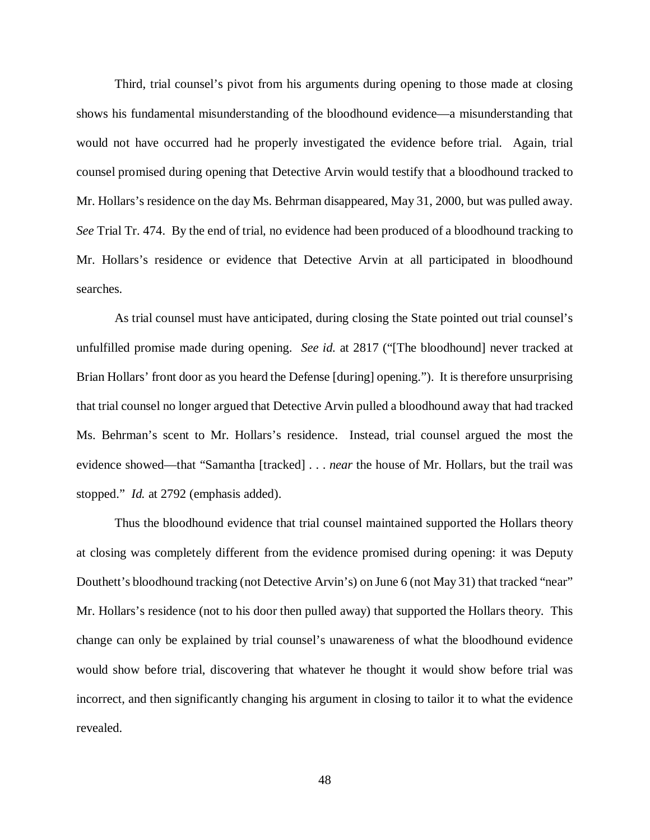Third, trial counsel's pivot from his arguments during opening to those made at closing shows his fundamental misunderstanding of the bloodhound evidence—a misunderstanding that would not have occurred had he properly investigated the evidence before trial. Again, trial counsel promised during opening that Detective Arvin would testify that a bloodhound tracked to Mr. Hollars's residence on the day Ms. Behrman disappeared, May 31, 2000, but was pulled away. *See* Trial Tr. 474. By the end of trial, no evidence had been produced of a bloodhound tracking to Mr. Hollars's residence or evidence that Detective Arvin at all participated in bloodhound searches.

As trial counsel must have anticipated, during closing the State pointed out trial counsel's unfulfilled promise made during opening. *See id.* at 2817 ("[The bloodhound] never tracked at Brian Hollars' front door as you heard the Defense [during] opening."). It is therefore unsurprising that trial counsel no longer argued that Detective Arvin pulled a bloodhound away that had tracked Ms. Behrman's scent to Mr. Hollars's residence. Instead, trial counsel argued the most the evidence showed—that "Samantha [tracked] . . . *near* the house of Mr. Hollars, but the trail was stopped." *Id.* at 2792 (emphasis added).

Thus the bloodhound evidence that trial counsel maintained supported the Hollars theory at closing was completely different from the evidence promised during opening: it was Deputy Douthett's bloodhound tracking (not Detective Arvin's) on June 6 (not May 31) that tracked "near" Mr. Hollars's residence (not to his door then pulled away) that supported the Hollars theory. This change can only be explained by trial counsel's unawareness of what the bloodhound evidence would show before trial, discovering that whatever he thought it would show before trial was incorrect, and then significantly changing his argument in closing to tailor it to what the evidence revealed.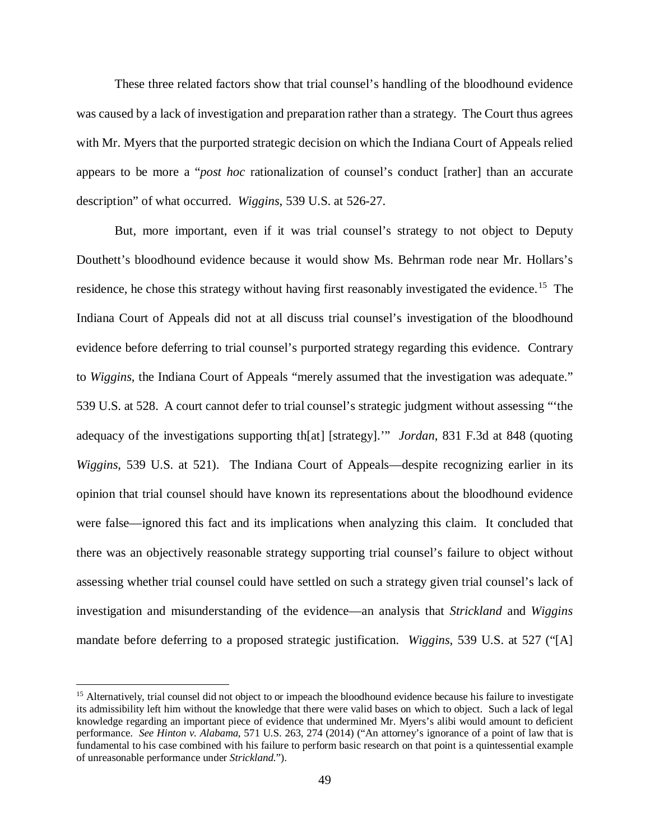These three related factors show that trial counsel's handling of the bloodhound evidence was caused by a lack of investigation and preparation rather than a strategy. The Court thus agrees with Mr. Myers that the purported strategic decision on which the Indiana Court of Appeals relied appears to be more a "*post hoc* rationalization of counsel's conduct [rather] than an accurate description" of what occurred. *Wiggins*, 539 U.S. at 526-27.

But, more important, even if it was trial counsel's strategy to not object to Deputy Douthett's bloodhound evidence because it would show Ms. Behrman rode near Mr. Hollars's residence, he chose this strategy without having first reasonably investigated the evidence.<sup>15</sup> The Indiana Court of Appeals did not at all discuss trial counsel's investigation of the bloodhound evidence before deferring to trial counsel's purported strategy regarding this evidence. Contrary to *Wiggins*, the Indiana Court of Appeals "merely assumed that the investigation was adequate." 539 U.S. at 528. A court cannot defer to trial counsel's strategic judgment without assessing "'the adequacy of the investigations supporting th[at] [strategy].'" *Jordan*, 831 F.3d at 848 (quoting *Wiggins*, 539 U.S. at 521). The Indiana Court of Appeals—despite recognizing earlier in its opinion that trial counsel should have known its representations about the bloodhound evidence were false—ignored this fact and its implications when analyzing this claim. It concluded that there was an objectively reasonable strategy supporting trial counsel's failure to object without assessing whether trial counsel could have settled on such a strategy given trial counsel's lack of investigation and misunderstanding of the evidence—an analysis that *Strickland* and *Wiggins* mandate before deferring to a proposed strategic justification. *Wiggins*, 539 U.S. at 527 ("[A]

<span id="page-48-0"></span><sup>&</sup>lt;sup>15</sup> Alternatively, trial counsel did not object to or impeach the bloodhound evidence because his failure to investigate its admissibility left him without the knowledge that there were valid bases on which to object. Such a lack of legal knowledge regarding an important piece of evidence that undermined Mr. Myers's alibi would amount to deficient performance. *See Hinton v. Alabama*, 571 U.S. 263, 274 (2014) ("An attorney's ignorance of a point of law that is fundamental to his case combined with his failure to perform basic research on that point is a quintessential example of unreasonable performance under *Strickland*.").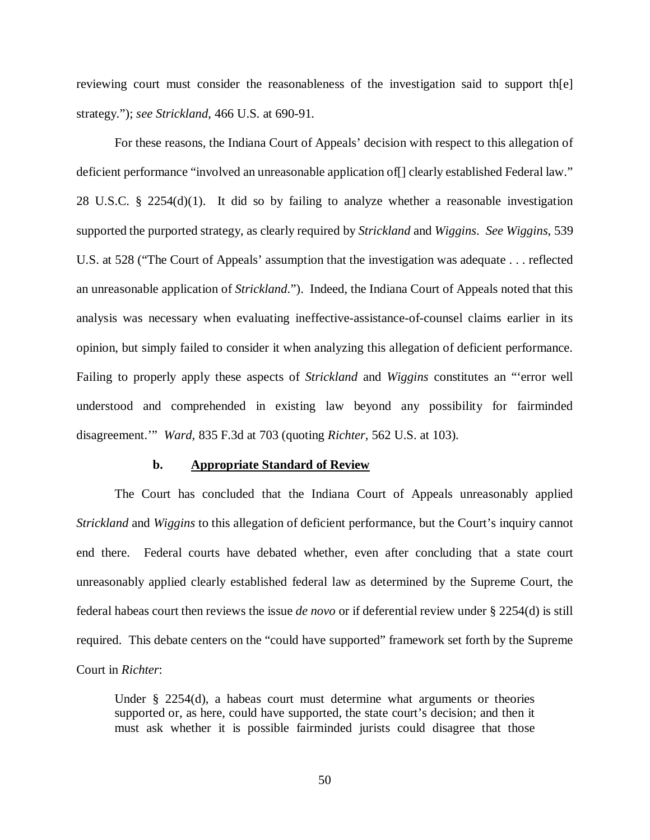reviewing court must consider the reasonableness of the investigation said to support th[e] strategy."); *see Strickland*, 466 U.S. at 690-91.

For these reasons, the Indiana Court of Appeals' decision with respect to this allegation of deficient performance "involved an unreasonable application of [] clearly established Federal law." 28 U.S.C. § 2254(d)(1). It did so by failing to analyze whether a reasonable investigation supported the purported strategy, as clearly required by *Strickland* and *Wiggins*. *See Wiggins*, 539 U.S. at 528 ("The Court of Appeals' assumption that the investigation was adequate . . . reflected an unreasonable application of *Strickland*."). Indeed, the Indiana Court of Appeals noted that this analysis was necessary when evaluating ineffective-assistance-of-counsel claims earlier in its opinion, but simply failed to consider it when analyzing this allegation of deficient performance. Failing to properly apply these aspects of *Strickland* and *Wiggins* constitutes an "'error well understood and comprehended in existing law beyond any possibility for fairminded disagreement.'" *Ward*, 835 F.3d at 703 (quoting *Richter*, 562 U.S. at 103).

#### **b. Appropriate Standard of Review**

The Court has concluded that the Indiana Court of Appeals unreasonably applied *Strickland* and *Wiggins* to this allegation of deficient performance, but the Court's inquiry cannot end there. Federal courts have debated whether, even after concluding that a state court unreasonably applied clearly established federal law as determined by the Supreme Court, the federal habeas court then reviews the issue *de novo* or if deferential review under § 2254(d) is still required. This debate centers on the "could have supported" framework set forth by the Supreme Court in *Richter*:

Under § 2254(d), a habeas court must determine what arguments or theories supported or, as here, could have supported, the state court's decision; and then it must ask whether it is possible fairminded jurists could disagree that those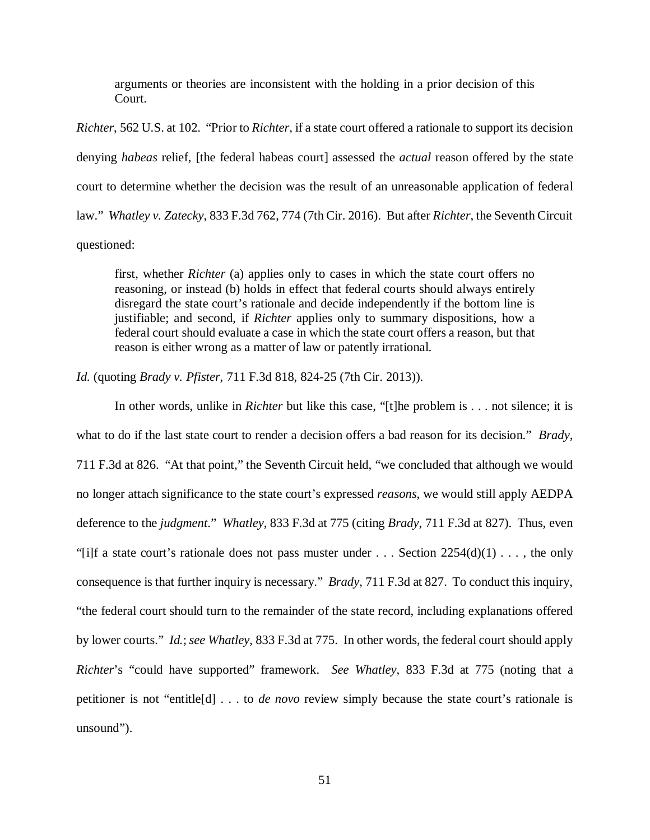arguments or theories are inconsistent with the holding in a prior decision of this Court.

*Richter*, 562 U.S. at 102. "Prior to *Richter*, if a state court offered a rationale to support its decision denying *habeas* relief, [the federal habeas court] assessed the *actual* reason offered by the state court to determine whether the decision was the result of an unreasonable application of federal law." *Whatley v. Zatecky*, 833 F.3d 762, 774 (7th Cir. 2016). But after *Richter*, the Seventh Circuit questioned:

first, whether *Richter* (a) applies only to cases in which the state court offers no reasoning, or instead (b) holds in effect that federal courts should always entirely disregard the state court's rationale and decide independently if the bottom line is justifiable; and second, if *Richter* applies only to summary dispositions, how a federal court should evaluate a case in which the state court offers a reason, but that reason is either wrong as a matter of law or patently irrational.

*Id.* (quoting *Brady v. Pfister*, 711 F.3d 818, 824-25 (7th Cir. 2013)).

In other words, unlike in *Richter* but like this case, "[t]he problem is . . . not silence; it is what to do if the last state court to render a decision offers a bad reason for its decision." *Brady*, 711 F.3d at 826. "At that point," the Seventh Circuit held, "we concluded that although we would no longer attach significance to the state court's expressed *reasons*, we would still apply AEDPA deference to the *judgment*." *Whatley*, 833 F.3d at 775 (citing *Brady*, 711 F.3d at 827). Thus, even "[i]f a state court's rationale does not pass muster under . . . Section  $2254(d)(1)$ ..., the only consequence is that further inquiry is necessary." *Brady*, 711 F.3d at 827. To conduct this inquiry, "the federal court should turn to the remainder of the state record, including explanations offered by lower courts." *Id.*; *see Whatley*, 833 F.3d at 775. In other words, the federal court should apply *Richter*'s "could have supported" framework. *See Whatley*, 833 F.3d at 775 (noting that a petitioner is not "entitle[d] . . . to *de novo* review simply because the state court's rationale is unsound").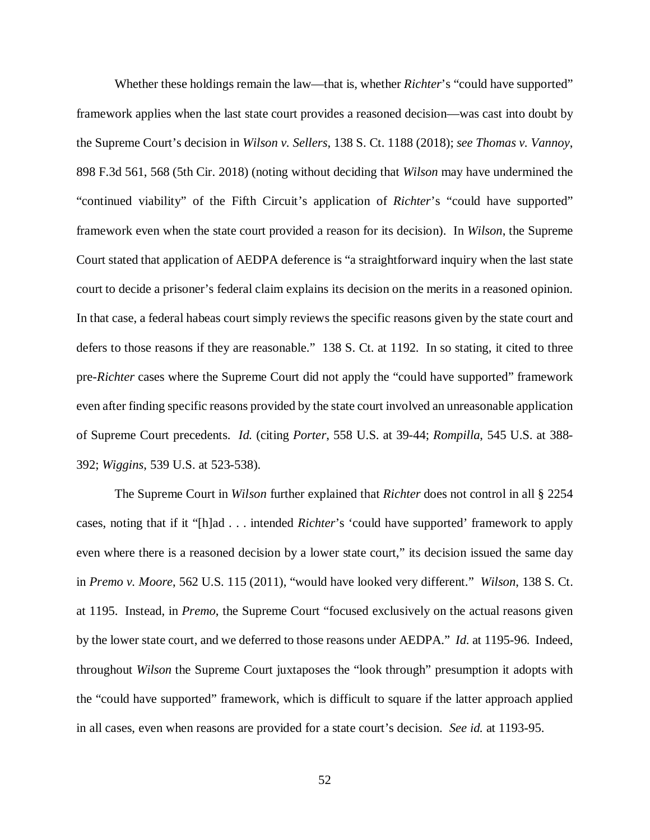Whether these holdings remain the law—that is, whether *Richter*'s "could have supported" framework applies when the last state court provides a reasoned decision—was cast into doubt by the Supreme Court's decision in *Wilson v. Sellers*, 138 S. Ct. 1188 (2018); *see Thomas v. Vannoy*, 898 F.3d 561, 568 (5th Cir. 2018) (noting without deciding that *Wilson* may have undermined the "continued viability" of the Fifth Circuit's application of *Richter*'s "could have supported" framework even when the state court provided a reason for its decision). In *Wilson*, the Supreme Court stated that application of AEDPA deference is "a straightforward inquiry when the last state court to decide a prisoner's federal claim explains its decision on the merits in a reasoned opinion. In that case, a federal habeas court simply reviews the specific reasons given by the state court and defers to those reasons if they are reasonable." 138 S. Ct. at 1192. In so stating, it cited to three pre-*Richter* cases where the Supreme Court did not apply the "could have supported" framework even after finding specific reasons provided by the state court involved an unreasonable application of Supreme Court precedents. *Id.* (citing *Porter*, 558 U.S. at 39-44; *Rompilla*, 545 U.S. at 388- 392; *Wiggins*, 539 U.S. at 523-538).

The Supreme Court in *Wilson* further explained that *Richter* does not control in all § 2254 cases, noting that if it "[h]ad . . . intended *Richter*'s 'could have supported' framework to apply even where there is a reasoned decision by a lower state court," its decision issued the same day in *Premo v. Moore*, 562 U.S. 115 (2011), "would have looked very different." *Wilson*, 138 S. Ct. at 1195. Instead, in *Premo*, the Supreme Court "focused exclusively on the actual reasons given by the lower state court, and we deferred to those reasons under AEDPA." *Id.* at 1195-96. Indeed, throughout *Wilson* the Supreme Court juxtaposes the "look through" presumption it adopts with the "could have supported" framework, which is difficult to square if the latter approach applied in all cases, even when reasons are provided for a state court's decision. *See id.* at 1193-95.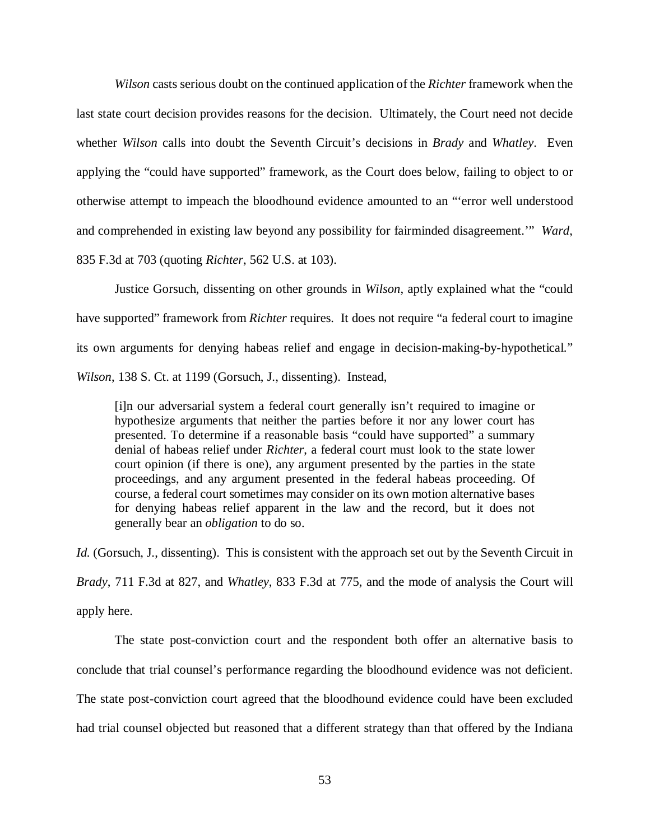*Wilson* casts serious doubt on the continued application of the *Richter* framework when the last state court decision provides reasons for the decision. Ultimately, the Court need not decide whether *Wilson* calls into doubt the Seventh Circuit's decisions in *Brady* and *Whatley*. Even applying the "could have supported" framework, as the Court does below, failing to object to or otherwise attempt to impeach the bloodhound evidence amounted to an "'error well understood and comprehended in existing law beyond any possibility for fairminded disagreement.'" *Ward*, 835 F.3d at 703 (quoting *Richter*, 562 U.S. at 103).

Justice Gorsuch, dissenting on other grounds in *Wilson*, aptly explained what the "could have supported" framework from *Richter* requires. It does not require "a federal court to imagine its own arguments for denying habeas relief and engage in decision-making-by-hypothetical." *Wilson*, 138 S. Ct. at 1199 (Gorsuch, J., dissenting). Instead,

[i]n our adversarial system a federal court generally isn't required to imagine or hypothesize arguments that neither the parties before it nor any lower court has presented. To determine if a reasonable basis "could have supported" a summary denial of habeas relief under *Richter*, a federal court must look to the state lower court opinion (if there is one), any argument presented by the parties in the state proceedings, and any argument presented in the federal habeas proceeding. Of course, a federal court sometimes may consider on its own motion alternative bases for denying habeas relief apparent in the law and the record, but it does not generally bear an *obligation* to do so.

*Id.* (Gorsuch, J., dissenting). This is consistent with the approach set out by the Seventh Circuit in *Brady*, 711 F.3d at 827, and *Whatley*, 833 F.3d at 775, and the mode of analysis the Court will apply here.

The state post-conviction court and the respondent both offer an alternative basis to conclude that trial counsel's performance regarding the bloodhound evidence was not deficient. The state post-conviction court agreed that the bloodhound evidence could have been excluded had trial counsel objected but reasoned that a different strategy than that offered by the Indiana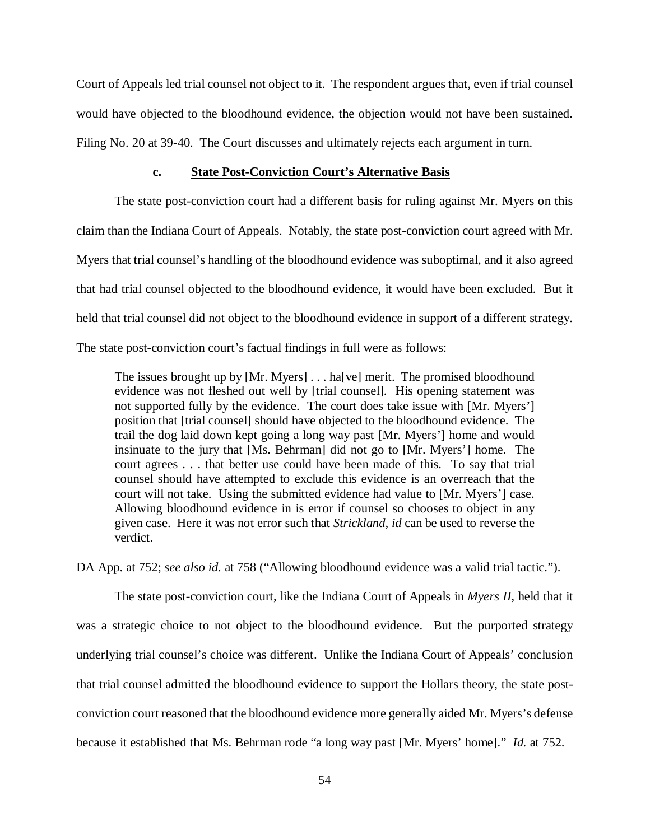Court of Appeals led trial counsel not object to it. The respondent argues that, even if trial counsel would have objected to the bloodhound evidence, the objection would not have been sustained. Filing No. 20 at 39-40. The Court discusses and ultimately rejects each argument in turn.

## **c. State Post-Conviction Court's Alternative Basis**

The state post-conviction court had a different basis for ruling against Mr. Myers on this claim than the Indiana Court of Appeals. Notably, the state post-conviction court agreed with Mr. Myers that trial counsel's handling of the bloodhound evidence was suboptimal, and it also agreed that had trial counsel objected to the bloodhound evidence, it would have been excluded. But it held that trial counsel did not object to the bloodhound evidence in support of a different strategy. The state post-conviction court's factual findings in full were as follows:

The issues brought up by [Mr. Myers] . . . ha[ve] merit. The promised bloodhound evidence was not fleshed out well by [trial counsel]. His opening statement was not supported fully by the evidence. The court does take issue with [Mr. Myers'] position that [trial counsel] should have objected to the bloodhound evidence. The trail the dog laid down kept going a long way past [Mr. Myers'] home and would insinuate to the jury that [Ms. Behrman] did not go to [Mr. Myers'] home. The court agrees . . . that better use could have been made of this. To say that trial counsel should have attempted to exclude this evidence is an overreach that the court will not take. Using the submitted evidence had value to [Mr. Myers'] case. Allowing bloodhound evidence in is error if counsel so chooses to object in any given case. Here it was not error such that *Strickland, id* can be used to reverse the verdict.

DA App. at 752; *see also id.* at 758 ("Allowing bloodhound evidence was a valid trial tactic.").

The state post-conviction court, like the Indiana Court of Appeals in *Myers II*, held that it was a strategic choice to not object to the bloodhound evidence. But the purported strategy underlying trial counsel's choice was different. Unlike the Indiana Court of Appeals' conclusion that trial counsel admitted the bloodhound evidence to support the Hollars theory, the state postconviction court reasoned that the bloodhound evidence more generally aided Mr. Myers's defense because it established that Ms. Behrman rode "a long way past [Mr. Myers' home]." *Id.* at 752.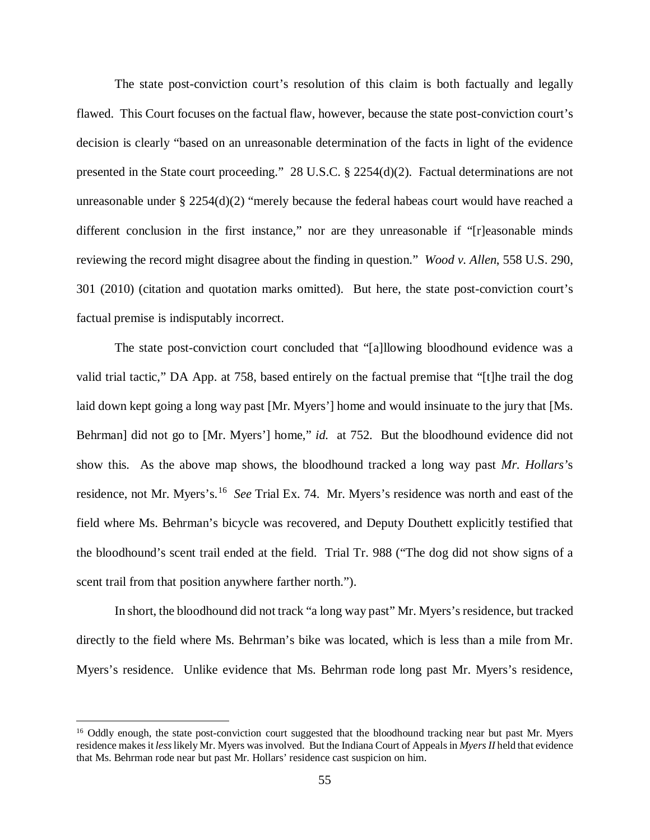The state post-conviction court's resolution of this claim is both factually and legally flawed. This Court focuses on the factual flaw, however, because the state post-conviction court's decision is clearly "based on an unreasonable determination of the facts in light of the evidence presented in the State court proceeding." 28 U.S.C. § 2254(d)(2). Factual determinations are not unreasonable under § 2254(d)(2) "merely because the federal habeas court would have reached a different conclusion in the first instance," nor are they unreasonable if "[r]easonable minds reviewing the record might disagree about the finding in question." *Wood v. Allen*, 558 U.S. 290, 301 (2010) (citation and quotation marks omitted). But here, the state post-conviction court's factual premise is indisputably incorrect.

The state post-conviction court concluded that "[a]llowing bloodhound evidence was a valid trial tactic," DA App. at 758, based entirely on the factual premise that "[t]he trail the dog laid down kept going a long way past [Mr. Myers'] home and would insinuate to the jury that [Ms. Behrman] did not go to [Mr. Myers'] home," id. at 752. But the bloodhound evidence did not show this. As the above map shows, the bloodhound tracked a long way past *Mr. Hollars'*s residence, not Mr. Myers's. [16](#page-54-0) *See* Trial Ex. 74. Mr. Myers's residence was north and east of the field where Ms. Behrman's bicycle was recovered, and Deputy Douthett explicitly testified that the bloodhound's scent trail ended at the field. Trial Tr. 988 ("The dog did not show signs of a scent trail from that position anywhere farther north.").

In short, the bloodhound did not track "a long way past" Mr. Myers's residence, but tracked directly to the field where Ms. Behrman's bike was located, which is less than a mile from Mr. Myers's residence. Unlike evidence that Ms. Behrman rode long past Mr. Myers's residence,

<span id="page-54-0"></span><sup>&</sup>lt;sup>16</sup> Oddly enough, the state post-conviction court suggested that the bloodhound tracking near but past Mr. Myers residence makes it *less*likely Mr. Myers was involved. But the Indiana Court of Appeals in *Myers II* held that evidence that Ms. Behrman rode near but past Mr. Hollars' residence cast suspicion on him.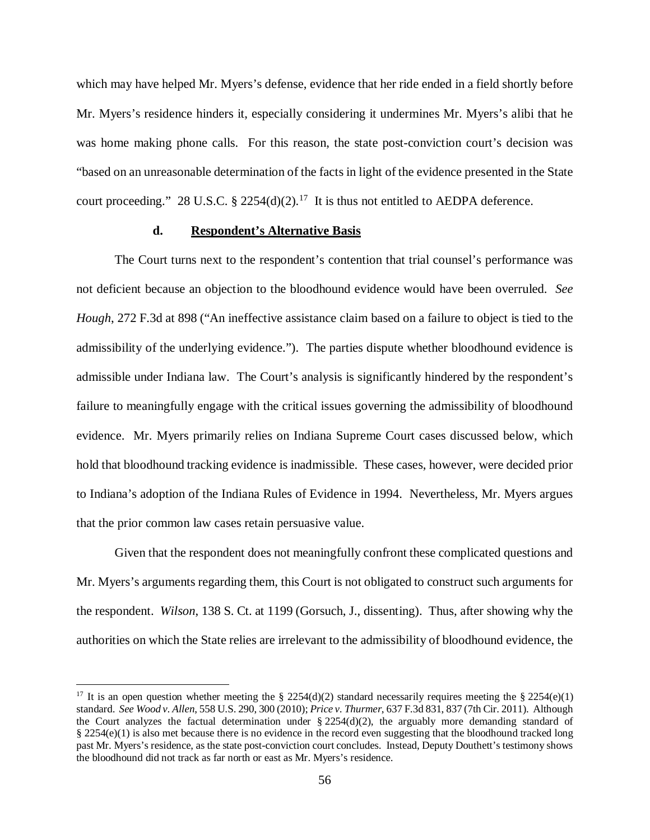which may have helped Mr. Myers's defense, evidence that her ride ended in a field shortly before Mr. Myers's residence hinders it, especially considering it undermines Mr. Myers's alibi that he was home making phone calls. For this reason, the state post-conviction court's decision was "based on an unreasonable determination of the facts in light of the evidence presented in the State court proceeding." 28 U.S.C. § 2254(d)(2).<sup>[17](#page-55-0)</sup> It is thus not entitled to AEDPA deference.

## **d. Respondent's Alternative Basis**

The Court turns next to the respondent's contention that trial counsel's performance was not deficient because an objection to the bloodhound evidence would have been overruled. *See Hough*, 272 F.3d at 898 ("An ineffective assistance claim based on a failure to object is tied to the admissibility of the underlying evidence."). The parties dispute whether bloodhound evidence is admissible under Indiana law. The Court's analysis is significantly hindered by the respondent's failure to meaningfully engage with the critical issues governing the admissibility of bloodhound evidence. Mr. Myers primarily relies on Indiana Supreme Court cases discussed below, which hold that bloodhound tracking evidence is inadmissible. These cases, however, were decided prior to Indiana's adoption of the Indiana Rules of Evidence in 1994. Nevertheless, Mr. Myers argues that the prior common law cases retain persuasive value.

Given that the respondent does not meaningfully confront these complicated questions and Mr. Myers's arguments regarding them, this Court is not obligated to construct such arguments for the respondent. *Wilson*, 138 S. Ct. at 1199 (Gorsuch, J., dissenting). Thus, after showing why the authorities on which the State relies are irrelevant to the admissibility of bloodhound evidence, the

<span id="page-55-0"></span><sup>&</sup>lt;sup>17</sup> It is an open question whether meeting the § 2254(d)(2) standard necessarily requires meeting the § 2254(e)(1) standard. *See Wood v. Allen*, 558 U.S. 290, 300 (2010); *Price v. Thurmer*, 637 F.3d 831, 837 (7th Cir. 2011). Although the Court analyzes the factual determination under  $\S 2254(d)(2)$ , the arguably more demanding standard of § 2254(e)(1) is also met because there is no evidence in the record even suggesting that the bloodhound tracked long past Mr. Myers's residence, as the state post-conviction court concludes. Instead, Deputy Douthett's testimony shows the bloodhound did not track as far north or east as Mr. Myers's residence.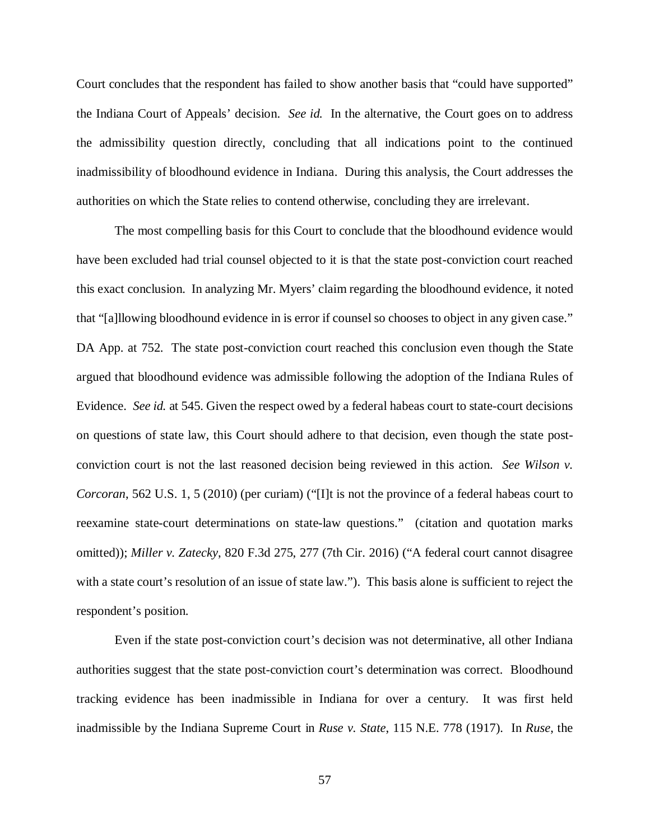Court concludes that the respondent has failed to show another basis that "could have supported" the Indiana Court of Appeals' decision. *See id.* In the alternative, the Court goes on to address the admissibility question directly, concluding that all indications point to the continued inadmissibility of bloodhound evidence in Indiana. During this analysis, the Court addresses the authorities on which the State relies to contend otherwise, concluding they are irrelevant.

The most compelling basis for this Court to conclude that the bloodhound evidence would have been excluded had trial counsel objected to it is that the state post-conviction court reached this exact conclusion. In analyzing Mr. Myers' claim regarding the bloodhound evidence, it noted that "[a]llowing bloodhound evidence in is error if counsel so chooses to object in any given case." DA App. at 752. The state post-conviction court reached this conclusion even though the State argued that bloodhound evidence was admissible following the adoption of the Indiana Rules of Evidence. *See id.* at 545. Given the respect owed by a federal habeas court to state-court decisions on questions of state law, this Court should adhere to that decision, even though the state postconviction court is not the last reasoned decision being reviewed in this action. *See Wilson v. Corcoran*, 562 U.S. 1, 5 (2010) (per curiam) ("[I]t is not the province of a federal habeas court to reexamine state-court determinations on state-law questions." (citation and quotation marks omitted)); *Miller v. Zatecky*, 820 F.3d 275, 277 (7th Cir. 2016) ("A federal court cannot disagree with a state court's resolution of an issue of state law."). This basis alone is sufficient to reject the respondent's position.

Even if the state post-conviction court's decision was not determinative, all other Indiana authorities suggest that the state post-conviction court's determination was correct. Bloodhound tracking evidence has been inadmissible in Indiana for over a century. It was first held inadmissible by the Indiana Supreme Court in *Ruse v. State*, 115 N.E. 778 (1917). In *Ruse*, the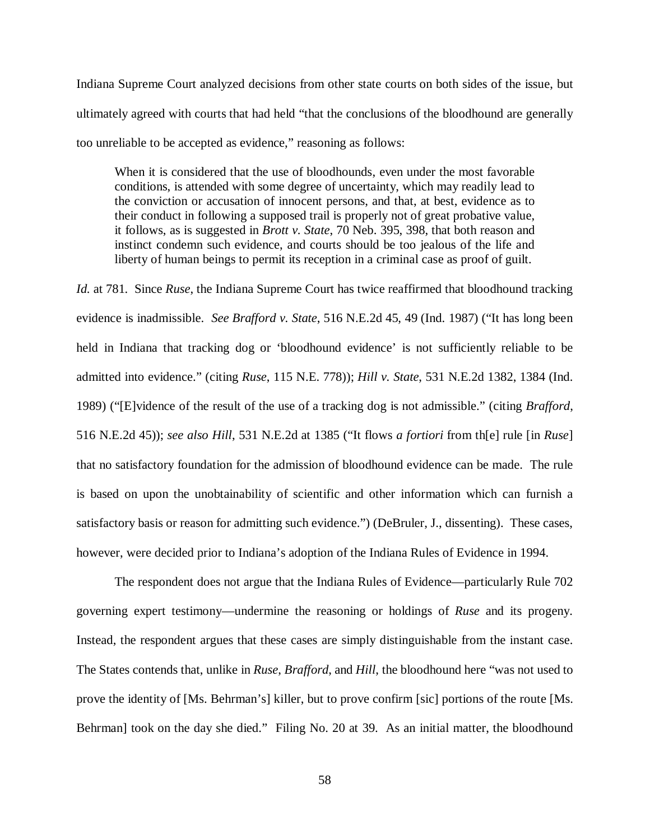Indiana Supreme Court analyzed decisions from other state courts on both sides of the issue, but ultimately agreed with courts that had held "that the conclusions of the bloodhound are generally too unreliable to be accepted as evidence," reasoning as follows:

When it is considered that the use of bloodhounds, even under the most favorable conditions, is attended with some degree of uncertainty, which may readily lead to the conviction or accusation of innocent persons, and that, at best, evidence as to their conduct in following a supposed trail is properly not of great probative value, it follows, as is suggested in *Brott v. State*, 70 Neb. 395, 398, that both reason and instinct condemn such evidence, and courts should be too jealous of the life and liberty of human beings to permit its reception in a criminal case as proof of guilt.

*Id.* at 781. Since *Ruse*, the Indiana Supreme Court has twice reaffirmed that bloodhound tracking evidence is inadmissible. *See Brafford v. State*, 516 N.E.2d 45, 49 (Ind. 1987) ("It has long been held in Indiana that tracking dog or 'bloodhound evidence' is not sufficiently reliable to be admitted into evidence." (citing *Ruse*, 115 N.E. 778)); *Hill v. State*, 531 N.E.2d 1382, 1384 (Ind. 1989) ("[E]vidence of the result of the use of a tracking dog is not admissible." (citing *Brafford*, 516 N.E.2d 45)); *see also Hill*, 531 N.E.2d at 1385 ("It flows *a fortiori* from th[e] rule [in *Ruse*] that no satisfactory foundation for the admission of bloodhound evidence can be made. The rule is based on upon the unobtainability of scientific and other information which can furnish a satisfactory basis or reason for admitting such evidence.") (DeBruler, J., dissenting). These cases, however, were decided prior to Indiana's adoption of the Indiana Rules of Evidence in 1994.

The respondent does not argue that the Indiana Rules of Evidence—particularly Rule 702 governing expert testimony—undermine the reasoning or holdings of *Ruse* and its progeny. Instead, the respondent argues that these cases are simply distinguishable from the instant case. The States contends that, unlike in *Ruse*, *Brafford*, and *Hill*, the bloodhound here "was not used to prove the identity of [Ms. Behrman's] killer, but to prove confirm [sic] portions of the route [Ms. Behrman] took on the day she died." Filing No. 20 at 39. As an initial matter, the bloodhound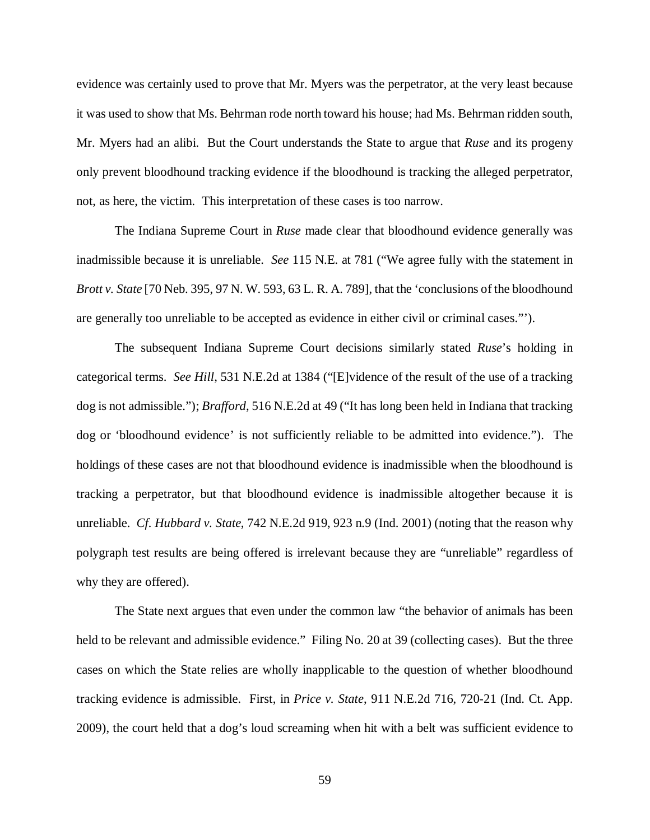evidence was certainly used to prove that Mr. Myers was the perpetrator, at the very least because it was used to show that Ms. Behrman rode north toward his house; had Ms. Behrman ridden south, Mr. Myers had an alibi. But the Court understands the State to argue that *Ruse* and its progeny only prevent bloodhound tracking evidence if the bloodhound is tracking the alleged perpetrator, not, as here, the victim. This interpretation of these cases is too narrow.

The Indiana Supreme Court in *Ruse* made clear that bloodhound evidence generally was inadmissible because it is unreliable. *See* 115 N.E. at 781 ("We agree fully with the statement in *Brott v. State* [70 Neb. 395, 97 N. W. 593, 63 L. R. A. 789], that the 'conclusions of the bloodhound are generally too unreliable to be accepted as evidence in either civil or criminal cases."').

The subsequent Indiana Supreme Court decisions similarly stated *Ruse*'s holding in categorical terms. *See Hill*, 531 N.E.2d at 1384 ("[E]vidence of the result of the use of a tracking dog is not admissible."); *Brafford*, 516 N.E.2d at 49 ("It has long been held in Indiana that tracking dog or 'bloodhound evidence' is not sufficiently reliable to be admitted into evidence."). The holdings of these cases are not that bloodhound evidence is inadmissible when the bloodhound is tracking a perpetrator, but that bloodhound evidence is inadmissible altogether because it is unreliable. *Cf. Hubbard v. State*, 742 N.E.2d 919, 923 n.9 (Ind. 2001) (noting that the reason why polygraph test results are being offered is irrelevant because they are "unreliable" regardless of why they are offered).

The State next argues that even under the common law "the behavior of animals has been held to be relevant and admissible evidence." Filing No. 20 at 39 (collecting cases). But the three cases on which the State relies are wholly inapplicable to the question of whether bloodhound tracking evidence is admissible. First, in *Price v. State*, 911 N.E.2d 716, 720-21 (Ind. Ct. App. 2009), the court held that a dog's loud screaming when hit with a belt was sufficient evidence to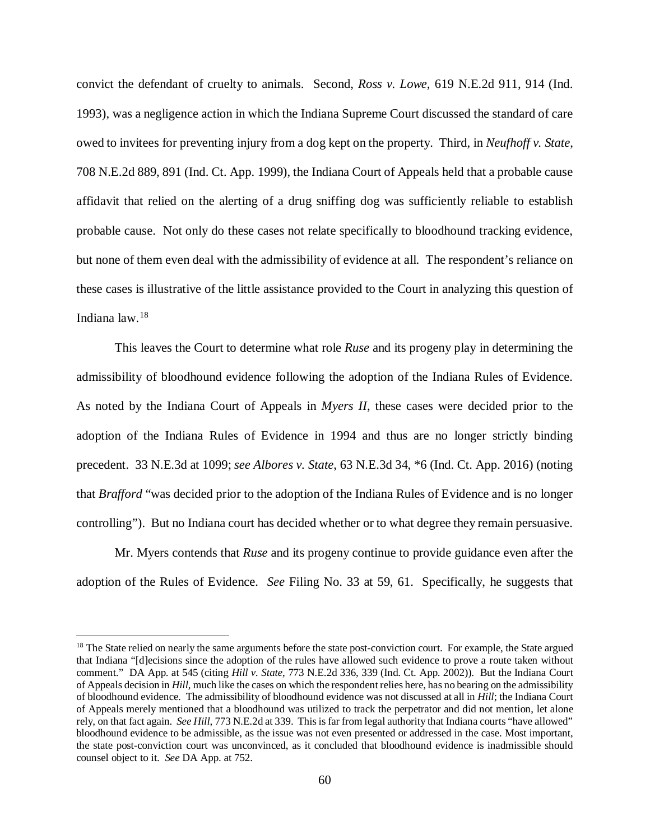convict the defendant of cruelty to animals. Second, *Ross v. Lowe*, 619 N.E.2d 911, 914 (Ind. 1993), was a negligence action in which the Indiana Supreme Court discussed the standard of care owed to invitees for preventing injury from a dog kept on the property. Third, in *Neufhoff v. State*, 708 N.E.2d 889, 891 (Ind. Ct. App. 1999), the Indiana Court of Appeals held that a probable cause affidavit that relied on the alerting of a drug sniffing dog was sufficiently reliable to establish probable cause. Not only do these cases not relate specifically to bloodhound tracking evidence, but none of them even deal with the admissibility of evidence at all. The respondent's reliance on these cases is illustrative of the little assistance provided to the Court in analyzing this question of Indiana law.[18](#page-59-0)

This leaves the Court to determine what role *Ruse* and its progeny play in determining the admissibility of bloodhound evidence following the adoption of the Indiana Rules of Evidence. As noted by the Indiana Court of Appeals in *Myers II*, these cases were decided prior to the adoption of the Indiana Rules of Evidence in 1994 and thus are no longer strictly binding precedent. 33 N.E.3d at 1099; *see Albores v. State*, 63 N.E.3d 34, \*6 (Ind. Ct. App. 2016) (noting that *Brafford* "was decided prior to the adoption of the Indiana Rules of Evidence and is no longer controlling"). But no Indiana court has decided whether or to what degree they remain persuasive.

Mr. Myers contends that *Ruse* and its progeny continue to provide guidance even after the adoption of the Rules of Evidence. *See* Filing No. 33 at 59, 61. Specifically, he suggests that

<span id="page-59-0"></span><sup>&</sup>lt;sup>18</sup> The State relied on nearly the same arguments before the state post-conviction court. For example, the State argued that Indiana "[d]ecisions since the adoption of the rules have allowed such evidence to prove a route taken without comment." DA App. at 545 (citing *Hill v. State*, 773 N.E.2d 336, 339 (Ind. Ct. App. 2002)). But the Indiana Court of Appeals decision in *Hill*, much like the cases on which the respondent relies here, has no bearing on the admissibility of bloodhound evidence. The admissibility of bloodhound evidence was not discussed at all in *Hill*; the Indiana Court of Appeals merely mentioned that a bloodhound was utilized to track the perpetrator and did not mention, let alone rely, on that fact again. *See Hill*, 773 N.E.2d at 339. This is far from legal authority that Indiana courts "have allowed" bloodhound evidence to be admissible, as the issue was not even presented or addressed in the case. Most important, the state post-conviction court was unconvinced, as it concluded that bloodhound evidence is inadmissible should counsel object to it. *See* DA App. at 752.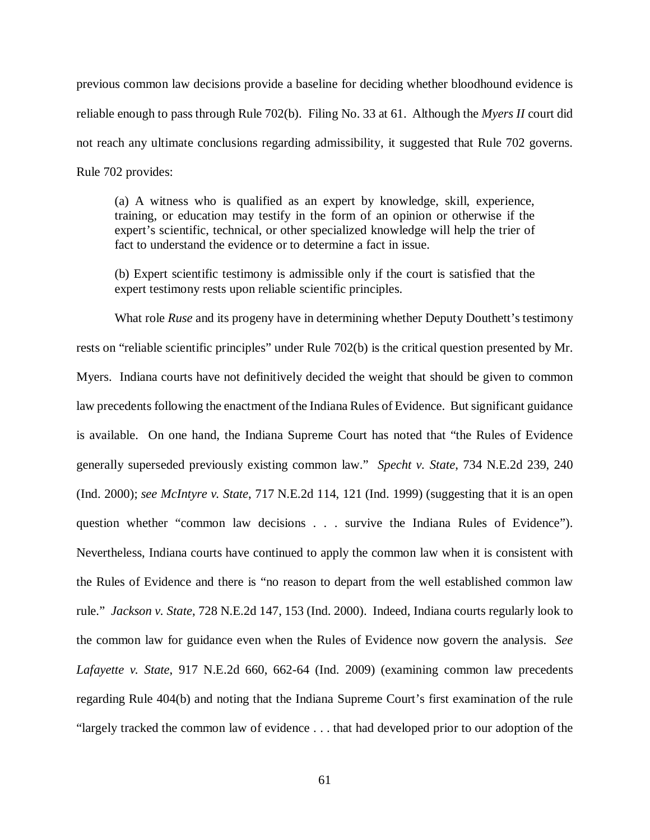previous common law decisions provide a baseline for deciding whether bloodhound evidence is reliable enough to pass through Rule 702(b). Filing No. 33 at 61. Although the *Myers II* court did not reach any ultimate conclusions regarding admissibility, it suggested that Rule 702 governs. Rule 702 provides:

(a) A witness who is qualified as an expert by knowledge, skill, experience, training, or education may testify in the form of an opinion or otherwise if the expert's scientific, technical, or other specialized knowledge will help the trier of fact to understand the evidence or to determine a fact in issue.

(b) Expert scientific testimony is admissible only if the court is satisfied that the expert testimony rests upon reliable scientific principles.

What role *Ruse* and its progeny have in determining whether Deputy Douthett's testimony rests on "reliable scientific principles" under Rule 702(b) is the critical question presented by Mr. Myers. Indiana courts have not definitively decided the weight that should be given to common law precedents following the enactment of the Indiana Rules of Evidence. But significant guidance is available. On one hand, the Indiana Supreme Court has noted that "the Rules of Evidence generally superseded previously existing common law." *Specht v. State*, 734 N.E.2d 239, 240 (Ind. 2000); *see McIntyre v. State*, 717 N.E.2d 114, 121 (Ind. 1999) (suggesting that it is an open question whether "common law decisions . . . survive the Indiana Rules of Evidence"). Nevertheless, Indiana courts have continued to apply the common law when it is consistent with the Rules of Evidence and there is "no reason to depart from the well established common law rule." *Jackson v. State*, 728 N.E.2d 147, 153 (Ind. 2000). Indeed, Indiana courts regularly look to the common law for guidance even when the Rules of Evidence now govern the analysis. *See Lafayette v. State*, 917 N.E.2d 660, 662-64 (Ind. 2009) (examining common law precedents regarding Rule 404(b) and noting that the Indiana Supreme Court's first examination of the rule "largely tracked the common law of evidence . . . that had developed prior to our adoption of the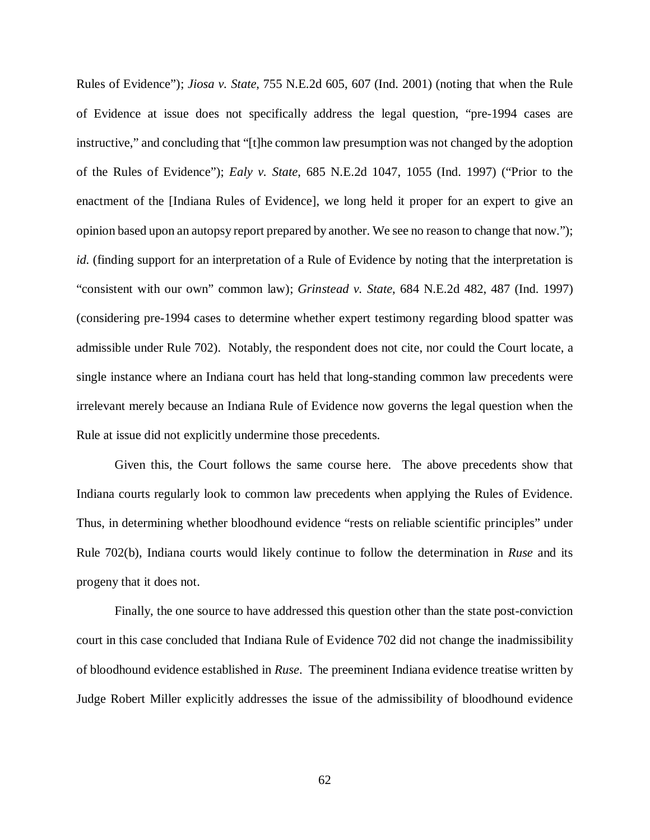Rules of Evidence"); *Jiosa v. State*, 755 N.E.2d 605, 607 (Ind. 2001) (noting that when the Rule of Evidence at issue does not specifically address the legal question, "pre-1994 cases are instructive," and concluding that "[t]he common law presumption was not changed by the adoption of the Rules of Evidence"); *Ealy v. State*, 685 N.E.2d 1047, 1055 (Ind. 1997) ("Prior to the enactment of the [Indiana Rules of Evidence], we long held it proper for an expert to give an opinion based upon an autopsy report prepared by another. We see no reason to change that now."); *id.* (finding support for an interpretation of a Rule of Evidence by noting that the interpretation is "consistent with our own" common law); *Grinstead v. State*, 684 N.E.2d 482, 487 (Ind. 1997) (considering pre-1994 cases to determine whether expert testimony regarding blood spatter was admissible under Rule 702).Notably, the respondent does not cite, nor could the Court locate, a single instance where an Indiana court has held that long-standing common law precedents were irrelevant merely because an Indiana Rule of Evidence now governs the legal question when the Rule at issue did not explicitly undermine those precedents.

Given this, the Court follows the same course here. The above precedents show that Indiana courts regularly look to common law precedents when applying the Rules of Evidence. Thus, in determining whether bloodhound evidence "rests on reliable scientific principles" under Rule 702(b), Indiana courts would likely continue to follow the determination in *Ruse* and its progeny that it does not.

Finally, the one source to have addressed this question other than the state post-conviction court in this case concluded that Indiana Rule of Evidence 702 did not change the inadmissibility of bloodhound evidence established in *Ruse*. The preeminent Indiana evidence treatise written by Judge Robert Miller explicitly addresses the issue of the admissibility of bloodhound evidence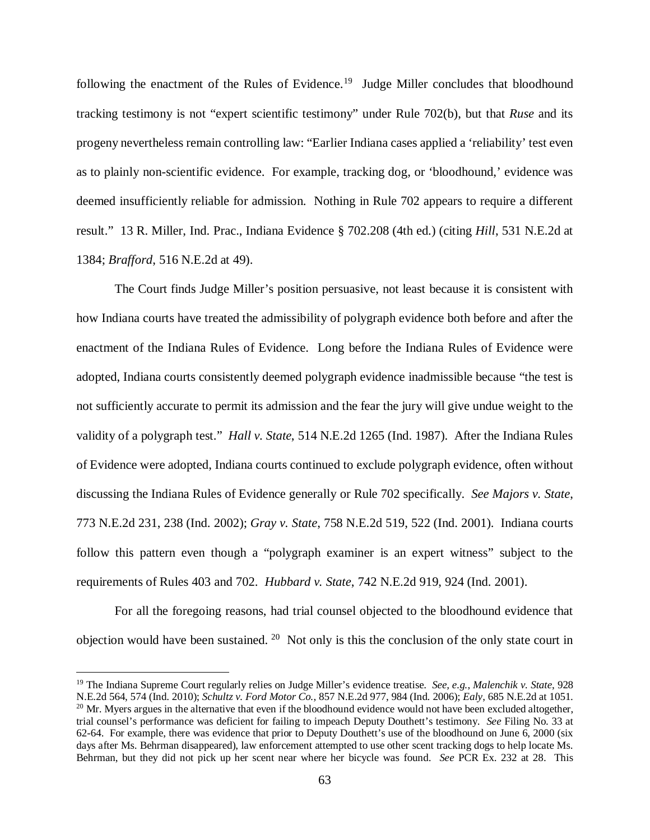following the enactment of the Rules of Evidence.<sup>[19](#page-62-0)</sup> Judge Miller concludes that bloodhound tracking testimony is not "expert scientific testimony" under Rule 702(b), but that *Ruse* and its progeny nevertheless remain controlling law: "Earlier Indiana cases applied a 'reliability' test even as to plainly non-scientific evidence. For example, tracking dog, or 'bloodhound,' evidence was deemed insufficiently reliable for admission. Nothing in Rule 702 appears to require a different result." 13 R. Miller, Ind. Prac., Indiana Evidence § 702.208 (4th ed.) (citing *Hill*, 531 N.E.2d at 1384; *Brafford*, 516 N.E.2d at 49).

The Court finds Judge Miller's position persuasive, not least because it is consistent with how Indiana courts have treated the admissibility of polygraph evidence both before and after the enactment of the Indiana Rules of Evidence. Long before the Indiana Rules of Evidence were adopted, Indiana courts consistently deemed polygraph evidence inadmissible because "the test is not sufficiently accurate to permit its admission and the fear the jury will give undue weight to the validity of a polygraph test." *Hall v. State*, 514 N.E.2d 1265 (Ind. 1987). After the Indiana Rules of Evidence were adopted, Indiana courts continued to exclude polygraph evidence, often without discussing the Indiana Rules of Evidence generally or Rule 702 specifically. *See Majors v. State*, 773 N.E.2d 231, 238 (Ind. 2002); *Gray v. State*, 758 N.E.2d 519, 522 (Ind. 2001). Indiana courts follow this pattern even though a "polygraph examiner is an expert witness" subject to the requirements of Rules 403 and 702. *Hubbard v. State*, 742 N.E.2d 919, 924 (Ind. 2001).

For all the foregoing reasons, had trial counsel objected to the bloodhound evidence that objection would have been sustained. [20](#page-62-1) Not only is this the conclusion of the only state court in

<span id="page-62-1"></span><span id="page-62-0"></span> <sup>19</sup> The Indiana Supreme Court regularly relies on Judge Miller's evidence treatise. *See, e.g.*, *Malenchik v. State*, 928 N.E.2d 564, 574 (Ind. 2010); *Schultz v. Ford Motor Co.*, 857 N.E.2d 977, 984 (Ind. 2006); *Ealy*, 685 N.E.2d at 1051.  $^{20}$  Mr. Myers argues in the alternative that even if the bloodhound evidence would not have been excluded altogether, trial counsel's performance was deficient for failing to impeach Deputy Douthett's testimony. *See* Filing No. 33 at 62-64. For example, there was evidence that prior to Deputy Douthett's use of the bloodhound on June 6, 2000 (six days after Ms. Behrman disappeared), law enforcement attempted to use other scent tracking dogs to help locate Ms. Behrman, but they did not pick up her scent near where her bicycle was found. *See* PCR Ex. 232 at 28. This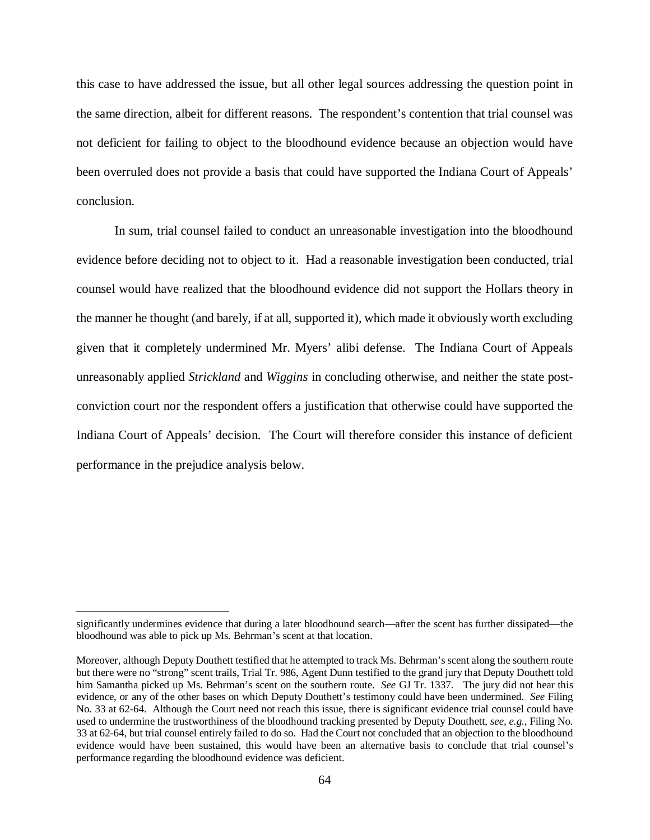this case to have addressed the issue, but all other legal sources addressing the question point in the same direction, albeit for different reasons. The respondent's contention that trial counsel was not deficient for failing to object to the bloodhound evidence because an objection would have been overruled does not provide a basis that could have supported the Indiana Court of Appeals' conclusion.

In sum, trial counsel failed to conduct an unreasonable investigation into the bloodhound evidence before deciding not to object to it. Had a reasonable investigation been conducted, trial counsel would have realized that the bloodhound evidence did not support the Hollars theory in the manner he thought (and barely, if at all, supported it), which made it obviously worth excluding given that it completely undermined Mr. Myers' alibi defense. The Indiana Court of Appeals unreasonably applied *Strickland* and *Wiggins* in concluding otherwise, and neither the state postconviction court nor the respondent offers a justification that otherwise could have supported the Indiana Court of Appeals' decision. The Court will therefore consider this instance of deficient performance in the prejudice analysis below.

significantly undermines evidence that during a later bloodhound search—after the scent has further dissipated—the bloodhound was able to pick up Ms. Behrman's scent at that location.

Moreover, although Deputy Douthett testified that he attempted to track Ms. Behrman's scent along the southern route but there were no "strong" scent trails, Trial Tr. 986, Agent Dunn testified to the grand jury that Deputy Douthett told him Samantha picked up Ms. Behrman's scent on the southern route. *See* GJ Tr. 1337. The jury did not hear this evidence, or any of the other bases on which Deputy Douthett's testimony could have been undermined. *See* Filing No. 33 at 62-64. Although the Court need not reach this issue, there is significant evidence trial counsel could have used to undermine the trustworthiness of the bloodhound tracking presented by Deputy Douthett, *see, e.g.*, Filing No. 33 at 62-64, but trial counsel entirely failed to do so. Had the Court not concluded that an objection to the bloodhound evidence would have been sustained, this would have been an alternative basis to conclude that trial counsel's performance regarding the bloodhound evidence was deficient.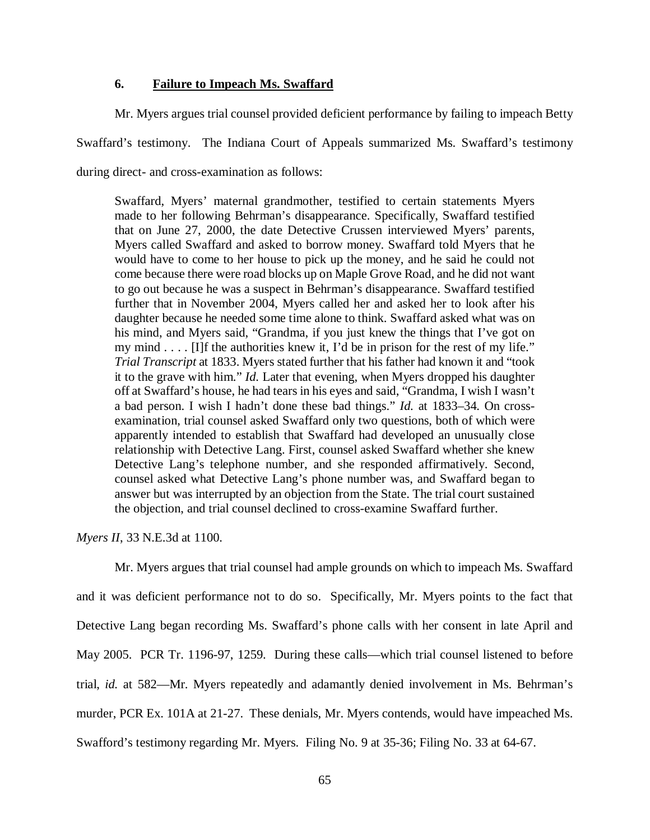## **6. Failure to Impeach Ms. Swaffard**

Mr. Myers argues trial counsel provided deficient performance by failing to impeach Betty Swaffard's testimony. The Indiana Court of Appeals summarized Ms. Swaffard's testimony during direct- and cross-examination as follows:

Swaffard, Myers' maternal grandmother, testified to certain statements Myers made to her following Behrman's disappearance. Specifically, Swaffard testified that on June 27, 2000, the date Detective Crussen interviewed Myers' parents, Myers called Swaffard and asked to borrow money. Swaffard told Myers that he would have to come to her house to pick up the money, and he said he could not come because there were road blocks up on Maple Grove Road, and he did not want to go out because he was a suspect in Behrman's disappearance. Swaffard testified further that in November 2004, Myers called her and asked her to look after his daughter because he needed some time alone to think. Swaffard asked what was on his mind, and Myers said, "Grandma, if you just knew the things that I've got on my mind . . . . [I]f the authorities knew it, I'd be in prison for the rest of my life." *Trial Transcript* at 1833. Myers stated further that his father had known it and "took it to the grave with him." *Id.* Later that evening, when Myers dropped his daughter off at Swaffard's house, he had tears in his eyes and said, "Grandma, I wish I wasn't a bad person. I wish I hadn't done these bad things." *Id.* at 1833–34. On crossexamination, trial counsel asked Swaffard only two questions, both of which were apparently intended to establish that Swaffard had developed an unusually close relationship with Detective Lang. First, counsel asked Swaffard whether she knew Detective Lang's telephone number, and she responded affirmatively. Second, counsel asked what Detective Lang's phone number was, and Swaffard began to answer but was interrupted by an objection from the State. The trial court sustained the objection, and trial counsel declined to cross-examine Swaffard further.

*Myers II*, 33 N.E.3d at 1100.

Mr. Myers argues that trial counsel had ample grounds on which to impeach Ms. Swaffard and it was deficient performance not to do so. Specifically, Mr. Myers points to the fact that Detective Lang began recording Ms. Swaffard's phone calls with her consent in late April and May 2005. PCR Tr. 1196-97, 1259. During these calls—which trial counsel listened to before trial, *id.* at 582—Mr. Myers repeatedly and adamantly denied involvement in Ms. Behrman's murder, PCR Ex. 101A at 21-27. These denials, Mr. Myers contends, would have impeached Ms. Swafford's testimony regarding Mr. Myers. Filing No. 9 at 35-36; Filing No. 33 at 64-67.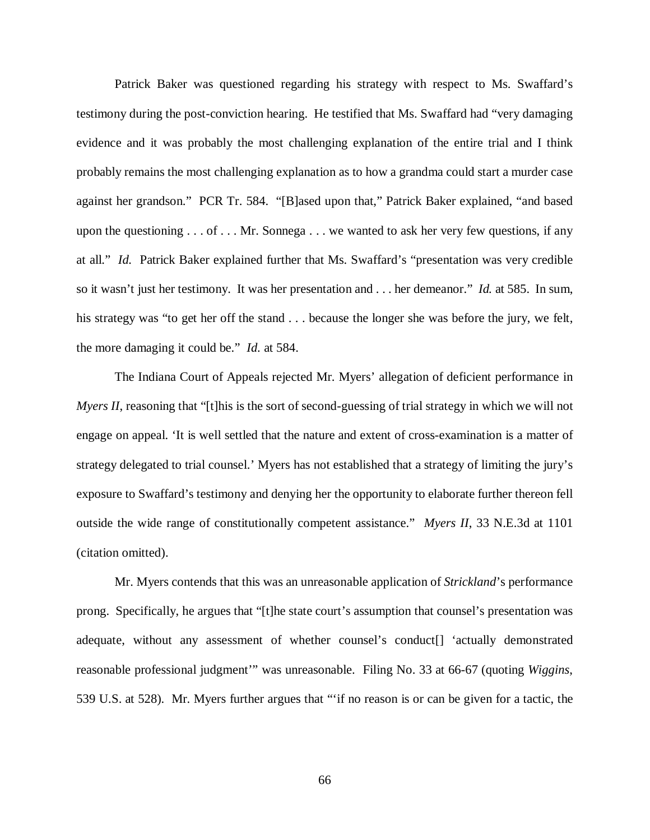Patrick Baker was questioned regarding his strategy with respect to Ms. Swaffard's testimony during the post-conviction hearing. He testified that Ms. Swaffard had "very damaging evidence and it was probably the most challenging explanation of the entire trial and I think probably remains the most challenging explanation as to how a grandma could start a murder case against her grandson." PCR Tr. 584. "[B]ased upon that," Patrick Baker explained, "and based upon the questioning . . . of . . . Mr. Sonnega . . . we wanted to ask her very few questions, if any at all." *Id.* Patrick Baker explained further that Ms. Swaffard's "presentation was very credible so it wasn't just her testimony. It was her presentation and . . . her demeanor." *Id.* at 585. In sum, his strategy was "to get her off the stand . . . because the longer she was before the jury, we felt, the more damaging it could be." *Id.* at 584.

The Indiana Court of Appeals rejected Mr. Myers' allegation of deficient performance in *Myers II*, reasoning that "[t]his is the sort of second-guessing of trial strategy in which we will not engage on appeal. 'It is well settled that the nature and extent of cross-examination is a matter of strategy delegated to trial counsel.' Myers has not established that a strategy of limiting the jury's exposure to Swaffard's testimony and denying her the opportunity to elaborate further thereon fell outside the wide range of constitutionally competent assistance." *Myers II*, 33 N.E.3d at 1101 (citation omitted).

Mr. Myers contends that this was an unreasonable application of *Strickland*'s performance prong. Specifically, he argues that "[t]he state court's assumption that counsel's presentation was adequate, without any assessment of whether counsel's conduct[] 'actually demonstrated reasonable professional judgment'" was unreasonable. Filing No. 33 at 66-67 (quoting *Wiggins*, 539 U.S. at 528). Mr. Myers further argues that "'if no reason is or can be given for a tactic, the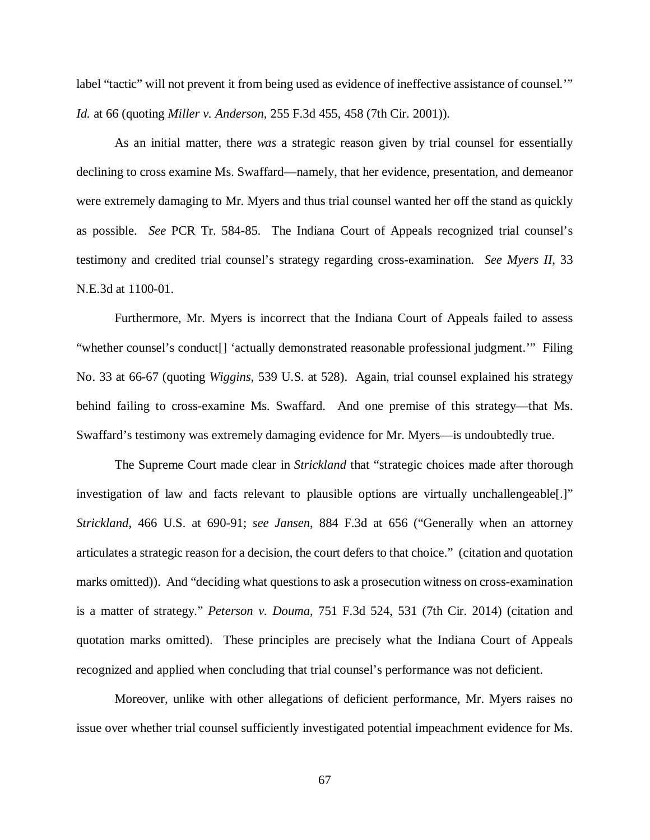label "tactic" will not prevent it from being used as evidence of ineffective assistance of counsel.'" *Id.* at 66 (quoting *Miller v. Anderson*, 255 F.3d 455, 458 (7th Cir. 2001)).

As an initial matter, there *was* a strategic reason given by trial counsel for essentially declining to cross examine Ms. Swaffard—namely, that her evidence, presentation, and demeanor were extremely damaging to Mr. Myers and thus trial counsel wanted her off the stand as quickly as possible. *See* PCR Tr. 584-85. The Indiana Court of Appeals recognized trial counsel's testimony and credited trial counsel's strategy regarding cross-examination. *See Myers II*, 33 N.E.3d at 1100-01.

Furthermore, Mr. Myers is incorrect that the Indiana Court of Appeals failed to assess "whether counsel's conduct[] 'actually demonstrated reasonable professional judgment.'" Filing No. 33 at 66-67 (quoting *Wiggins*, 539 U.S. at 528). Again, trial counsel explained his strategy behind failing to cross-examine Ms. Swaffard. And one premise of this strategy—that Ms. Swaffard's testimony was extremely damaging evidence for Mr. Myers—is undoubtedly true.

The Supreme Court made clear in *Strickland* that "strategic choices made after thorough investigation of law and facts relevant to plausible options are virtually unchallengeable[.]" *Strickland*, 466 U.S. at 690-91; *see Jansen*, 884 F.3d at 656 ("Generally when an attorney articulates a strategic reason for a decision, the court defers to that choice."(citation and quotation marks omitted)). And "deciding what questions to ask a prosecution witness on cross-examination is a matter of strategy." *Peterson v. Douma*, 751 F.3d 524, 531 (7th Cir. 2014) (citation and quotation marks omitted). These principles are precisely what the Indiana Court of Appeals recognized and applied when concluding that trial counsel's performance was not deficient.

Moreover, unlike with other allegations of deficient performance, Mr. Myers raises no issue over whether trial counsel sufficiently investigated potential impeachment evidence for Ms.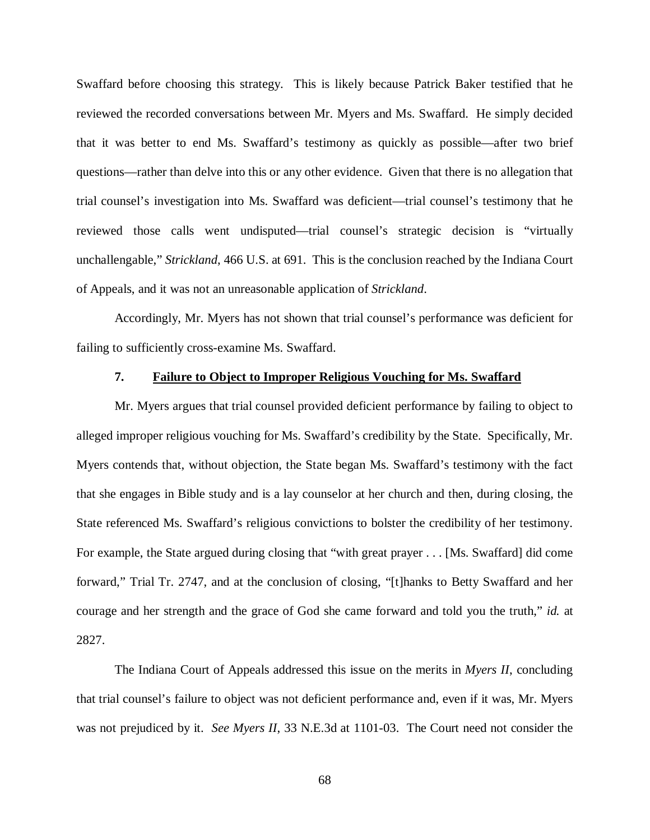Swaffard before choosing this strategy. This is likely because Patrick Baker testified that he reviewed the recorded conversations between Mr. Myers and Ms. Swaffard. He simply decided that it was better to end Ms. Swaffard's testimony as quickly as possible—after two brief questions—rather than delve into this or any other evidence. Given that there is no allegation that trial counsel's investigation into Ms. Swaffard was deficient—trial counsel's testimony that he reviewed those calls went undisputed—trial counsel's strategic decision is "virtually unchallengable," *Strickland*, 466 U.S. at 691. This is the conclusion reached by the Indiana Court of Appeals, and it was not an unreasonable application of *Strickland*.

Accordingly, Mr. Myers has not shown that trial counsel's performance was deficient for failing to sufficiently cross-examine Ms. Swaffard.

## **7. Failure to Object to Improper Religious Vouching for Ms. Swaffard**

Mr. Myers argues that trial counsel provided deficient performance by failing to object to alleged improper religious vouching for Ms. Swaffard's credibility by the State. Specifically, Mr. Myers contends that, without objection, the State began Ms. Swaffard's testimony with the fact that she engages in Bible study and is a lay counselor at her church and then, during closing, the State referenced Ms. Swaffard's religious convictions to bolster the credibility of her testimony. For example, the State argued during closing that "with great prayer . . . [Ms. Swaffard] did come forward," Trial Tr. 2747, and at the conclusion of closing, "[t]hanks to Betty Swaffard and her courage and her strength and the grace of God she came forward and told you the truth," *id.* at 2827.

The Indiana Court of Appeals addressed this issue on the merits in *Myers II*, concluding that trial counsel's failure to object was not deficient performance and, even if it was, Mr. Myers was not prejudiced by it. *See Myers II*, 33 N.E.3d at 1101-03. The Court need not consider the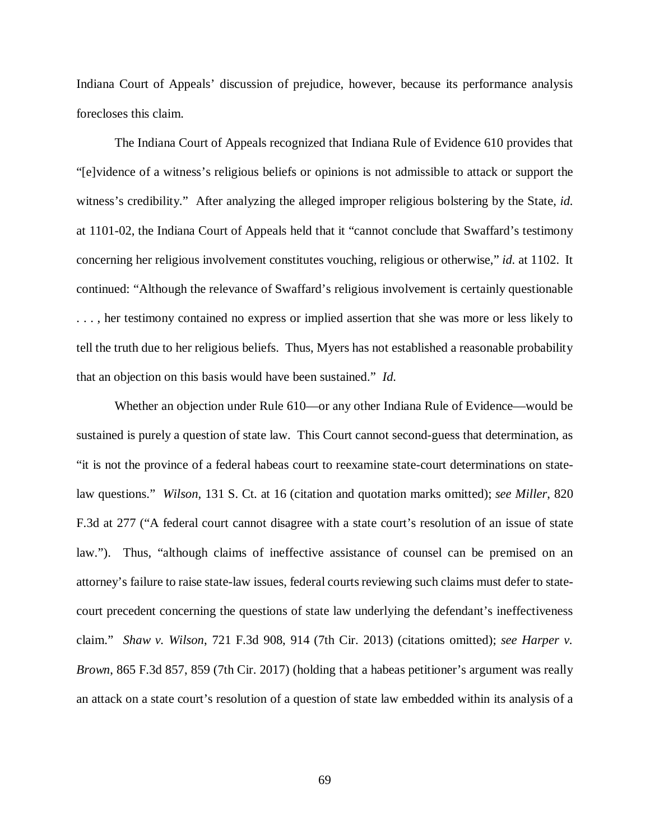Indiana Court of Appeals' discussion of prejudice, however, because its performance analysis forecloses this claim.

The Indiana Court of Appeals recognized that Indiana Rule of Evidence 610 provides that "[e]vidence of a witness's religious beliefs or opinions is not admissible to attack or support the witness's credibility." After analyzing the alleged improper religious bolstering by the State, *id.* at 1101-02, the Indiana Court of Appeals held that it "cannot conclude that Swaffard's testimony concerning her religious involvement constitutes vouching, religious or otherwise," *id.* at 1102. It continued: "Although the relevance of Swaffard's religious involvement is certainly questionable . . . , her testimony contained no express or implied assertion that she was more or less likely to tell the truth due to her religious beliefs. Thus, Myers has not established a reasonable probability that an objection on this basis would have been sustained." *Id.*

Whether an objection under Rule 610—or any other Indiana Rule of Evidence—would be sustained is purely a question of state law. This Court cannot second-guess that determination, as "it is not the province of a federal habeas court to reexamine state-court determinations on statelaw questions." *Wilson*, 131 S. Ct. at 16 (citation and quotation marks omitted); *see Miller*, 820 F.3d at 277 ("A federal court cannot disagree with a state court's resolution of an issue of state law."). Thus, "although claims of ineffective assistance of counsel can be premised on an attorney's failure to raise state-law issues, federal courts reviewing such claims must defer to statecourt precedent concerning the questions of state law underlying the defendant's ineffectiveness claim." *Shaw v. Wilson*, 721 F.3d 908, 914 (7th Cir. 2013) (citations omitted); *see Harper v. Brown*, 865 F.3d 857, 859 (7th Cir. 2017) (holding that a habeas petitioner's argument was really an attack on a state court's resolution of a question of state law embedded within its analysis of a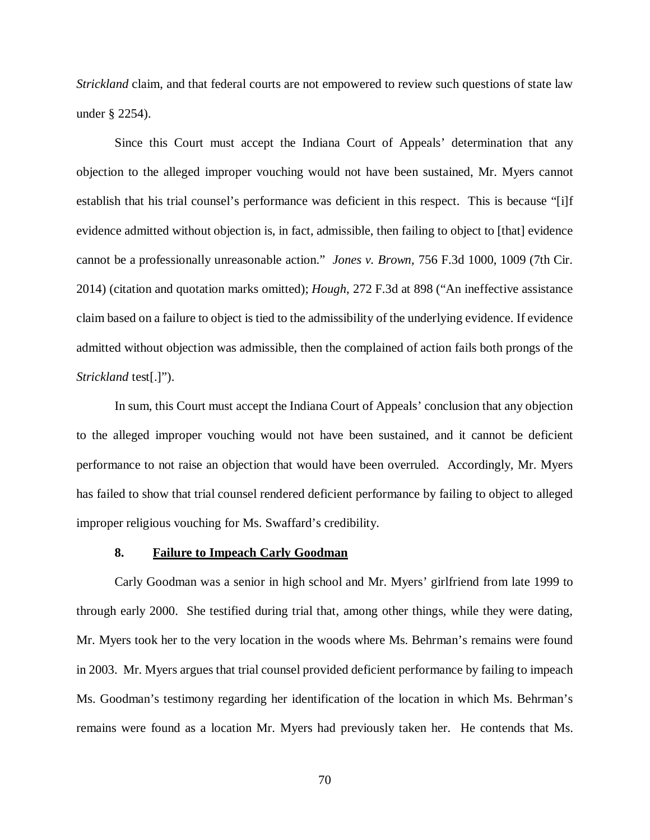*Strickland* claim, and that federal courts are not empowered to review such questions of state law under § 2254).

Since this Court must accept the Indiana Court of Appeals' determination that any objection to the alleged improper vouching would not have been sustained, Mr. Myers cannot establish that his trial counsel's performance was deficient in this respect. This is because "[i]f evidence admitted without objection is, in fact, admissible, then failing to object to [that] evidence cannot be a professionally unreasonable action." *Jones v. Brown*, 756 F.3d 1000, 1009 (7th Cir. 2014) (citation and quotation marks omitted); *Hough*, 272 F.3d at 898 ("An ineffective assistance claim based on a failure to object is tied to the admissibility of the underlying evidence. If evidence admitted without objection was admissible, then the complained of action fails both prongs of the *Strickland* test[.]").

In sum, this Court must accept the Indiana Court of Appeals' conclusion that any objection to the alleged improper vouching would not have been sustained, and it cannot be deficient performance to not raise an objection that would have been overruled. Accordingly, Mr. Myers has failed to show that trial counsel rendered deficient performance by failing to object to alleged improper religious vouching for Ms. Swaffard's credibility.

## **8. Failure to Impeach Carly Goodman**

Carly Goodman was a senior in high school and Mr. Myers' girlfriend from late 1999 to through early 2000. She testified during trial that, among other things, while they were dating, Mr. Myers took her to the very location in the woods where Ms. Behrman's remains were found in 2003. Mr. Myers argues that trial counsel provided deficient performance by failing to impeach Ms. Goodman's testimony regarding her identification of the location in which Ms. Behrman's remains were found as a location Mr. Myers had previously taken her. He contends that Ms.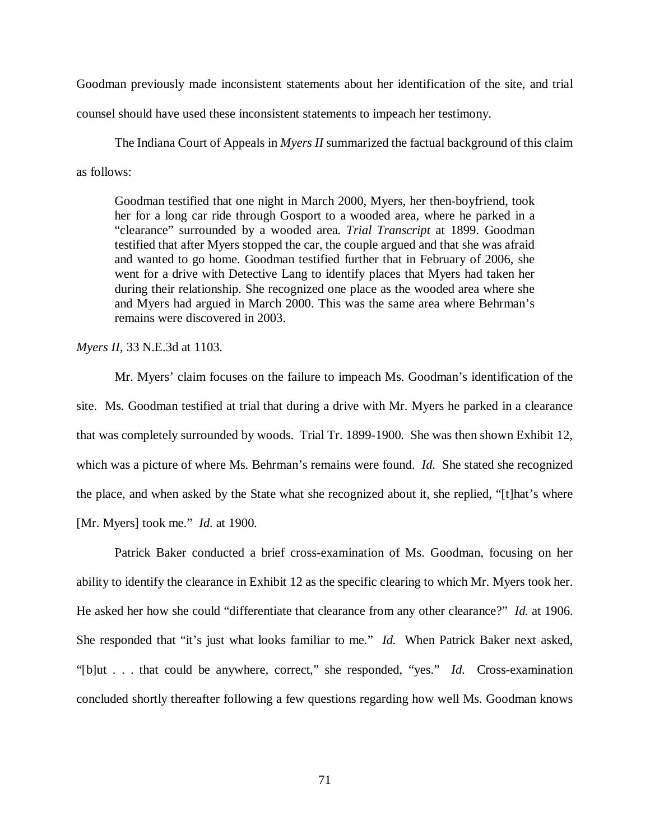Goodman previously made inconsistent statements about her identification of the site, and trial

counsel should have used these inconsistent statements to impeach her testimony.

The Indiana Court of Appeals in *Myers II* summarized the factual background of this claim as follows:

Goodman testified that one night in March 2000, Myers, her then-boyfriend, took her for a long car ride through Gosport to a wooded area, where he parked in a "clearance" surrounded by a wooded area. *Trial Transcript* at 1899. Goodman testified that after Myers stopped the car, the couple argued and that she was afraid and wanted to go home. Goodman testified further that in February of 2006, she went for a drive with Detective Lang to identify places that Myers had taken her during their relationship. She recognized one place as the wooded area where she and Myers had argued in March 2000. This was the same area where Behrman's remains were discovered in 2003.

*Myers II*, 33 N.E.3d at 1103.

Mr. Myers' claim focuses on the failure to impeach Ms. Goodman's identification of the site. Ms. Goodman testified at trial that during a drive with Mr. Myers he parked in a clearance that was completely surrounded by woods. Trial Tr. 1899-1900. She was then shown Exhibit 12, which was a picture of where Ms. Behrman's remains were found. *Id.* She stated she recognized the place, and when asked by the State what she recognized about it, she replied, "[t]hat's where [Mr. Myers] took me." *Id.* at 1900.

Patrick Baker conducted a brief cross-examination of Ms. Goodman, focusing on her ability to identify the clearance in Exhibit 12 as the specific clearing to which Mr. Myers took her. He asked her how she could "differentiate that clearance from any other clearance?" *Id.* at 1906. She responded that "it's just what looks familiar to me." *Id.* When Patrick Baker next asked, "[b]ut . . . that could be anywhere, correct," she responded, "yes." *Id.* Cross-examination concluded shortly thereafter following a few questions regarding how well Ms. Goodman knows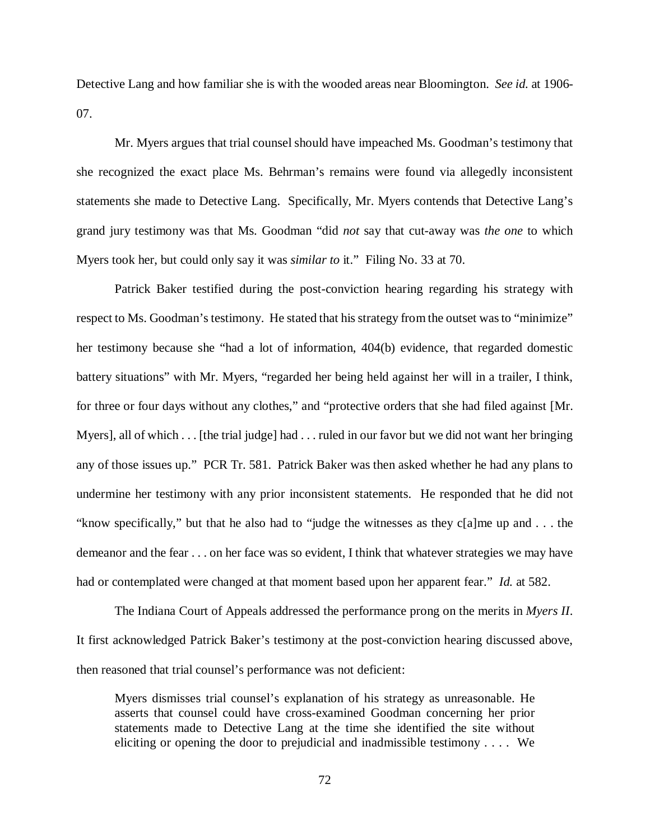Detective Lang and how familiar she is with the wooded areas near Bloomington. *See id.* at 1906- 07.

Mr. Myers argues that trial counsel should have impeached Ms. Goodman's testimony that she recognized the exact place Ms. Behrman's remains were found via allegedly inconsistent statements she made to Detective Lang. Specifically, Mr. Myers contends that Detective Lang's grand jury testimony was that Ms. Goodman "did *not* say that cut-away was *the one* to which Myers took her, but could only say it was *similar to* it." Filing No. 33 at 70.

Patrick Baker testified during the post-conviction hearing regarding his strategy with respect to Ms. Goodman's testimony. He stated that his strategy from the outset was to "minimize" her testimony because she "had a lot of information, 404(b) evidence, that regarded domestic battery situations" with Mr. Myers, "regarded her being held against her will in a trailer, I think, for three or four days without any clothes," and "protective orders that she had filed against [Mr. Myers], all of which . . . [the trial judge] had . . . ruled in our favor but we did not want her bringing any of those issues up." PCR Tr. 581. Patrick Baker was then asked whether he had any plans to undermine her testimony with any prior inconsistent statements. He responded that he did not "know specifically," but that he also had to "judge the witnesses as they c[a]me up and . . . the demeanor and the fear . . . on her face was so evident, I think that whatever strategies we may have had or contemplated were changed at that moment based upon her apparent fear." *Id.* at 582.

The Indiana Court of Appeals addressed the performance prong on the merits in *Myers II*. It first acknowledged Patrick Baker's testimony at the post-conviction hearing discussed above, then reasoned that trial counsel's performance was not deficient:

Myers dismisses trial counsel's explanation of his strategy as unreasonable. He asserts that counsel could have cross-examined Goodman concerning her prior statements made to Detective Lang at the time she identified the site without eliciting or opening the door to prejudicial and inadmissible testimony . . . . We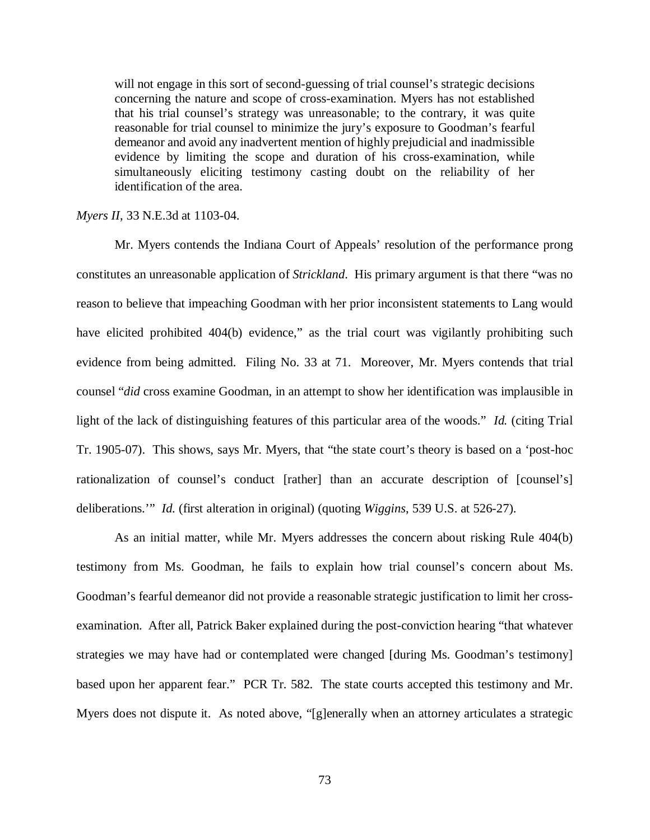will not engage in this sort of second-guessing of trial counsel's strategic decisions concerning the nature and scope of cross-examination. Myers has not established that his trial counsel's strategy was unreasonable; to the contrary, it was quite reasonable for trial counsel to minimize the jury's exposure to Goodman's fearful demeanor and avoid any inadvertent mention of highly prejudicial and inadmissible evidence by limiting the scope and duration of his cross-examination, while simultaneously eliciting testimony casting doubt on the reliability of her identification of the area.

## *Myers II*, 33 N.E.3d at 1103-04.

Mr. Myers contends the Indiana Court of Appeals' resolution of the performance prong constitutes an unreasonable application of *Strickland*. His primary argument is that there "was no reason to believe that impeaching Goodman with her prior inconsistent statements to Lang would have elicited prohibited 404(b) evidence," as the trial court was vigilantly prohibiting such evidence from being admitted. Filing No. 33 at 71. Moreover, Mr. Myers contends that trial counsel "*did* cross examine Goodman, in an attempt to show her identification was implausible in light of the lack of distinguishing features of this particular area of the woods." *Id.* (citing Trial Tr. 1905-07). This shows, says Mr. Myers, that "the state court's theory is based on a 'post-hoc rationalization of counsel's conduct [rather] than an accurate description of [counsel's] deliberations.'" *Id.* (first alteration in original) (quoting *Wiggins*, 539 U.S. at 526-27).

As an initial matter, while Mr. Myers addresses the concern about risking Rule 404(b) testimony from Ms. Goodman, he fails to explain how trial counsel's concern about Ms. Goodman's fearful demeanor did not provide a reasonable strategic justification to limit her crossexamination. After all, Patrick Baker explained during the post-conviction hearing "that whatever strategies we may have had or contemplated were changed [during Ms. Goodman's testimony] based upon her apparent fear." PCR Tr. 582. The state courts accepted this testimony and Mr. Myers does not dispute it. As noted above, "[g]enerally when an attorney articulates a strategic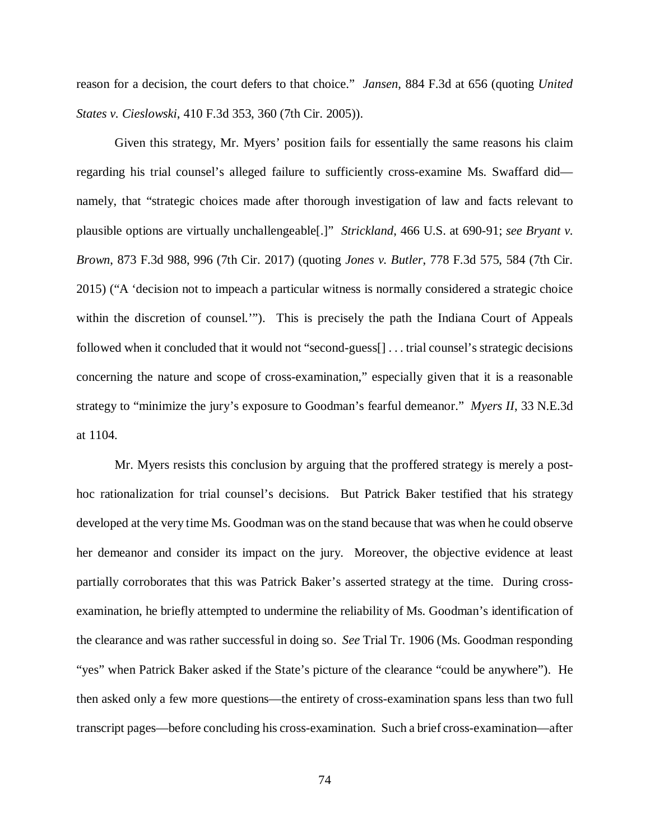reason for a decision, the court defers to that choice." *Jansen*, 884 F.3d at 656 (quoting *United States v. Cieslowski*, 410 F.3d 353, 360 (7th Cir. 2005)).

Given this strategy, Mr. Myers' position fails for essentially the same reasons his claim regarding his trial counsel's alleged failure to sufficiently cross-examine Ms. Swaffard did namely, that "strategic choices made after thorough investigation of law and facts relevant to plausible options are virtually unchallengeable[.]" *Strickland*, 466 U.S. at 690-91; *see Bryant v. Brown*, 873 F.3d 988, 996 (7th Cir. 2017) (quoting *Jones v. Butler*, 778 F.3d 575, 584 (7th Cir. 2015) ("A 'decision not to impeach a particular witness is normally considered a strategic choice within the discretion of counsel.'"). This is precisely the path the Indiana Court of Appeals followed when it concluded that it would not "second-guess[] . . . trial counsel's strategic decisions concerning the nature and scope of cross-examination," especially given that it is a reasonable strategy to "minimize the jury's exposure to Goodman's fearful demeanor." *Myers II*, 33 N.E.3d at 1104.

Mr. Myers resists this conclusion by arguing that the proffered strategy is merely a posthoc rationalization for trial counsel's decisions. But Patrick Baker testified that his strategy developed at the very time Ms. Goodman was on the stand because that was when he could observe her demeanor and consider its impact on the jury. Moreover, the objective evidence at least partially corroborates that this was Patrick Baker's asserted strategy at the time. During crossexamination, he briefly attempted to undermine the reliability of Ms. Goodman's identification of the clearance and was rather successful in doing so. *See* Trial Tr. 1906 (Ms. Goodman responding "yes" when Patrick Baker asked if the State's picture of the clearance "could be anywhere"). He then asked only a few more questions—the entirety of cross-examination spans less than two full transcript pages—before concluding his cross-examination. Such a brief cross-examination—after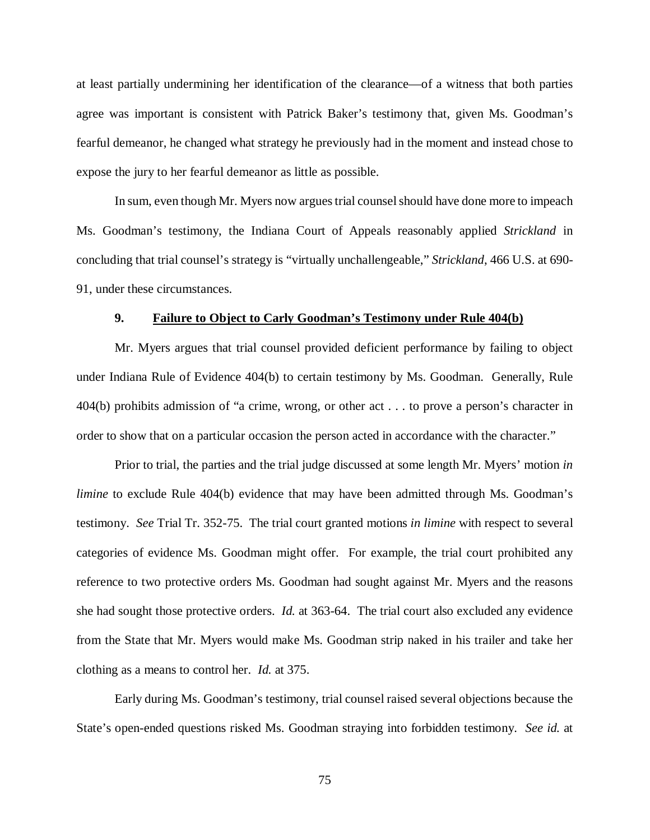at least partially undermining her identification of the clearance—of a witness that both parties agree was important is consistent with Patrick Baker's testimony that, given Ms. Goodman's fearful demeanor, he changed what strategy he previously had in the moment and instead chose to expose the jury to her fearful demeanor as little as possible.

In sum, even though Mr. Myers now argues trial counsel should have done more to impeach Ms. Goodman's testimony, the Indiana Court of Appeals reasonably applied *Strickland* in concluding that trial counsel's strategy is "virtually unchallengeable," *Strickland*, 466 U.S. at 690- 91, under these circumstances.

## **9. Failure to Object to Carly Goodman's Testimony under Rule 404(b)**

Mr. Myers argues that trial counsel provided deficient performance by failing to object under Indiana Rule of Evidence 404(b) to certain testimony by Ms. Goodman. Generally, Rule 404(b) prohibits admission of "a crime, wrong, or other act . . . to prove a person's character in order to show that on a particular occasion the person acted in accordance with the character."

Prior to trial, the parties and the trial judge discussed at some length Mr. Myers' motion *in limine* to exclude Rule 404(b) evidence that may have been admitted through Ms. Goodman's testimony. *See* Trial Tr. 352-75. The trial court granted motions *in limine* with respect to several categories of evidence Ms. Goodman might offer. For example, the trial court prohibited any reference to two protective orders Ms. Goodman had sought against Mr. Myers and the reasons she had sought those protective orders. *Id.* at 363-64. The trial court also excluded any evidence from the State that Mr. Myers would make Ms. Goodman strip naked in his trailer and take her clothing as a means to control her. *Id.* at 375.

Early during Ms. Goodman's testimony, trial counsel raised several objections because the State's open-ended questions risked Ms. Goodman straying into forbidden testimony. *See id.* at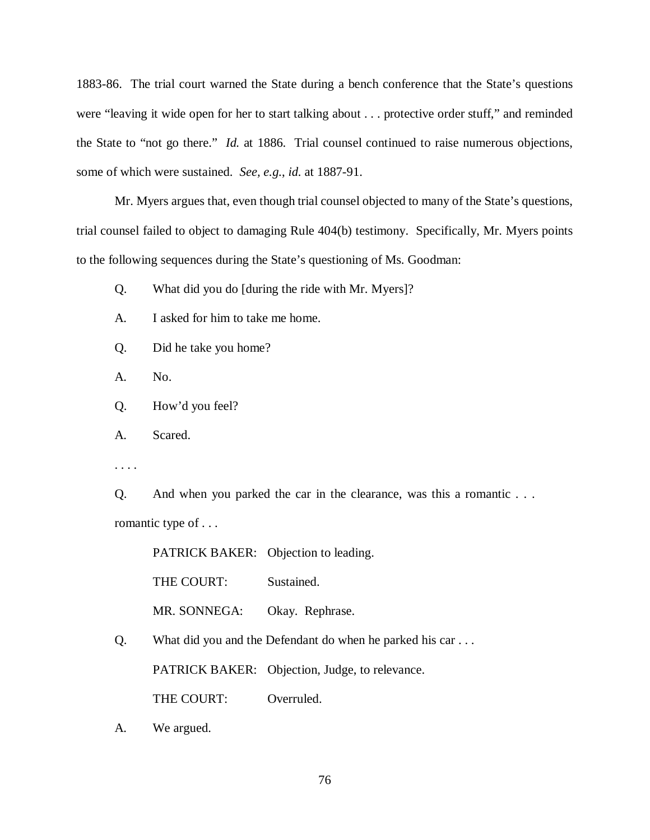1883-86. The trial court warned the State during a bench conference that the State's questions were "leaving it wide open for her to start talking about . . . protective order stuff," and reminded the State to "not go there." *Id.* at 1886. Trial counsel continued to raise numerous objections, some of which were sustained. *See, e.g.*, *id.* at 1887-91.

Mr. Myers argues that, even though trial counsel objected to many of the State's questions, trial counsel failed to object to damaging Rule 404(b) testimony. Specifically, Mr. Myers points to the following sequences during the State's questioning of Ms. Goodman:

Q. What did you do [during the ride with Mr. Myers]?

- A. I asked for him to take me home.
- Q. Did he take you home?
- A. No.
- Q. How'd you feel?
- A. Scared.
- . . . .

Q. And when you parked the car in the clearance, was this a romantic . . . romantic type of . . .

PATRICK BAKER: Objection to leading.

THE COURT: Sustained.

MR. SONNEGA: Okay. Rephrase.

Q. What did you and the Defendant do when he parked his car . . .

PATRICK BAKER: Objection, Judge, to relevance.

THE COURT: Overruled.

A. We argued.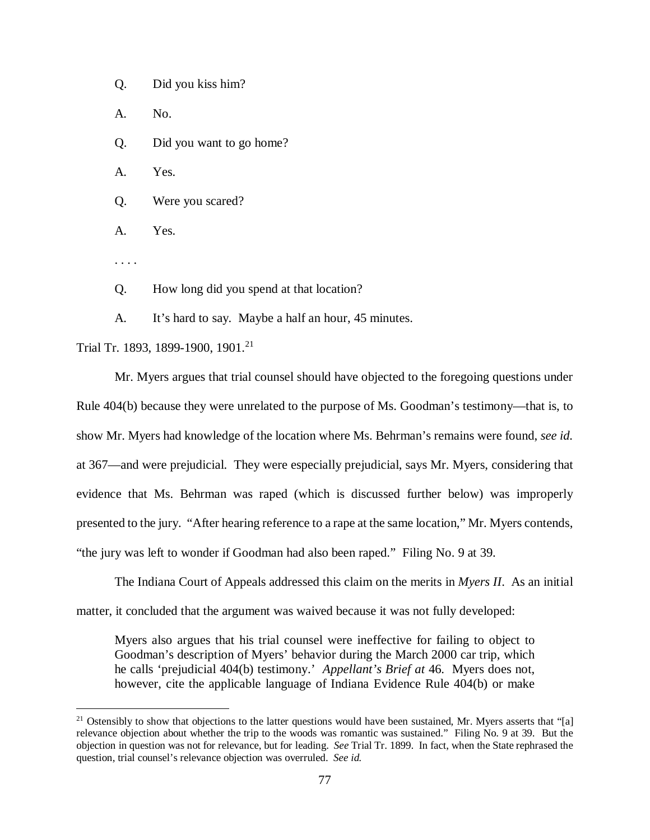Q. Did you kiss him?

A. No.

Q. Did you want to go home?

A. Yes.

Q. Were you scared?

A. Yes.

. . . .

Q. How long did you spend at that location?

A. It's hard to say. Maybe a half an hour, 45 minutes.

Trial Tr. 1893, 1899-1900, 1901.<sup>[21](#page-76-0)</sup>

Mr. Myers argues that trial counsel should have objected to the foregoing questions under Rule 404(b) because they were unrelated to the purpose of Ms. Goodman's testimony—that is, to show Mr. Myers had knowledge of the location where Ms. Behrman's remains were found, *see id.* at 367—and were prejudicial. They were especially prejudicial, says Mr. Myers, considering that evidence that Ms. Behrman was raped (which is discussed further below) was improperly presented to the jury. "After hearing reference to a rape at the same location," Mr. Myers contends, "the jury was left to wonder if Goodman had also been raped." Filing No. 9 at 39.

The Indiana Court of Appeals addressed this claim on the merits in *Myers II*. As an initial matter, it concluded that the argument was waived because it was not fully developed:

Myers also argues that his trial counsel were ineffective for failing to object to Goodman's description of Myers' behavior during the March 2000 car trip, which he calls 'prejudicial 404(b) testimony.' *Appellant's Brief at* 46. Myers does not, however, cite the applicable language of Indiana Evidence Rule 404(b) or make

<span id="page-76-0"></span><sup>&</sup>lt;sup>21</sup> Ostensibly to show that objections to the latter questions would have been sustained, Mr. Myers asserts that "[a] relevance objection about whether the trip to the woods was romantic was sustained." Filing No. 9 at 39. But the objection in question was not for relevance, but for leading. *See* Trial Tr. 1899. In fact, when the State rephrased the question, trial counsel's relevance objection was overruled. *See id.*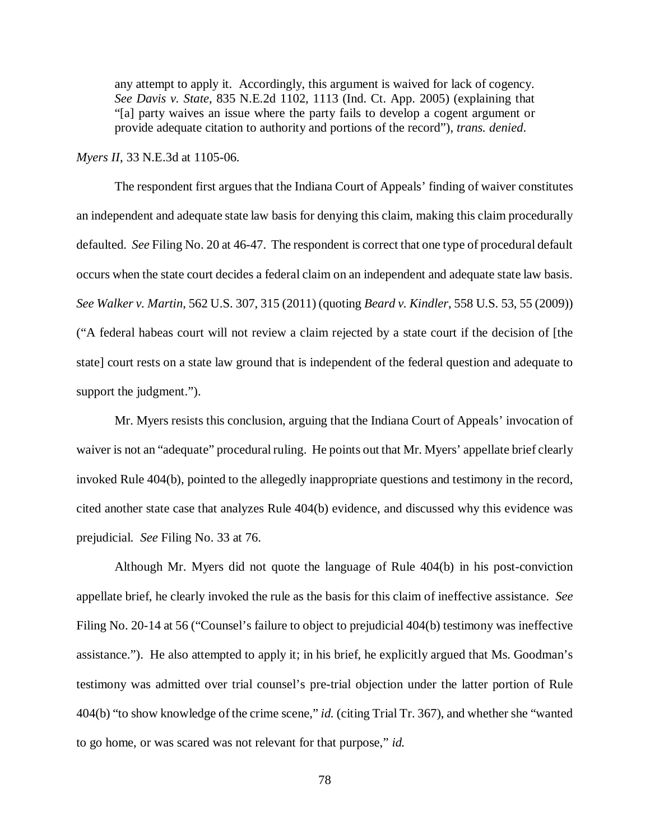any attempt to apply it. Accordingly, this argument is waived for lack of cogency. *See Davis v. State*, 835 N.E.2d 1102, 1113 (Ind. Ct. App. 2005) (explaining that "[a] party waives an issue where the party fails to develop a cogent argument or provide adequate citation to authority and portions of the record"), *trans. denied*.

*Myers II*, 33 N.E.3d at 1105-06.

The respondent first argues that the Indiana Court of Appeals' finding of waiver constitutes an independent and adequate state law basis for denying this claim, making this claim procedurally defaulted. *See* Filing No. 20 at 46-47. The respondent is correct that one type of procedural default occurs when the state court decides a federal claim on an independent and adequate state law basis. *See Walker v. Martin*, 562 U.S. 307, 315 (2011) (quoting *Beard v. Kindler*, 558 U.S. 53, 55 (2009)) ("A federal habeas court will not review a claim rejected by a state court if the decision of [the state] court rests on a state law ground that is independent of the federal question and adequate to support the judgment.").

Mr. Myers resists this conclusion, arguing that the Indiana Court of Appeals' invocation of waiver is not an "adequate" procedural ruling. He points out that Mr. Myers' appellate brief clearly invoked Rule 404(b), pointed to the allegedly inappropriate questions and testimony in the record, cited another state case that analyzes Rule 404(b) evidence, and discussed why this evidence was prejudicial. *See* Filing No. 33 at 76.

Although Mr. Myers did not quote the language of Rule 404(b) in his post-conviction appellate brief, he clearly invoked the rule as the basis for this claim of ineffective assistance. *See*  Filing No. 20-14 at 56 ("Counsel's failure to object to prejudicial 404(b) testimony was ineffective assistance."). He also attempted to apply it; in his brief, he explicitly argued that Ms. Goodman's testimony was admitted over trial counsel's pre-trial objection under the latter portion of Rule 404(b) "to show knowledge of the crime scene," *id.* (citing Trial Tr. 367), and whether she "wanted to go home, or was scared was not relevant for that purpose," *id.*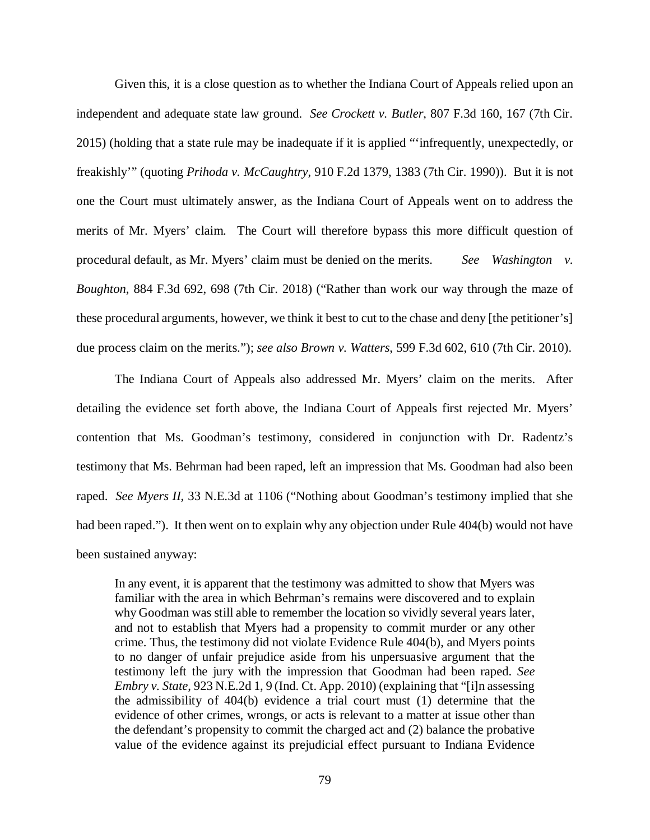Given this, it is a close question as to whether the Indiana Court of Appeals relied upon an independent and adequate state law ground. *See Crockett v. Butler*, 807 F.3d 160, 167 (7th Cir. 2015) (holding that a state rule may be inadequate if it is applied "'infrequently, unexpectedly, or freakishly'" (quoting *Prihoda v. McCaughtry*, 910 F.2d 1379, 1383 (7th Cir. 1990)). But it is not one the Court must ultimately answer, as the Indiana Court of Appeals went on to address the merits of Mr. Myers' claim. The Court will therefore bypass this more difficult question of procedural default, as Mr. Myers' claim must be denied on the merits. See Washington v. *Boughton*, 884 F.3d 692, 698 (7th Cir. 2018) ("Rather than work our way through the maze of these procedural arguments, however, we think it best to cut to the chase and deny [the petitioner's] due process claim on the merits."); *see also Brown v. Watters*, 599 F.3d 602, 610 (7th Cir. 2010).

The Indiana Court of Appeals also addressed Mr. Myers' claim on the merits. After detailing the evidence set forth above, the Indiana Court of Appeals first rejected Mr. Myers' contention that Ms. Goodman's testimony, considered in conjunction with Dr. Radentz's testimony that Ms. Behrman had been raped, left an impression that Ms. Goodman had also been raped. *See Myers II*, 33 N.E.3d at 1106 ("Nothing about Goodman's testimony implied that she had been raped."). It then went on to explain why any objection under Rule 404(b) would not have been sustained anyway:

In any event, it is apparent that the testimony was admitted to show that Myers was familiar with the area in which Behrman's remains were discovered and to explain why Goodman was still able to remember the location so vividly several years later, and not to establish that Myers had a propensity to commit murder or any other crime. Thus, the testimony did not violate Evidence Rule 404(b), and Myers points to no danger of unfair prejudice aside from his unpersuasive argument that the testimony left the jury with the impression that Goodman had been raped. *See Embry v. State*, 923 N.E.2d 1, 9 (Ind. Ct. App. 2010) (explaining that "[i]n assessing the admissibility of 404(b) evidence a trial court must (1) determine that the evidence of other crimes, wrongs, or acts is relevant to a matter at issue other than the defendant's propensity to commit the charged act and (2) balance the probative value of the evidence against its prejudicial effect pursuant to Indiana Evidence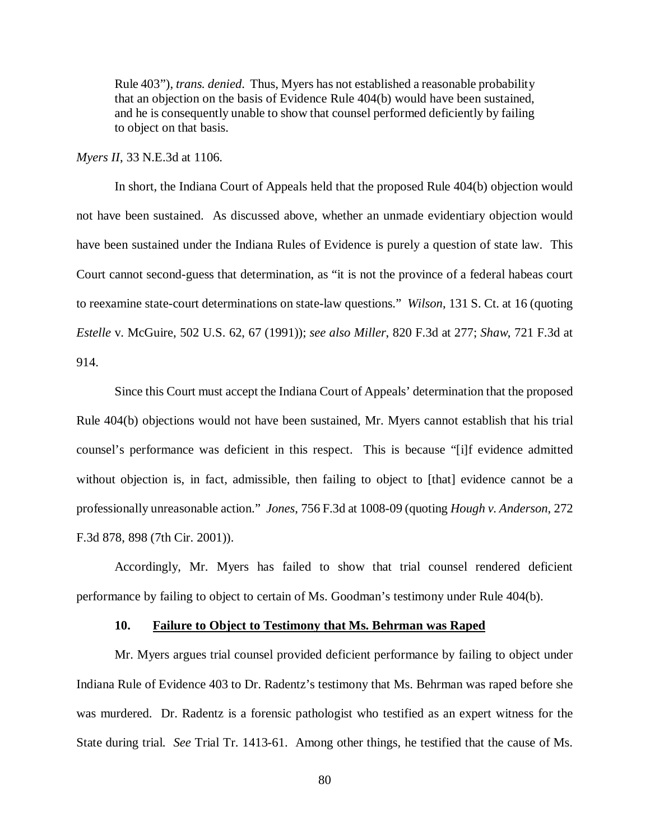Rule 403"), *trans. denied*. Thus, Myers has not established a reasonable probability that an objection on the basis of Evidence Rule 404(b) would have been sustained, and he is consequently unable to show that counsel performed deficiently by failing to object on that basis.

*Myers II*, 33 N.E.3d at 1106.

In short, the Indiana Court of Appeals held that the proposed Rule 404(b) objection would not have been sustained. As discussed above, whether an unmade evidentiary objection would have been sustained under the Indiana Rules of Evidence is purely a question of state law. This Court cannot second-guess that determination, as "it is not the province of a federal habeas court to reexamine state-court determinations on state-law questions." *Wilson*, 131 S. Ct. at 16 (quoting *Estelle* v. McGuire, 502 U.S. 62, 67 (1991)); *see also Miller*, 820 F.3d at 277; *Shaw*, 721 F.3d at 914.

Since this Court must accept the Indiana Court of Appeals' determination that the proposed Rule 404(b) objections would not have been sustained, Mr. Myers cannot establish that his trial counsel's performance was deficient in this respect. This is because "[i]f evidence admitted without objection is, in fact, admissible, then failing to object to [that] evidence cannot be a professionally unreasonable action." *Jones*, 756 F.3d at 1008-09 (quoting *Hough v. Anderson*, 272 F.3d 878, 898 (7th Cir. 2001)).

Accordingly, Mr. Myers has failed to show that trial counsel rendered deficient performance by failing to object to certain of Ms. Goodman's testimony under Rule 404(b).

# **10. Failure to Object to Testimony that Ms. Behrman was Raped**

Mr. Myers argues trial counsel provided deficient performance by failing to object under Indiana Rule of Evidence 403 to Dr. Radentz's testimony that Ms. Behrman was raped before she was murdered. Dr. Radentz is a forensic pathologist who testified as an expert witness for the State during trial. *See* Trial Tr. 1413-61. Among other things, he testified that the cause of Ms.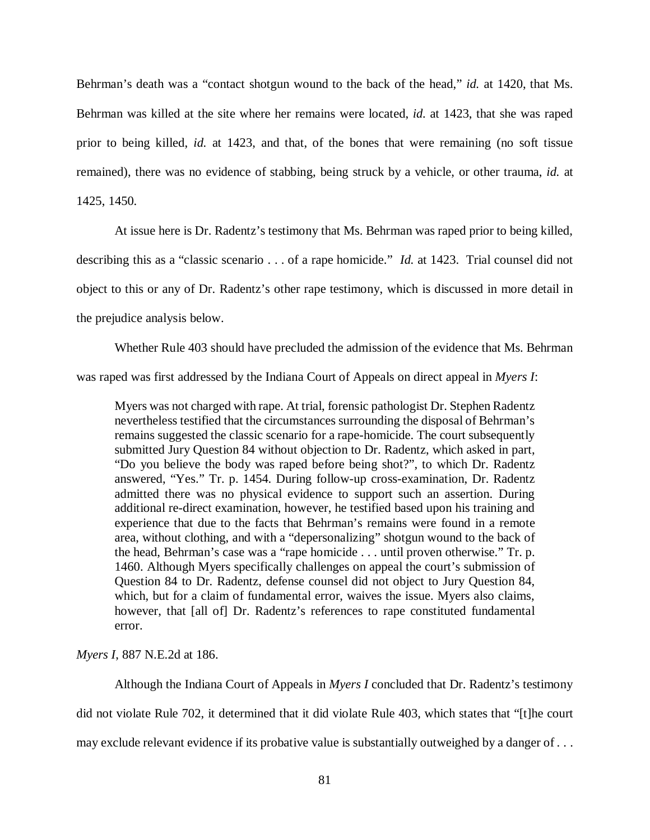Behrman's death was a "contact shotgun wound to the back of the head," *id.* at 1420, that Ms. Behrman was killed at the site where her remains were located, *id.* at 1423, that she was raped prior to being killed, *id.* at 1423, and that, of the bones that were remaining (no soft tissue remained), there was no evidence of stabbing, being struck by a vehicle, or other trauma, *id.* at 1425, 1450.

At issue here is Dr. Radentz's testimony that Ms. Behrman was raped prior to being killed,

describing this as a "classic scenario . . . of a rape homicide." *Id.* at 1423. Trial counsel did not

object to this or any of Dr. Radentz's other rape testimony, which is discussed in more detail in

the prejudice analysis below.

Whether Rule 403 should have precluded the admission of the evidence that Ms. Behrman was raped was first addressed by the Indiana Court of Appeals on direct appeal in *Myers I*:

Myers was not charged with rape. At trial, forensic pathologist Dr. Stephen Radentz nevertheless testified that the circumstances surrounding the disposal of Behrman's remains suggested the classic scenario for a rape-homicide. The court subsequently submitted Jury Question 84 without objection to Dr. Radentz, which asked in part, "Do you believe the body was raped before being shot?", to which Dr. Radentz answered, "Yes." Tr. p. 1454. During follow-up cross-examination, Dr. Radentz admitted there was no physical evidence to support such an assertion. During additional re-direct examination, however, he testified based upon his training and experience that due to the facts that Behrman's remains were found in a remote area, without clothing, and with a "depersonalizing" shotgun wound to the back of the head, Behrman's case was a "rape homicide . . . until proven otherwise." Tr. p. 1460. Although Myers specifically challenges on appeal the court's submission of Question 84 to Dr. Radentz, defense counsel did not object to Jury Question 84, which, but for a claim of fundamental error, waives the issue. Myers also claims, however, that [all of] Dr. Radentz's references to rape constituted fundamental error.

*Myers I*, 887 N.E.2d at 186.

Although the Indiana Court of Appeals in *Myers I* concluded that Dr. Radentz's testimony did not violate Rule 702, it determined that it did violate Rule 403, which states that "[t]he court may exclude relevant evidence if its probative value is substantially outweighed by a danger of . . .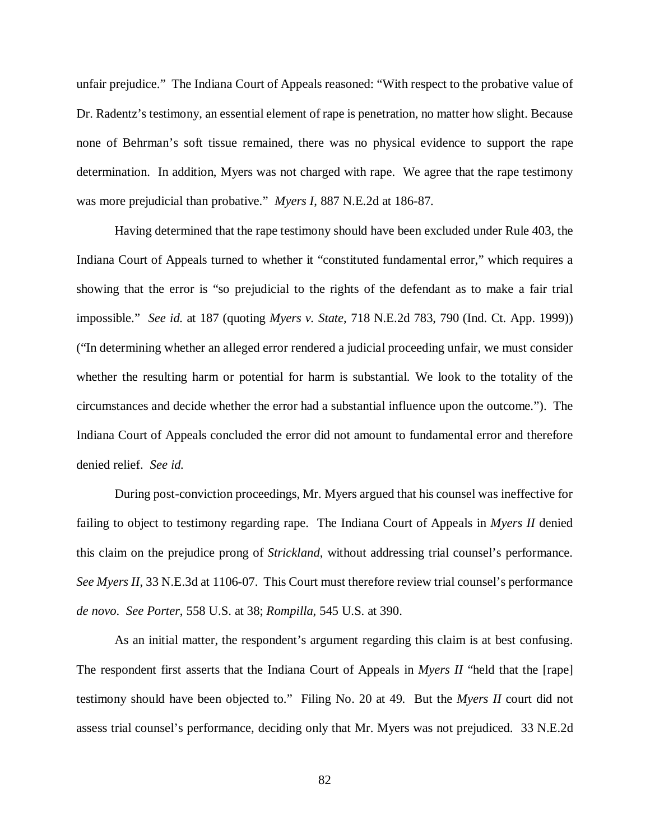unfair prejudice." The Indiana Court of Appeals reasoned: "With respect to the probative value of Dr. Radentz's testimony, an essential element of rape is penetration, no matter how slight. Because none of Behrman's soft tissue remained, there was no physical evidence to support the rape determination. In addition, Myers was not charged with rape. We agree that the rape testimony was more prejudicial than probative." *Myers I*, 887 N.E.2d at 186-87.

Having determined that the rape testimony should have been excluded under Rule 403, the Indiana Court of Appeals turned to whether it "constituted fundamental error," which requires a showing that the error is "so prejudicial to the rights of the defendant as to make a fair trial impossible." *See id.* at 187 (quoting *Myers v. State*, 718 N.E.2d 783, 790 (Ind. Ct. App. 1999)) ("In determining whether an alleged error rendered a judicial proceeding unfair, we must consider whether the resulting harm or potential for harm is substantial. We look to the totality of the circumstances and decide whether the error had a substantial influence upon the outcome."). The Indiana Court of Appeals concluded the error did not amount to fundamental error and therefore denied relief. *See id.*

During post-conviction proceedings, Mr. Myers argued that his counsel was ineffective for failing to object to testimony regarding rape. The Indiana Court of Appeals in *Myers II* denied this claim on the prejudice prong of *Strickland*, without addressing trial counsel's performance. *See Myers II*, 33 N.E.3d at 1106-07. This Court must therefore review trial counsel's performance *de novo*. *See Porter*, 558 U.S. at 38; *Rompilla*, 545 U.S. at 390.

As an initial matter, the respondent's argument regarding this claim is at best confusing. The respondent first asserts that the Indiana Court of Appeals in *Myers II* "held that the [rape] testimony should have been objected to." Filing No. 20 at 49. But the *Myers II* court did not assess trial counsel's performance, deciding only that Mr. Myers was not prejudiced. 33 N.E.2d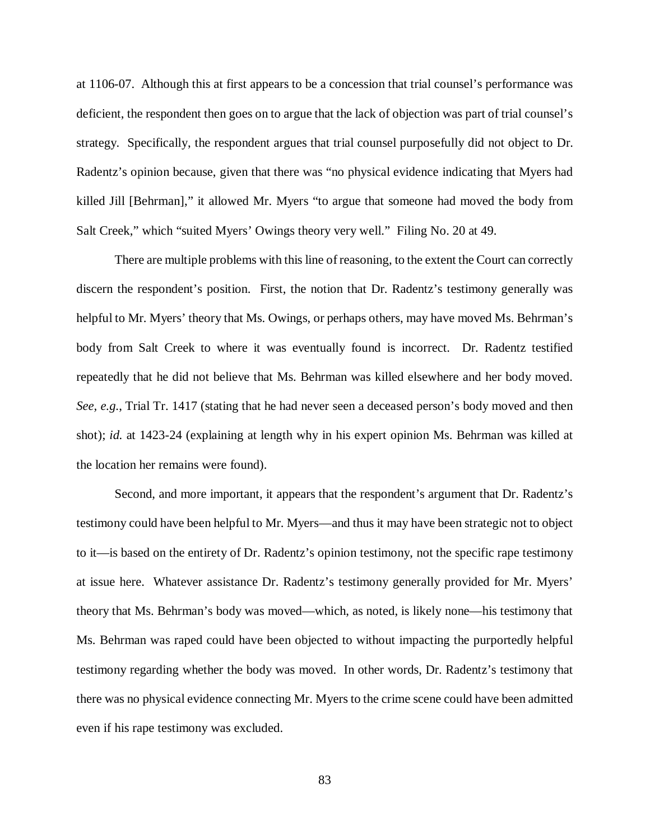at 1106-07. Although this at first appears to be a concession that trial counsel's performance was deficient, the respondent then goes on to argue that the lack of objection was part of trial counsel's strategy. Specifically, the respondent argues that trial counsel purposefully did not object to Dr. Radentz's opinion because, given that there was "no physical evidence indicating that Myers had killed Jill [Behrman]," it allowed Mr. Myers "to argue that someone had moved the body from Salt Creek," which "suited Myers' Owings theory very well." Filing No. 20 at 49.

There are multiple problems with this line of reasoning, to the extent the Court can correctly discern the respondent's position. First, the notion that Dr. Radentz's testimony generally was helpful to Mr. Myers' theory that Ms. Owings, or perhaps others, may have moved Ms. Behrman's body from Salt Creek to where it was eventually found is incorrect. Dr. Radentz testified repeatedly that he did not believe that Ms. Behrman was killed elsewhere and her body moved. *See, e.g.*, Trial Tr. 1417 (stating that he had never seen a deceased person's body moved and then shot); *id.* at 1423-24 (explaining at length why in his expert opinion Ms. Behrman was killed at the location her remains were found).

Second, and more important, it appears that the respondent's argument that Dr. Radentz's testimony could have been helpful to Mr. Myers—and thus it may have been strategic not to object to it—is based on the entirety of Dr. Radentz's opinion testimony, not the specific rape testimony at issue here. Whatever assistance Dr. Radentz's testimony generally provided for Mr. Myers' theory that Ms. Behrman's body was moved—which, as noted, is likely none—his testimony that Ms. Behrman was raped could have been objected to without impacting the purportedly helpful testimony regarding whether the body was moved. In other words, Dr. Radentz's testimony that there was no physical evidence connecting Mr. Myers to the crime scene could have been admitted even if his rape testimony was excluded.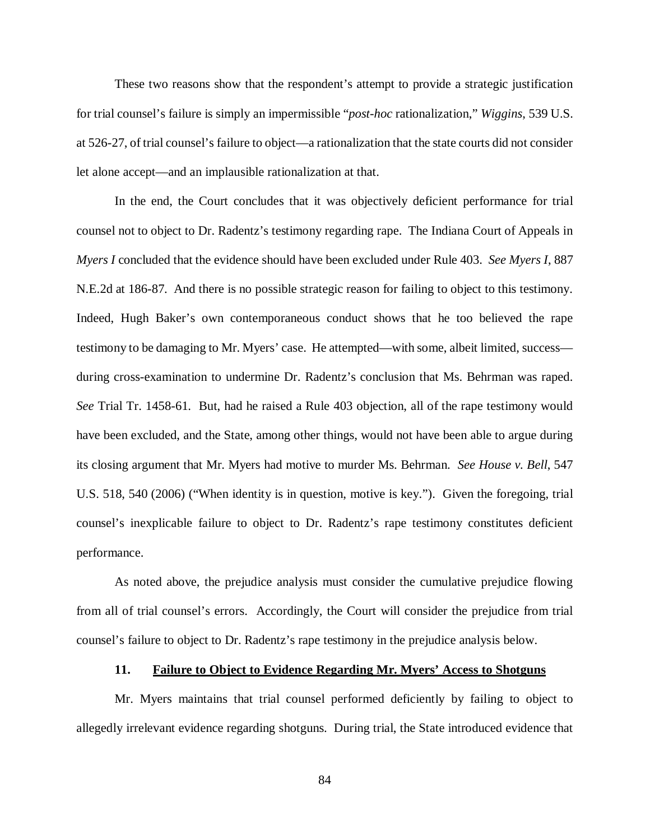These two reasons show that the respondent's attempt to provide a strategic justification for trial counsel's failure is simply an impermissible "*post-hoc* rationalization," *Wiggins*, 539 U.S. at 526-27, of trial counsel's failure to object—a rationalization that the state courts did not consider let alone accept—and an implausible rationalization at that.

In the end, the Court concludes that it was objectively deficient performance for trial counsel not to object to Dr. Radentz's testimony regarding rape. The Indiana Court of Appeals in *Myers I* concluded that the evidence should have been excluded under Rule 403. *See Myers I*, 887 N.E.2d at 186-87. And there is no possible strategic reason for failing to object to this testimony. Indeed, Hugh Baker's own contemporaneous conduct shows that he too believed the rape testimony to be damaging to Mr. Myers' case. He attempted—with some, albeit limited, success during cross-examination to undermine Dr. Radentz's conclusion that Ms. Behrman was raped. *See* Trial Tr. 1458-61. But, had he raised a Rule 403 objection, all of the rape testimony would have been excluded, and the State, among other things, would not have been able to argue during its closing argument that Mr. Myers had motive to murder Ms. Behrman. *See House v. Bell*, 547 U.S. 518, 540 (2006) ("When identity is in question, motive is key."). Given the foregoing, trial counsel's inexplicable failure to object to Dr. Radentz's rape testimony constitutes deficient performance.

As noted above, the prejudice analysis must consider the cumulative prejudice flowing from all of trial counsel's errors. Accordingly, the Court will consider the prejudice from trial counsel's failure to object to Dr. Radentz's rape testimony in the prejudice analysis below.

#### **11. Failure to Object to Evidence Regarding Mr. Myers' Access to Shotguns**

Mr. Myers maintains that trial counsel performed deficiently by failing to object to allegedly irrelevant evidence regarding shotguns. During trial, the State introduced evidence that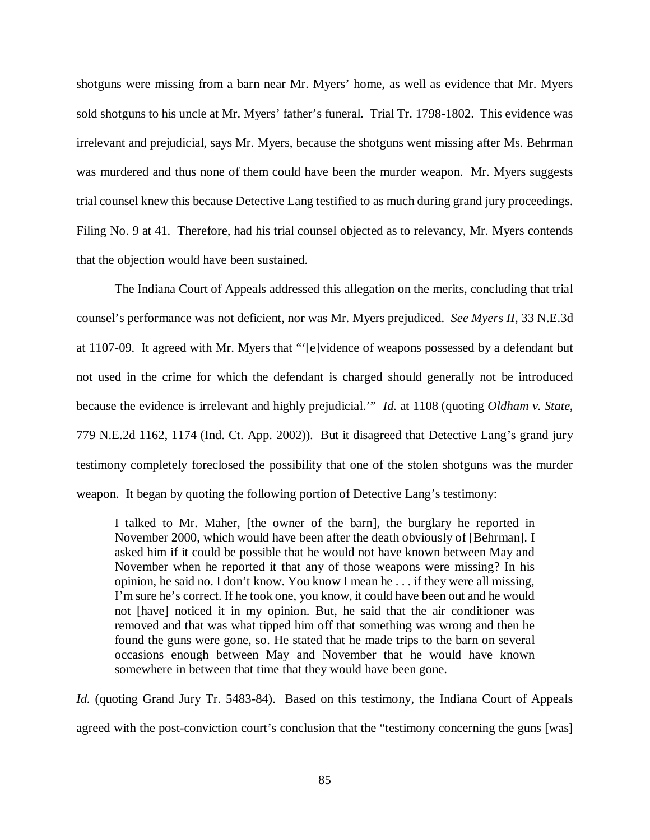shotguns were missing from a barn near Mr. Myers' home, as well as evidence that Mr. Myers sold shotguns to his uncle at Mr. Myers' father's funeral. Trial Tr. 1798-1802. This evidence was irrelevant and prejudicial, says Mr. Myers, because the shotguns went missing after Ms. Behrman was murdered and thus none of them could have been the murder weapon. Mr. Myers suggests trial counsel knew this because Detective Lang testified to as much during grand jury proceedings. Filing No. 9 at 41. Therefore, had his trial counsel objected as to relevancy, Mr. Myers contends that the objection would have been sustained.

The Indiana Court of Appeals addressed this allegation on the merits, concluding that trial counsel's performance was not deficient, nor was Mr. Myers prejudiced. *See Myers II*, 33 N.E.3d at 1107-09. It agreed with Mr. Myers that "'[e]vidence of weapons possessed by a defendant but not used in the crime for which the defendant is charged should generally not be introduced because the evidence is irrelevant and highly prejudicial.'" *Id.* at 1108 (quoting *Oldham v. State*, 779 N.E.2d 1162, 1174 (Ind. Ct. App. 2002)). But it disagreed that Detective Lang's grand jury testimony completely foreclosed the possibility that one of the stolen shotguns was the murder weapon. It began by quoting the following portion of Detective Lang's testimony:

I talked to Mr. Maher, [the owner of the barn], the burglary he reported in November 2000, which would have been after the death obviously of [Behrman]. I asked him if it could be possible that he would not have known between May and November when he reported it that any of those weapons were missing? In his opinion, he said no. I don't know. You know I mean he . . . if they were all missing, I'm sure he's correct. If he took one, you know, it could have been out and he would not [have] noticed it in my opinion. But, he said that the air conditioner was removed and that was what tipped him off that something was wrong and then he found the guns were gone, so. He stated that he made trips to the barn on several occasions enough between May and November that he would have known somewhere in between that time that they would have been gone.

*Id.* (quoting Grand Jury Tr. 5483-84). Based on this testimony, the Indiana Court of Appeals agreed with the post-conviction court's conclusion that the "testimony concerning the guns [was]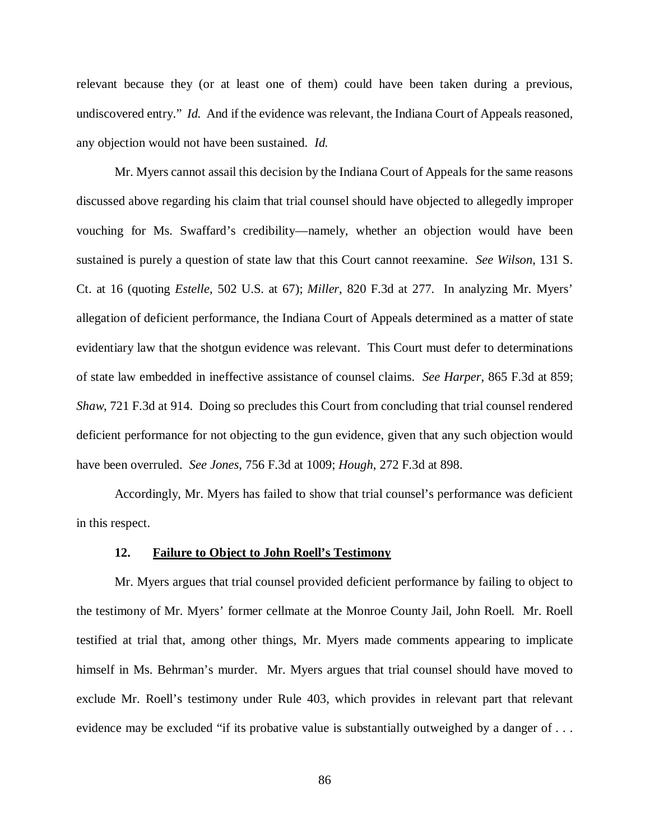relevant because they (or at least one of them) could have been taken during a previous, undiscovered entry." *Id.* And if the evidence was relevant, the Indiana Court of Appeals reasoned, any objection would not have been sustained. *Id.*

Mr. Myers cannot assail this decision by the Indiana Court of Appeals for the same reasons discussed above regarding his claim that trial counsel should have objected to allegedly improper vouching for Ms. Swaffard's credibility—namely, whether an objection would have been sustained is purely a question of state law that this Court cannot reexamine. *See Wilson*, 131 S. Ct. at 16 (quoting *Estelle*, 502 U.S. at 67); *Miller*, 820 F.3d at 277. In analyzing Mr. Myers' allegation of deficient performance, the Indiana Court of Appeals determined as a matter of state evidentiary law that the shotgun evidence was relevant. This Court must defer to determinations of state law embedded in ineffective assistance of counsel claims. *See Harper*, 865 F.3d at 859; *Shaw*, 721 F.3d at 914. Doing so precludes this Court from concluding that trial counsel rendered deficient performance for not objecting to the gun evidence, given that any such objection would have been overruled. *See Jones*, 756 F.3d at 1009; *Hough*, 272 F.3d at 898.

Accordingly, Mr. Myers has failed to show that trial counsel's performance was deficient in this respect.

#### **12. Failure to Object to John Roell's Testimony**

Mr. Myers argues that trial counsel provided deficient performance by failing to object to the testimony of Mr. Myers' former cellmate at the Monroe County Jail, John Roell. Mr. Roell testified at trial that, among other things, Mr. Myers made comments appearing to implicate himself in Ms. Behrman's murder. Mr. Myers argues that trial counsel should have moved to exclude Mr. Roell's testimony under Rule 403, which provides in relevant part that relevant evidence may be excluded "if its probative value is substantially outweighed by a danger of ...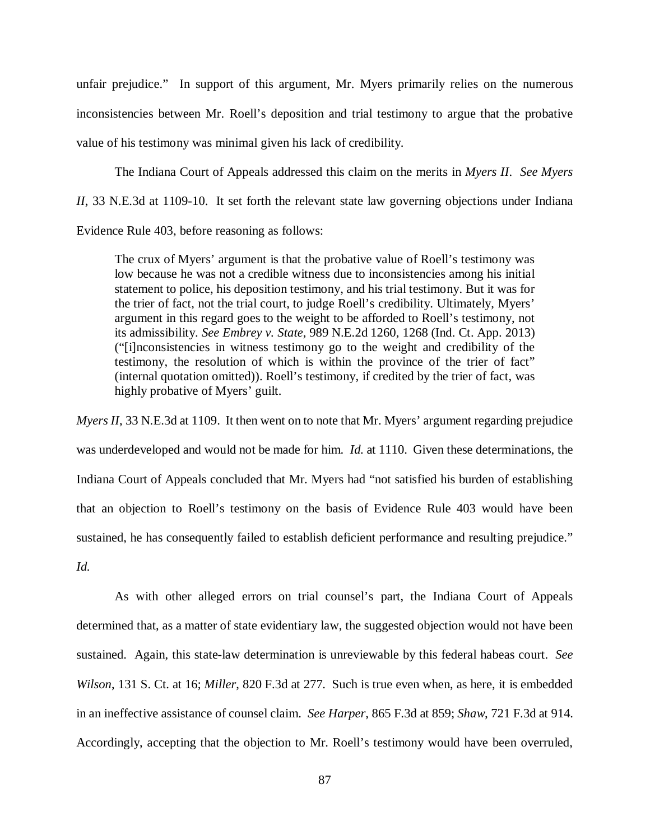unfair prejudice." In support of this argument, Mr. Myers primarily relies on the numerous inconsistencies between Mr. Roell's deposition and trial testimony to argue that the probative value of his testimony was minimal given his lack of credibility.

The Indiana Court of Appeals addressed this claim on the merits in *Myers II*. *See Myers II*, 33 N.E.3d at 1109-10. It set forth the relevant state law governing objections under Indiana Evidence Rule 403, before reasoning as follows:

The crux of Myers' argument is that the probative value of Roell's testimony was low because he was not a credible witness due to inconsistencies among his initial statement to police, his deposition testimony, and his trial testimony. But it was for the trier of fact, not the trial court, to judge Roell's credibility. Ultimately, Myers' argument in this regard goes to the weight to be afforded to Roell's testimony, not its admissibility. *See Embrey v. State*, 989 N.E.2d 1260, 1268 (Ind. Ct. App. 2013) ("[i]nconsistencies in witness testimony go to the weight and credibility of the testimony, the resolution of which is within the province of the trier of fact" (internal quotation omitted)). Roell's testimony, if credited by the trier of fact, was highly probative of Myers' guilt.

*Myers II*, 33 N.E.3d at 1109. It then went on to note that Mr. Myers' argument regarding prejudice was underdeveloped and would not be made for him. *Id.* at 1110. Given these determinations, the Indiana Court of Appeals concluded that Mr. Myers had "not satisfied his burden of establishing that an objection to Roell's testimony on the basis of Evidence Rule 403 would have been sustained, he has consequently failed to establish deficient performance and resulting prejudice." *Id.*

As with other alleged errors on trial counsel's part, the Indiana Court of Appeals determined that, as a matter of state evidentiary law, the suggested objection would not have been sustained. Again, this state-law determination is unreviewable by this federal habeas court. *See Wilson*, 131 S. Ct. at 16; *Miller*, 820 F.3d at 277. Such is true even when, as here, it is embedded in an ineffective assistance of counsel claim. *See Harper*, 865 F.3d at 859; *Shaw*, 721 F.3d at 914. Accordingly, accepting that the objection to Mr. Roell's testimony would have been overruled,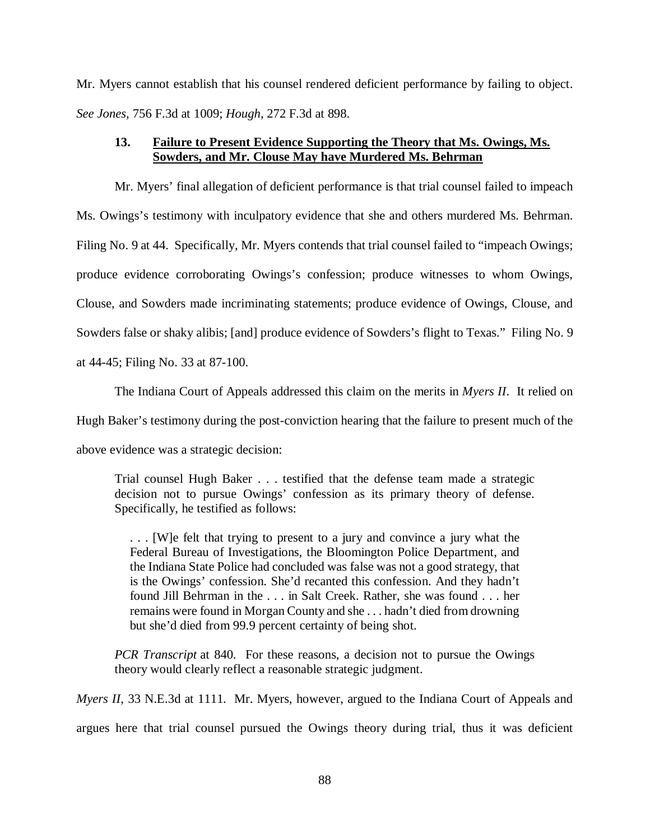Mr. Myers cannot establish that his counsel rendered deficient performance by failing to object. *See Jones*, 756 F.3d at 1009; *Hough*, 272 F.3d at 898.

# **13. Failure to Present Evidence Supporting the Theory that Ms. Owings, Ms. Sowders, and Mr. Clouse May have Murdered Ms. Behrman**

Mr. Myers' final allegation of deficient performance is that trial counsel failed to impeach Ms. Owings's testimony with inculpatory evidence that she and others murdered Ms. Behrman. Filing No. 9 at 44. Specifically, Mr. Myers contends that trial counsel failed to "impeach Owings; produce evidence corroborating Owings's confession; produce witnesses to whom Owings, Clouse, and Sowders made incriminating statements; produce evidence of Owings, Clouse, and Sowders false or shaky alibis; [and] produce evidence of Sowders's flight to Texas." Filing No. 9 at 44-45; Filing No. 33 at 87-100.

The Indiana Court of Appeals addressed this claim on the merits in *Myers II*. It relied on Hugh Baker's testimony during the post-conviction hearing that the failure to present much of the above evidence was a strategic decision:

Trial counsel Hugh Baker . . . testified that the defense team made a strategic decision not to pursue Owings' confession as its primary theory of defense. Specifically, he testified as follows:

. . . [W]e felt that trying to present to a jury and convince a jury what the Federal Bureau of Investigations, the Bloomington Police Department, and the Indiana State Police had concluded was false was not a good strategy, that is the Owings' confession. She'd recanted this confession. And they hadn't found Jill Behrman in the . . . in Salt Creek. Rather, she was found . . . her remains were found in Morgan County and she . . . hadn't died from drowning but she'd died from 99.9 percent certainty of being shot.

*PCR Transcript* at 840. For these reasons, a decision not to pursue the Owings theory would clearly reflect a reasonable strategic judgment.

*Myers II*, 33 N.E.3d at 1111. Mr. Myers, however, argued to the Indiana Court of Appeals and argues here that trial counsel pursued the Owings theory during trial, thus it was deficient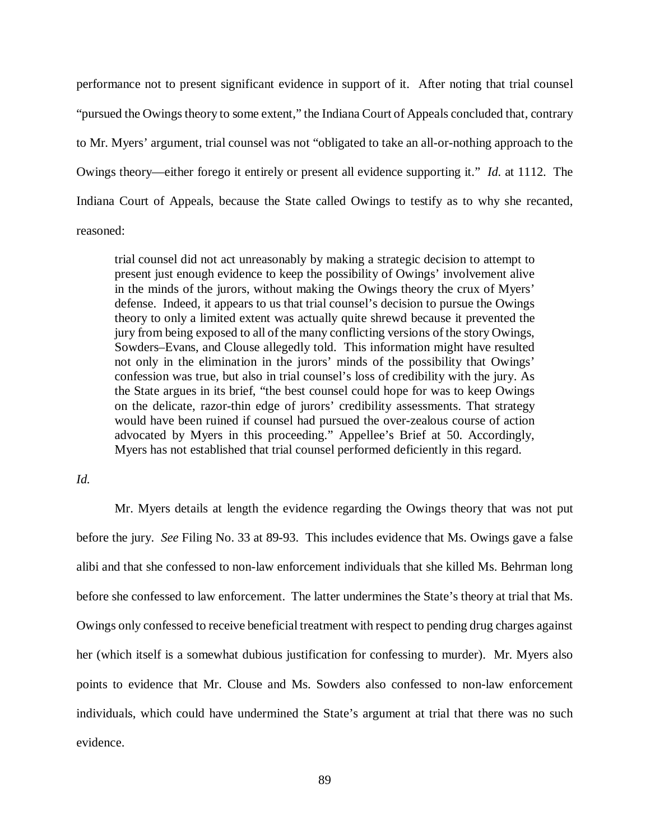performance not to present significant evidence in support of it. After noting that trial counsel "pursued the Owings theory to some extent," the Indiana Court of Appeals concluded that, contrary to Mr. Myers' argument, trial counsel was not "obligated to take an all-or-nothing approach to the Owings theory—either forego it entirely or present all evidence supporting it." *Id.* at 1112. The Indiana Court of Appeals, because the State called Owings to testify as to why she recanted, reasoned:

trial counsel did not act unreasonably by making a strategic decision to attempt to present just enough evidence to keep the possibility of Owings' involvement alive in the minds of the jurors, without making the Owings theory the crux of Myers' defense. Indeed, it appears to us that trial counsel's decision to pursue the Owings theory to only a limited extent was actually quite shrewd because it prevented the jury from being exposed to all of the many conflicting versions of the story Owings, Sowders–Evans, and Clouse allegedly told. This information might have resulted not only in the elimination in the jurors' minds of the possibility that Owings' confession was true, but also in trial counsel's loss of credibility with the jury. As the State argues in its brief, "the best counsel could hope for was to keep Owings on the delicate, razor-thin edge of jurors' credibility assessments. That strategy would have been ruined if counsel had pursued the over-zealous course of action advocated by Myers in this proceeding." Appellee's Brief at 50. Accordingly, Myers has not established that trial counsel performed deficiently in this regard.

# *Id.*

Mr. Myers details at length the evidence regarding the Owings theory that was not put before the jury. *See* Filing No. 33 at 89-93. This includes evidence that Ms. Owings gave a false alibi and that she confessed to non-law enforcement individuals that she killed Ms. Behrman long before she confessed to law enforcement. The latter undermines the State's theory at trial that Ms. Owings only confessed to receive beneficial treatment with respect to pending drug charges against her (which itself is a somewhat dubious justification for confessing to murder). Mr. Myers also points to evidence that Mr. Clouse and Ms. Sowders also confessed to non-law enforcement individuals, which could have undermined the State's argument at trial that there was no such evidence.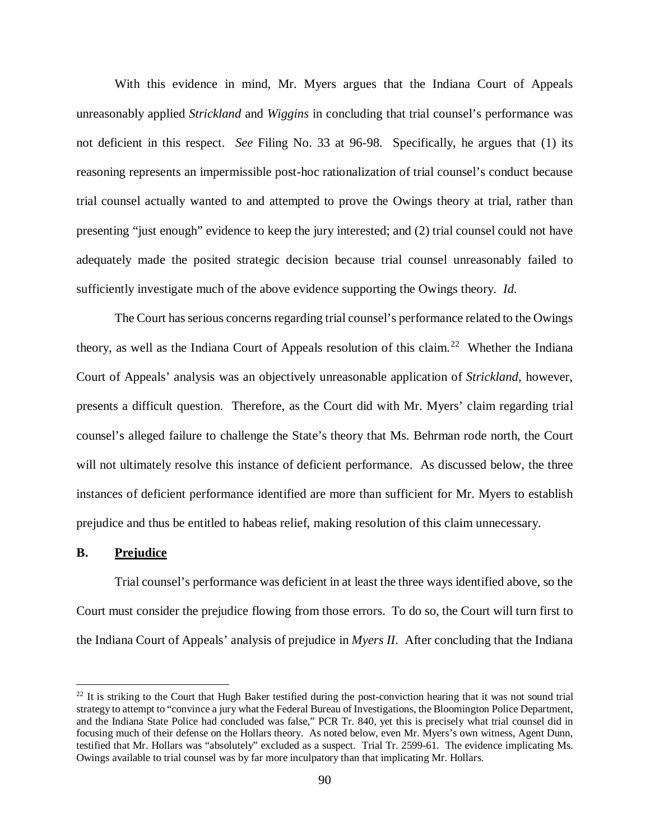With this evidence in mind, Mr. Myers argues that the Indiana Court of Appeals unreasonably applied *Strickland* and *Wiggins* in concluding that trial counsel's performance was not deficient in this respect. *See* Filing No. 33 at 96-98. Specifically, he argues that (1) its reasoning represents an impermissible post-hoc rationalization of trial counsel's conduct because trial counsel actually wanted to and attempted to prove the Owings theory at trial, rather than presenting "just enough" evidence to keep the jury interested; and (2) trial counsel could not have adequately made the posited strategic decision because trial counsel unreasonably failed to sufficiently investigate much of the above evidence supporting the Owings theory. *Id.*

The Court has serious concerns regarding trial counsel's performance related to the Owings theory, as well as the Indiana Court of Appeals resolution of this claim.<sup>22</sup> Whether the Indiana Court of Appeals' analysis was an objectively unreasonable application of *Strickland*, however, presents a difficult question. Therefore, as the Court did with Mr. Myers' claim regarding trial counsel's alleged failure to challenge the State's theory that Ms. Behrman rode north, the Court will not ultimately resolve this instance of deficient performance. As discussed below, the three instances of deficient performance identified are more than sufficient for Mr. Myers to establish prejudice and thus be entitled to habeas relief, making resolution of this claim unnecessary.

#### **B. Prejudice**

Trial counsel's performance was deficient in at least the three ways identified above, so the Court must consider the prejudice flowing from those errors. To do so, the Court will turn first to the Indiana Court of Appeals' analysis of prejudice in *Myers II*. After concluding that the Indiana

<span id="page-89-0"></span> $^{22}$  It is striking to the Court that Hugh Baker testified during the post-conviction hearing that it was not sound trial strategy to attempt to "convince a jury what the Federal Bureau of Investigations, the Bloomington Police Department, and the Indiana State Police had concluded was false," PCR Tr. 840, yet this is precisely what trial counsel did in focusing much of their defense on the Hollars theory. As noted below, even Mr. Myers's own witness, Agent Dunn, testified that Mr. Hollars was "absolutely" excluded as a suspect. Trial Tr. 2599-61. The evidence implicating Ms. Owings available to trial counsel was by far more inculpatory than that implicating Mr. Hollars.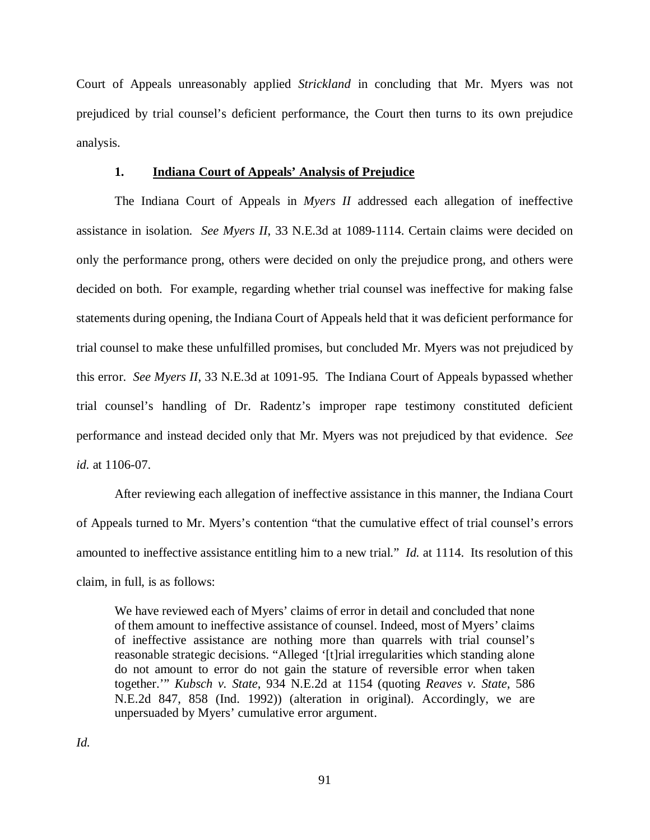Court of Appeals unreasonably applied *Strickland* in concluding that Mr. Myers was not prejudiced by trial counsel's deficient performance, the Court then turns to its own prejudice analysis.

#### **1. Indiana Court of Appeals' Analysis of Prejudice**

The Indiana Court of Appeals in *Myers II* addressed each allegation of ineffective assistance in isolation. *See Myers II*, 33 N.E.3d at 1089-1114. Certain claims were decided on only the performance prong, others were decided on only the prejudice prong, and others were decided on both. For example, regarding whether trial counsel was ineffective for making false statements during opening, the Indiana Court of Appeals held that it was deficient performance for trial counsel to make these unfulfilled promises, but concluded Mr. Myers was not prejudiced by this error. *See Myers II*, 33 N.E.3d at 1091-95. The Indiana Court of Appeals bypassed whether trial counsel's handling of Dr. Radentz's improper rape testimony constituted deficient performance and instead decided only that Mr. Myers was not prejudiced by that evidence. *See id.* at 1106-07.

After reviewing each allegation of ineffective assistance in this manner, the Indiana Court of Appeals turned to Mr. Myers's contention "that the cumulative effect of trial counsel's errors amounted to ineffective assistance entitling him to a new trial." *Id.* at 1114. Its resolution of this claim, in full, is as follows:

We have reviewed each of Myers' claims of error in detail and concluded that none of them amount to ineffective assistance of counsel. Indeed, most of Myers' claims of ineffective assistance are nothing more than quarrels with trial counsel's reasonable strategic decisions. "Alleged '[t]rial irregularities which standing alone do not amount to error do not gain the stature of reversible error when taken together.'" *Kubsch v. State*, 934 N.E.2d at 1154 (quoting *Reaves v. State*, 586 N.E.2d 847, 858 (Ind. 1992)) (alteration in original). Accordingly, we are unpersuaded by Myers' cumulative error argument.

*Id.*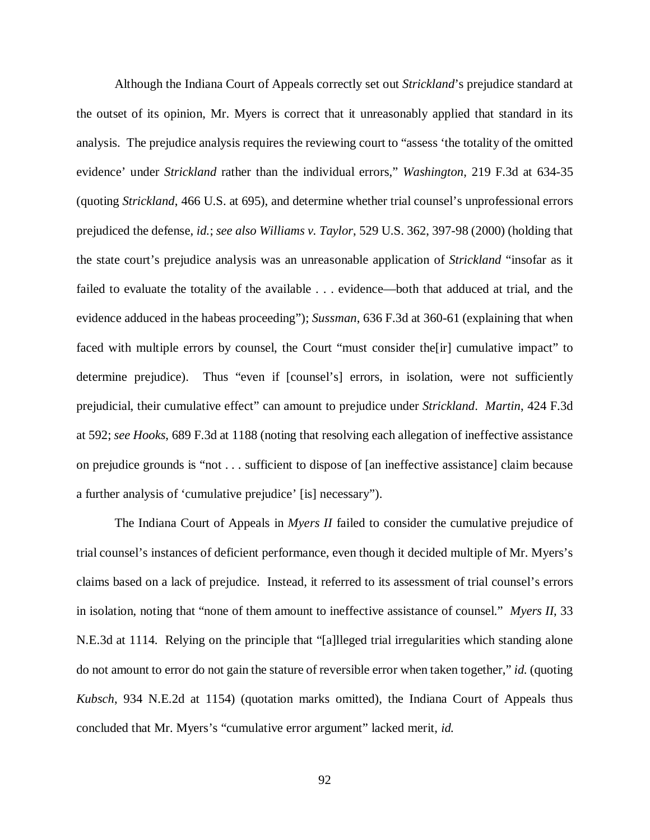Although the Indiana Court of Appeals correctly set out *Strickland*'s prejudice standard at the outset of its opinion, Mr. Myers is correct that it unreasonably applied that standard in its analysis. The prejudice analysis requires the reviewing court to "assess 'the totality of the omitted evidence' under *Strickland* rather than the individual errors," *Washington*, 219 F.3d at 634-35 (quoting *Strickland*, 466 U.S. at 695), and determine whether trial counsel's unprofessional errors prejudiced the defense, *id.*; *see also Williams v. Taylor*, 529 U.S. 362, 397-98 (2000) (holding that the state court's prejudice analysis was an unreasonable application of *Strickland* "insofar as it failed to evaluate the totality of the available . . . evidence—both that adduced at trial, and the evidence adduced in the habeas proceeding"); *Sussman*, 636 F.3d at 360-61 (explaining that when faced with multiple errors by counsel, the Court "must consider the<sup>[ir]</sup> cumulative impact" to determine prejudice). Thus "even if [counsel's] errors, in isolation, were not sufficiently prejudicial, their cumulative effect" can amount to prejudice under *Strickland*. *Martin*, 424 F.3d at 592; *see Hooks*, 689 F.3d at 1188 (noting that resolving each allegation of ineffective assistance on prejudice grounds is "not . . . sufficient to dispose of [an ineffective assistance] claim because a further analysis of 'cumulative prejudice' [is] necessary").

The Indiana Court of Appeals in *Myers II* failed to consider the cumulative prejudice of trial counsel's instances of deficient performance, even though it decided multiple of Mr. Myers's claims based on a lack of prejudice. Instead, it referred to its assessment of trial counsel's errors in isolation, noting that "none of them amount to ineffective assistance of counsel." *Myers II*, 33 N.E.3d at 1114. Relying on the principle that "[a]lleged trial irregularities which standing alone do not amount to error do not gain the stature of reversible error when taken together," *id.* (quoting *Kubsch*, 934 N.E.2d at 1154) (quotation marks omitted), the Indiana Court of Appeals thus concluded that Mr. Myers's "cumulative error argument" lacked merit, *id.*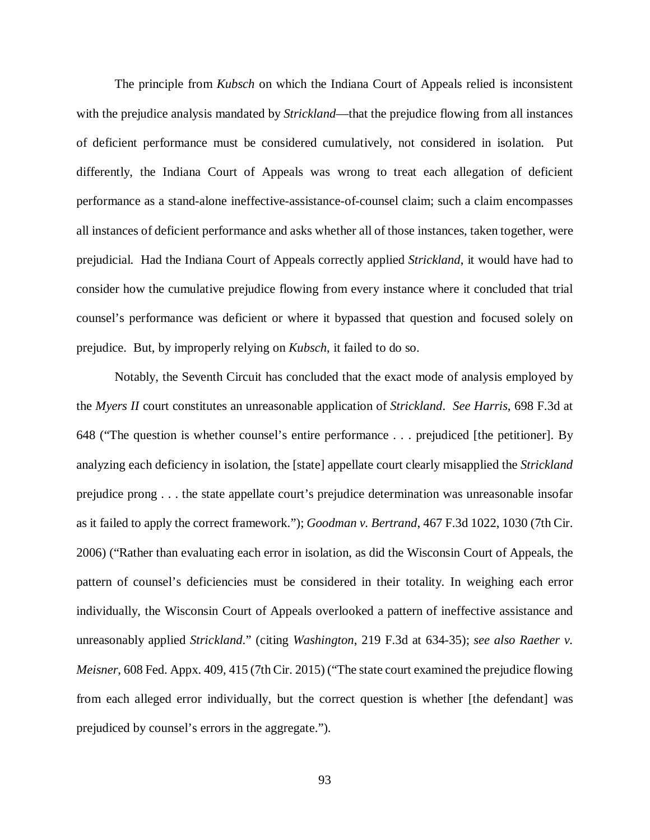The principle from *Kubsch* on which the Indiana Court of Appeals relied is inconsistent with the prejudice analysis mandated by *Strickland*—that the prejudice flowing from all instances of deficient performance must be considered cumulatively, not considered in isolation. Put differently, the Indiana Court of Appeals was wrong to treat each allegation of deficient performance as a stand-alone ineffective-assistance-of-counsel claim; such a claim encompasses all instances of deficient performance and asks whether all of those instances, taken together, were prejudicial. Had the Indiana Court of Appeals correctly applied *Strickland*, it would have had to consider how the cumulative prejudice flowing from every instance where it concluded that trial counsel's performance was deficient or where it bypassed that question and focused solely on prejudice. But, by improperly relying on *Kubsch*, it failed to do so.

Notably, the Seventh Circuit has concluded that the exact mode of analysis employed by the *Myers II* court constitutes an unreasonable application of *Strickland*. *See Harris*, 698 F.3d at 648 ("The question is whether counsel's entire performance . . . prejudiced [the petitioner]. By analyzing each deficiency in isolation, the [state] appellate court clearly misapplied the *Strickland* prejudice prong . . . the state appellate court's prejudice determination was unreasonable insofar as it failed to apply the correct framework."); *Goodman v. Bertrand*, 467 F.3d 1022, 1030 (7th Cir. 2006) ("Rather than evaluating each error in isolation, as did the Wisconsin Court of Appeals, the pattern of counsel's deficiencies must be considered in their totality. In weighing each error individually, the Wisconsin Court of Appeals overlooked a pattern of ineffective assistance and unreasonably applied *Strickland*." (citing *Washington*, 219 F.3d at 634-35); *see also Raether v. Meisner*, 608 Fed. Appx. 409, 415 (7th Cir. 2015) ("The state court examined the prejudice flowing from each alleged error individually, but the correct question is whether [the defendant] was prejudiced by counsel's errors in the aggregate.").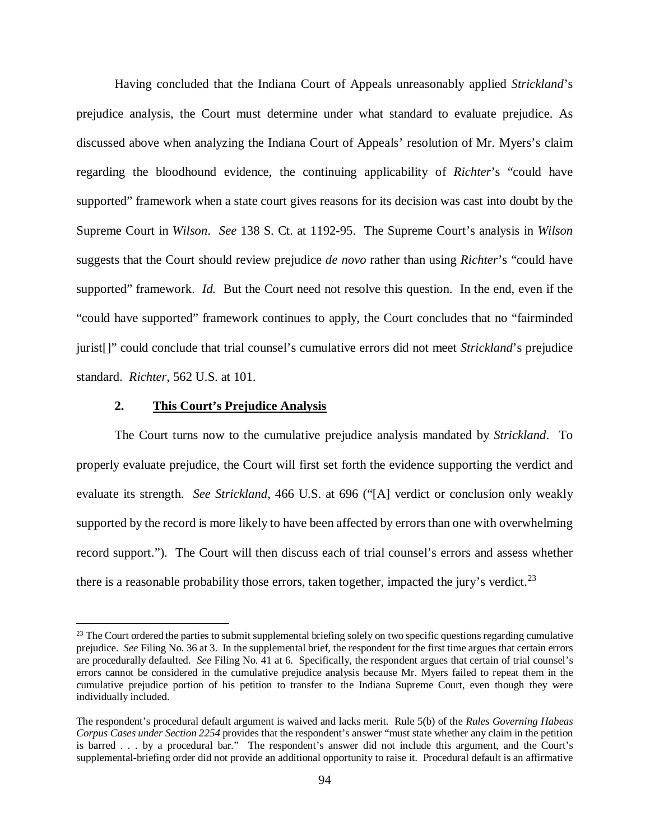Having concluded that the Indiana Court of Appeals unreasonably applied *Strickland*'s prejudice analysis, the Court must determine under what standard to evaluate prejudice. As discussed above when analyzing the Indiana Court of Appeals' resolution of Mr. Myers's claim regarding the bloodhound evidence, the continuing applicability of *Richter*'s "could have supported" framework when a state court gives reasons for its decision was cast into doubt by the Supreme Court in *Wilson*. *See* 138 S. Ct. at 1192-95. The Supreme Court's analysis in *Wilson*  suggests that the Court should review prejudice *de novo* rather than using *Richter*'s "could have supported" framework. *Id.* But the Court need not resolve this question. In the end, even if the "could have supported" framework continues to apply, the Court concludes that no "fairminded jurist[]" could conclude that trial counsel's cumulative errors did not meet *Strickland*'s prejudice standard. *Richter*, 562 U.S. at 101.

## **2. This Court's Prejudice Analysis**

The Court turns now to the cumulative prejudice analysis mandated by *Strickland*. To properly evaluate prejudice, the Court will first set forth the evidence supporting the verdict and evaluate its strength. *See Strickland*, 466 U.S. at 696 ("[A] verdict or conclusion only weakly supported by the record is more likely to have been affected by errors than one with overwhelming record support."). The Court will then discuss each of trial counsel's errors and assess whether there is a reasonable probability those errors, taken together, impacted the jury's verdict.<sup>[23](#page-93-0)</sup>

<span id="page-93-0"></span> $^{23}$  The Court ordered the parties to submit supplemental briefing solely on two specific questions regarding cumulative prejudice. *See* Filing No. 36 at 3. In the supplemental brief, the respondent for the first time argues that certain errors are procedurally defaulted. *See* Filing No. 41 at 6. Specifically, the respondent argues that certain of trial counsel's errors cannot be considered in the cumulative prejudice analysis because Mr. Myers failed to repeat them in the cumulative prejudice portion of his petition to transfer to the Indiana Supreme Court, even though they were individually included.

The respondent's procedural default argument is waived and lacks merit. Rule 5(b) of the *Rules Governing Habeas Corpus Cases under Section 2254* provides that the respondent's answer "must state whether any claim in the petition is barred . . . by a procedural bar." The respondent's answer did not include this argument, and the Court's supplemental-briefing order did not provide an additional opportunity to raise it. Procedural default is an affirmative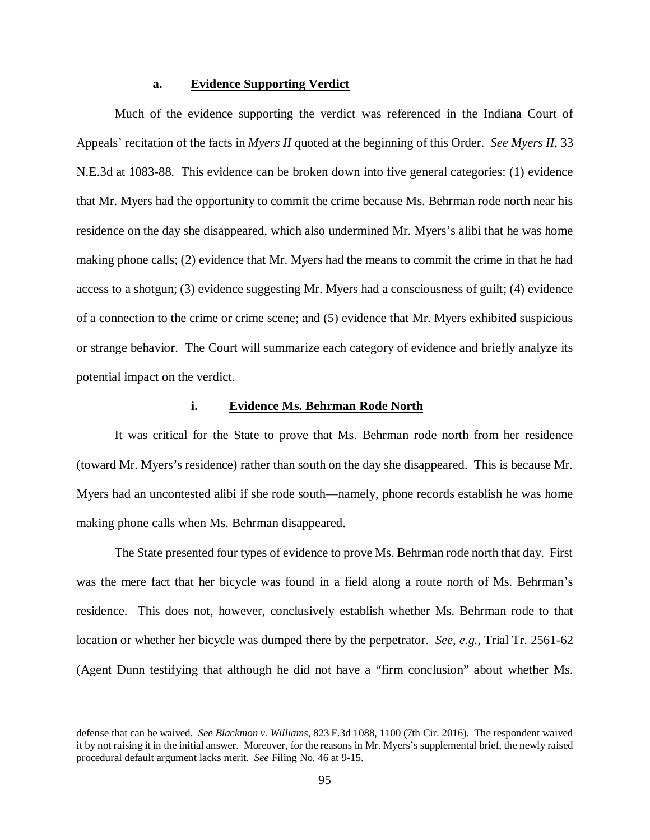#### **a. Evidence Supporting Verdict**

Much of the evidence supporting the verdict was referenced in the Indiana Court of Appeals' recitation of the facts in *Myers II* quoted at the beginning of this Order. *See Myers II*, 33 N.E.3d at 1083-88. This evidence can be broken down into five general categories: (1) evidence that Mr. Myers had the opportunity to commit the crime because Ms. Behrman rode north near his residence on the day she disappeared, which also undermined Mr. Myers's alibi that he was home making phone calls; (2) evidence that Mr. Myers had the means to commit the crime in that he had access to a shotgun; (3) evidence suggesting Mr. Myers had a consciousness of guilt; (4) evidence of a connection to the crime or crime scene; and (5) evidence that Mr. Myers exhibited suspicious or strange behavior. The Court will summarize each category of evidence and briefly analyze its potential impact on the verdict.

# **i. Evidence Ms. Behrman Rode North**

It was critical for the State to prove that Ms. Behrman rode north from her residence (toward Mr. Myers's residence) rather than south on the day she disappeared. This is because Mr. Myers had an uncontested alibi if she rode south—namely, phone records establish he was home making phone calls when Ms. Behrman disappeared.

The State presented four types of evidence to prove Ms. Behrman rode north that day. First was the mere fact that her bicycle was found in a field along a route north of Ms. Behrman's residence. This does not, however, conclusively establish whether Ms. Behrman rode to that location or whether her bicycle was dumped there by the perpetrator. *See, e.g.*, Trial Tr. 2561-62 (Agent Dunn testifying that although he did not have a "firm conclusion" about whether Ms.

defense that can be waived. *See Blackmon v. Williams*, 823 F.3d 1088, 1100 (7th Cir. 2016). The respondent waived it by not raising it in the initial answer. Moreover, for the reasons in Mr. Myers's supplemental brief, the newly raised procedural default argument lacks merit. *See* Filing No. 46 at 9-15.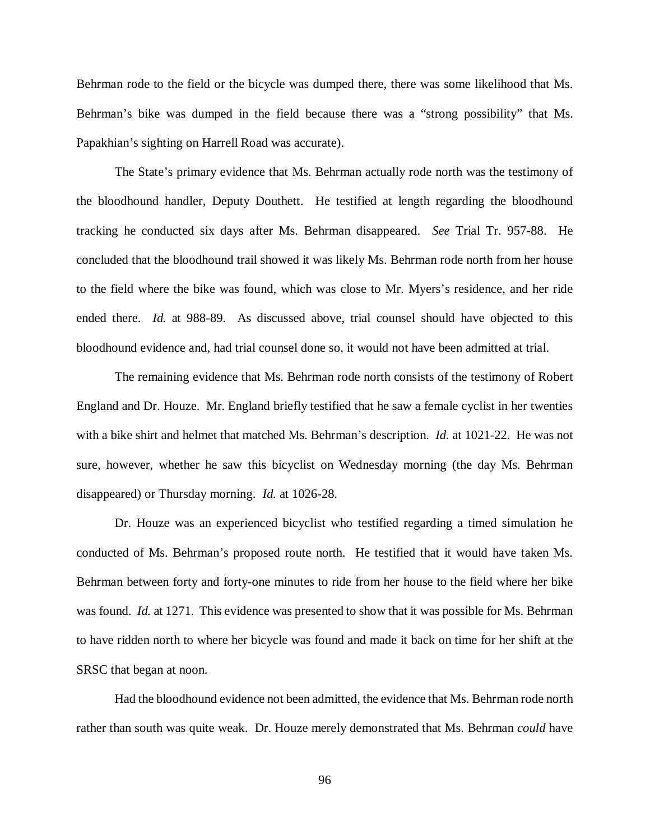Behrman rode to the field or the bicycle was dumped there, there was some likelihood that Ms. Behrman's bike was dumped in the field because there was a "strong possibility" that Ms. Papakhian's sighting on Harrell Road was accurate).

The State's primary evidence that Ms. Behrman actually rode north was the testimony of the bloodhound handler, Deputy Douthett. He testified at length regarding the bloodhound tracking he conducted six days after Ms. Behrman disappeared. *See* Trial Tr. 957-88. He concluded that the bloodhound trail showed it was likely Ms. Behrman rode north from her house to the field where the bike was found, which was close to Mr. Myers's residence, and her ride ended there. *Id.* at 988-89. As discussed above, trial counsel should have objected to this bloodhound evidence and, had trial counsel done so, it would not have been admitted at trial.

The remaining evidence that Ms. Behrman rode north consists of the testimony of Robert England and Dr. Houze. Mr. England briefly testified that he saw a female cyclist in her twenties with a bike shirt and helmet that matched Ms. Behrman's description. *Id.* at 1021-22. He was not sure, however, whether he saw this bicyclist on Wednesday morning (the day Ms. Behrman disappeared) or Thursday morning. *Id.* at 1026-28.

Dr. Houze was an experienced bicyclist who testified regarding a timed simulation he conducted of Ms. Behrman's proposed route north. He testified that it would have taken Ms. Behrman between forty and forty-one minutes to ride from her house to the field where her bike was found. *Id.* at 1271. This evidence was presented to show that it was possible for Ms. Behrman to have ridden north to where her bicycle was found and made it back on time for her shift at the SRSC that began at noon.

Had the bloodhound evidence not been admitted, the evidence that Ms. Behrman rode north rather than south was quite weak. Dr. Houze merely demonstrated that Ms. Behrman *could* have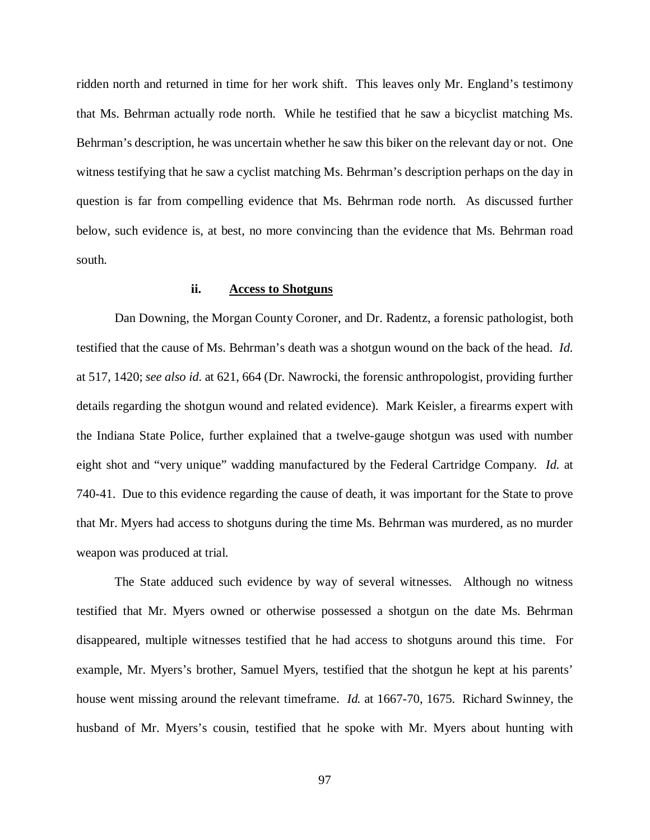ridden north and returned in time for her work shift. This leaves only Mr. England's testimony that Ms. Behrman actually rode north. While he testified that he saw a bicyclist matching Ms. Behrman's description, he was uncertain whether he saw this biker on the relevant day or not. One witness testifying that he saw a cyclist matching Ms. Behrman's description perhaps on the day in question is far from compelling evidence that Ms. Behrman rode north. As discussed further below, such evidence is, at best, no more convincing than the evidence that Ms. Behrman road south.

## **ii. Access to Shotguns**

Dan Downing, the Morgan County Coroner, and Dr. Radentz, a forensic pathologist, both testified that the cause of Ms. Behrman's death was a shotgun wound on the back of the head. *Id.*  at 517, 1420; *see also id.* at 621, 664 (Dr. Nawrocki, the forensic anthropologist, providing further details regarding the shotgun wound and related evidence). Mark Keisler, a firearms expert with the Indiana State Police, further explained that a twelve-gauge shotgun was used with number eight shot and "very unique" wadding manufactured by the Federal Cartridge Company. *Id.* at 740-41. Due to this evidence regarding the cause of death, it was important for the State to prove that Mr. Myers had access to shotguns during the time Ms. Behrman was murdered, as no murder weapon was produced at trial.

The State adduced such evidence by way of several witnesses. Although no witness testified that Mr. Myers owned or otherwise possessed a shotgun on the date Ms. Behrman disappeared, multiple witnesses testified that he had access to shotguns around this time. For example, Mr. Myers's brother, Samuel Myers, testified that the shotgun he kept at his parents' house went missing around the relevant timeframe. *Id.* at 1667-70, 1675. Richard Swinney, the husband of Mr. Myers's cousin, testified that he spoke with Mr. Myers about hunting with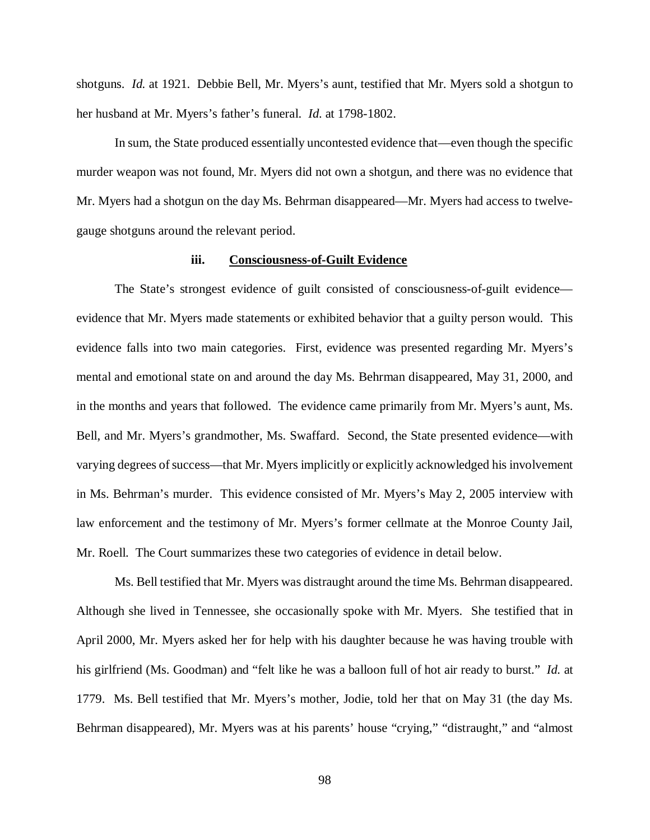shotguns. *Id.* at 1921. Debbie Bell, Mr. Myers's aunt, testified that Mr. Myers sold a shotgun to her husband at Mr. Myers's father's funeral. *Id.* at 1798-1802.

In sum, the State produced essentially uncontested evidence that—even though the specific murder weapon was not found, Mr. Myers did not own a shotgun, and there was no evidence that Mr. Myers had a shotgun on the day Ms. Behrman disappeared—Mr. Myers had access to twelvegauge shotguns around the relevant period.

## **iii. Consciousness-of-Guilt Evidence**

The State's strongest evidence of guilt consisted of consciousness-of-guilt evidence evidence that Mr. Myers made statements or exhibited behavior that a guilty person would. This evidence falls into two main categories. First, evidence was presented regarding Mr. Myers's mental and emotional state on and around the day Ms. Behrman disappeared, May 31, 2000, and in the months and years that followed. The evidence came primarily from Mr. Myers's aunt, Ms. Bell, and Mr. Myers's grandmother, Ms. Swaffard. Second, the State presented evidence—with varying degrees of success—that Mr. Myers implicitly or explicitly acknowledged his involvement in Ms. Behrman's murder. This evidence consisted of Mr. Myers's May 2, 2005 interview with law enforcement and the testimony of Mr. Myers's former cellmate at the Monroe County Jail, Mr. Roell. The Court summarizes these two categories of evidence in detail below.

Ms. Bell testified that Mr. Myers was distraught around the time Ms. Behrman disappeared. Although she lived in Tennessee, she occasionally spoke with Mr. Myers. She testified that in April 2000, Mr. Myers asked her for help with his daughter because he was having trouble with his girlfriend (Ms. Goodman) and "felt like he was a balloon full of hot air ready to burst." *Id.* at 1779. Ms. Bell testified that Mr. Myers's mother, Jodie, told her that on May 31 (the day Ms. Behrman disappeared), Mr. Myers was at his parents' house "crying," "distraught," and "almost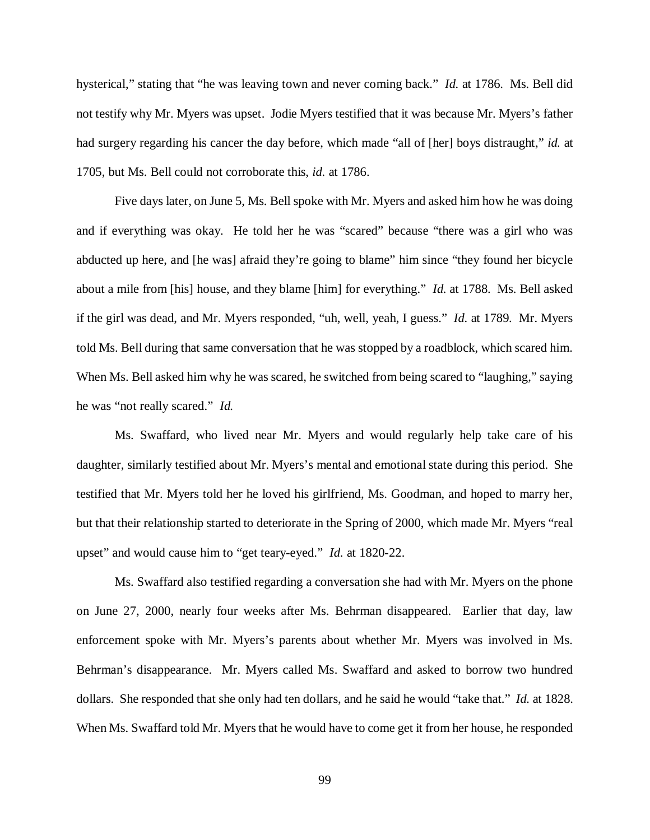hysterical," stating that "he was leaving town and never coming back." *Id.* at 1786. Ms. Bell did not testify why Mr. Myers was upset. Jodie Myers testified that it was because Mr. Myers's father had surgery regarding his cancer the day before, which made "all of [her] boys distraught," *id.* at 1705, but Ms. Bell could not corroborate this, *id.* at 1786.

Five days later, on June 5, Ms. Bell spoke with Mr. Myers and asked him how he was doing and if everything was okay. He told her he was "scared" because "there was a girl who was abducted up here, and [he was] afraid they're going to blame" him since "they found her bicycle about a mile from [his] house, and they blame [him] for everything." *Id.* at 1788. Ms. Bell asked if the girl was dead, and Mr. Myers responded, "uh, well, yeah, I guess." *Id.* at 1789. Mr. Myers told Ms. Bell during that same conversation that he was stopped by a roadblock, which scared him. When Ms. Bell asked him why he was scared, he switched from being scared to "laughing," saying he was "not really scared." *Id.*

Ms. Swaffard, who lived near Mr. Myers and would regularly help take care of his daughter, similarly testified about Mr. Myers's mental and emotional state during this period. She testified that Mr. Myers told her he loved his girlfriend, Ms. Goodman, and hoped to marry her, but that their relationship started to deteriorate in the Spring of 2000, which made Mr. Myers "real upset" and would cause him to "get teary-eyed." *Id.* at 1820-22.

Ms. Swaffard also testified regarding a conversation she had with Mr. Myers on the phone on June 27, 2000, nearly four weeks after Ms. Behrman disappeared. Earlier that day, law enforcement spoke with Mr. Myers's parents about whether Mr. Myers was involved in Ms. Behrman's disappearance. Mr. Myers called Ms. Swaffard and asked to borrow two hundred dollars. She responded that she only had ten dollars, and he said he would "take that." *Id.* at 1828. When Ms. Swaffard told Mr. Myers that he would have to come get it from her house, he responded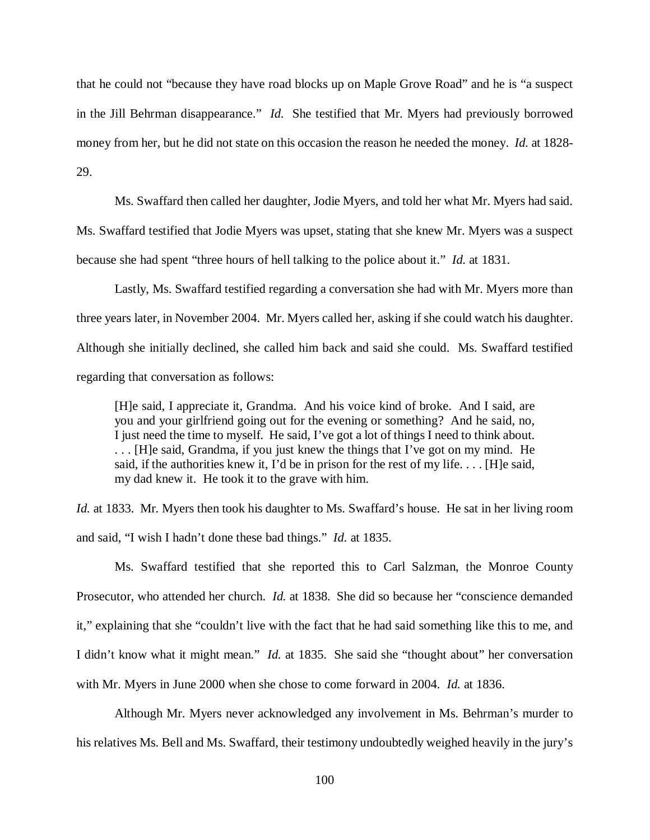that he could not "because they have road blocks up on Maple Grove Road" and he is "a suspect in the Jill Behrman disappearance." *Id.* She testified that Mr. Myers had previously borrowed money from her, but he did not state on this occasion the reason he needed the money. *Id.* at 1828- 29.

Ms. Swaffard then called her daughter, Jodie Myers, and told her what Mr. Myers had said.

Ms. Swaffard testified that Jodie Myers was upset, stating that she knew Mr. Myers was a suspect because she had spent "three hours of hell talking to the police about it." *Id.* at 1831.

Lastly, Ms. Swaffard testified regarding a conversation she had with Mr. Myers more than three years later, in November 2004. Mr. Myers called her, asking if she could watch his daughter. Although she initially declined, she called him back and said she could. Ms. Swaffard testified regarding that conversation as follows:

[H]e said, I appreciate it, Grandma. And his voice kind of broke. And I said, are you and your girlfriend going out for the evening or something? And he said, no, I just need the time to myself. He said, I've got a lot of things I need to think about. . . . [H]e said, Grandma, if you just knew the things that I've got on my mind. He said, if the authorities knew it, I'd be in prison for the rest of my life.  $\dots$  [H]e said, my dad knew it. He took it to the grave with him.

*Id.* at 1833. Mr. Myers then took his daughter to Ms. Swaffard's house. He sat in her living room and said, "I wish I hadn't done these bad things." *Id.* at 1835.

Ms. Swaffard testified that she reported this to Carl Salzman, the Monroe County Prosecutor, who attended her church. *Id.* at 1838. She did so because her "conscience demanded it," explaining that she "couldn't live with the fact that he had said something like this to me, and I didn't know what it might mean." *Id.* at 1835. She said she "thought about" her conversation with Mr. Myers in June 2000 when she chose to come forward in 2004. *Id.* at 1836.

Although Mr. Myers never acknowledged any involvement in Ms. Behrman's murder to his relatives Ms. Bell and Ms. Swaffard, their testimony undoubtedly weighed heavily in the jury's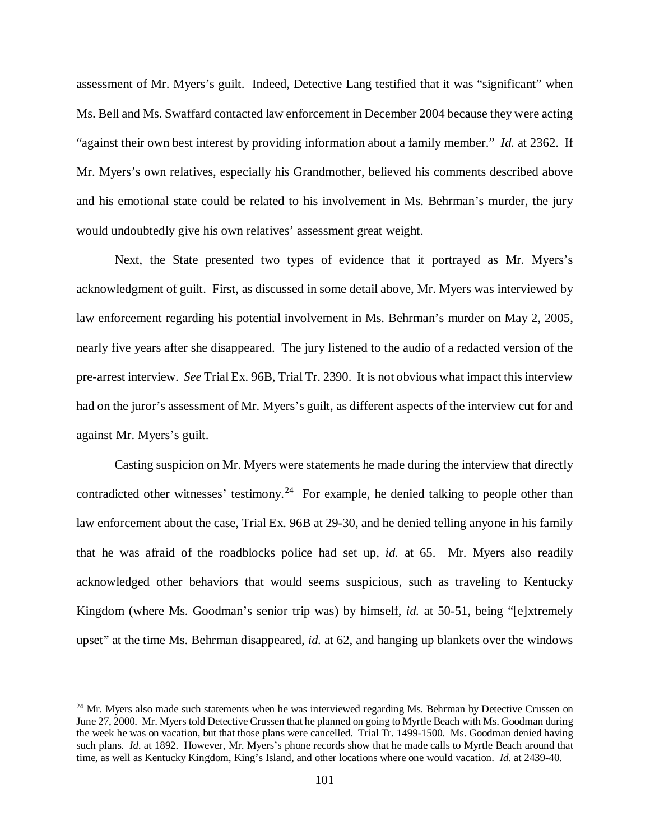assessment of Mr. Myers's guilt. Indeed, Detective Lang testified that it was "significant" when Ms. Bell and Ms. Swaffard contacted law enforcement in December 2004 because they were acting "against their own best interest by providing information about a family member." *Id.* at 2362. If Mr. Myers's own relatives, especially his Grandmother, believed his comments described above and his emotional state could be related to his involvement in Ms. Behrman's murder, the jury would undoubtedly give his own relatives' assessment great weight.

Next, the State presented two types of evidence that it portrayed as Mr. Myers's acknowledgment of guilt. First, as discussed in some detail above, Mr. Myers was interviewed by law enforcement regarding his potential involvement in Ms. Behrman's murder on May 2, 2005, nearly five years after she disappeared. The jury listened to the audio of a redacted version of the pre-arrest interview. *See* Trial Ex. 96B, Trial Tr. 2390. It is not obvious what impact this interview had on the juror's assessment of Mr. Myers's guilt, as different aspects of the interview cut for and against Mr. Myers's guilt.

Casting suspicion on Mr. Myers were statements he made during the interview that directly contradicted other witnesses' testimony.<sup>24</sup> For example, he denied talking to people other than law enforcement about the case, Trial Ex. 96B at 29-30, and he denied telling anyone in his family that he was afraid of the roadblocks police had set up, *id.* at 65. Mr. Myers also readily acknowledged other behaviors that would seems suspicious, such as traveling to Kentucky Kingdom (where Ms. Goodman's senior trip was) by himself, *id.* at 50-51, being "[e]xtremely upset" at the time Ms. Behrman disappeared, *id.* at 62, and hanging up blankets over the windows

<span id="page-100-0"></span><sup>&</sup>lt;sup>24</sup> Mr. Myers also made such statements when he was interviewed regarding Ms. Behrman by Detective Crussen on June 27, 2000. Mr. Myers told Detective Crussen that he planned on going to Myrtle Beach with Ms. Goodman during the week he was on vacation, but that those plans were cancelled. Trial Tr. 1499-1500. Ms. Goodman denied having such plans. *Id.* at 1892. However, Mr. Myers's phone records show that he made calls to Myrtle Beach around that time, as well as Kentucky Kingdom, King's Island, and other locations where one would vacation. *Id.* at 2439-40.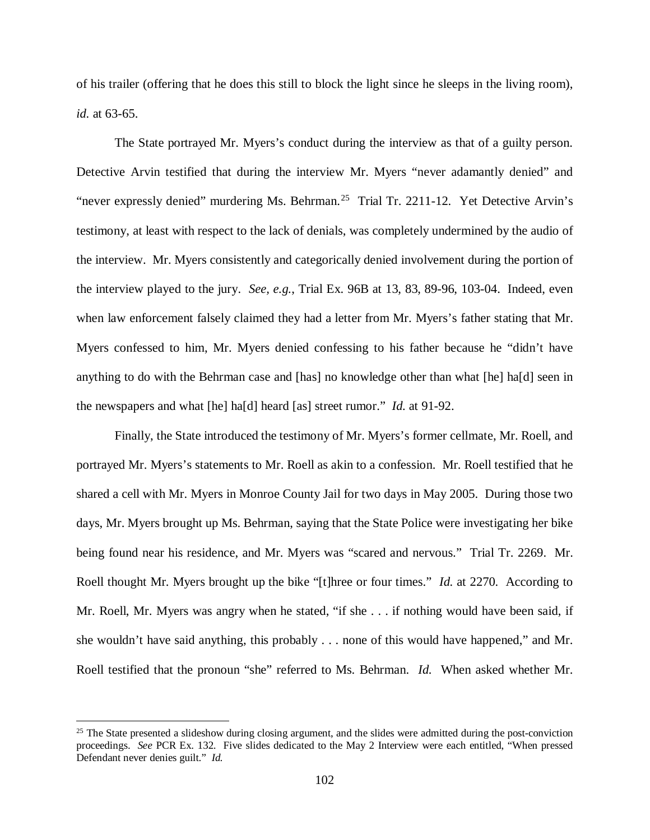of his trailer (offering that he does this still to block the light since he sleeps in the living room), *id.* at 63-65.

The State portrayed Mr. Myers's conduct during the interview as that of a guilty person. Detective Arvin testified that during the interview Mr. Myers "never adamantly denied" and "never expressly denied" murdering Ms. Behrman.<sup>[25](#page-101-0)</sup> Trial Tr. 2211-12. Yet Detective Arvin's testimony, at least with respect to the lack of denials, was completely undermined by the audio of the interview. Mr. Myers consistently and categorically denied involvement during the portion of the interview played to the jury. *See, e.g.*, Trial Ex. 96B at 13, 83, 89-96, 103-04. Indeed, even when law enforcement falsely claimed they had a letter from Mr. Myers's father stating that Mr. Myers confessed to him, Mr. Myers denied confessing to his father because he "didn't have anything to do with the Behrman case and [has] no knowledge other than what [he] ha[d] seen in the newspapers and what [he] ha[d] heard [as] street rumor." *Id.* at 91-92.

Finally, the State introduced the testimony of Mr. Myers's former cellmate, Mr. Roell, and portrayed Mr. Myers's statements to Mr. Roell as akin to a confession. Mr. Roell testified that he shared a cell with Mr. Myers in Monroe County Jail for two days in May 2005. During those two days, Mr. Myers brought up Ms. Behrman, saying that the State Police were investigating her bike being found near his residence, and Mr. Myers was "scared and nervous." Trial Tr. 2269. Mr. Roell thought Mr. Myers brought up the bike "[t]hree or four times." *Id.* at 2270. According to Mr. Roell, Mr. Myers was angry when he stated, "if she . . . if nothing would have been said, if she wouldn't have said anything, this probably . . . none of this would have happened," and Mr. Roell testified that the pronoun "she" referred to Ms. Behrman. *Id.* When asked whether Mr.

<span id="page-101-0"></span> $25$  The State presented a slideshow during closing argument, and the slides were admitted during the post-conviction proceedings. *See* PCR Ex. 132. Five slides dedicated to the May 2 Interview were each entitled, "When pressed Defendant never denies guilt." *Id.*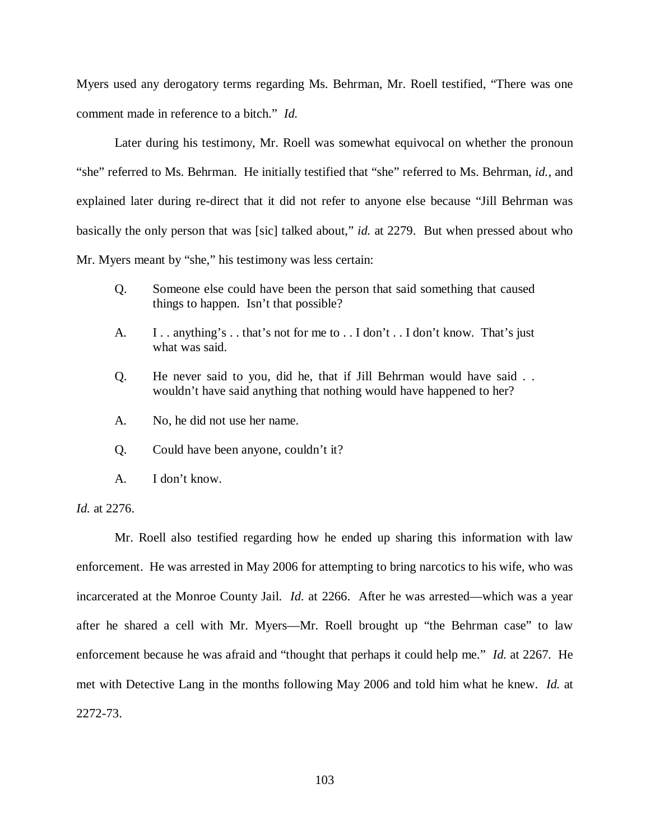Myers used any derogatory terms regarding Ms. Behrman, Mr. Roell testified, "There was one comment made in reference to a bitch." *Id.*

Later during his testimony, Mr. Roell was somewhat equivocal on whether the pronoun "she" referred to Ms. Behrman. He initially testified that "she" referred to Ms. Behrman, *id.*, and explained later during re-direct that it did not refer to anyone else because "Jill Behrman was basically the only person that was [sic] talked about," *id.* at 2279. But when pressed about who Mr. Myers meant by "she," his testimony was less certain:

- Q. Someone else could have been the person that said something that caused things to happen. Isn't that possible?
- A. I . . anything's . . that's not for me to . . I don't . . I don't know. That's just what was said.
- Q. He never said to you, did he, that if Jill Behrman would have said . . wouldn't have said anything that nothing would have happened to her?
- A. No, he did not use her name.
- Q. Could have been anyone, couldn't it?
- A. I don't know.

*Id.* at 2276.

Mr. Roell also testified regarding how he ended up sharing this information with law enforcement. He was arrested in May 2006 for attempting to bring narcotics to his wife, who was incarcerated at the Monroe County Jail. *Id.* at 2266. After he was arrested—which was a year after he shared a cell with Mr. Myers—Mr. Roell brought up "the Behrman case" to law enforcement because he was afraid and "thought that perhaps it could help me." *Id.* at 2267. He met with Detective Lang in the months following May 2006 and told him what he knew. *Id.* at 2272-73.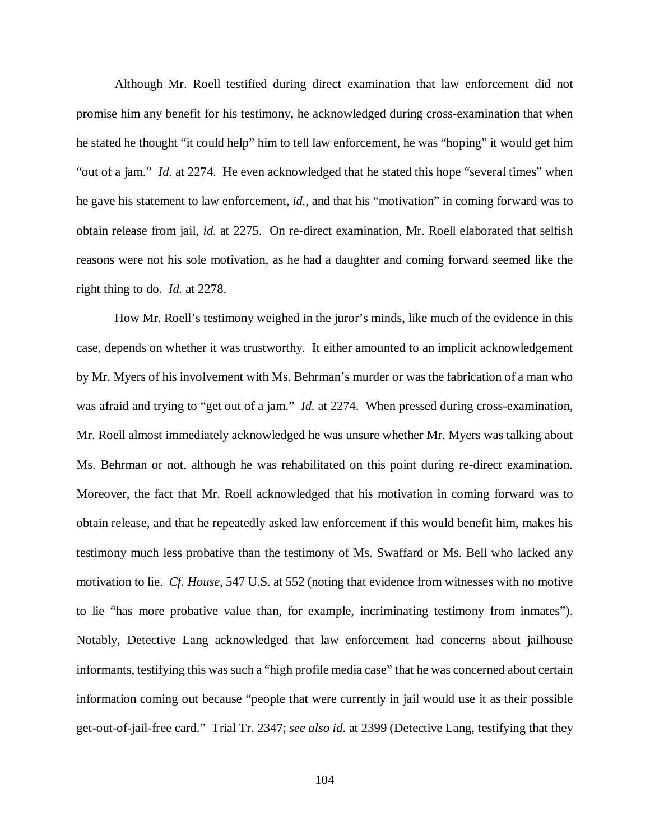Although Mr. Roell testified during direct examination that law enforcement did not promise him any benefit for his testimony, he acknowledged during cross-examination that when he stated he thought "it could help" him to tell law enforcement, he was "hoping" it would get him "out of a jam." *Id.* at 2274. He even acknowledged that he stated this hope "several times" when he gave his statement to law enforcement, *id.*, and that his "motivation" in coming forward was to obtain release from jail, *id.* at 2275. On re-direct examination, Mr. Roell elaborated that selfish reasons were not his sole motivation, as he had a daughter and coming forward seemed like the right thing to do. *Id.* at 2278.

How Mr. Roell's testimony weighed in the juror's minds, like much of the evidence in this case, depends on whether it was trustworthy. It either amounted to an implicit acknowledgement by Mr. Myers of his involvement with Ms. Behrman's murder or was the fabrication of a man who was afraid and trying to "get out of a jam." *Id.* at 2274. When pressed during cross-examination, Mr. Roell almost immediately acknowledged he was unsure whether Mr. Myers was talking about Ms. Behrman or not, although he was rehabilitated on this point during re-direct examination. Moreover, the fact that Mr. Roell acknowledged that his motivation in coming forward was to obtain release, and that he repeatedly asked law enforcement if this would benefit him, makes his testimony much less probative than the testimony of Ms. Swaffard or Ms. Bell who lacked any motivation to lie. *Cf. House*, 547 U.S. at 552 (noting that evidence from witnesses with no motive to lie "has more probative value than, for example, incriminating testimony from inmates"). Notably, Detective Lang acknowledged that law enforcement had concerns about jailhouse informants, testifying this was such a "high profile media case" that he was concerned about certain information coming out because "people that were currently in jail would use it as their possible get-out-of-jail-free card." Trial Tr. 2347; *see also id.* at 2399 (Detective Lang, testifying that they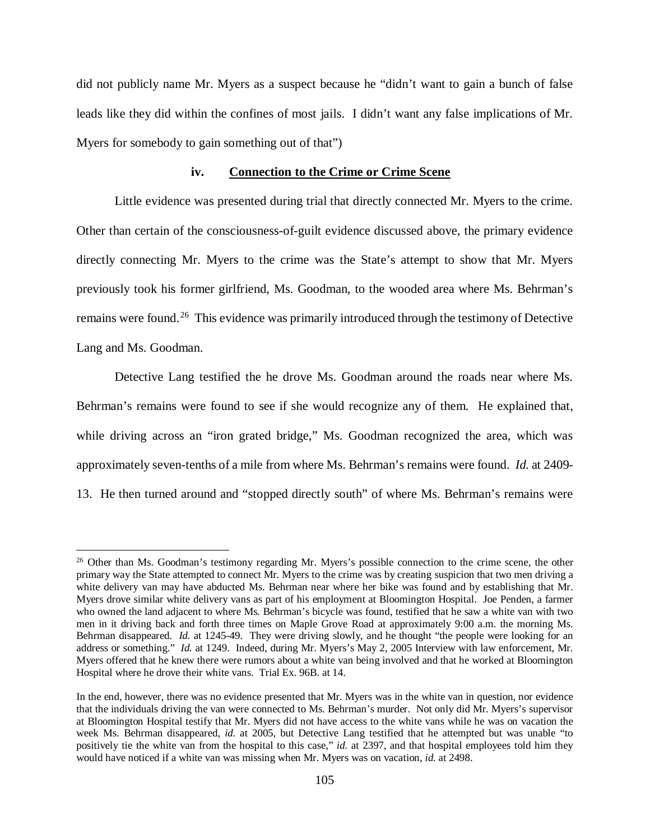did not publicly name Mr. Myers as a suspect because he "didn't want to gain a bunch of false leads like they did within the confines of most jails. I didn't want any false implications of Mr. Myers for somebody to gain something out of that")

## **iv. Connection to the Crime or Crime Scene**

Little evidence was presented during trial that directly connected Mr. Myers to the crime. Other than certain of the consciousness-of-guilt evidence discussed above, the primary evidence directly connecting Mr. Myers to the crime was the State's attempt to show that Mr. Myers previously took his former girlfriend, Ms. Goodman, to the wooded area where Ms. Behrman's remains were found.<sup>[26](#page-104-0)</sup> This evidence was primarily introduced through the testimony of Detective Lang and Ms. Goodman.

Detective Lang testified the he drove Ms. Goodman around the roads near where Ms. Behrman's remains were found to see if she would recognize any of them. He explained that, while driving across an "iron grated bridge," Ms. Goodman recognized the area, which was approximately seven-tenths of a mile from where Ms. Behrman's remains were found. *Id.* at 2409- 13. He then turned around and "stopped directly south" of where Ms. Behrman's remains were

<span id="page-104-0"></span><sup>&</sup>lt;sup>26</sup> Other than Ms. Goodman's testimony regarding Mr. Myers's possible connection to the crime scene, the other primary way the State attempted to connect Mr. Myers to the crime was by creating suspicion that two men driving a white delivery van may have abducted Ms. Behrman near where her bike was found and by establishing that Mr. Myers drove similar white delivery vans as part of his employment at Bloomington Hospital. Joe Penden, a farmer who owned the land adjacent to where Ms. Behrman's bicycle was found, testified that he saw a white van with two men in it driving back and forth three times on Maple Grove Road at approximately 9:00 a.m. the morning Ms. Behrman disappeared. *Id.* at 1245-49. They were driving slowly, and he thought "the people were looking for an address or something." *Id.* at 1249. Indeed, during Mr. Myers's May 2, 2005 Interview with law enforcement, Mr. Myers offered that he knew there were rumors about a white van being involved and that he worked at Bloomington Hospital where he drove their white vans. Trial Ex. 96B. at 14.

In the end, however, there was no evidence presented that Mr. Myers was in the white van in question, nor evidence that the individuals driving the van were connected to Ms. Behrman's murder. Not only did Mr. Myers's supervisor at Bloomington Hospital testify that Mr. Myers did not have access to the white vans while he was on vacation the week Ms. Behrman disappeared, *id.* at 2005, but Detective Lang testified that he attempted but was unable "to positively tie the white van from the hospital to this case," *id.* at 2397, and that hospital employees told him they would have noticed if a white van was missing when Mr. Myers was on vacation, *id.* at 2498.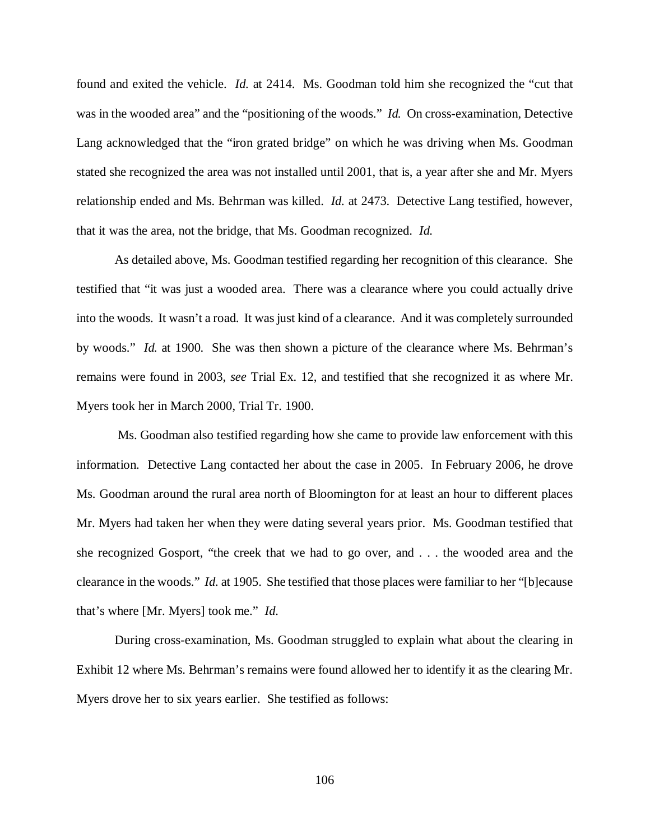found and exited the vehicle. *Id.* at 2414. Ms. Goodman told him she recognized the "cut that was in the wooded area" and the "positioning of the woods." *Id.* On cross-examination, Detective Lang acknowledged that the "iron grated bridge" on which he was driving when Ms. Goodman stated she recognized the area was not installed until 2001, that is, a year after she and Mr. Myers relationship ended and Ms. Behrman was killed. *Id.* at 2473. Detective Lang testified, however, that it was the area, not the bridge, that Ms. Goodman recognized. *Id.*

As detailed above, Ms. Goodman testified regarding her recognition of this clearance. She testified that "it was just a wooded area. There was a clearance where you could actually drive into the woods. It wasn't a road. It was just kind of a clearance. And it was completely surrounded by woods." *Id.* at 1900. She was then shown a picture of the clearance where Ms. Behrman's remains were found in 2003, *see* Trial Ex. 12, and testified that she recognized it as where Mr. Myers took her in March 2000, Trial Tr. 1900.

Ms. Goodman also testified regarding how she came to provide law enforcement with this information. Detective Lang contacted her about the case in 2005. In February 2006, he drove Ms. Goodman around the rural area north of Bloomington for at least an hour to different places Mr. Myers had taken her when they were dating several years prior. Ms. Goodman testified that she recognized Gosport, "the creek that we had to go over, and . . . the wooded area and the clearance in the woods." *Id.* at 1905. She testified that those places were familiar to her "[b]ecause that's where [Mr. Myers] took me." *Id.*

During cross-examination, Ms. Goodman struggled to explain what about the clearing in Exhibit 12 where Ms. Behrman's remains were found allowed her to identify it as the clearing Mr. Myers drove her to six years earlier. She testified as follows: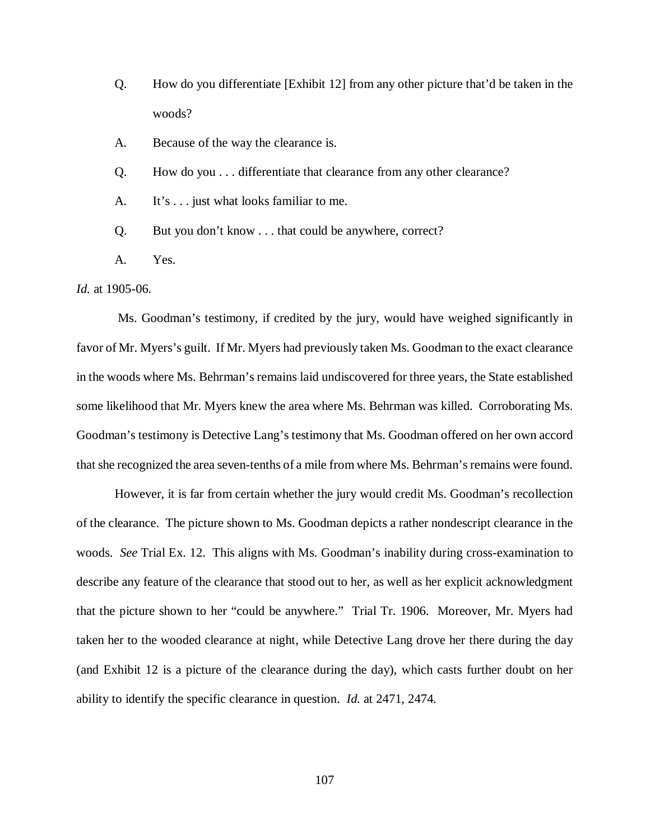Q. How do you differentiate [Exhibit 12] from any other picture that'd be taken in the woods?

A. Because of the way the clearance is.

Q. How do you . . . differentiate that clearance from any other clearance?

A. It's . . . just what looks familiar to me.

Q. But you don't know . . . that could be anywhere, correct?

A. Yes.

*Id.* at 1905-06.

Ms. Goodman's testimony, if credited by the jury, would have weighed significantly in favor of Mr. Myers's guilt. If Mr. Myers had previously taken Ms. Goodman to the exact clearance in the woods where Ms. Behrman's remains laid undiscovered for three years, the State established some likelihood that Mr. Myers knew the area where Ms. Behrman was killed. Corroborating Ms. Goodman's testimony is Detective Lang's testimony that Ms. Goodman offered on her own accord that she recognized the area seven-tenths of a mile from where Ms. Behrman's remains were found.

However, it is far from certain whether the jury would credit Ms. Goodman's recollection of the clearance. The picture shown to Ms. Goodman depicts a rather nondescript clearance in the woods. *See* Trial Ex. 12. This aligns with Ms. Goodman's inability during cross-examination to describe any feature of the clearance that stood out to her, as well as her explicit acknowledgment that the picture shown to her "could be anywhere." Trial Tr. 1906. Moreover, Mr. Myers had taken her to the wooded clearance at night, while Detective Lang drove her there during the day (and Exhibit 12 is a picture of the clearance during the day), which casts further doubt on her ability to identify the specific clearance in question. *Id.* at 2471, 2474.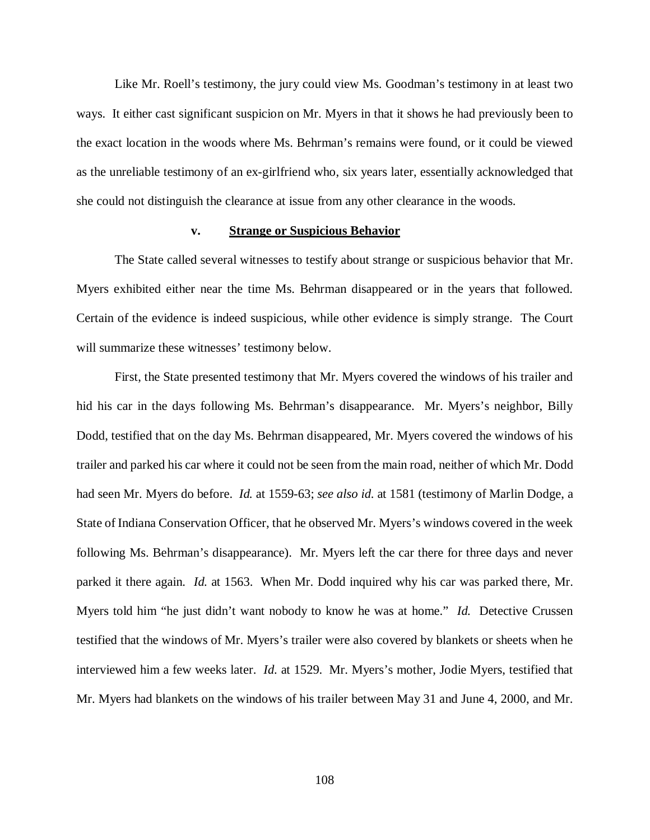Like Mr. Roell's testimony, the jury could view Ms. Goodman's testimony in at least two ways. It either cast significant suspicion on Mr. Myers in that it shows he had previously been to the exact location in the woods where Ms. Behrman's remains were found, or it could be viewed as the unreliable testimony of an ex-girlfriend who, six years later, essentially acknowledged that she could not distinguish the clearance at issue from any other clearance in the woods.

# **v. Strange or Suspicious Behavior**

The State called several witnesses to testify about strange or suspicious behavior that Mr. Myers exhibited either near the time Ms. Behrman disappeared or in the years that followed. Certain of the evidence is indeed suspicious, while other evidence is simply strange. The Court will summarize these witnesses' testimony below.

First, the State presented testimony that Mr. Myers covered the windows of his trailer and hid his car in the days following Ms. Behrman's disappearance. Mr. Myers's neighbor, Billy Dodd, testified that on the day Ms. Behrman disappeared, Mr. Myers covered the windows of his trailer and parked his car where it could not be seen from the main road, neither of which Mr. Dodd had seen Mr. Myers do before. *Id.* at 1559-63; *see also id.* at 1581 (testimony of Marlin Dodge, a State of Indiana Conservation Officer, that he observed Mr. Myers's windows covered in the week following Ms. Behrman's disappearance). Mr. Myers left the car there for three days and never parked it there again. *Id.* at 1563. When Mr. Dodd inquired why his car was parked there, Mr. Myers told him "he just didn't want nobody to know he was at home." *Id.* Detective Crussen testified that the windows of Mr. Myers's trailer were also covered by blankets or sheets when he interviewed him a few weeks later. *Id.* at 1529. Mr. Myers's mother, Jodie Myers, testified that Mr. Myers had blankets on the windows of his trailer between May 31 and June 4, 2000, and Mr.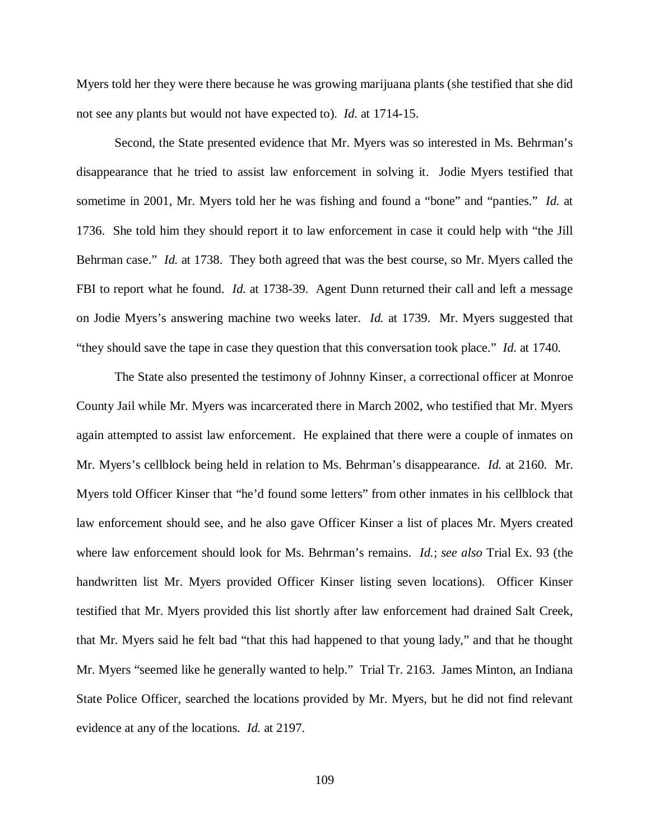Myers told her they were there because he was growing marijuana plants (she testified that she did not see any plants but would not have expected to). *Id.* at 1714-15.

Second, the State presented evidence that Mr. Myers was so interested in Ms. Behrman's disappearance that he tried to assist law enforcement in solving it. Jodie Myers testified that sometime in 2001, Mr. Myers told her he was fishing and found a "bone" and "panties." *Id.* at 1736. She told him they should report it to law enforcement in case it could help with "the Jill Behrman case." *Id.* at 1738. They both agreed that was the best course, so Mr. Myers called the FBI to report what he found. *Id.* at 1738-39. Agent Dunn returned their call and left a message on Jodie Myers's answering machine two weeks later. *Id.* at 1739. Mr. Myers suggested that "they should save the tape in case they question that this conversation took place." *Id.* at 1740.

The State also presented the testimony of Johnny Kinser, a correctional officer at Monroe County Jail while Mr. Myers was incarcerated there in March 2002, who testified that Mr. Myers again attempted to assist law enforcement. He explained that there were a couple of inmates on Mr. Myers's cellblock being held in relation to Ms. Behrman's disappearance. *Id.* at 2160. Mr. Myers told Officer Kinser that "he'd found some letters" from other inmates in his cellblock that law enforcement should see, and he also gave Officer Kinser a list of places Mr. Myers created where law enforcement should look for Ms. Behrman's remains. *Id.*; *see also* Trial Ex. 93 (the handwritten list Mr. Myers provided Officer Kinser listing seven locations). Officer Kinser testified that Mr. Myers provided this list shortly after law enforcement had drained Salt Creek, that Mr. Myers said he felt bad "that this had happened to that young lady," and that he thought Mr. Myers "seemed like he generally wanted to help." Trial Tr. 2163. James Minton, an Indiana State Police Officer, searched the locations provided by Mr. Myers, but he did not find relevant evidence at any of the locations. *Id.* at 2197.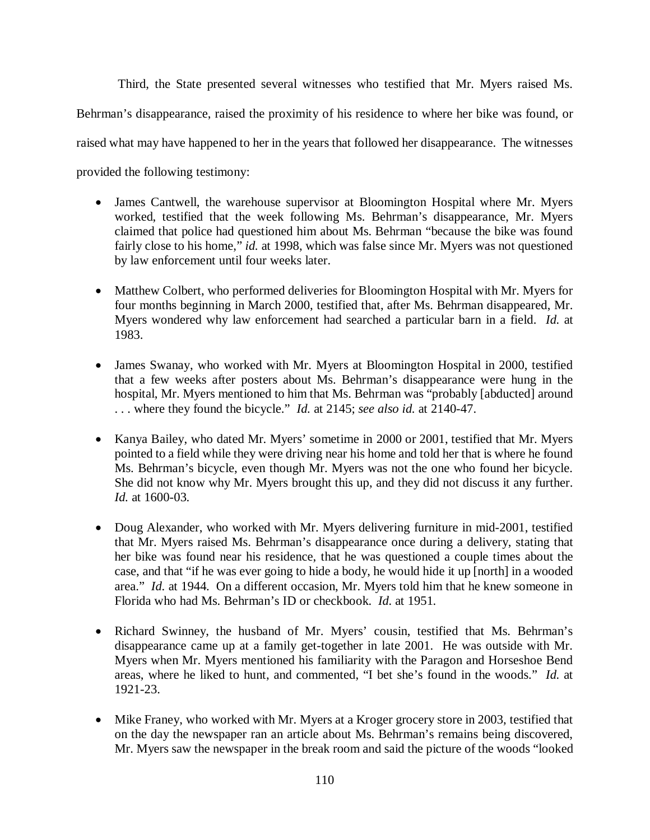Third, the State presented several witnesses who testified that Mr. Myers raised Ms. Behrman's disappearance, raised the proximity of his residence to where her bike was found, or raised what may have happened to her in the years that followed her disappearance. The witnesses provided the following testimony:

- James Cantwell, the warehouse supervisor at Bloomington Hospital where Mr. Myers worked, testified that the week following Ms. Behrman's disappearance, Mr. Myers claimed that police had questioned him about Ms. Behrman "because the bike was found fairly close to his home," *id.* at 1998, which was false since Mr. Myers was not questioned by law enforcement until four weeks later.
- Matthew Colbert, who performed deliveries for Bloomington Hospital with Mr. Myers for four months beginning in March 2000, testified that, after Ms. Behrman disappeared, Mr. Myers wondered why law enforcement had searched a particular barn in a field. *Id.* at 1983.
- James Swanay, who worked with Mr. Myers at Bloomington Hospital in 2000, testified that a few weeks after posters about Ms. Behrman's disappearance were hung in the hospital, Mr. Myers mentioned to him that Ms. Behrman was "probably [abducted] around . . . where they found the bicycle." *Id.* at 2145; *see also id.* at 2140-47.
- Kanya Bailey, who dated Mr. Myers' sometime in 2000 or 2001, testified that Mr. Myers pointed to a field while they were driving near his home and told her that is where he found Ms. Behrman's bicycle, even though Mr. Myers was not the one who found her bicycle. She did not know why Mr. Myers brought this up, and they did not discuss it any further. *Id.* at 1600-03.
- Doug Alexander, who worked with Mr. Myers delivering furniture in mid-2001, testified that Mr. Myers raised Ms. Behrman's disappearance once during a delivery, stating that her bike was found near his residence, that he was questioned a couple times about the case, and that "if he was ever going to hide a body, he would hide it up [north] in a wooded area." *Id.* at 1944. On a different occasion, Mr. Myers told him that he knew someone in Florida who had Ms. Behrman's ID or checkbook. *Id.* at 1951.
- Richard Swinney, the husband of Mr. Myers' cousin, testified that Ms. Behrman's disappearance came up at a family get-together in late 2001. He was outside with Mr. Myers when Mr. Myers mentioned his familiarity with the Paragon and Horseshoe Bend areas, where he liked to hunt, and commented, "I bet she's found in the woods." *Id.* at 1921-23.
- Mike Franey, who worked with Mr. Myers at a Kroger grocery store in 2003, testified that on the day the newspaper ran an article about Ms. Behrman's remains being discovered, Mr. Myers saw the newspaper in the break room and said the picture of the woods "looked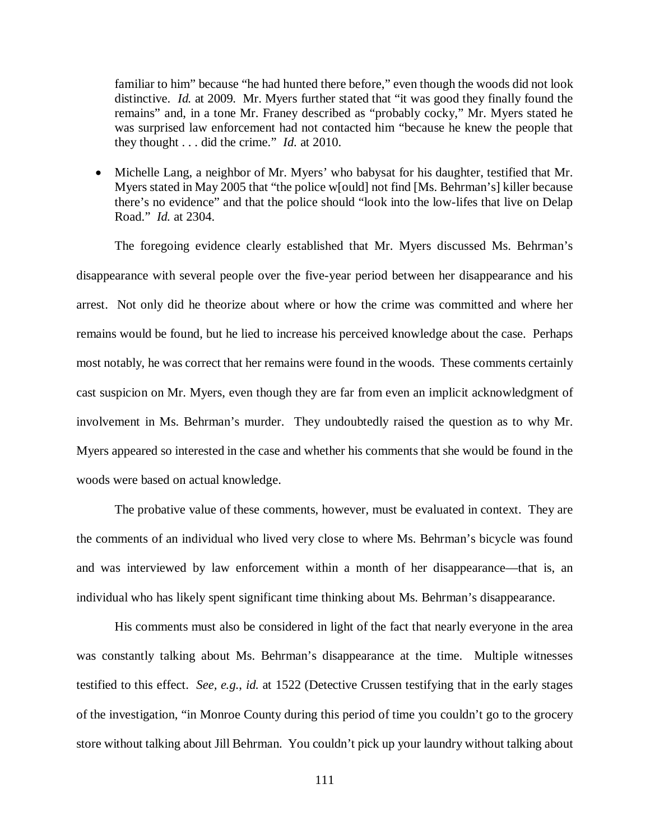familiar to him" because "he had hunted there before," even though the woods did not look distinctive. *Id.* at 2009. Mr. Myers further stated that "it was good they finally found the remains" and, in a tone Mr. Franey described as "probably cocky," Mr. Myers stated he was surprised law enforcement had not contacted him "because he knew the people that they thought . . . did the crime." *Id.* at 2010.

• Michelle Lang, a neighbor of Mr. Myers' who babysat for his daughter, testified that Mr. Myers stated in May 2005 that "the police w[ould] not find [Ms. Behrman's] killer because there's no evidence" and that the police should "look into the low-lifes that live on Delap Road." *Id.* at 2304.

The foregoing evidence clearly established that Mr. Myers discussed Ms. Behrman's disappearance with several people over the five-year period between her disappearance and his arrest. Not only did he theorize about where or how the crime was committed and where her remains would be found, but he lied to increase his perceived knowledge about the case. Perhaps most notably, he was correct that her remains were found in the woods. These comments certainly cast suspicion on Mr. Myers, even though they are far from even an implicit acknowledgment of involvement in Ms. Behrman's murder. They undoubtedly raised the question as to why Mr. Myers appeared so interested in the case and whether his comments that she would be found in the woods were based on actual knowledge.

The probative value of these comments, however, must be evaluated in context. They are the comments of an individual who lived very close to where Ms. Behrman's bicycle was found and was interviewed by law enforcement within a month of her disappearance—that is, an individual who has likely spent significant time thinking about Ms. Behrman's disappearance.

His comments must also be considered in light of the fact that nearly everyone in the area was constantly talking about Ms. Behrman's disappearance at the time. Multiple witnesses testified to this effect. *See, e.g.*, *id.* at 1522 (Detective Crussen testifying that in the early stages of the investigation, "in Monroe County during this period of time you couldn't go to the grocery store without talking about Jill Behrman. You couldn't pick up your laundry without talking about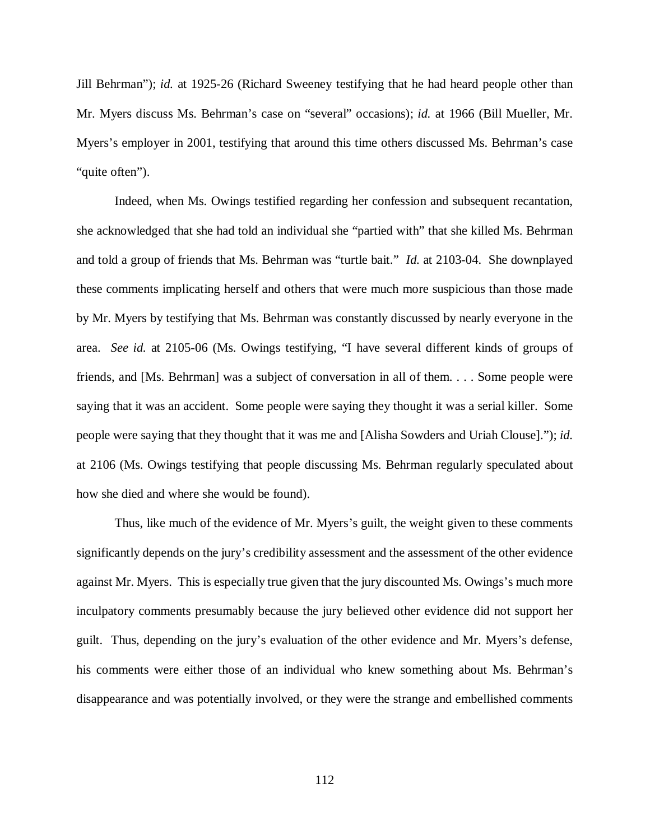Jill Behrman"); *id.* at 1925-26 (Richard Sweeney testifying that he had heard people other than Mr. Myers discuss Ms. Behrman's case on "several" occasions); *id.* at 1966 (Bill Mueller, Mr. Myers's employer in 2001, testifying that around this time others discussed Ms. Behrman's case "quite often").

Indeed, when Ms. Owings testified regarding her confession and subsequent recantation, she acknowledged that she had told an individual she "partied with" that she killed Ms. Behrman and told a group of friends that Ms. Behrman was "turtle bait." *Id.* at 2103-04. She downplayed these comments implicating herself and others that were much more suspicious than those made by Mr. Myers by testifying that Ms. Behrman was constantly discussed by nearly everyone in the area. *See id.* at 2105-06 (Ms. Owings testifying, "I have several different kinds of groups of friends, and [Ms. Behrman] was a subject of conversation in all of them. . . . Some people were saying that it was an accident. Some people were saying they thought it was a serial killer. Some people were saying that they thought that it was me and [Alisha Sowders and Uriah Clouse]."); *id.* at 2106 (Ms. Owings testifying that people discussing Ms. Behrman regularly speculated about how she died and where she would be found).

Thus, like much of the evidence of Mr. Myers's guilt, the weight given to these comments significantly depends on the jury's credibility assessment and the assessment of the other evidence against Mr. Myers. This is especially true given that the jury discounted Ms. Owings's much more inculpatory comments presumably because the jury believed other evidence did not support her guilt. Thus, depending on the jury's evaluation of the other evidence and Mr. Myers's defense, his comments were either those of an individual who knew something about Ms. Behrman's disappearance and was potentially involved, or they were the strange and embellished comments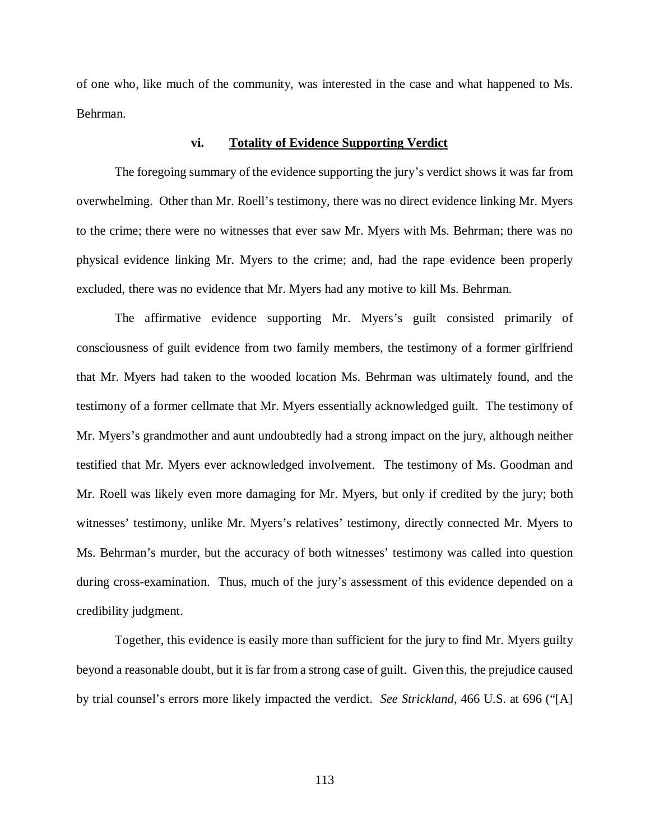of one who, like much of the community, was interested in the case and what happened to Ms. Behrman.

#### **vi. Totality of Evidence Supporting Verdict**

The foregoing summary of the evidence supporting the jury's verdict shows it was far from overwhelming. Other than Mr. Roell's testimony, there was no direct evidence linking Mr. Myers to the crime; there were no witnesses that ever saw Mr. Myers with Ms. Behrman; there was no physical evidence linking Mr. Myers to the crime; and, had the rape evidence been properly excluded, there was no evidence that Mr. Myers had any motive to kill Ms. Behrman.

The affirmative evidence supporting Mr. Myers's guilt consisted primarily of consciousness of guilt evidence from two family members, the testimony of a former girlfriend that Mr. Myers had taken to the wooded location Ms. Behrman was ultimately found, and the testimony of a former cellmate that Mr. Myers essentially acknowledged guilt. The testimony of Mr. Myers's grandmother and aunt undoubtedly had a strong impact on the jury, although neither testified that Mr. Myers ever acknowledged involvement. The testimony of Ms. Goodman and Mr. Roell was likely even more damaging for Mr. Myers, but only if credited by the jury; both witnesses' testimony, unlike Mr. Myers's relatives' testimony, directly connected Mr. Myers to Ms. Behrman's murder, but the accuracy of both witnesses' testimony was called into question during cross-examination. Thus, much of the jury's assessment of this evidence depended on a credibility judgment.

Together, this evidence is easily more than sufficient for the jury to find Mr. Myers guilty beyond a reasonable doubt, but it is far from a strong case of guilt. Given this, the prejudice caused by trial counsel's errors more likely impacted the verdict. *See Strickland*, 466 U.S. at 696 ("[A]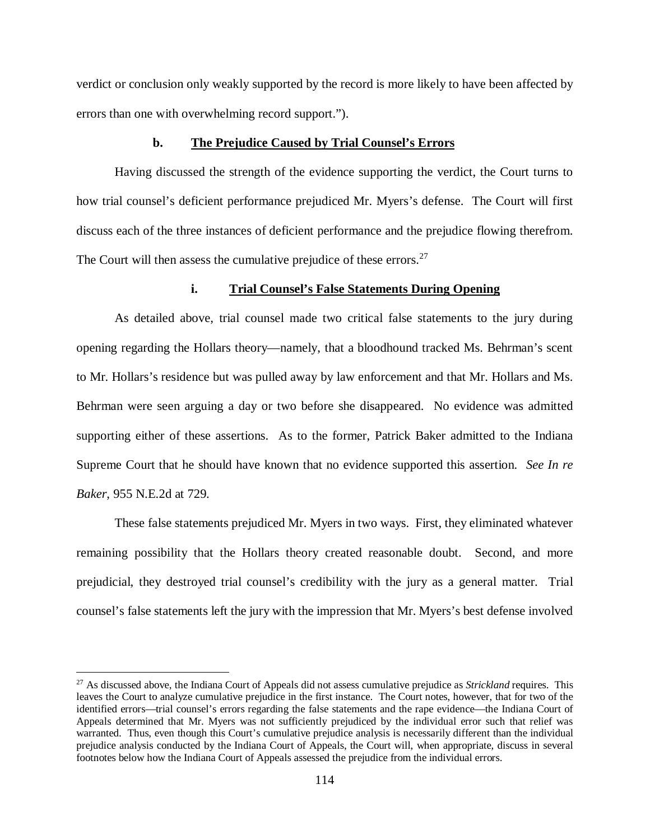verdict or conclusion only weakly supported by the record is more likely to have been affected by errors than one with overwhelming record support.").

## **b. The Prejudice Caused by Trial Counsel's Errors**

Having discussed the strength of the evidence supporting the verdict, the Court turns to how trial counsel's deficient performance prejudiced Mr. Myers's defense. The Court will first discuss each of the three instances of deficient performance and the prejudice flowing therefrom. The Court will then assess the cumulative prejudice of these errors. $27$ 

#### **i. Trial Counsel's False Statements During Opening**

As detailed above, trial counsel made two critical false statements to the jury during opening regarding the Hollars theory—namely, that a bloodhound tracked Ms. Behrman's scent to Mr. Hollars's residence but was pulled away by law enforcement and that Mr. Hollars and Ms. Behrman were seen arguing a day or two before she disappeared. No evidence was admitted supporting either of these assertions. As to the former, Patrick Baker admitted to the Indiana Supreme Court that he should have known that no evidence supported this assertion. *See In re Baker*, 955 N.E.2d at 729.

These false statements prejudiced Mr. Myers in two ways. First, they eliminated whatever remaining possibility that the Hollars theory created reasonable doubt. Second, and more prejudicial, they destroyed trial counsel's credibility with the jury as a general matter. Trial counsel's false statements left the jury with the impression that Mr. Myers's best defense involved

<span id="page-113-0"></span> <sup>27</sup> As discussed above, the Indiana Court of Appeals did not assess cumulative prejudice as *Strickland* requires. This leaves the Court to analyze cumulative prejudice in the first instance. The Court notes, however, that for two of the identified errors—trial counsel's errors regarding the false statements and the rape evidence—the Indiana Court of Appeals determined that Mr. Myers was not sufficiently prejudiced by the individual error such that relief was warranted. Thus, even though this Court's cumulative prejudice analysis is necessarily different than the individual prejudice analysis conducted by the Indiana Court of Appeals, the Court will, when appropriate, discuss in several footnotes below how the Indiana Court of Appeals assessed the prejudice from the individual errors.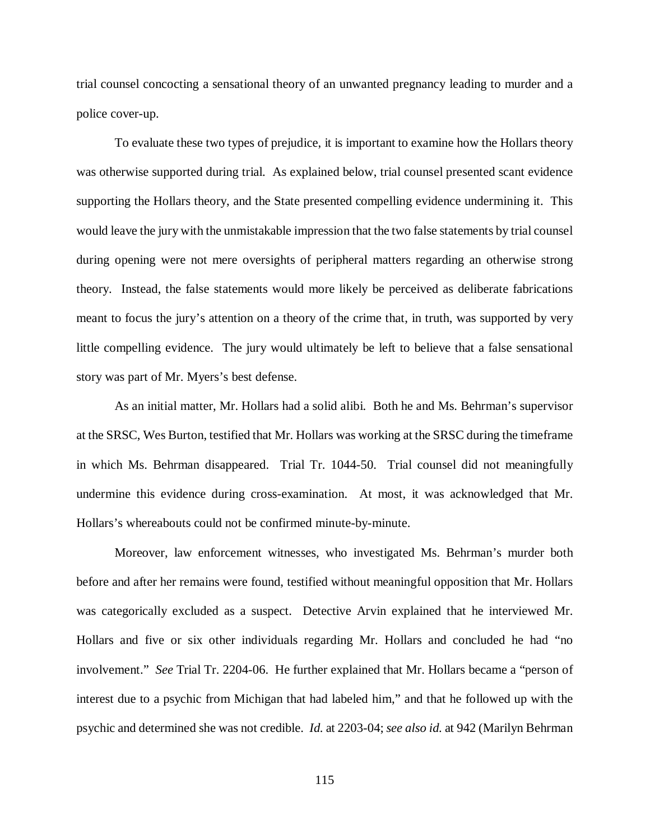trial counsel concocting a sensational theory of an unwanted pregnancy leading to murder and a police cover-up.

To evaluate these two types of prejudice, it is important to examine how the Hollars theory was otherwise supported during trial. As explained below, trial counsel presented scant evidence supporting the Hollars theory, and the State presented compelling evidence undermining it. This would leave the jury with the unmistakable impression that the two false statements by trial counsel during opening were not mere oversights of peripheral matters regarding an otherwise strong theory. Instead, the false statements would more likely be perceived as deliberate fabrications meant to focus the jury's attention on a theory of the crime that, in truth, was supported by very little compelling evidence. The jury would ultimately be left to believe that a false sensational story was part of Mr. Myers's best defense.

As an initial matter, Mr. Hollars had a solid alibi. Both he and Ms. Behrman's supervisor at the SRSC, Wes Burton, testified that Mr. Hollars was working at the SRSC during the timeframe in which Ms. Behrman disappeared. Trial Tr. 1044-50. Trial counsel did not meaningfully undermine this evidence during cross-examination. At most, it was acknowledged that Mr. Hollars's whereabouts could not be confirmed minute-by-minute.

Moreover, law enforcement witnesses, who investigated Ms. Behrman's murder both before and after her remains were found, testified without meaningful opposition that Mr. Hollars was categorically excluded as a suspect. Detective Arvin explained that he interviewed Mr. Hollars and five or six other individuals regarding Mr. Hollars and concluded he had "no involvement." *See* Trial Tr. 2204-06. He further explained that Mr. Hollars became a "person of interest due to a psychic from Michigan that had labeled him," and that he followed up with the psychic and determined she was not credible. *Id.* at 2203-04; *see also id.* at 942 (Marilyn Behrman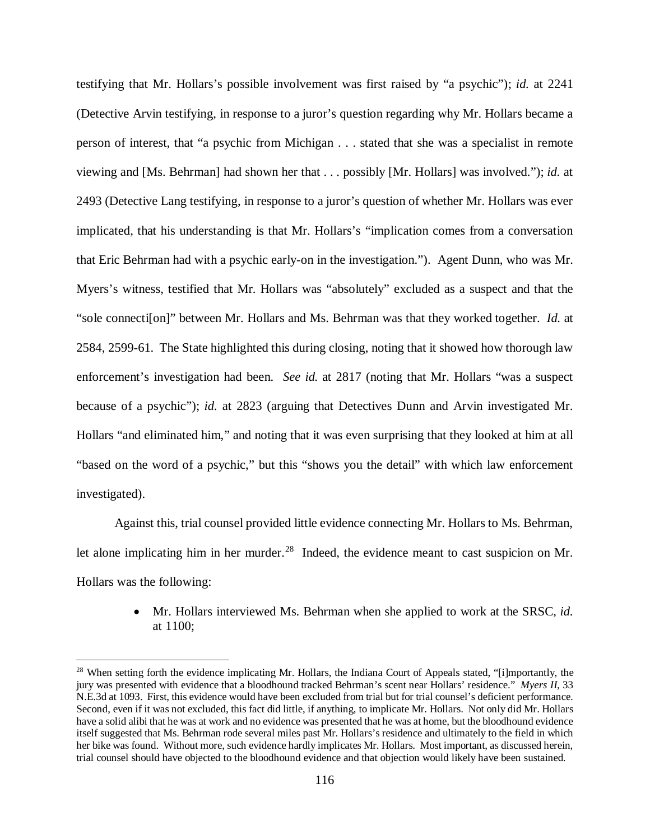testifying that Mr. Hollars's possible involvement was first raised by "a psychic"); *id.* at 2241 (Detective Arvin testifying, in response to a juror's question regarding why Mr. Hollars became a person of interest, that "a psychic from Michigan . . . stated that she was a specialist in remote viewing and [Ms. Behrman] had shown her that . . . possibly [Mr. Hollars] was involved."); *id.* at 2493 (Detective Lang testifying, in response to a juror's question of whether Mr. Hollars was ever implicated, that his understanding is that Mr. Hollars's "implication comes from a conversation that Eric Behrman had with a psychic early-on in the investigation."). Agent Dunn, who was Mr. Myers's witness, testified that Mr. Hollars was "absolutely" excluded as a suspect and that the "sole connecti[on]" between Mr. Hollars and Ms. Behrman was that they worked together. *Id.* at 2584, 2599-61. The State highlighted this during closing, noting that it showed how thorough law enforcement's investigation had been. *See id.* at 2817 (noting that Mr. Hollars "was a suspect because of a psychic"); *id.* at 2823 (arguing that Detectives Dunn and Arvin investigated Mr. Hollars "and eliminated him," and noting that it was even surprising that they looked at him at all "based on the word of a psychic," but this "shows you the detail" with which law enforcement investigated).

Against this, trial counsel provided little evidence connecting Mr. Hollars to Ms. Behrman, let alone implicating him in her murder.<sup>28</sup> Indeed, the evidence meant to cast suspicion on Mr. Hollars was the following:

> • Mr. Hollars interviewed Ms. Behrman when she applied to work at the SRSC, *id.*  at 1100;

<span id="page-115-0"></span> $28$  When setting forth the evidence implicating Mr. Hollars, the Indiana Court of Appeals stated, "[i]mportantly, the jury was presented with evidence that a bloodhound tracked Behrman's scent near Hollars' residence." *Myers II*, 33 N.E.3d at 1093. First, this evidence would have been excluded from trial but for trial counsel's deficient performance. Second, even if it was not excluded, this fact did little, if anything, to implicate Mr. Hollars. Not only did Mr. Hollars have a solid alibi that he was at work and no evidence was presented that he was at home, but the bloodhound evidence itself suggested that Ms. Behrman rode several miles past Mr. Hollars's residence and ultimately to the field in which her bike was found. Without more, such evidence hardly implicates Mr. Hollars. Most important, as discussed herein, trial counsel should have objected to the bloodhound evidence and that objection would likely have been sustained.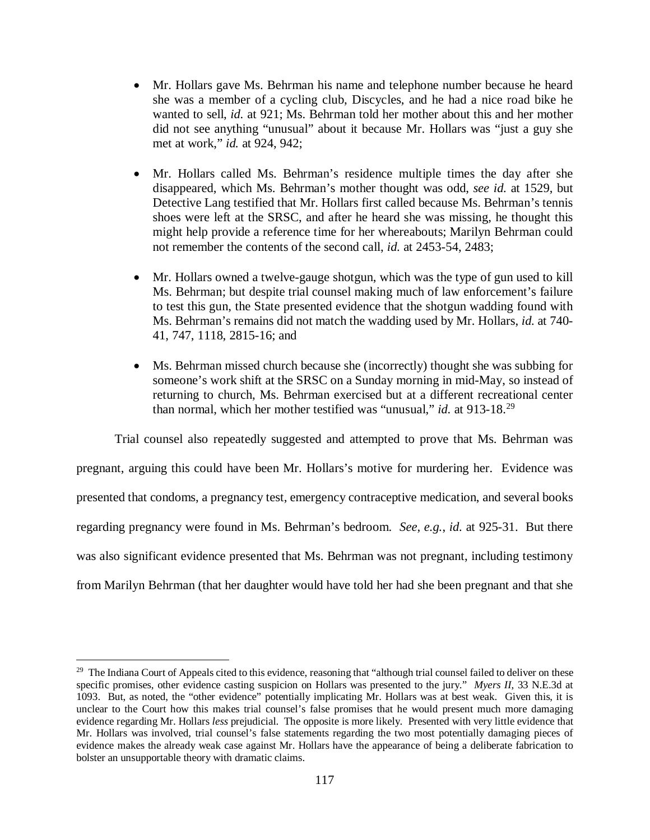- Mr. Hollars gave Ms. Behrman his name and telephone number because he heard she was a member of a cycling club, Discycles, and he had a nice road bike he wanted to sell, *id.* at 921; Ms. Behrman told her mother about this and her mother did not see anything "unusual" about it because Mr. Hollars was "just a guy she met at work," *id.* at 924, 942;
- Mr. Hollars called Ms. Behrman's residence multiple times the day after she disappeared, which Ms. Behrman's mother thought was odd, *see id.* at 1529, but Detective Lang testified that Mr. Hollars first called because Ms. Behrman's tennis shoes were left at the SRSC, and after he heard she was missing, he thought this might help provide a reference time for her whereabouts; Marilyn Behrman could not remember the contents of the second call, *id.* at 2453-54, 2483;
- Mr. Hollars owned a twelve-gauge shotgun, which was the type of gun used to kill Ms. Behrman; but despite trial counsel making much of law enforcement's failure to test this gun, the State presented evidence that the shotgun wadding found with Ms. Behrman's remains did not match the wadding used by Mr. Hollars, *id.* at 740- 41, 747, 1118, 2815-16; and
- Ms. Behrman missed church because she (incorrectly) thought she was subbing for someone's work shift at the SRSC on a Sunday morning in mid-May, so instead of returning to church, Ms. Behrman exercised but at a different recreational center than normal, which her mother testified was "unusual," *id.* at 913-18.[29](#page-116-0)

Trial counsel also repeatedly suggested and attempted to prove that Ms. Behrman was pregnant, arguing this could have been Mr. Hollars's motive for murdering her. Evidence was presented that condoms, a pregnancy test, emergency contraceptive medication, and several books regarding pregnancy were found in Ms. Behrman's bedroom. *See, e.g.*, *id.* at 925-31. But there was also significant evidence presented that Ms. Behrman was not pregnant, including testimony from Marilyn Behrman (that her daughter would have told her had she been pregnant and that she

<span id="page-116-0"></span> $29$  The Indiana Court of Appeals cited to this evidence, reasoning that "although trial counsel failed to deliver on these specific promises, other evidence casting suspicion on Hollars was presented to the jury." *Myers II*, 33 N.E.3d at 1093. But, as noted, the "other evidence" potentially implicating Mr. Hollars was at best weak. Given this, it is unclear to the Court how this makes trial counsel's false promises that he would present much more damaging evidence regarding Mr. Hollars *less* prejudicial. The opposite is more likely. Presented with very little evidence that Mr. Hollars was involved, trial counsel's false statements regarding the two most potentially damaging pieces of evidence makes the already weak case against Mr. Hollars have the appearance of being a deliberate fabrication to bolster an unsupportable theory with dramatic claims.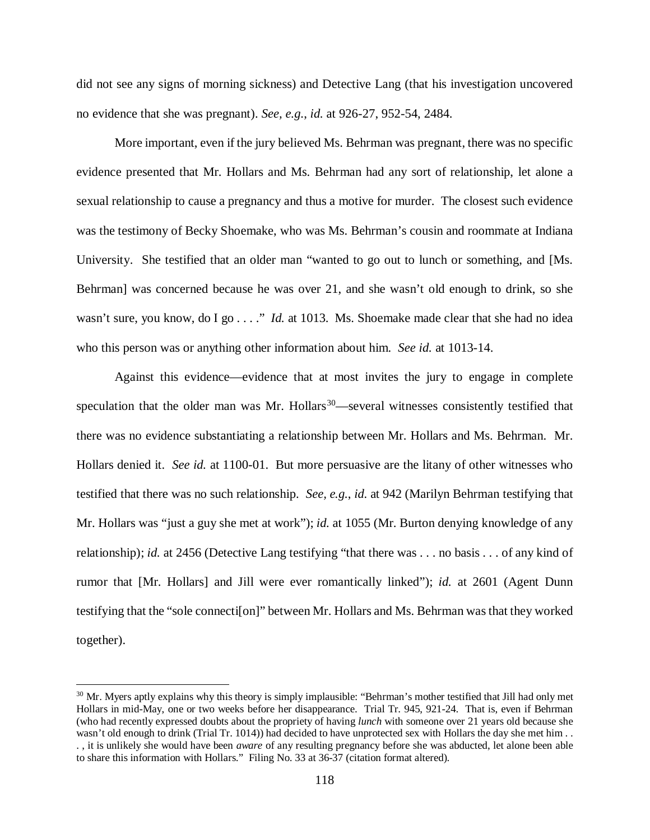did not see any signs of morning sickness) and Detective Lang (that his investigation uncovered no evidence that she was pregnant). *See, e.g.*, *id.* at 926-27, 952-54, 2484.

More important, even if the jury believed Ms. Behrman was pregnant, there was no specific evidence presented that Mr. Hollars and Ms. Behrman had any sort of relationship, let alone a sexual relationship to cause a pregnancy and thus a motive for murder. The closest such evidence was the testimony of Becky Shoemake, who was Ms. Behrman's cousin and roommate at Indiana University. She testified that an older man "wanted to go out to lunch or something, and [Ms. Behrman] was concerned because he was over 21, and she wasn't old enough to drink, so she wasn't sure, you know, do I go . . . ." *Id.* at 1013. Ms. Shoemake made clear that she had no idea who this person was or anything other information about him. *See id.* at 1013-14.

Against this evidence—evidence that at most invites the jury to engage in complete speculation that the older man was Mr. Hollars $30$ —several witnesses consistently testified that there was no evidence substantiating a relationship between Mr. Hollars and Ms. Behrman. Mr. Hollars denied it. *See id.* at 1100-01. But more persuasive are the litany of other witnesses who testified that there was no such relationship. *See, e.g.*, *id.* at 942 (Marilyn Behrman testifying that Mr. Hollars was "just a guy she met at work"); *id.* at 1055 (Mr. Burton denying knowledge of any relationship); *id.* at 2456 (Detective Lang testifying "that there was . . . no basis . . . of any kind of rumor that [Mr. Hollars] and Jill were ever romantically linked"); *id.* at 2601 (Agent Dunn testifying that the "sole connecti[on]" between Mr. Hollars and Ms. Behrman was that they worked together).

<span id="page-117-0"></span> $30$  Mr. Myers aptly explains why this theory is simply implausible: "Behrman's mother testified that Jill had only met Hollars in mid-May, one or two weeks before her disappearance. Trial Tr. 945, 921-24. That is, even if Behrman (who had recently expressed doubts about the propriety of having *lunch* with someone over 21 years old because she wasn't old enough to drink (Trial Tr. 1014)) had decided to have unprotected sex with Hollars the day she met him ... . , it is unlikely she would have been *aware* of any resulting pregnancy before she was abducted, let alone been able to share this information with Hollars." Filing No. 33 at 36-37 (citation format altered).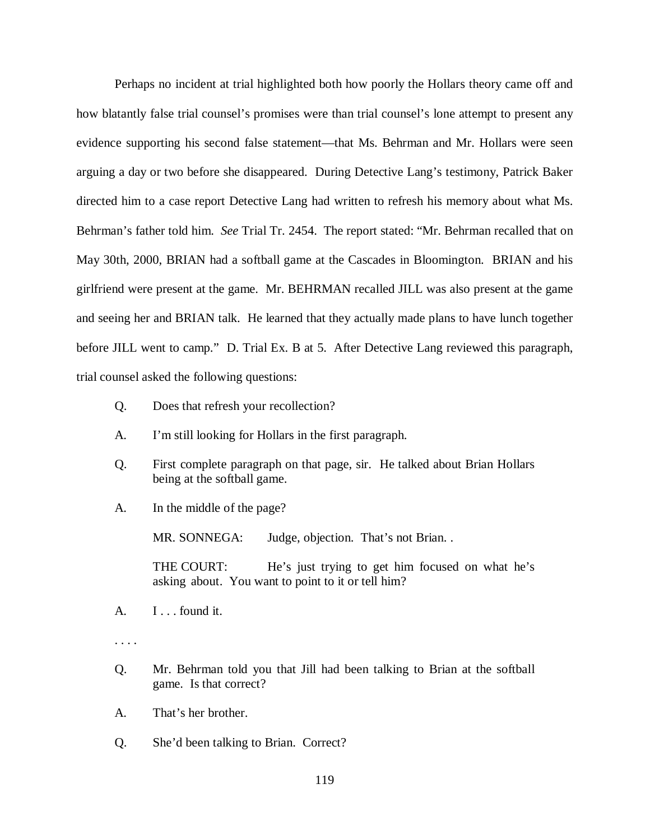Perhaps no incident at trial highlighted both how poorly the Hollars theory came off and how blatantly false trial counsel's promises were than trial counsel's lone attempt to present any evidence supporting his second false statement—that Ms. Behrman and Mr. Hollars were seen arguing a day or two before she disappeared. During Detective Lang's testimony, Patrick Baker directed him to a case report Detective Lang had written to refresh his memory about what Ms. Behrman's father told him. *See* Trial Tr. 2454. The report stated: "Mr. Behrman recalled that on May 30th, 2000, BRIAN had a softball game at the Cascades in Bloomington. BRIAN and his girlfriend were present at the game. Mr. BEHRMAN recalled JILL was also present at the game and seeing her and BRIAN talk. He learned that they actually made plans to have lunch together before JILL went to camp." D. Trial Ex. B at 5. After Detective Lang reviewed this paragraph, trial counsel asked the following questions:

- Q. Does that refresh your recollection?
- A. I'm still looking for Hollars in the first paragraph.
- Q. First complete paragraph on that page, sir. He talked about Brian Hollars being at the softball game.
- A. In the middle of the page?

MR. SONNEGA: Judge, objection. That's not Brian..

THE COURT: He's just trying to get him focused on what he's asking about. You want to point to it or tell him?

- A. I . . . found it.
- . . . .
- Q. Mr. Behrman told you that Jill had been talking to Brian at the softball game. Is that correct?
- A. That's her brother.
- Q. She'd been talking to Brian. Correct?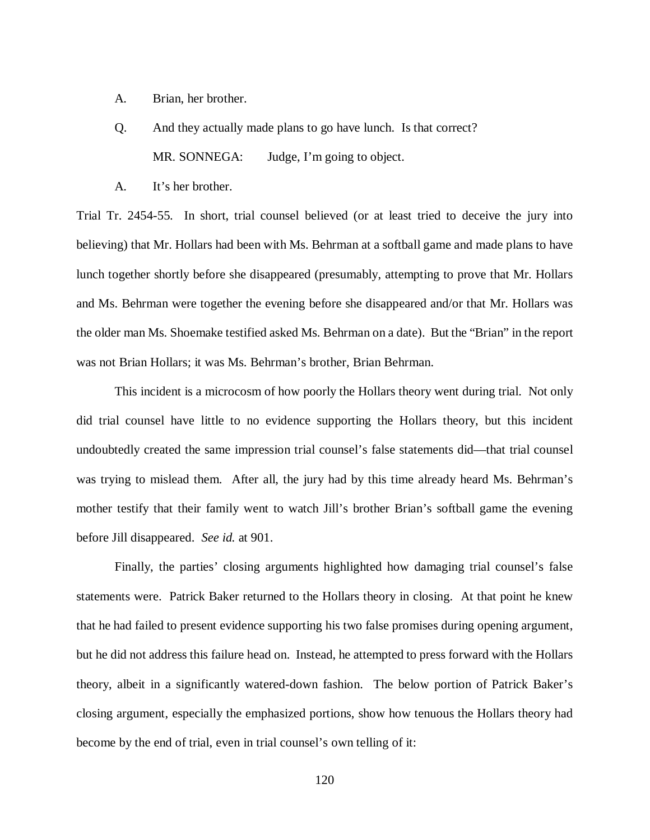- A. Brian, her brother.
- Q. And they actually made plans to go have lunch. Is that correct? MR. SONNEGA: Judge, I'm going to object.
- A. It's her brother.

Trial Tr. 2454-55. In short, trial counsel believed (or at least tried to deceive the jury into believing) that Mr. Hollars had been with Ms. Behrman at a softball game and made plans to have lunch together shortly before she disappeared (presumably, attempting to prove that Mr. Hollars and Ms. Behrman were together the evening before she disappeared and/or that Mr. Hollars was the older man Ms. Shoemake testified asked Ms. Behrman on a date). But the "Brian" in the report was not Brian Hollars; it was Ms. Behrman's brother, Brian Behrman.

This incident is a microcosm of how poorly the Hollars theory went during trial. Not only did trial counsel have little to no evidence supporting the Hollars theory, but this incident undoubtedly created the same impression trial counsel's false statements did—that trial counsel was trying to mislead them. After all, the jury had by this time already heard Ms. Behrman's mother testify that their family went to watch Jill's brother Brian's softball game the evening before Jill disappeared. *See id.* at 901.

Finally, the parties' closing arguments highlighted how damaging trial counsel's false statements were. Patrick Baker returned to the Hollars theory in closing. At that point he knew that he had failed to present evidence supporting his two false promises during opening argument, but he did not address this failure head on. Instead, he attempted to press forward with the Hollars theory, albeit in a significantly watered-down fashion. The below portion of Patrick Baker's closing argument, especially the emphasized portions, show how tenuous the Hollars theory had become by the end of trial, even in trial counsel's own telling of it: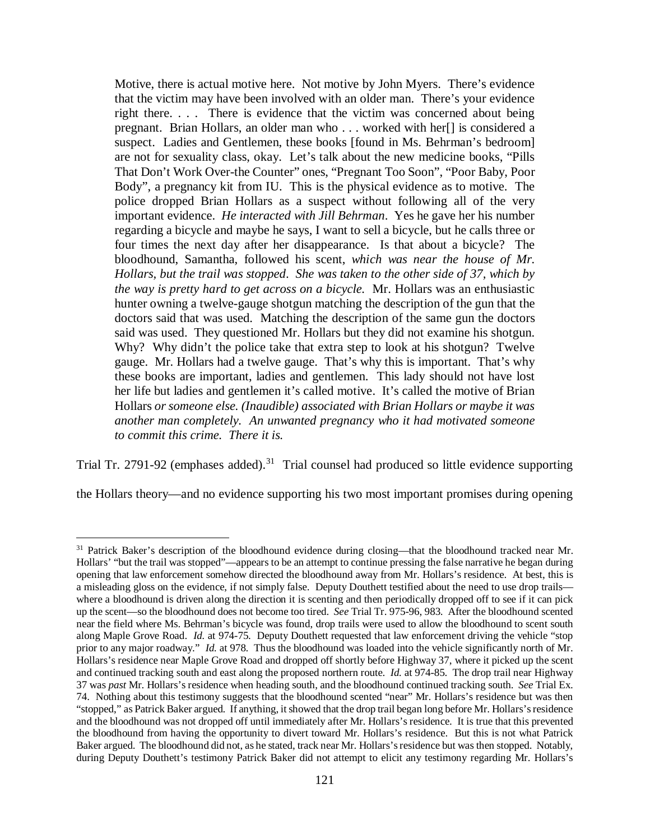Motive, there is actual motive here. Not motive by John Myers. There's evidence that the victim may have been involved with an older man. There's your evidence right there. . . . There is evidence that the victim was concerned about being pregnant. Brian Hollars, an older man who . . . worked with her[] is considered a suspect. Ladies and Gentlemen, these books [found in Ms. Behrman's bedroom] are not for sexuality class, okay. Let's talk about the new medicine books, "Pills That Don't Work Over-the Counter" ones, "Pregnant Too Soon", "Poor Baby, Poor Body", a pregnancy kit from IU. This is the physical evidence as to motive. The police dropped Brian Hollars as a suspect without following all of the very important evidence. *He interacted with Jill Behrman*. Yes he gave her his number regarding a bicycle and maybe he says, I want to sell a bicycle, but he calls three or four times the next day after her disappearance. Is that about a bicycle? The bloodhound, Samantha, followed his scent, *which was near the house of Mr. Hollars, but the trail was stopped*. *She was taken to the other side of 37, which by the way is pretty hard to get across on a bicycle.* Mr. Hollars was an enthusiastic hunter owning a twelve-gauge shotgun matching the description of the gun that the doctors said that was used. Matching the description of the same gun the doctors said was used. They questioned Mr. Hollars but they did not examine his shotgun. Why? Why didn't the police take that extra step to look at his shotgun? Twelve gauge. Mr. Hollars had a twelve gauge. That's why this is important. That's why these books are important, ladies and gentlemen. This lady should not have lost her life but ladies and gentlemen it's called motive. It's called the motive of Brian Hollars *or someone else. (Inaudible) associated with Brian Hollars or maybe it was another man completely. An unwanted pregnancy who it had motivated someone to commit this crime. There it is.*

Trial Tr. 2791-92 (emphases added).<sup>31</sup> Trial counsel had produced so little evidence supporting

the Hollars theory—and no evidence supporting his two most important promises during opening

<span id="page-120-0"></span><sup>&</sup>lt;sup>31</sup> Patrick Baker's description of the bloodhound evidence during closing—that the bloodhound tracked near Mr. Hollars' "but the trail was stopped"—appears to be an attempt to continue pressing the false narrative he began during opening that law enforcement somehow directed the bloodhound away from Mr. Hollars's residence. At best, this is a misleading gloss on the evidence, if not simply false. Deputy Douthett testified about the need to use drop trails where a bloodhound is driven along the direction it is scenting and then periodically dropped off to see if it can pick up the scent—so the bloodhound does not become too tired. *See* Trial Tr. 975-96, 983. After the bloodhound scented near the field where Ms. Behrman's bicycle was found, drop trails were used to allow the bloodhound to scent south along Maple Grove Road. *Id.* at 974-75. Deputy Douthett requested that law enforcement driving the vehicle "stop prior to any major roadway." *Id.* at 978. Thus the bloodhound was loaded into the vehicle significantly north of Mr. Hollars's residence near Maple Grove Road and dropped off shortly before Highway 37, where it picked up the scent and continued tracking south and east along the proposed northern route. *Id.* at 974-85. The drop trail near Highway 37 was *past* Mr. Hollars's residence when heading south, and the bloodhound continued tracking south. *See* Trial Ex. 74. Nothing about this testimony suggests that the bloodhound scented "near" Mr. Hollars's residence but was then "stopped," as Patrick Baker argued. If anything, it showed that the drop trail began long before Mr. Hollars'sresidence and the bloodhound was not dropped off until immediately after Mr. Hollars's residence. It is true that this prevented the bloodhound from having the opportunity to divert toward Mr. Hollars's residence. But this is not what Patrick Baker argued. The bloodhound did not, as he stated, track near Mr. Hollars's residence but was then stopped. Notably, during Deputy Douthett's testimony Patrick Baker did not attempt to elicit any testimony regarding Mr. Hollars's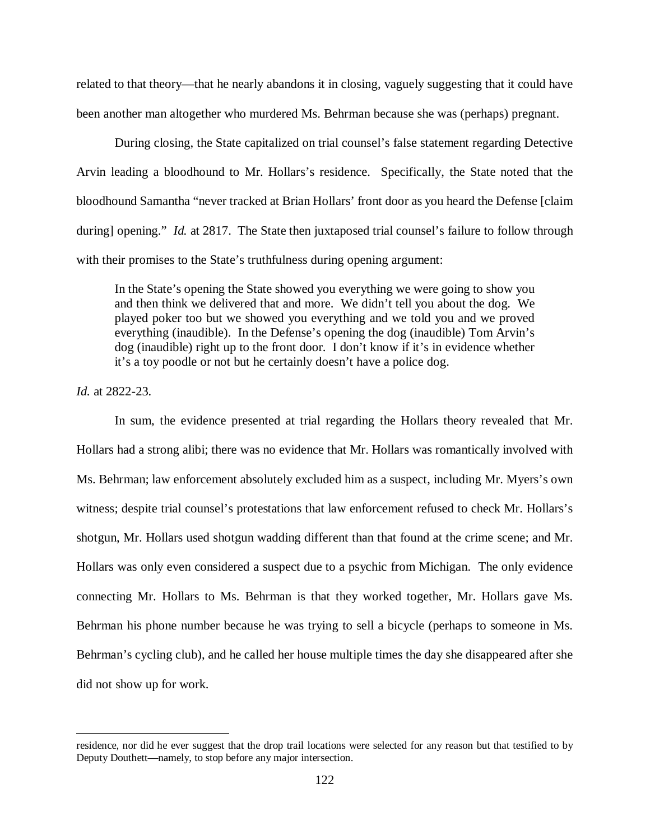related to that theory—that he nearly abandons it in closing, vaguely suggesting that it could have been another man altogether who murdered Ms. Behrman because she was (perhaps) pregnant.

During closing, the State capitalized on trial counsel's false statement regarding Detective Arvin leading a bloodhound to Mr. Hollars's residence. Specifically, the State noted that the bloodhound Samantha "never tracked at Brian Hollars' front door as you heard the Defense [claim during] opening." *Id.* at 2817. The State then juxtaposed trial counsel's failure to follow through with their promises to the State's truthfulness during opening argument:

In the State's opening the State showed you everything we were going to show you and then think we delivered that and more. We didn't tell you about the dog. We played poker too but we showed you everything and we told you and we proved everything (inaudible). In the Defense's opening the dog (inaudible) Tom Arvin's dog (inaudible) right up to the front door. I don't know if it's in evidence whether it's a toy poodle or not but he certainly doesn't have a police dog.

*Id.* at 2822-23.

 $\overline{a}$ 

In sum, the evidence presented at trial regarding the Hollars theory revealed that Mr. Hollars had a strong alibi; there was no evidence that Mr. Hollars was romantically involved with Ms. Behrman; law enforcement absolutely excluded him as a suspect, including Mr. Myers's own witness; despite trial counsel's protestations that law enforcement refused to check Mr. Hollars's shotgun, Mr. Hollars used shotgun wadding different than that found at the crime scene; and Mr. Hollars was only even considered a suspect due to a psychic from Michigan. The only evidence connecting Mr. Hollars to Ms. Behrman is that they worked together, Mr. Hollars gave Ms. Behrman his phone number because he was trying to sell a bicycle (perhaps to someone in Ms. Behrman's cycling club), and he called her house multiple times the day she disappeared after she did not show up for work.

residence, nor did he ever suggest that the drop trail locations were selected for any reason but that testified to by Deputy Douthett—namely, to stop before any major intersection.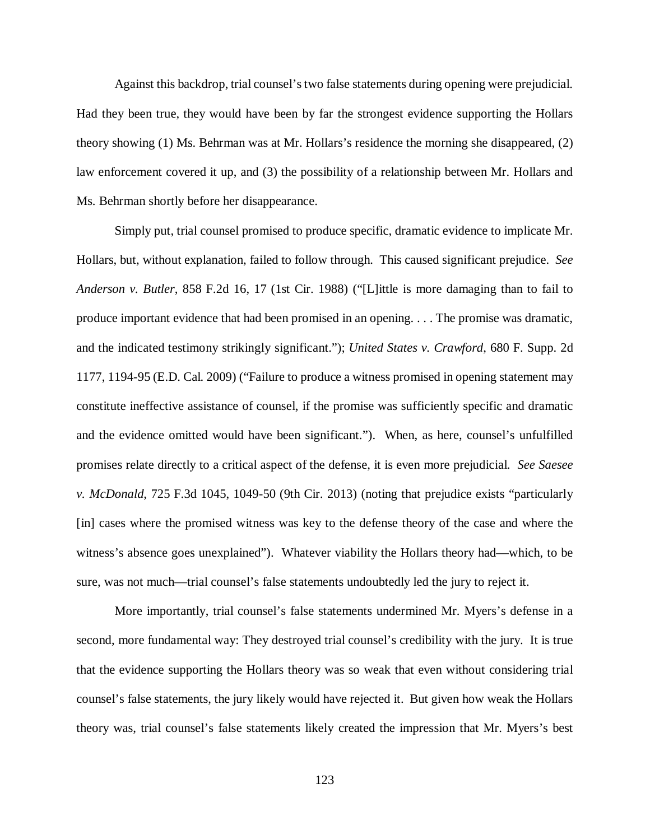Against this backdrop, trial counsel's two false statements during opening were prejudicial. Had they been true, they would have been by far the strongest evidence supporting the Hollars theory showing (1) Ms. Behrman was at Mr. Hollars's residence the morning she disappeared, (2) law enforcement covered it up, and (3) the possibility of a relationship between Mr. Hollars and Ms. Behrman shortly before her disappearance.

Simply put, trial counsel promised to produce specific, dramatic evidence to implicate Mr. Hollars, but, without explanation, failed to follow through. This caused significant prejudice. *See Anderson v. Butler*, 858 F.2d 16, 17 (1st Cir. 1988) ("[L]ittle is more damaging than to fail to produce important evidence that had been promised in an opening. . . . The promise was dramatic, and the indicated testimony strikingly significant."); *United States v. Crawford*, 680 F. Supp. 2d 1177, 1194-95 (E.D. Cal. 2009) ("Failure to produce a witness promised in opening statement may constitute ineffective assistance of counsel, if the promise was sufficiently specific and dramatic and the evidence omitted would have been significant."). When, as here, counsel's unfulfilled promises relate directly to a critical aspect of the defense, it is even more prejudicial. *See Saesee v. McDonald*, 725 F.3d 1045, 1049-50 (9th Cir. 2013) (noting that prejudice exists "particularly [in] cases where the promised witness was key to the defense theory of the case and where the witness's absence goes unexplained"). Whatever viability the Hollars theory had—which, to be sure, was not much—trial counsel's false statements undoubtedly led the jury to reject it.

More importantly, trial counsel's false statements undermined Mr. Myers's defense in a second, more fundamental way: They destroyed trial counsel's credibility with the jury. It is true that the evidence supporting the Hollars theory was so weak that even without considering trial counsel's false statements, the jury likely would have rejected it. But given how weak the Hollars theory was, trial counsel's false statements likely created the impression that Mr. Myers's best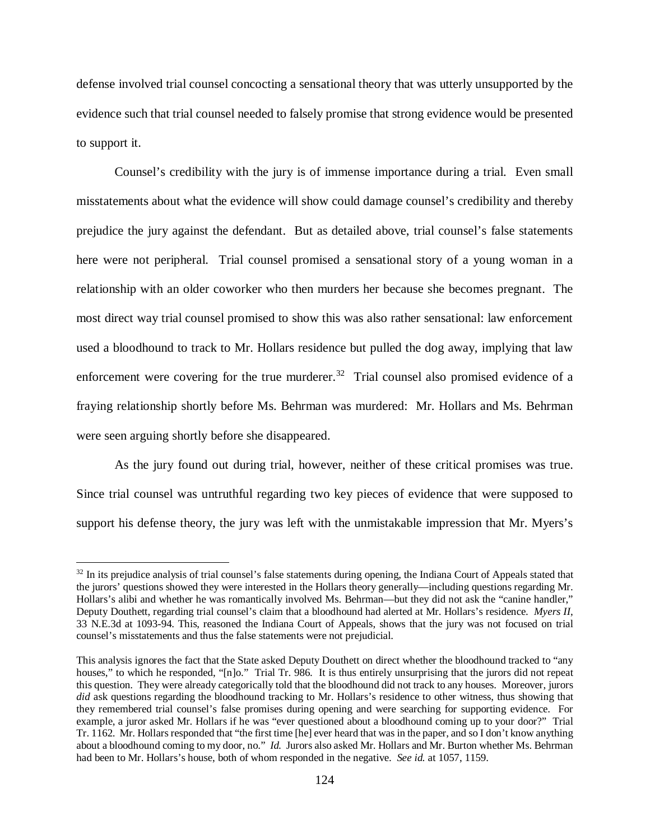defense involved trial counsel concocting a sensational theory that was utterly unsupported by the evidence such that trial counsel needed to falsely promise that strong evidence would be presented to support it.

Counsel's credibility with the jury is of immense importance during a trial. Even small misstatements about what the evidence will show could damage counsel's credibility and thereby prejudice the jury against the defendant. But as detailed above, trial counsel's false statements here were not peripheral. Trial counsel promised a sensational story of a young woman in a relationship with an older coworker who then murders her because she becomes pregnant. The most direct way trial counsel promised to show this was also rather sensational: law enforcement used a bloodhound to track to Mr. Hollars residence but pulled the dog away, implying that law enforcement were covering for the true murderer.<sup>32</sup> Trial counsel also promised evidence of a fraying relationship shortly before Ms. Behrman was murdered: Mr. Hollars and Ms. Behrman were seen arguing shortly before she disappeared.

As the jury found out during trial, however, neither of these critical promises was true. Since trial counsel was untruthful regarding two key pieces of evidence that were supposed to support his defense theory, the jury was left with the unmistakable impression that Mr. Myers's

<span id="page-123-0"></span> $32$  In its prejudice analysis of trial counsel's false statements during opening, the Indiana Court of Appeals stated that the jurors' questions showed they were interested in the Hollars theory generally—including questions regarding Mr. Hollars's alibi and whether he was romantically involved Ms. Behrman—but they did not ask the "canine handler," Deputy Douthett, regarding trial counsel's claim that a bloodhound had alerted at Mr. Hollars's residence. *Myers II*, 33 N.E.3d at 1093-94. This, reasoned the Indiana Court of Appeals, shows that the jury was not focused on trial counsel's misstatements and thus the false statements were not prejudicial.

This analysis ignores the fact that the State asked Deputy Douthett on direct whether the bloodhound tracked to "any houses," to which he responded, "[n]o." Trial Tr. 986. It is thus entirely unsurprising that the jurors did not repeat this question. They were already categorically told that the bloodhound did not track to any houses. Moreover, jurors *did* ask questions regarding the bloodhound tracking to Mr. Hollars's residence to other witness, thus showing that they remembered trial counsel's false promises during opening and were searching for supporting evidence. For example, a juror asked Mr. Hollars if he was "ever questioned about a bloodhound coming up to your door?" Trial Tr. 1162. Mr. Hollars responded that "the first time [he] ever heard that was in the paper, and so I don't know anything about a bloodhound coming to my door, no." *Id.* Jurors also asked Mr. Hollars and Mr. Burton whether Ms. Behrman had been to Mr. Hollars's house, both of whom responded in the negative. *See id.* at 1057, 1159.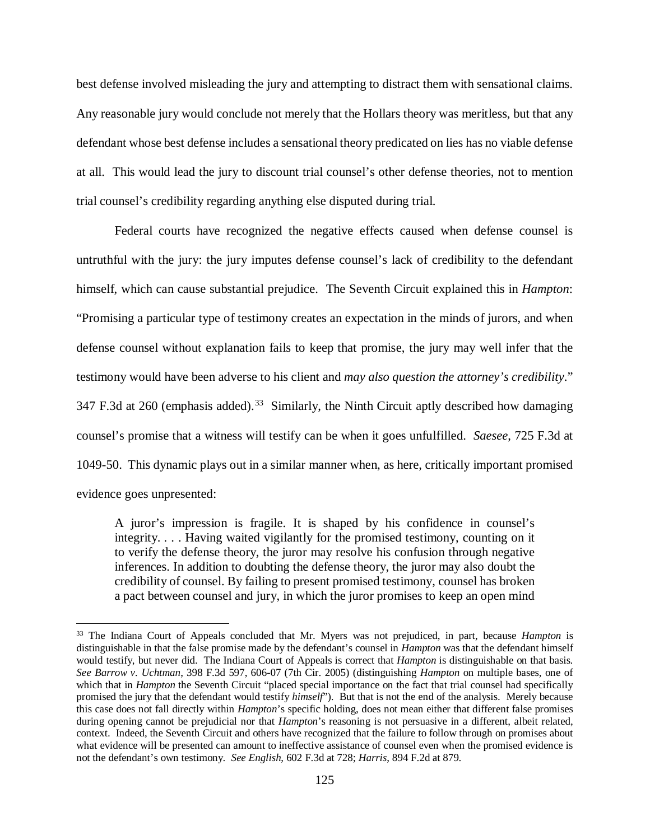best defense involved misleading the jury and attempting to distract them with sensational claims. Any reasonable jury would conclude not merely that the Hollars theory was meritless, but that any defendant whose best defense includes a sensational theory predicated on lies has no viable defense at all. This would lead the jury to discount trial counsel's other defense theories, not to mention trial counsel's credibility regarding anything else disputed during trial.

Federal courts have recognized the negative effects caused when defense counsel is untruthful with the jury: the jury imputes defense counsel's lack of credibility to the defendant himself, which can cause substantial prejudice. The Seventh Circuit explained this in *Hampton*: "Promising a particular type of testimony creates an expectation in the minds of jurors, and when defense counsel without explanation fails to keep that promise, the jury may well infer that the testimony would have been adverse to his client and *may also question the attorney's credibility*." 347 F.3d at 260 (emphasis added).<sup>[33](#page-124-0)</sup> Similarly, the Ninth Circuit aptly described how damaging counsel's promise that a witness will testify can be when it goes unfulfilled. *Saesee*, 725 F.3d at 1049-50. This dynamic plays out in a similar manner when, as here, critically important promised evidence goes unpresented:

A juror's impression is fragile. It is shaped by his confidence in counsel's integrity. . . . Having waited vigilantly for the promised testimony, counting on it to verify the defense theory, the juror may resolve his confusion through negative inferences. In addition to doubting the defense theory, the juror may also doubt the credibility of counsel. By failing to present promised testimony, counsel has broken a pact between counsel and jury, in which the juror promises to keep an open mind

<span id="page-124-0"></span> <sup>33</sup> The Indiana Court of Appeals concluded that Mr. Myers was not prejudiced, in part, because *Hampton* is distinguishable in that the false promise made by the defendant's counsel in *Hampton* was that the defendant himself would testify, but never did. The Indiana Court of Appeals is correct that *Hampton* is distinguishable on that basis. *See Barrow v. Uchtman*, 398 F.3d 597, 606-07 (7th Cir. 2005) (distinguishing *Hampton* on multiple bases, one of which that in *Hampton* the Seventh Circuit "placed special importance on the fact that trial counsel had specifically promised the jury that the defendant would testify *himself*"). But that is not the end of the analysis. Merely because this case does not fall directly within *Hampton*'s specific holding, does not mean either that different false promises during opening cannot be prejudicial nor that *Hampton*'s reasoning is not persuasive in a different, albeit related, context. Indeed, the Seventh Circuit and others have recognized that the failure to follow through on promises about what evidence will be presented can amount to ineffective assistance of counsel even when the promised evidence is not the defendant's own testimony. *See English*, 602 F.3d at 728; *Harris*, 894 F.2d at 879.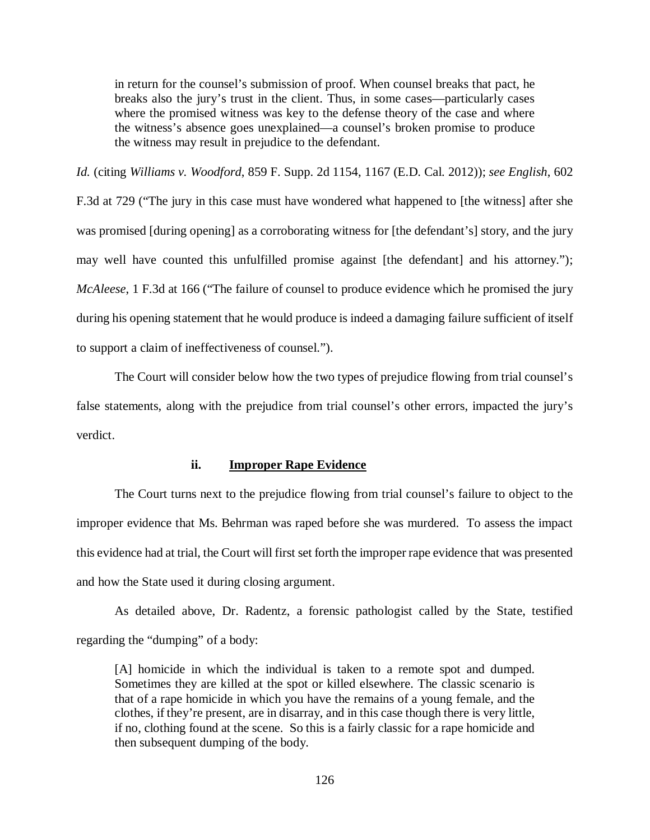in return for the counsel's submission of proof. When counsel breaks that pact, he breaks also the jury's trust in the client. Thus, in some cases—particularly cases where the promised witness was key to the defense theory of the case and where the witness's absence goes unexplained—a counsel's broken promise to produce the witness may result in prejudice to the defendant.

*Id.* (citing *Williams v. Woodford*, 859 F. Supp. 2d 1154, 1167 (E.D. Cal. 2012)); *see English*, 602 F.3d at 729 ("The jury in this case must have wondered what happened to [the witness] after she was promised [during opening] as a corroborating witness for [the defendant's] story, and the jury may well have counted this unfulfilled promise against [the defendant] and his attorney."); *McAleese*, 1 F.3d at 166 ("The failure of counsel to produce evidence which he promised the jury during his opening statement that he would produce is indeed a damaging failure sufficient of itself to support a claim of ineffectiveness of counsel.").

The Court will consider below how the two types of prejudice flowing from trial counsel's false statements, along with the prejudice from trial counsel's other errors, impacted the jury's verdict.

# **ii. Improper Rape Evidence**

The Court turns next to the prejudice flowing from trial counsel's failure to object to the improper evidence that Ms. Behrman was raped before she was murdered. To assess the impact this evidence had at trial, the Court will first set forth the improper rape evidence that was presented and how the State used it during closing argument.

As detailed above, Dr. Radentz, a forensic pathologist called by the State, testified regarding the "dumping" of a body:

[A] homicide in which the individual is taken to a remote spot and dumped. Sometimes they are killed at the spot or killed elsewhere. The classic scenario is that of a rape homicide in which you have the remains of a young female, and the clothes, if they're present, are in disarray, and in this case though there is very little, if no, clothing found at the scene. So this is a fairly classic for a rape homicide and then subsequent dumping of the body.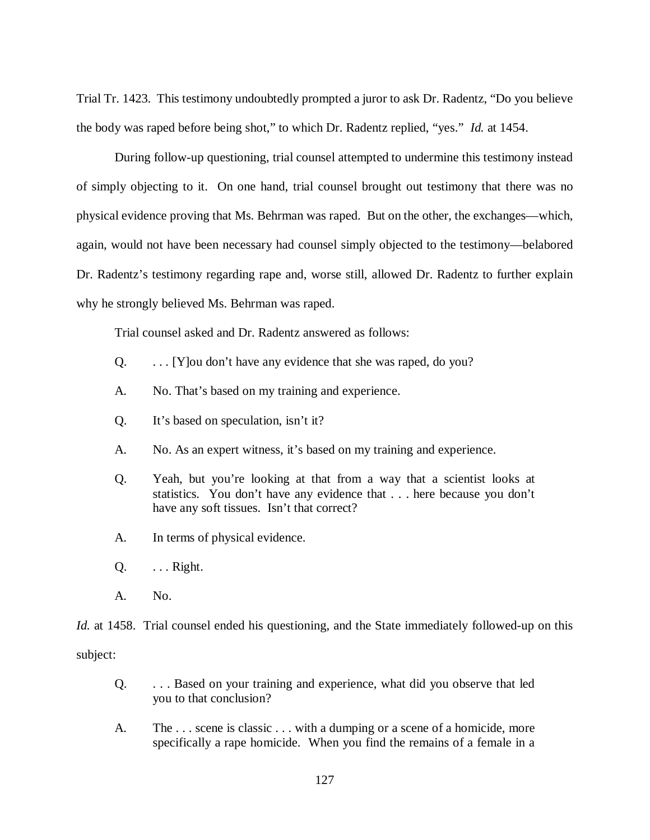Trial Tr. 1423. This testimony undoubtedly prompted a juror to ask Dr. Radentz, "Do you believe the body was raped before being shot," to which Dr. Radentz replied, "yes." *Id.* at 1454.

During follow-up questioning, trial counsel attempted to undermine this testimony instead of simply objecting to it. On one hand, trial counsel brought out testimony that there was no physical evidence proving that Ms. Behrman was raped. But on the other, the exchanges—which, again, would not have been necessary had counsel simply objected to the testimony—belabored Dr. Radentz's testimony regarding rape and, worse still, allowed Dr. Radentz to further explain why he strongly believed Ms. Behrman was raped.

Trial counsel asked and Dr. Radentz answered as follows:

- Q. . . . [Y]ou don't have any evidence that she was raped, do you?
- A. No. That's based on my training and experience.
- Q. It's based on speculation, isn't it?
- A. No. As an expert witness, it's based on my training and experience.
- Q. Yeah, but you're looking at that from a way that a scientist looks at statistics. You don't have any evidence that . . . here because you don't have any soft tissues. Isn't that correct?
- A. In terms of physical evidence.
- $Q.$  ... Right.
- A. No.

*Id.* at 1458. Trial counsel ended his questioning, and the State immediately followed-up on this subject:

- Q. . . . Based on your training and experience, what did you observe that led you to that conclusion?
- A. The . . . scene is classic . . . with a dumping or a scene of a homicide, more specifically a rape homicide. When you find the remains of a female in a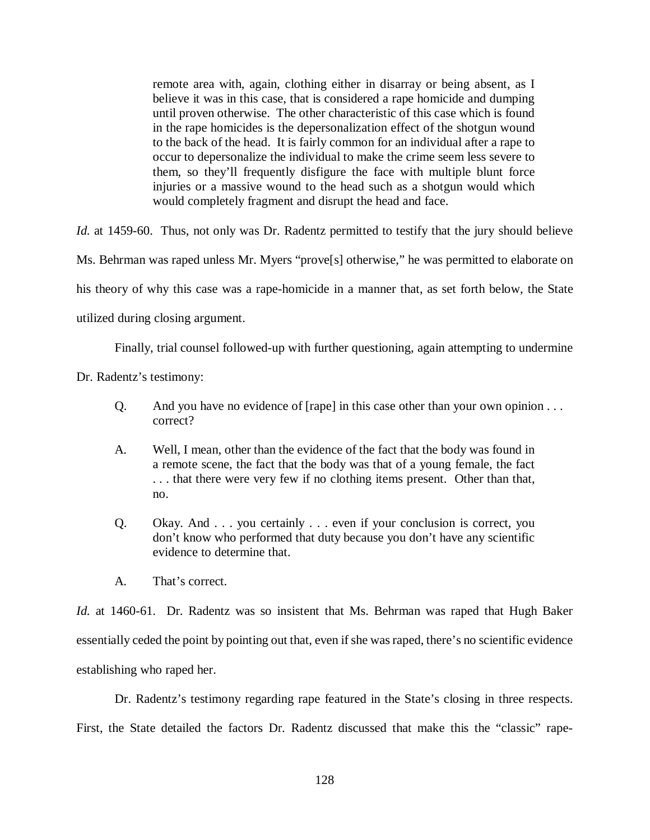remote area with, again, clothing either in disarray or being absent, as I believe it was in this case, that is considered a rape homicide and dumping until proven otherwise. The other characteristic of this case which is found in the rape homicides is the depersonalization effect of the shotgun wound to the back of the head. It is fairly common for an individual after a rape to occur to depersonalize the individual to make the crime seem less severe to them, so they'll frequently disfigure the face with multiple blunt force injuries or a massive wound to the head such as a shotgun would which would completely fragment and disrupt the head and face.

*Id.* at 1459-60. Thus, not only was Dr. Radentz permitted to testify that the jury should believe Ms. Behrman was raped unless Mr. Myers "prove<sup>[s]</sup> otherwise," he was permitted to elaborate on his theory of why this case was a rape-homicide in a manner that, as set forth below, the State

utilized during closing argument.

Finally, trial counsel followed-up with further questioning, again attempting to undermine

Dr. Radentz's testimony:

- Q. And you have no evidence of [rape] in this case other than your own opinion . . . correct?
- A. Well, I mean, other than the evidence of the fact that the body was found in a remote scene, the fact that the body was that of a young female, the fact . . . that there were very few if no clothing items present. Other than that, no.
- Q. Okay. And . . . you certainly . . . even if your conclusion is correct, you don't know who performed that duty because you don't have any scientific evidence to determine that.
- A. That's correct.

*Id.* at 1460-61. Dr. Radentz was so insistent that Ms. Behrman was raped that Hugh Baker essentially ceded the point by pointing out that, even if she was raped, there's no scientific evidence establishing who raped her.

Dr. Radentz's testimony regarding rape featured in the State's closing in three respects. First, the State detailed the factors Dr. Radentz discussed that make this the "classic" rape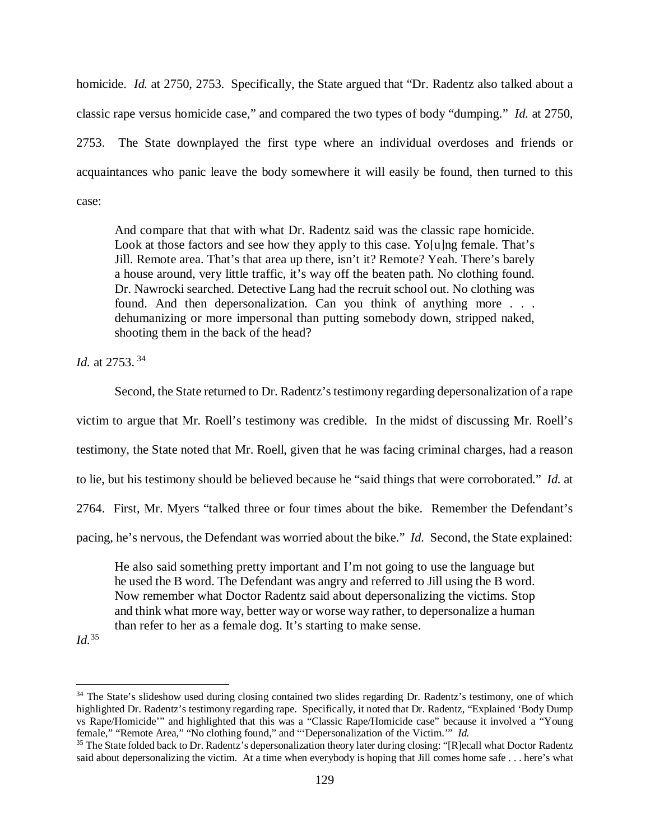homicide. *Id.* at 2750, 2753. Specifically, the State argued that "Dr. Radentz also talked about a classic rape versus homicide case," and compared the two types of body "dumping." *Id.* at 2750, 2753. The State downplayed the first type where an individual overdoses and friends or acquaintances who panic leave the body somewhere it will easily be found, then turned to this case:

And compare that that with what Dr. Radentz said was the classic rape homicide. Look at those factors and see how they apply to this case. Yo[u]ng female. That's Jill. Remote area. That's that area up there, isn't it? Remote? Yeah. There's barely a house around, very little traffic, it's way off the beaten path. No clothing found. Dr. Nawrocki searched. Detective Lang had the recruit school out. No clothing was found. And then depersonalization. Can you think of anything more . . . dehumanizing or more impersonal than putting somebody down, stripped naked, shooting them in the back of the head?

*Id.* at 2753. [34](#page-128-0)

Second, the State returned to Dr. Radentz's testimony regarding depersonalization of a rape victim to argue that Mr. Roell's testimony was credible. In the midst of discussing Mr. Roell's testimony, the State noted that Mr. Roell, given that he was facing criminal charges, had a reason to lie, but his testimony should be believed because he "said things that were corroborated." *Id.* at 2764. First, Mr. Myers "talked three or four times about the bike. Remember the Defendant's pacing, he's nervous, the Defendant was worried about the bike." *Id.* Second, the State explained:

He also said something pretty important and I'm not going to use the language but he used the B word. The Defendant was angry and referred to Jill using the B word. Now remember what Doctor Radentz said about depersonalizing the victims. Stop and think what more way, better way or worse way rather, to depersonalize a human than refer to her as a female dog. It's starting to make sense.

*Id.*[35](#page-128-1)

<span id="page-128-0"></span><sup>&</sup>lt;sup>34</sup> The State's slideshow used during closing contained two slides regarding Dr. Radentz's testimony, one of which highlighted Dr. Radentz's testimony regarding rape. Specifically, it noted that Dr. Radentz, "Explained 'Body Dump vs Rape/Homicide'" and highlighted that this was a "Classic Rape/Homicide case" because it involved a "Young female," "Remote Area," "No clothing found," and "'Depersonalization of the Victim.'" *Id.*

<span id="page-128-1"></span><sup>&</sup>lt;sup>35</sup> The State folded back to Dr. Radentz's depersonalization theory later during closing: "[R]ecall what Doctor Radentz said about depersonalizing the victim. At a time when everybody is hoping that Jill comes home safe . . . here's what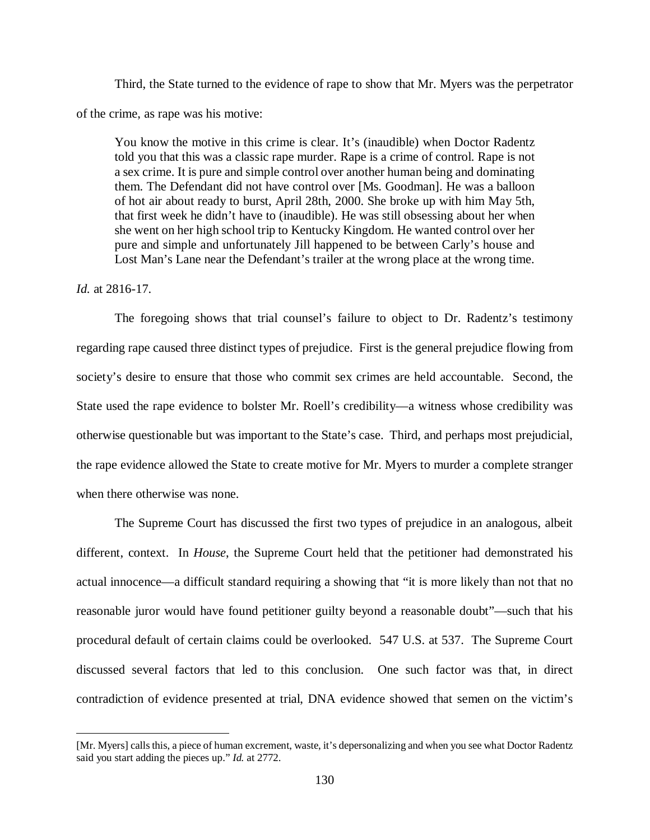Third, the State turned to the evidence of rape to show that Mr. Myers was the perpetrator of the crime, as rape was his motive:

You know the motive in this crime is clear. It's (inaudible) when Doctor Radentz told you that this was a classic rape murder. Rape is a crime of control. Rape is not a sex crime. It is pure and simple control over another human being and dominating them. The Defendant did not have control over [Ms. Goodman]. He was a balloon of hot air about ready to burst, April 28th, 2000. She broke up with him May 5th, that first week he didn't have to (inaudible). He was still obsessing about her when she went on her high school trip to Kentucky Kingdom. He wanted control over her pure and simple and unfortunately Jill happened to be between Carly's house and Lost Man's Lane near the Defendant's trailer at the wrong place at the wrong time.

## *Id.* at 2816-17.

 $\overline{a}$ 

The foregoing shows that trial counsel's failure to object to Dr. Radentz's testimony regarding rape caused three distinct types of prejudice. First is the general prejudice flowing from society's desire to ensure that those who commit sex crimes are held accountable. Second, the State used the rape evidence to bolster Mr. Roell's credibility—a witness whose credibility was otherwise questionable but was important to the State's case. Third, and perhaps most prejudicial, the rape evidence allowed the State to create motive for Mr. Myers to murder a complete stranger when there otherwise was none.

The Supreme Court has discussed the first two types of prejudice in an analogous, albeit different, context. In *House*, the Supreme Court held that the petitioner had demonstrated his actual innocence—a difficult standard requiring a showing that "it is more likely than not that no reasonable juror would have found petitioner guilty beyond a reasonable doubt"—such that his procedural default of certain claims could be overlooked. 547 U.S. at 537. The Supreme Court discussed several factors that led to this conclusion. One such factor was that, in direct contradiction of evidence presented at trial, DNA evidence showed that semen on the victim's

<sup>[</sup>Mr. Myers] calls this, a piece of human excrement, waste, it's depersonalizing and when you see what Doctor Radentz said you start adding the pieces up." *Id.* at 2772.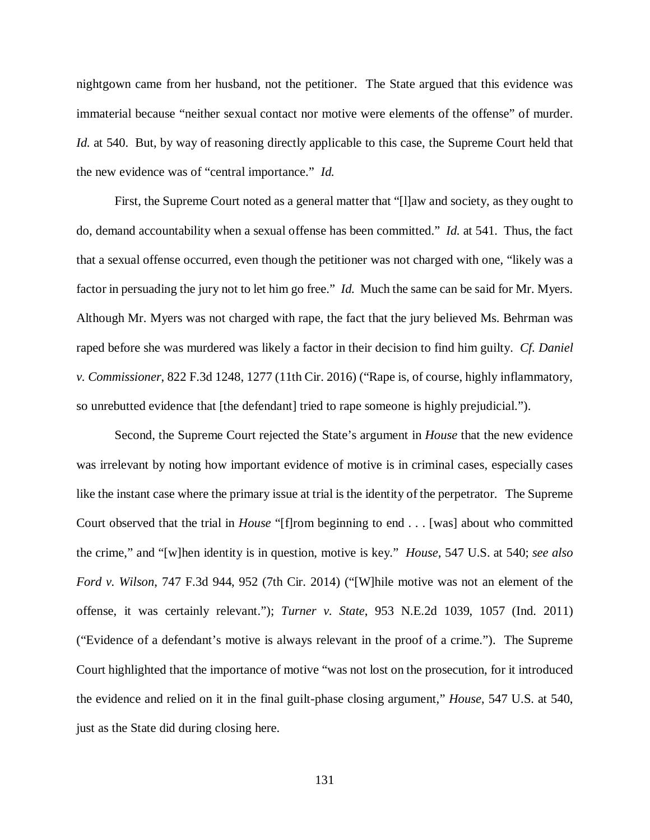nightgown came from her husband, not the petitioner. The State argued that this evidence was immaterial because "neither sexual contact nor motive were elements of the offense" of murder. *Id.* at 540. But, by way of reasoning directly applicable to this case, the Supreme Court held that the new evidence was of "central importance." *Id.*

First, the Supreme Court noted as a general matter that "[l]aw and society, as they ought to do, demand accountability when a sexual offense has been committed." *Id.* at 541. Thus, the fact that a sexual offense occurred, even though the petitioner was not charged with one, "likely was a factor in persuading the jury not to let him go free." *Id.* Much the same can be said for Mr. Myers. Although Mr. Myers was not charged with rape, the fact that the jury believed Ms. Behrman was raped before she was murdered was likely a factor in their decision to find him guilty. *Cf. Daniel v. Commissioner*, 822 F.3d 1248, 1277 (11th Cir. 2016) ("Rape is, of course, highly inflammatory, so unrebutted evidence that [the defendant] tried to rape someone is highly prejudicial.").

Second, the Supreme Court rejected the State's argument in *House* that the new evidence was irrelevant by noting how important evidence of motive is in criminal cases, especially cases like the instant case where the primary issue at trial is the identity of the perpetrator. The Supreme Court observed that the trial in *House* "[f]rom beginning to end . . . [was] about who committed the crime," and "[w]hen identity is in question, motive is key." *House*, 547 U.S. at 540; *see also Ford v. Wilson*, 747 F.3d 944, 952 (7th Cir. 2014) ("[W]hile motive was not an element of the offense, it was certainly relevant."); *Turner v. State*, 953 N.E.2d 1039, 1057 (Ind. 2011) ("Evidence of a defendant's motive is always relevant in the proof of a crime."). The Supreme Court highlighted that the importance of motive "was not lost on the prosecution, for it introduced the evidence and relied on it in the final guilt-phase closing argument," *House*, 547 U.S. at 540, just as the State did during closing here.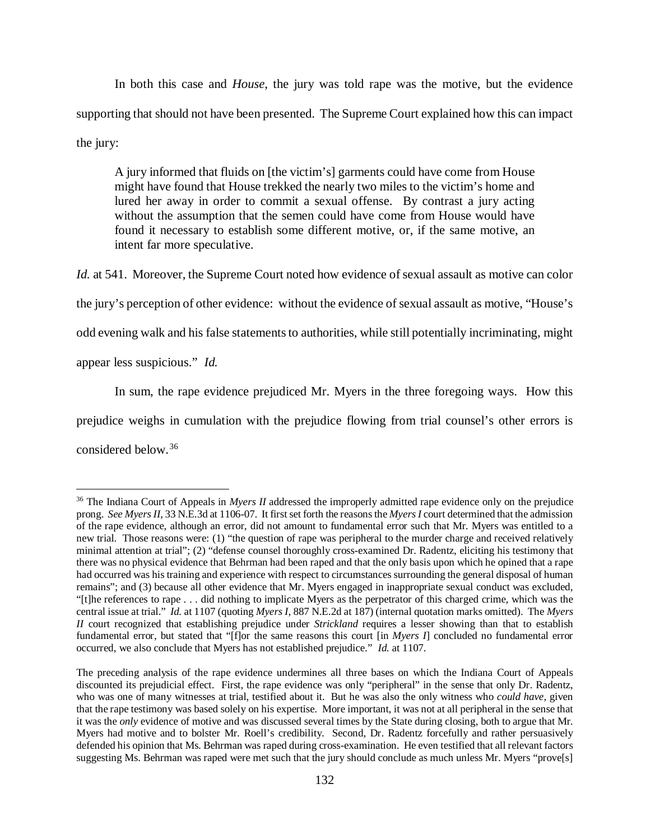In both this case and *House*, the jury was told rape was the motive, but the evidence supporting that should not have been presented.The Supreme Court explained how this can impact the jury:

A jury informed that fluids on [the victim's] garments could have come from House might have found that House trekked the nearly two miles to the victim's home and lured her away in order to commit a sexual offense. By contrast a jury acting without the assumption that the semen could have come from House would have found it necessary to establish some different motive, or, if the same motive, an intent far more speculative.

*Id.* at 541. Moreover, the Supreme Court noted how evidence of sexual assault as motive can color the jury's perception of other evidence: without the evidence of sexual assault as motive, "House's odd evening walk and his false statements to authorities, while still potentially incriminating, might appear less suspicious." *Id.*

In sum, the rape evidence prejudiced Mr. Myers in the three foregoing ways. How this prejudice weighs in cumulation with the prejudice flowing from trial counsel's other errors is considered below.[36](#page-131-0)

<span id="page-131-0"></span><sup>&</sup>lt;sup>36</sup> The Indiana Court of Appeals in *Myers II* addressed the improperly admitted rape evidence only on the prejudice prong. *See Myers II*, 33 N.E.3d at 1106-07. It first set forth the reasons the *Myers I* court determined that the admission of the rape evidence, although an error, did not amount to fundamental error such that Mr. Myers was entitled to a new trial. Those reasons were: (1) "the question of rape was peripheral to the murder charge and received relatively minimal attention at trial"; (2) "defense counsel thoroughly cross-examined Dr. Radentz, eliciting his testimony that there was no physical evidence that Behrman had been raped and that the only basis upon which he opined that a rape had occurred was his training and experience with respect to circumstances surrounding the general disposal of human remains"; and (3) because all other evidence that Mr. Myers engaged in inappropriate sexual conduct was excluded, "[t]he references to rape . . . did nothing to implicate Myers as the perpetrator of this charged crime, which was the central issue at trial." *Id.* at 1107 (quoting *Myers I*, 887 N.E.2d at 187) (internal quotation marks omitted). The *Myers II* court recognized that establishing prejudice under *Strickland* requires a lesser showing than that to establish fundamental error, but stated that "[f]or the same reasons this court [in *Myers I*] concluded no fundamental error occurred, we also conclude that Myers has not established prejudice." *Id.* at 1107.

The preceding analysis of the rape evidence undermines all three bases on which the Indiana Court of Appeals discounted its prejudicial effect. First, the rape evidence was only "peripheral" in the sense that only Dr. Radentz, who was one of many witnesses at trial, testified about it. But he was also the only witness who *could have*, given that the rape testimony was based solely on his expertise. More important, it was not at all peripheral in the sense that it was the *only* evidence of motive and was discussed several times by the State during closing, both to argue that Mr. Myers had motive and to bolster Mr. Roell's credibility. Second, Dr. Radentz forcefully and rather persuasively defended his opinion that Ms. Behrman was raped during cross-examination. He even testified that all relevant factors suggesting Ms. Behrman was raped were met such that the jury should conclude as much unless Mr. Myers "prove[s]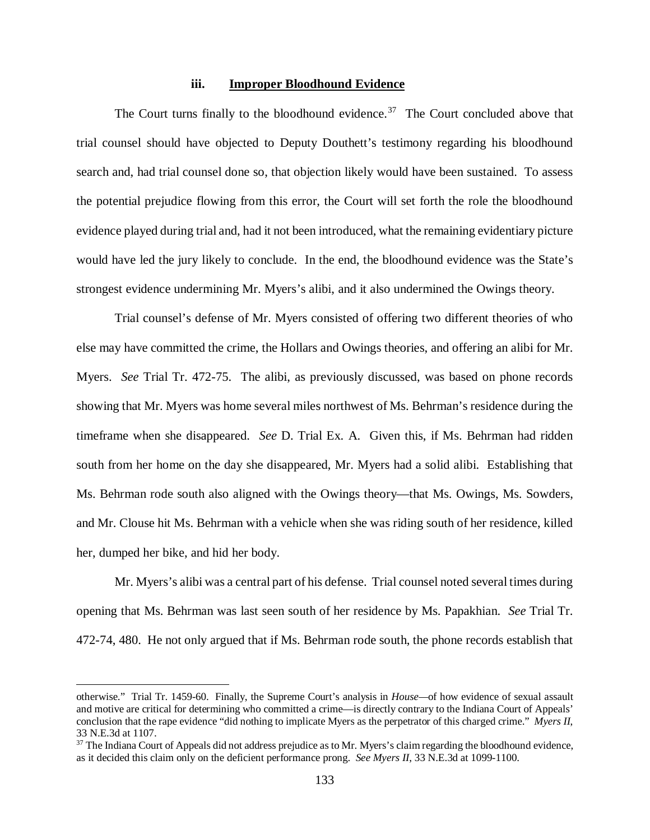## **iii. Improper Bloodhound Evidence**

The Court turns finally to the bloodhound evidence.<sup>37</sup> The Court concluded above that trial counsel should have objected to Deputy Douthett's testimony regarding his bloodhound search and, had trial counsel done so, that objection likely would have been sustained. To assess the potential prejudice flowing from this error, the Court will set forth the role the bloodhound evidence played during trial and, had it not been introduced, what the remaining evidentiary picture would have led the jury likely to conclude. In the end, the bloodhound evidence was the State's strongest evidence undermining Mr. Myers's alibi, and it also undermined the Owings theory.

Trial counsel's defense of Mr. Myers consisted of offering two different theories of who else may have committed the crime, the Hollars and Owings theories, and offering an alibi for Mr. Myers. *See* Trial Tr. 472-75. The alibi, as previously discussed, was based on phone records showing that Mr. Myers was home several miles northwest of Ms. Behrman's residence during the timeframe when she disappeared. *See* D. Trial Ex. A. Given this, if Ms. Behrman had ridden south from her home on the day she disappeared, Mr. Myers had a solid alibi. Establishing that Ms. Behrman rode south also aligned with the Owings theory—that Ms. Owings, Ms. Sowders, and Mr. Clouse hit Ms. Behrman with a vehicle when she was riding south of her residence, killed her, dumped her bike, and hid her body.

Mr. Myers's alibi was a central part of his defense. Trial counsel noted several times during opening that Ms. Behrman was last seen south of her residence by Ms. Papakhian. *See* Trial Tr. 472-74, 480. He not only argued that if Ms. Behrman rode south, the phone records establish that

 $\overline{a}$ 

otherwise." Trial Tr. 1459-60. Finally, the Supreme Court's analysis in *House—*of how evidence of sexual assault and motive are critical for determining who committed a crime—is directly contrary to the Indiana Court of Appeals' conclusion that the rape evidence "did nothing to implicate Myers as the perpetrator of this charged crime." *Myers II*, 33 N.E.3d at 1107.

<span id="page-132-0"></span><sup>&</sup>lt;sup>37</sup> The Indiana Court of Appeals did not address prejudice as to Mr. Myers's claim regarding the bloodhound evidence, as it decided this claim only on the deficient performance prong. *See Myers II*, 33 N.E.3d at 1099-1100.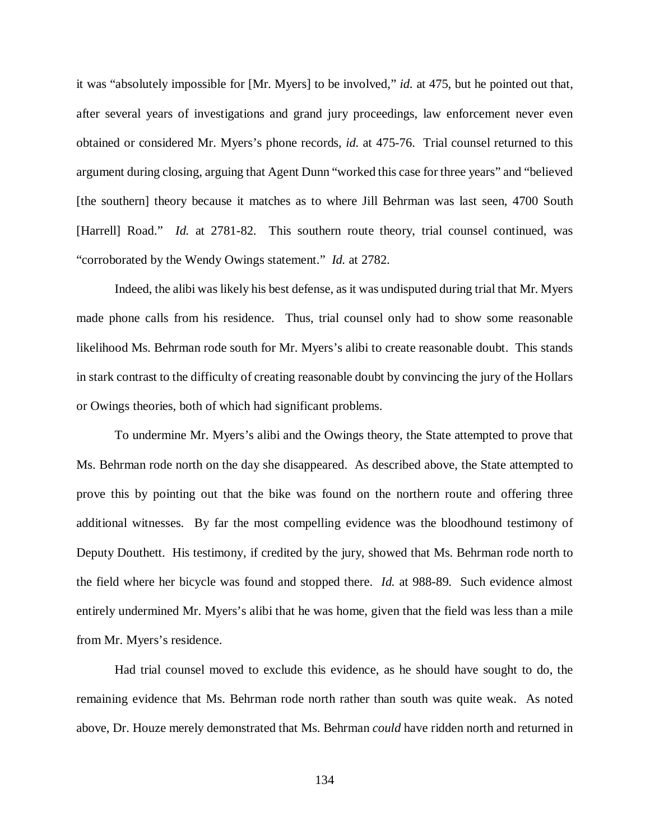it was "absolutely impossible for [Mr. Myers] to be involved," *id.* at 475, but he pointed out that, after several years of investigations and grand jury proceedings, law enforcement never even obtained or considered Mr. Myers's phone records, *id.* at 475-76. Trial counsel returned to this argument during closing, arguing that Agent Dunn "worked this case for three years" and "believed [the southern] theory because it matches as to where Jill Behrman was last seen, 4700 South [Harrell] Road." *Id.* at 2781-82. This southern route theory, trial counsel continued, was "corroborated by the Wendy Owings statement." *Id.* at 2782.

Indeed, the alibi was likely his best defense, as it was undisputed during trial that Mr. Myers made phone calls from his residence. Thus, trial counsel only had to show some reasonable likelihood Ms. Behrman rode south for Mr. Myers's alibi to create reasonable doubt. This stands in stark contrast to the difficulty of creating reasonable doubt by convincing the jury of the Hollars or Owings theories, both of which had significant problems.

To undermine Mr. Myers's alibi and the Owings theory, the State attempted to prove that Ms. Behrman rode north on the day she disappeared. As described above, the State attempted to prove this by pointing out that the bike was found on the northern route and offering three additional witnesses. By far the most compelling evidence was the bloodhound testimony of Deputy Douthett. His testimony, if credited by the jury, showed that Ms. Behrman rode north to the field where her bicycle was found and stopped there. *Id.* at 988-89. Such evidence almost entirely undermined Mr. Myers's alibi that he was home, given that the field was less than a mile from Mr. Myers's residence.

Had trial counsel moved to exclude this evidence, as he should have sought to do, the remaining evidence that Ms. Behrman rode north rather than south was quite weak. As noted above, Dr. Houze merely demonstrated that Ms. Behrman *could* have ridden north and returned in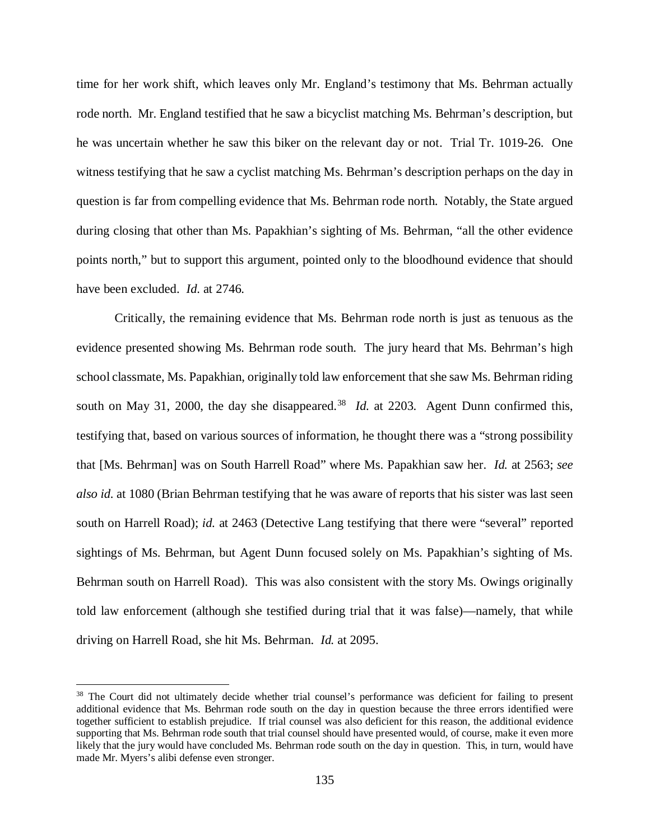time for her work shift, which leaves only Mr. England's testimony that Ms. Behrman actually rode north. Mr. England testified that he saw a bicyclist matching Ms. Behrman's description, but he was uncertain whether he saw this biker on the relevant day or not. Trial Tr. 1019-26. One witness testifying that he saw a cyclist matching Ms. Behrman's description perhaps on the day in question is far from compelling evidence that Ms. Behrman rode north. Notably, the State argued during closing that other than Ms. Papakhian's sighting of Ms. Behrman, "all the other evidence points north," but to support this argument, pointed only to the bloodhound evidence that should have been excluded. *Id.* at 2746.

Critically, the remaining evidence that Ms. Behrman rode north is just as tenuous as the evidence presented showing Ms. Behrman rode south. The jury heard that Ms. Behrman's high school classmate, Ms. Papakhian, originally told law enforcement that she saw Ms. Behrman riding south on May 31, 2000, the day she disappeared.<sup>[38](#page-134-0)</sup> *Id.* at 2203. Agent Dunn confirmed this, testifying that, based on various sources of information, he thought there was a "strong possibility that [Ms. Behrman] was on South Harrell Road" where Ms. Papakhian saw her. *Id.* at 2563; *see also id.* at 1080 (Brian Behrman testifying that he was aware of reports that his sister was last seen south on Harrell Road); *id.* at 2463 (Detective Lang testifying that there were "several" reported sightings of Ms. Behrman, but Agent Dunn focused solely on Ms. Papakhian's sighting of Ms. Behrman south on Harrell Road). This was also consistent with the story Ms. Owings originally told law enforcement (although she testified during trial that it was false)—namely, that while driving on Harrell Road, she hit Ms. Behrman. *Id.* at 2095.

<span id="page-134-0"></span><sup>&</sup>lt;sup>38</sup> The Court did not ultimately decide whether trial counsel's performance was deficient for failing to present additional evidence that Ms. Behrman rode south on the day in question because the three errors identified were together sufficient to establish prejudice. If trial counsel was also deficient for this reason, the additional evidence supporting that Ms. Behrman rode south that trial counsel should have presented would, of course, make it even more likely that the jury would have concluded Ms. Behrman rode south on the day in question. This, in turn, would have made Mr. Myers's alibi defense even stronger.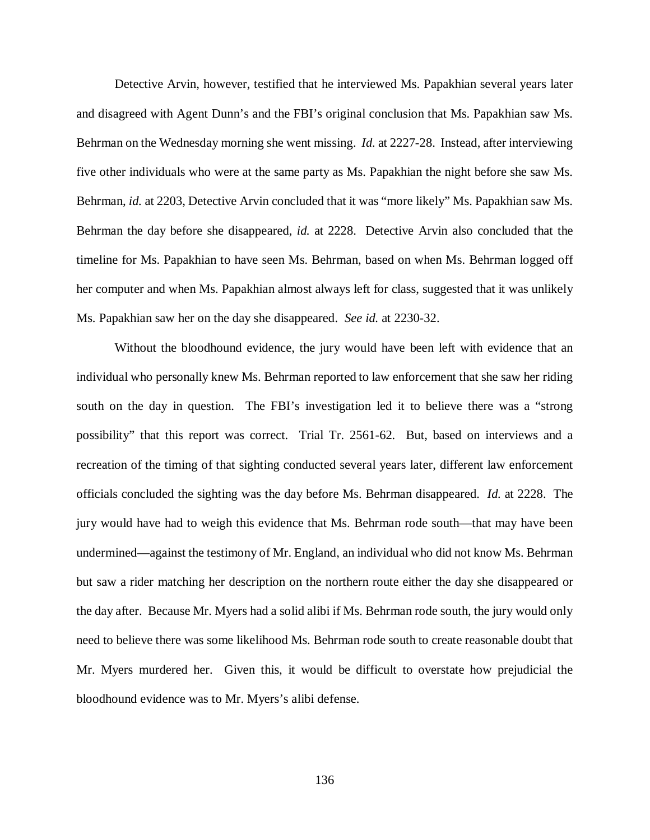Detective Arvin, however, testified that he interviewed Ms. Papakhian several years later and disagreed with Agent Dunn's and the FBI's original conclusion that Ms. Papakhian saw Ms. Behrman on the Wednesday morning she went missing. *Id.* at 2227-28. Instead, after interviewing five other individuals who were at the same party as Ms. Papakhian the night before she saw Ms. Behrman, *id.* at 2203, Detective Arvin concluded that it was "more likely" Ms. Papakhian saw Ms. Behrman the day before she disappeared, *id.* at 2228. Detective Arvin also concluded that the timeline for Ms. Papakhian to have seen Ms. Behrman, based on when Ms. Behrman logged off her computer and when Ms. Papakhian almost always left for class, suggested that it was unlikely Ms. Papakhian saw her on the day she disappeared. *See id.* at 2230-32.

Without the bloodhound evidence, the jury would have been left with evidence that an individual who personally knew Ms. Behrman reported to law enforcement that she saw her riding south on the day in question. The FBI's investigation led it to believe there was a "strong possibility" that this report was correct. Trial Tr. 2561-62. But, based on interviews and a recreation of the timing of that sighting conducted several years later, different law enforcement officials concluded the sighting was the day before Ms. Behrman disappeared. *Id.* at 2228. The jury would have had to weigh this evidence that Ms. Behrman rode south—that may have been undermined—against the testimony of Mr. England, an individual who did not know Ms. Behrman but saw a rider matching her description on the northern route either the day she disappeared or the day after. Because Mr. Myers had a solid alibi if Ms. Behrman rode south, the jury would only need to believe there was some likelihood Ms. Behrman rode south to create reasonable doubt that Mr. Myers murdered her. Given this, it would be difficult to overstate how prejudicial the bloodhound evidence was to Mr. Myers's alibi defense.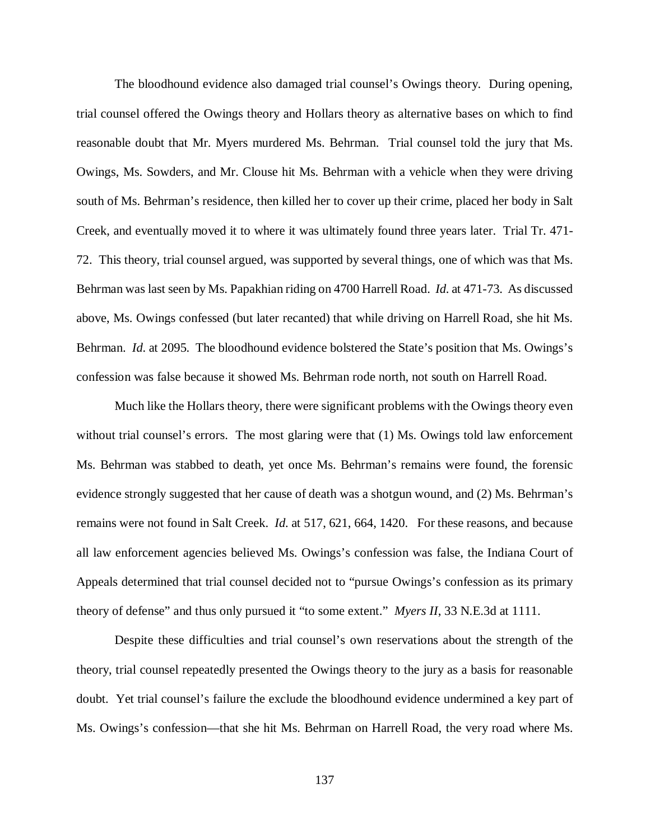The bloodhound evidence also damaged trial counsel's Owings theory. During opening, trial counsel offered the Owings theory and Hollars theory as alternative bases on which to find reasonable doubt that Mr. Myers murdered Ms. Behrman. Trial counsel told the jury that Ms. Owings, Ms. Sowders, and Mr. Clouse hit Ms. Behrman with a vehicle when they were driving south of Ms. Behrman's residence, then killed her to cover up their crime, placed her body in Salt Creek, and eventually moved it to where it was ultimately found three years later. Trial Tr. 471- 72. This theory, trial counsel argued, was supported by several things, one of which was that Ms. Behrman was last seen by Ms. Papakhian riding on 4700 Harrell Road. *Id.* at 471-73. As discussed above, Ms. Owings confessed (but later recanted) that while driving on Harrell Road, she hit Ms. Behrman. *Id.* at 2095. The bloodhound evidence bolstered the State's position that Ms. Owings's confession was false because it showed Ms. Behrman rode north, not south on Harrell Road.

Much like the Hollars theory, there were significant problems with the Owings theory even without trial counsel's errors. The most glaring were that (1) Ms. Owings told law enforcement Ms. Behrman was stabbed to death, yet once Ms. Behrman's remains were found, the forensic evidence strongly suggested that her cause of death was a shotgun wound, and (2) Ms. Behrman's remains were not found in Salt Creek. *Id.* at 517, 621, 664, 1420. For these reasons, and because all law enforcement agencies believed Ms. Owings's confession was false, the Indiana Court of Appeals determined that trial counsel decided not to "pursue Owings's confession as its primary theory of defense" and thus only pursued it "to some extent." *Myers II*, 33 N.E.3d at 1111.

Despite these difficulties and trial counsel's own reservations about the strength of the theory, trial counsel repeatedly presented the Owings theory to the jury as a basis for reasonable doubt. Yet trial counsel's failure the exclude the bloodhound evidence undermined a key part of Ms. Owings's confession—that she hit Ms. Behrman on Harrell Road, the very road where Ms.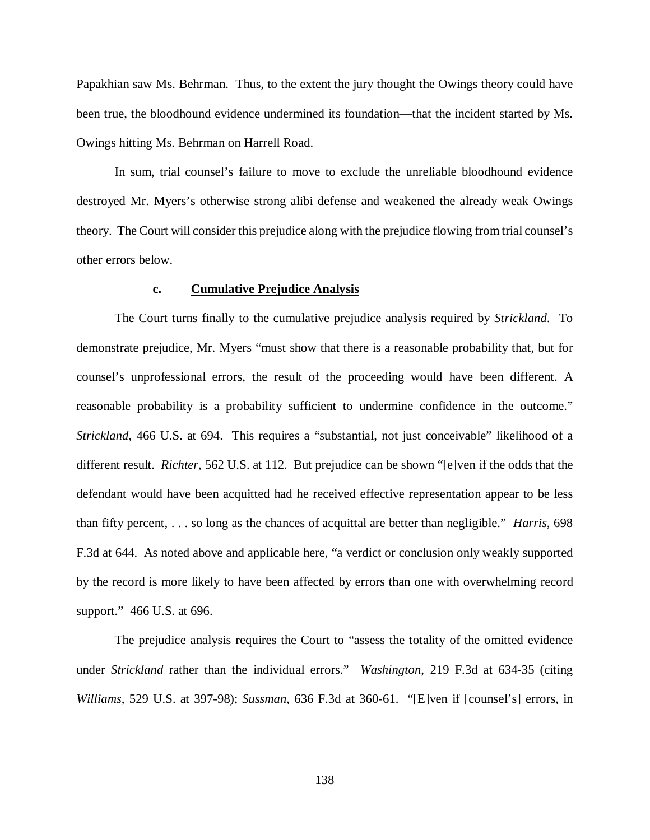Papakhian saw Ms. Behrman. Thus, to the extent the jury thought the Owings theory could have been true, the bloodhound evidence undermined its foundation—that the incident started by Ms. Owings hitting Ms. Behrman on Harrell Road.

In sum, trial counsel's failure to move to exclude the unreliable bloodhound evidence destroyed Mr. Myers's otherwise strong alibi defense and weakened the already weak Owings theory. The Court will consider this prejudice along with the prejudice flowing from trial counsel's other errors below.

#### **c. Cumulative Prejudice Analysis**

The Court turns finally to the cumulative prejudice analysis required by *Strickland*. To demonstrate prejudice, Mr. Myers "must show that there is a reasonable probability that, but for counsel's unprofessional errors, the result of the proceeding would have been different. A reasonable probability is a probability sufficient to undermine confidence in the outcome." *Strickland*, 466 U.S. at 694. This requires a "substantial, not just conceivable" likelihood of a different result. *Richter*, 562 U.S. at 112. But prejudice can be shown "[e]ven if the odds that the defendant would have been acquitted had he received effective representation appear to be less than fifty percent, . . . so long as the chances of acquittal are better than negligible." *Harris*, 698 F.3d at 644. As noted above and applicable here, "a verdict or conclusion only weakly supported by the record is more likely to have been affected by errors than one with overwhelming record support." 466 U.S. at 696.

The prejudice analysis requires the Court to "assess the totality of the omitted evidence under *Strickland* rather than the individual errors." *Washington*, 219 F.3d at 634-35 (citing *Williams*, 529 U.S. at 397-98); *Sussman*, 636 F.3d at 360-61. "[E]ven if [counsel's] errors, in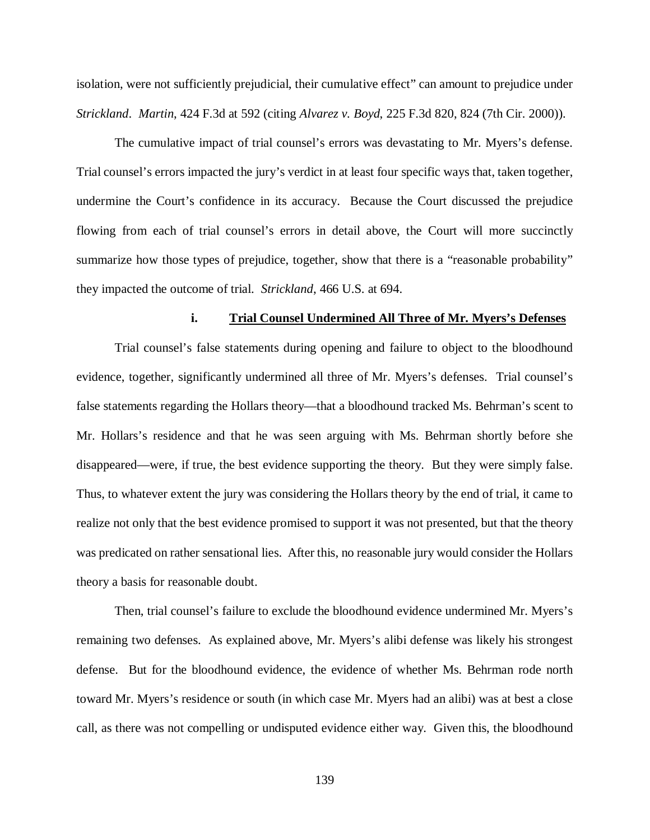isolation, were not sufficiently prejudicial, their cumulative effect" can amount to prejudice under *Strickland*. *Martin*, 424 F.3d at 592 (citing *Alvarez v. Boyd*, 225 F.3d 820, 824 (7th Cir. 2000)).

The cumulative impact of trial counsel's errors was devastating to Mr. Myers's defense. Trial counsel's errors impacted the jury's verdict in at least four specific ways that, taken together, undermine the Court's confidence in its accuracy. Because the Court discussed the prejudice flowing from each of trial counsel's errors in detail above, the Court will more succinctly summarize how those types of prejudice, together, show that there is a "reasonable probability" they impacted the outcome of trial. *Strickland*, 466 U.S. at 694.

## **i. Trial Counsel Undermined All Three of Mr. Myers's Defenses**

Trial counsel's false statements during opening and failure to object to the bloodhound evidence, together, significantly undermined all three of Mr. Myers's defenses. Trial counsel's false statements regarding the Hollars theory—that a bloodhound tracked Ms. Behrman's scent to Mr. Hollars's residence and that he was seen arguing with Ms. Behrman shortly before she disappeared—were, if true, the best evidence supporting the theory. But they were simply false. Thus, to whatever extent the jury was considering the Hollars theory by the end of trial, it came to realize not only that the best evidence promised to support it was not presented, but that the theory was predicated on rather sensational lies. After this, no reasonable jury would consider the Hollars theory a basis for reasonable doubt.

Then, trial counsel's failure to exclude the bloodhound evidence undermined Mr. Myers's remaining two defenses. As explained above, Mr. Myers's alibi defense was likely his strongest defense. But for the bloodhound evidence, the evidence of whether Ms. Behrman rode north toward Mr. Myers's residence or south (in which case Mr. Myers had an alibi) was at best a close call, as there was not compelling or undisputed evidence either way. Given this, the bloodhound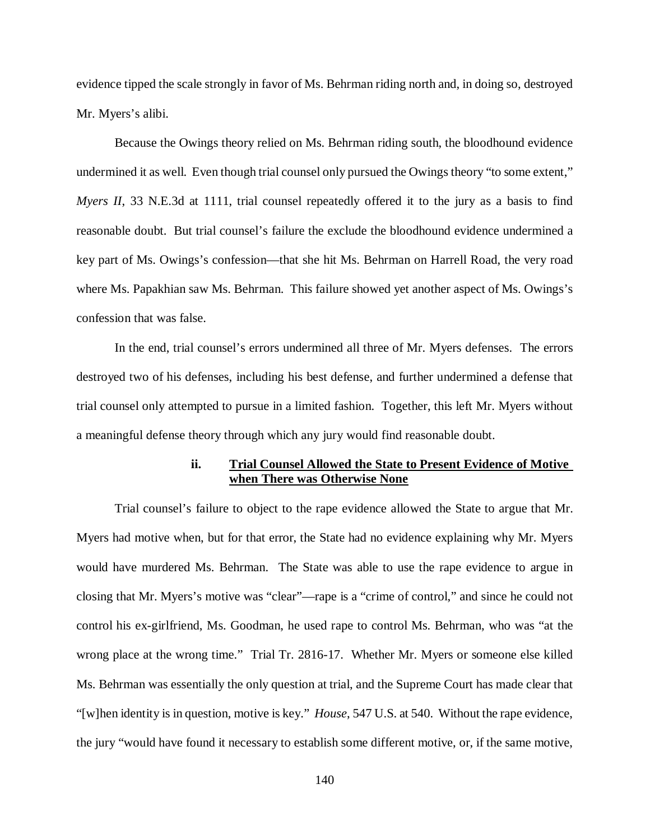evidence tipped the scale strongly in favor of Ms. Behrman riding north and, in doing so, destroyed Mr. Myers's alibi.

Because the Owings theory relied on Ms. Behrman riding south, the bloodhound evidence undermined it as well. Even though trial counsel only pursued the Owings theory "to some extent," *Myers II*, 33 N.E.3d at 1111, trial counsel repeatedly offered it to the jury as a basis to find reasonable doubt. But trial counsel's failure the exclude the bloodhound evidence undermined a key part of Ms. Owings's confession—that she hit Ms. Behrman on Harrell Road, the very road where Ms. Papakhian saw Ms. Behrman. This failure showed yet another aspect of Ms. Owings's confession that was false.

In the end, trial counsel's errors undermined all three of Mr. Myers defenses. The errors destroyed two of his defenses, including his best defense, and further undermined a defense that trial counsel only attempted to pursue in a limited fashion. Together, this left Mr. Myers without a meaningful defense theory through which any jury would find reasonable doubt.

# **ii. Trial Counsel Allowed the State to Present Evidence of Motive when There was Otherwise None**

Trial counsel's failure to object to the rape evidence allowed the State to argue that Mr. Myers had motive when, but for that error, the State had no evidence explaining why Mr. Myers would have murdered Ms. Behrman. The State was able to use the rape evidence to argue in closing that Mr. Myers's motive was "clear"—rape is a "crime of control," and since he could not control his ex-girlfriend, Ms. Goodman, he used rape to control Ms. Behrman, who was "at the wrong place at the wrong time." Trial Tr. 2816-17. Whether Mr. Myers or someone else killed Ms. Behrman was essentially the only question at trial, and the Supreme Court has made clear that "[w]hen identity is in question, motive is key." *House*, 547 U.S. at 540. Without the rape evidence, the jury "would have found it necessary to establish some different motive, or, if the same motive,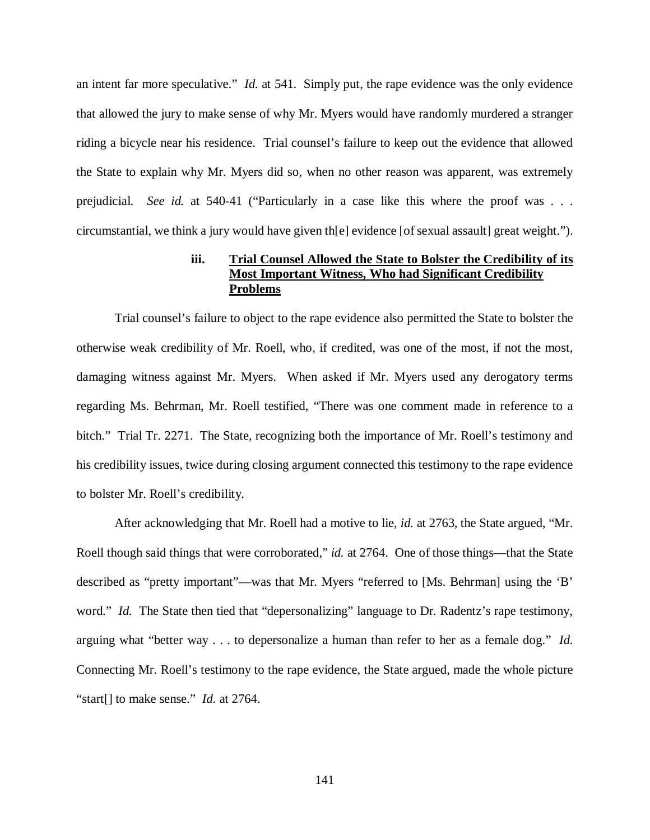an intent far more speculative." *Id.* at 541. Simply put, the rape evidence was the only evidence that allowed the jury to make sense of why Mr. Myers would have randomly murdered a stranger riding a bicycle near his residence. Trial counsel's failure to keep out the evidence that allowed the State to explain why Mr. Myers did so, when no other reason was apparent, was extremely prejudicial. *See id.* at 540-41 ("Particularly in a case like this where the proof was . . . circumstantial, we think a jury would have given th[e] evidence [of sexual assault] great weight.").

# **iii. Trial Counsel Allowed the State to Bolster the Credibility of its Most Important Witness, Who had Significant Credibility Problems**

Trial counsel's failure to object to the rape evidence also permitted the State to bolster the otherwise weak credibility of Mr. Roell, who, if credited, was one of the most, if not the most, damaging witness against Mr. Myers. When asked if Mr. Myers used any derogatory terms regarding Ms. Behrman, Mr. Roell testified, "There was one comment made in reference to a bitch." Trial Tr. 2271. The State, recognizing both the importance of Mr. Roell's testimony and his credibility issues, twice during closing argument connected this testimony to the rape evidence to bolster Mr. Roell's credibility.

After acknowledging that Mr. Roell had a motive to lie, *id.* at 2763, the State argued, "Mr. Roell though said things that were corroborated," *id.* at 2764. One of those things—that the State described as "pretty important"—was that Mr. Myers "referred to [Ms. Behrman] using the 'B' word." *Id.* The State then tied that "depersonalizing" language to Dr. Radentz's rape testimony, arguing what "better way . . . to depersonalize a human than refer to her as a female dog." *Id.*  Connecting Mr. Roell's testimony to the rape evidence, the State argued, made the whole picture "start[] to make sense." *Id.* at 2764.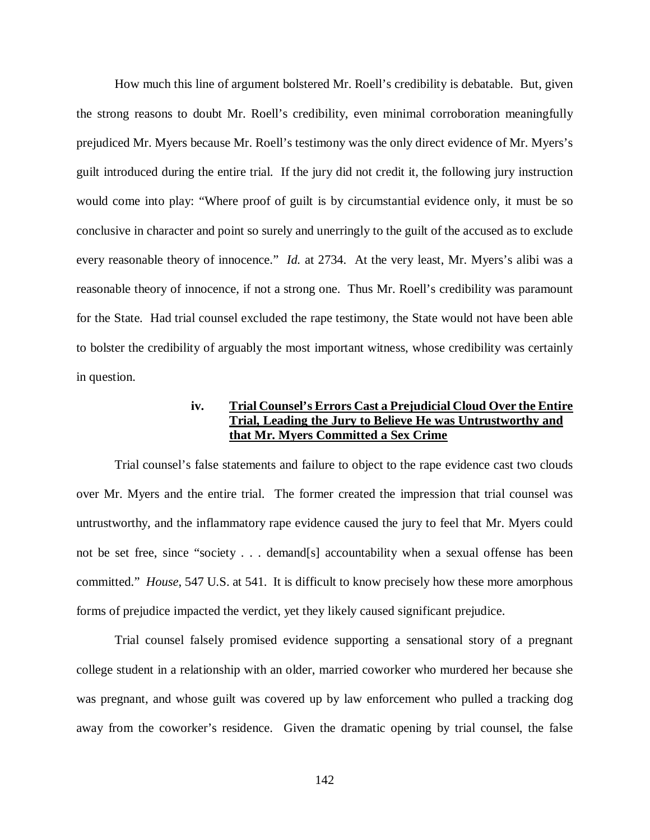How much this line of argument bolstered Mr. Roell's credibility is debatable. But, given the strong reasons to doubt Mr. Roell's credibility, even minimal corroboration meaningfully prejudiced Mr. Myers because Mr. Roell's testimony was the only direct evidence of Mr. Myers's guilt introduced during the entire trial. If the jury did not credit it, the following jury instruction would come into play: "Where proof of guilt is by circumstantial evidence only, it must be so conclusive in character and point so surely and unerringly to the guilt of the accused as to exclude every reasonable theory of innocence." *Id.* at 2734. At the very least, Mr. Myers's alibi was a reasonable theory of innocence, if not a strong one. Thus Mr. Roell's credibility was paramount for the State. Had trial counsel excluded the rape testimony, the State would not have been able to bolster the credibility of arguably the most important witness, whose credibility was certainly in question.

# **iv. Trial Counsel's Errors Cast a Prejudicial Cloud Over the Entire Trial, Leading the Jury to Believe He was Untrustworthy and that Mr. Myers Committed a Sex Crime**

Trial counsel's false statements and failure to object to the rape evidence cast two clouds over Mr. Myers and the entire trial. The former created the impression that trial counsel was untrustworthy, and the inflammatory rape evidence caused the jury to feel that Mr. Myers could not be set free, since "society . . . demand[s] accountability when a sexual offense has been committed." *House*, 547 U.S. at 541. It is difficult to know precisely how these more amorphous forms of prejudice impacted the verdict, yet they likely caused significant prejudice.

Trial counsel falsely promised evidence supporting a sensational story of a pregnant college student in a relationship with an older, married coworker who murdered her because she was pregnant, and whose guilt was covered up by law enforcement who pulled a tracking dog away from the coworker's residence. Given the dramatic opening by trial counsel, the false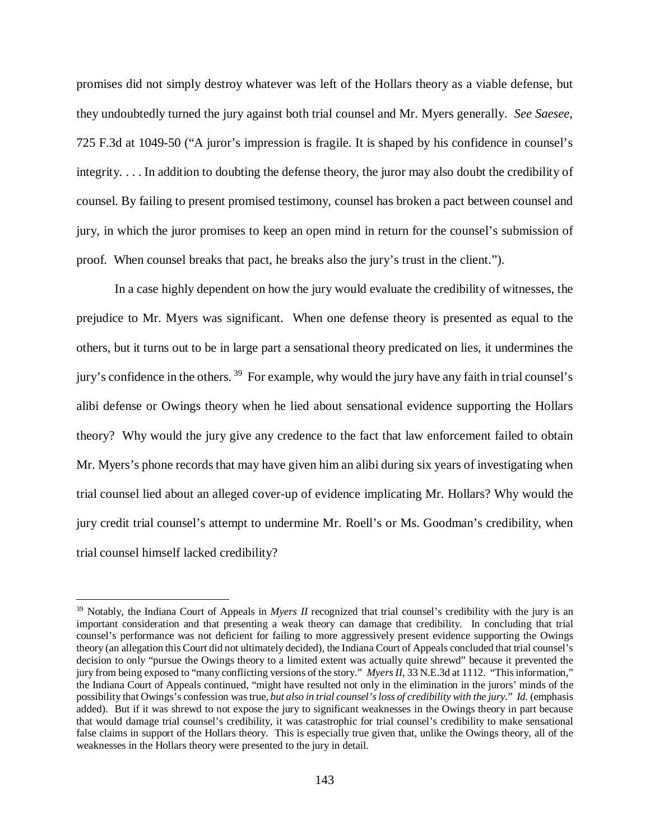promises did not simply destroy whatever was left of the Hollars theory as a viable defense, but they undoubtedly turned the jury against both trial counsel and Mr. Myers generally. *See Saesee*, 725 F.3d at 1049-50 ("A juror's impression is fragile. It is shaped by his confidence in counsel's integrity. . . . In addition to doubting the defense theory, the juror may also doubt the credibility of counsel. By failing to present promised testimony, counsel has broken a pact between counsel and jury, in which the juror promises to keep an open mind in return for the counsel's submission of proof. When counsel breaks that pact, he breaks also the jury's trust in the client.").

In a case highly dependent on how the jury would evaluate the credibility of witnesses, the prejudice to Mr. Myers was significant. When one defense theory is presented as equal to the others, but it turns out to be in large part a sensational theory predicated on lies, it undermines the jury's confidence in the others. [39](#page-142-0) For example, why would the jury have any faith in trial counsel's alibi defense or Owings theory when he lied about sensational evidence supporting the Hollars theory? Why would the jury give any credence to the fact that law enforcement failed to obtain Mr. Myers's phone records that may have given him an alibi during six years of investigating when trial counsel lied about an alleged cover-up of evidence implicating Mr. Hollars? Why would the jury credit trial counsel's attempt to undermine Mr. Roell's or Ms. Goodman's credibility, when trial counsel himself lacked credibility?

<span id="page-142-0"></span><sup>&</sup>lt;sup>39</sup> Notably, the Indiana Court of Appeals in *Myers II* recognized that trial counsel's credibility with the jury is an important consideration and that presenting a weak theory can damage that credibility. In concluding that trial counsel's performance was not deficient for failing to more aggressively present evidence supporting the Owings theory (an allegation this Court did not ultimately decided), the Indiana Court of Appeals concluded that trial counsel's decision to only "pursue the Owings theory to a limited extent was actually quite shrewd" because it prevented the jury from being exposed to "many conflicting versions of the story." *Myers II*, 33 N.E.3d at 1112. "This information," the Indiana Court of Appeals continued, "might have resulted not only in the elimination in the jurors' minds of the possibility that Owings's confession was true, *but also in trial counsel's loss of credibility with the jury*." *Id.* (emphasis added). But if it was shrewd to not expose the jury to significant weaknesses in the Owings theory in part because that would damage trial counsel's credibility, it was catastrophic for trial counsel's credibility to make sensational false claims in support of the Hollars theory. This is especially true given that, unlike the Owings theory, all of the weaknesses in the Hollars theory were presented to the jury in detail.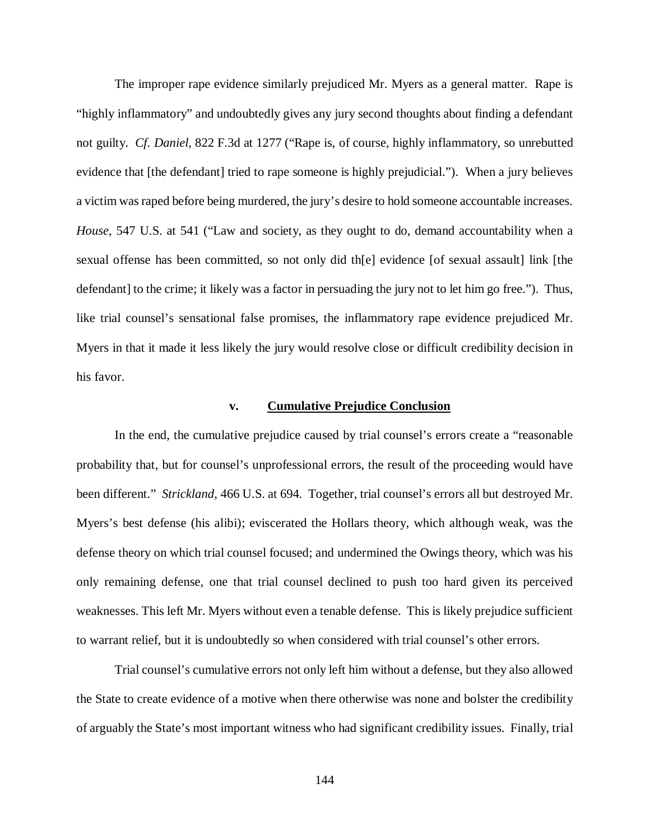The improper rape evidence similarly prejudiced Mr. Myers as a general matter. Rape is "highly inflammatory" and undoubtedly gives any jury second thoughts about finding a defendant not guilty. *Cf. Daniel*, 822 F.3d at 1277 ("Rape is, of course, highly inflammatory, so unrebutted evidence that [the defendant] tried to rape someone is highly prejudicial."). When a jury believes a victim was raped before being murdered, the jury's desire to hold someone accountable increases. *House*, 547 U.S. at 541 ("Law and society, as they ought to do, demand accountability when a sexual offense has been committed, so not only did th[e] evidence [of sexual assault] link [the defendant] to the crime; it likely was a factor in persuading the jury not to let him go free."). Thus, like trial counsel's sensational false promises, the inflammatory rape evidence prejudiced Mr. Myers in that it made it less likely the jury would resolve close or difficult credibility decision in his favor.

# **v. Cumulative Prejudice Conclusion**

In the end, the cumulative prejudice caused by trial counsel's errors create a "reasonable probability that, but for counsel's unprofessional errors, the result of the proceeding would have been different." *Strickland*, 466 U.S. at 694. Together, trial counsel's errors all but destroyed Mr. Myers's best defense (his alibi); eviscerated the Hollars theory, which although weak, was the defense theory on which trial counsel focused; and undermined the Owings theory, which was his only remaining defense, one that trial counsel declined to push too hard given its perceived weaknesses. This left Mr. Myers without even a tenable defense. This is likely prejudice sufficient to warrant relief, but it is undoubtedly so when considered with trial counsel's other errors.

Trial counsel's cumulative errors not only left him without a defense, but they also allowed the State to create evidence of a motive when there otherwise was none and bolster the credibility of arguably the State's most important witness who had significant credibility issues. Finally, trial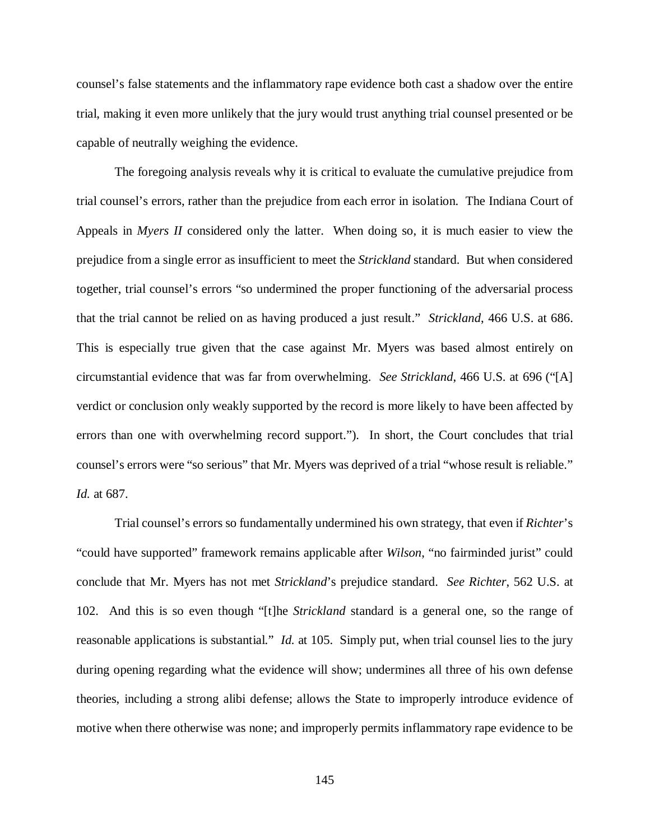counsel's false statements and the inflammatory rape evidence both cast a shadow over the entire trial, making it even more unlikely that the jury would trust anything trial counsel presented or be capable of neutrally weighing the evidence.

The foregoing analysis reveals why it is critical to evaluate the cumulative prejudice from trial counsel's errors, rather than the prejudice from each error in isolation. The Indiana Court of Appeals in *Myers II* considered only the latter. When doing so, it is much easier to view the prejudice from a single error as insufficient to meet the *Strickland* standard. But when considered together, trial counsel's errors "so undermined the proper functioning of the adversarial process that the trial cannot be relied on as having produced a just result." *Strickland*, 466 U.S. at 686. This is especially true given that the case against Mr. Myers was based almost entirely on circumstantial evidence that was far from overwhelming. *See Strickland*, 466 U.S. at 696 ("[A] verdict or conclusion only weakly supported by the record is more likely to have been affected by errors than one with overwhelming record support."). In short, the Court concludes that trial counsel's errors were "so serious" that Mr. Myers was deprived of a trial "whose result is reliable." *Id.* at 687.

Trial counsel's errors so fundamentally undermined his own strategy, that even if *Richter*'s "could have supported" framework remains applicable after *Wilson*, "no fairminded jurist" could conclude that Mr. Myers has not met *Strickland*'s prejudice standard. *See Richter*, 562 U.S. at 102. And this is so even though "[t]he *Strickland* standard is a general one, so the range of reasonable applications is substantial." *Id.* at 105. Simply put, when trial counsel lies to the jury during opening regarding what the evidence will show; undermines all three of his own defense theories, including a strong alibi defense; allows the State to improperly introduce evidence of motive when there otherwise was none; and improperly permits inflammatory rape evidence to be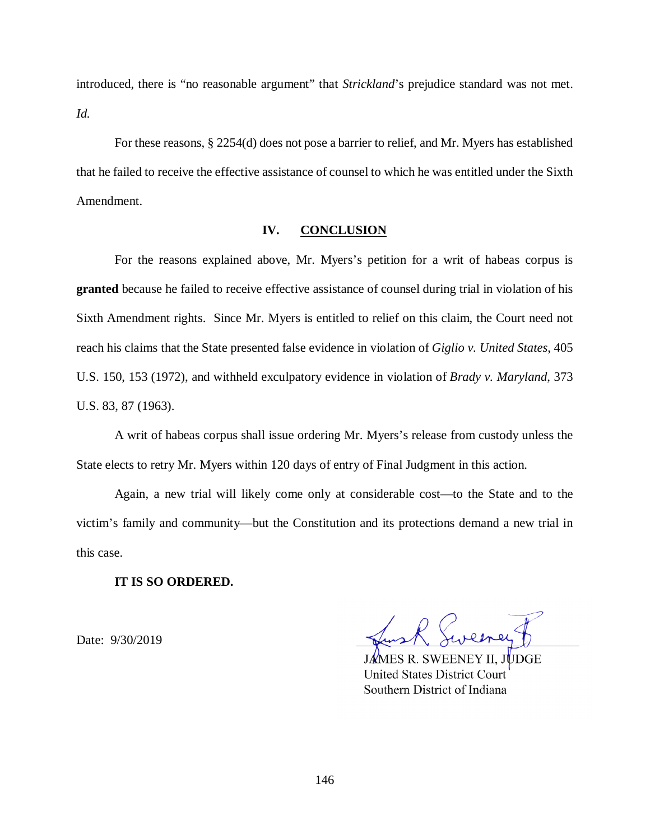introduced, there is "no reasonable argument" that *Strickland*'s prejudice standard was not met. *Id.*

For these reasons, § 2254(d) does not pose a barrier to relief, and Mr. Myers has established that he failed to receive the effective assistance of counsel to which he was entitled under the Sixth Amendment.

## **IV. CONCLUSION**

For the reasons explained above, Mr. Myers's petition for a writ of habeas corpus is **granted** because he failed to receive effective assistance of counsel during trial in violation of his Sixth Amendment rights. Since Mr. Myers is entitled to relief on this claim, the Court need not reach his claims that the State presented false evidence in violation of *Giglio v. United States*, 405 U.S. 150, 153 (1972), and withheld exculpatory evidence in violation of *Brady v. Maryland*, 373 U.S. 83, 87 (1963).

A writ of habeas corpus shall issue ordering Mr. Myers's release from custody unless the State elects to retry Mr. Myers within 120 days of entry of Final Judgment in this action.

Again, a new trial will likely come only at considerable cost—to the State and to the victim's family and community—but the Constitution and its protections demand a new trial in this case.

## **IT IS SO ORDERED.**

Date: 9/30/2019

II. JUDGE **United States District Court** Southern District of Indiana